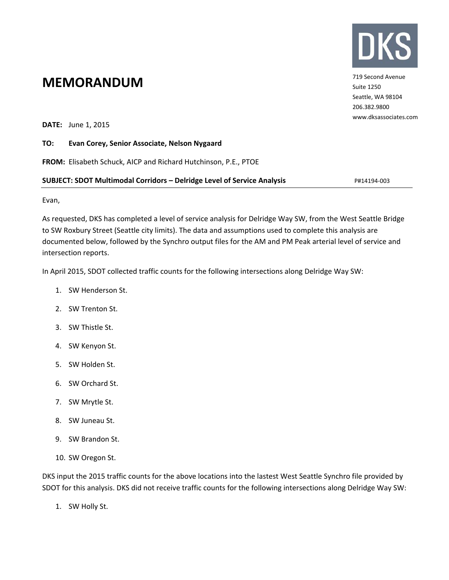

719 Second Avenue Suite 1250 Seattle, WA 98104 206.382.9800 www.dksassociates.com

## **MEMORANDUM**

**DATE:** June 1, 2015

#### **TO: Evan Corey, Senior Associate, Nelson Nygaard**

**FROM:** Elisabeth Schuck, AICP and Richard Hutchinson, P.E., PTOE

#### **SUBJECT: SDOT Multimodal Corridors – Delridge Level of Service Analysis** P#14194‐003

Evan,

As requested, DKS has completed a level of service analysis for Delridge Way SW, from the West Seattle Bridge to SW Roxbury Street (Seattle city limits). The data and assumptions used to complete this analysis are documented below, followed by the Synchro output files for the AM and PM Peak arterial level of service and intersection reports.

In April 2015, SDOT collected traffic counts for the following intersections along Delridge Way SW:

- 1. SW Henderson St.
- 2. SW Trenton St.
- 3. SW Thistle St.
- 4. SW Kenyon St.
- 5. SW Holden St.
- 6. SW Orchard St.
- 7. SW Mrytle St.
- 8. SW Juneau St.
- 9. SW Brandon St.
- 10. SW Oregon St.

DKS input the 2015 traffic counts for the above locations into the lastest West Seattle Synchro file provided by SDOT for this analysis. DKS did not receive traffic counts for the following intersections along Delridge Way SW:

1. SW Holly St.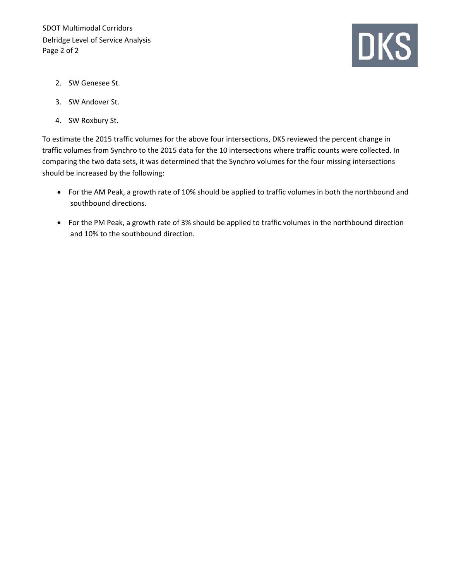

- 2. SW Genesee St.
- 3. SW Andover St.
- 4. SW Roxbury St.

To estimate the 2015 traffic volumes for the above four intersections, DKS reviewed the percent change in traffic volumes from Synchro to the 2015 data for the 10 intersections where traffic counts were collected. In comparing the two data sets, it was determined that the Synchro volumes for the four missing intersections should be increased by the following:

- For the AM Peak, a growth rate of 10% should be applied to traffic volumes in both the northbound and southbound directions.
- For the PM Peak, a growth rate of 3% should be applied to traffic volumes in the northbound direction and 10% to the southbound direction.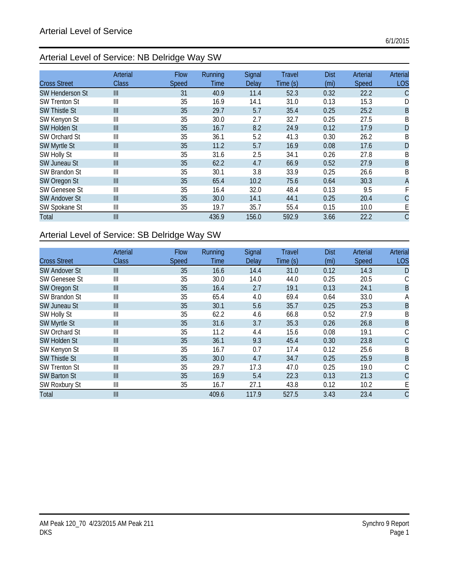## Arterial Level of Service: NB Delridge Way SW

|                        | Arterial       | <b>Flow</b> | <b>Running</b> | Signal | <b>Travel</b> | <b>Dist</b> | Arterial | Arterial     |
|------------------------|----------------|-------------|----------------|--------|---------------|-------------|----------|--------------|
| <b>Cross Street</b>    | Class          | Speed       | <b>Time</b>    | Delay  | Time(s)       | (mi)        | Speed    | <b>LOS</b>   |
| <b>SW Henderson St</b> | $\mathbf{III}$ | 31          | 40.9           | 11.4   | 52.3          | 0.32        | 22.2     | С            |
| <b>SW Trenton St</b>   | Ш              | 35          | 16.9           | 14.1   | 31.0          | 0.13        | 15.3     | D            |
| <b>SW Thistle St</b>   | III            | 35          | 29.7           | 5.7    | 35.4          | 0.25        | 25.2     | B            |
| SW Kenyon St           | Ш              | 35          | 30.0           | 2.7    | 32.7          | 0.25        | 27.5     | B            |
| SW Holden St           | III            | 35          | 16.7           | 8.2    | 24.9          | 0.12        | 17.9     | D            |
| SW Orchard St          | Ш              | 35          | 36.1           | 5.2    | 41.3          | 0.30        | 26.2     | B            |
| SW Myrtle St           | $\mathbf{III}$ | 35          | 11.2           | 5.7    | 16.9          | 0.08        | 17.6     | D            |
| SW Holly St            | Ш              | 35          | 31.6           | 2.5    | 34.1          | 0.26        | 27.8     | Β            |
| <b>SW Juneau St</b>    | $\mathbf{III}$ | 35          | 62.2           | 4.7    | 66.9          | 0.52        | 27.9     | B            |
| SW Brandon St          | Ш              | 35          | 30.1           | 3.8    | 33.9          | 0.25        | 26.6     | B            |
| SW Oregon St           | $\mathbf{III}$ | 35          | 65.4           | 10.2   | 75.6          | 0.64        | 30.3     | $\mathsf{A}$ |
| <b>SW Genesee St</b>   | Ш              | 35          | 16.4           | 32.0   | 48.4          | 0.13        | 9.5      |              |
| <b>SW Andover St</b>   | III            | 35          | 30.0           | 14.1   | 44.1          | 0.25        | 20.4     | C            |
| SW Spokane St          | Ш              | 35          | 19.7           | 35.7   | 55.4          | 0.15        | 10.0     | E            |
| Total                  | $\mathbf{III}$ |             | 436.9          | 156.0  | 592.9         | 3.66        | 22.2     |              |

## Arterial Level of Service: SB Delridge Way SW

|                      | Arterial       | <b>Flow</b> | Running     | Signal | <b>Travel</b> | <b>Dist</b> | Arterial     | Arterial   |
|----------------------|----------------|-------------|-------------|--------|---------------|-------------|--------------|------------|
| <b>Cross Street</b>  | <b>Class</b>   | Speed       | <b>Time</b> | Delay  | Time(s)       | (mi)        | <b>Speed</b> | <b>LOS</b> |
| <b>SW Andover St</b> | $\mathbf{III}$ | 35          | 16.6        | 14.4   | 31.0          | 0.12        | 14.3         | D          |
| <b>SW Genesee St</b> | Ш              | 35          | 30.0        | 14.0   | 44.0          | 0.25        | 20.5         |            |
| SW Oregon St         | III            | 35          | 16.4        | 2.7    | 19.1          | 0.13        | 24.1         | B          |
| SW Brandon St        | Ш              | 35          | 65.4        | 4.0    | 69.4          | 0.64        | 33.0         | А          |
| <b>SW Juneau St</b>  | III            | 35          | 30.1        | 5.6    | 35.7          | 0.25        | 25.3         | B          |
| SW Holly St          | Ш              | 35          | 62.2        | 4.6    | 66.8          | 0.52        | 27.9         | Β          |
| SW Myrtle St         | III            | 35          | 31.6        | 3.7    | 35.3          | 0.26        | 26.8         | B          |
| SW Orchard St        | Ш              | 35          | 11.2        | 4.4    | 15.6          | 0.08        | 19.1         |            |
| SW Holden St         | III            | 35          | 36.1        | 9.3    | 45.4          | 0.30        | 23.8         | C          |
| SW Kenyon St         | Ш              | 35          | 16.7        | 0.7    | 17.4          | 0.12        | 25.6         | B          |
| <b>SW Thistle St</b> | $\mathbb{I}$   | 35          | 30.0        | 4.7    | 34.7          | 0.25        | 25.9         | B          |
| <b>SW Trenton St</b> | $\parallel$    | 35          | 29.7        | 17.3   | 47.0          | 0.25        | 19.0         |            |
| <b>SW Barton St</b>  | III            | 35          | 16.9        | 5.4    | 22.3          | 0.13        | 21.3         | С          |
| SW Roxbury St        | $\parallel$    | 35          | 16.7        | 27.1   | 43.8          | 0.12        | 10.2         |            |
| Total                | $\mathbf{III}$ |             | 409.6       | 117.9  | 527.5         | 3.43        | 23.4         | C          |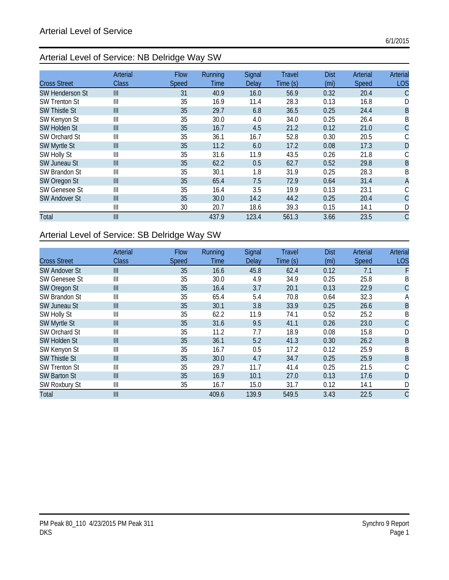## Arterial Level of Service: NB Delridge Way SW

|                        | Arterial       | <b>Flow</b> | <b>Running</b> | Signal | <b>Travel</b> | <b>Dist</b> | Arterial     | Arterial   |
|------------------------|----------------|-------------|----------------|--------|---------------|-------------|--------------|------------|
| <b>Cross Street</b>    | Class          | Speed       | <b>Time</b>    | Delay  | Time(s)       | (mi)        | <b>Speed</b> | <b>LOS</b> |
| <b>SW Henderson St</b> | $\mathbf{III}$ | 31          | 40.9           | 16.0   | 56.9          | 0.32        | 20.4         | С          |
| <b>SW Trenton St</b>   | Ш              | 35          | 16.9           | 11.4   | 28.3          | 0.13        | 16.8         | D          |
| <b>SW Thistle St</b>   | III            | 35          | 29.7           | 6.8    | 36.5          | 0.25        | 24.4         | B          |
| SW Kenyon St           | Ш              | 35          | 30.0           | 4.0    | 34.0          | 0.25        | 26.4         | B          |
| <b>SW Holden St</b>    | III            | 35          | 16.7           | 4.5    | 21.2          | 0.12        | 21.0         | C          |
| SW Orchard St          | Ш              | 35          | 36.1           | 16.7   | 52.8          | 0.30        | 20.5         | С          |
| SW Myrtle St           | $\mathbf{III}$ | 35          | 11.2           | 6.0    | 17.2          | 0.08        | 17.3         | D          |
| SW Holly St            | Ш              | 35          | 31.6           | 11.9   | 43.5          | 0.26        | 21.8         |            |
| <b>SW Juneau St</b>    | III            | 35          | 62.2           | 0.5    | 62.7          | 0.52        | 29.8         | B          |
| SW Brandon St          | Ш              | 35          | 30.1           | 1.8    | 31.9          | 0.25        | 28.3         | B          |
| SW Oregon St           | $\mathbf{III}$ | 35          | 65.4           | 7.5    | 72.9          | 0.64        | 31.4         | A          |
| <b>SW Genesee St</b>   | Ш              | 35          | 16.4           | 3.5    | 19.9          | 0.13        | 23.1         | С          |
| <b>SW Andover St</b>   | III            | 35          | 30.0           | 14.2   | 44.2          | 0.25        | 20.4         | C          |
|                        | Ш              | 30          | 20.7           | 18.6   | 39.3          | 0.15        | 14.1         | D          |
| Total                  | $\mathbf{III}$ |             | 437.9          | 123.4  | 561.3         | 3.66        | 23.5         | C          |

## Arterial Level of Service: SB Delridge Way SW

|                      | Arterial       | <b>Flow</b> | Running | Signal | <b>Travel</b> | <b>Dist</b> | Arterial     | Arterial       |
|----------------------|----------------|-------------|---------|--------|---------------|-------------|--------------|----------------|
| <b>Cross Street</b>  | <b>Class</b>   | Speed       | Time    | Delay  | Time(s)       | (mi)        | <b>Speed</b> | <b>LOS</b>     |
| <b>SW Andover St</b> | $\mathbf{III}$ | 35          | 16.6    | 45.8   | 62.4          | 0.12        | 7.1          |                |
| SW Genesee St        | Ш              | 35          | 30.0    | 4.9    | 34.9          | 0.25        | 25.8         | B              |
| SW Oregon St         | III            | 35          | 16.4    | 3.7    | 20.1          | 0.13        | 22.9         | С              |
| SW Brandon St        | Ш              | 35          | 65.4    | 5.4    | 70.8          | 0.64        | 32.3         | А              |
| <b>SW Juneau St</b>  | $\mathbf{III}$ | 35          | 30.1    | 3.8    | 33.9          | 0.25        | 26.6         | $\overline{B}$ |
| SW Holly St          | Ш              | 35          | 62.2    | 11.9   | 74.1          | 0.52        | 25.2         | Β              |
| SW Myrtle St         | $\mathbf{III}$ | 35          | 31.6    | 9.5    | 41.1          | 0.26        | 23.0         | С              |
| SW Orchard St        | Ш              | 35          | 11.2    | 7.7    | 18.9          | 0.08        | 15.8         | D              |
| <b>SW Holden St</b>  | $\mathbf{III}$ | 35          | 36.1    | 5.2    | 41.3          | 0.30        | 26.2         | B              |
| SW Kenyon St         | Ш              | 35          | 16.7    | 0.5    | 17.2          | 0.12        | 25.9         | Β              |
| <b>SW Thistle St</b> | $\mathbf{III}$ | 35          | 30.0    | 4.7    | 34.7          | 0.25        | 25.9         | B              |
| <b>SW Trenton St</b> | Ш              | 35          | 29.7    | 11.7   | 41.4          | 0.25        | 21.5         |                |
| <b>SW Barton St</b>  | $\mathbf{III}$ | 35          | 16.9    | 10.1   | 27.0          | 0.13        | 17.6         | D              |
| <b>SW Roxbury St</b> | Ш              | 35          | 16.7    | 15.0   | 31.7          | 0.12        | 14.1         | D              |
| Total                | $\mathbf{III}$ |             | 409.6   | 139.9  | 549.5         | 3.43        | 22.5         | С              |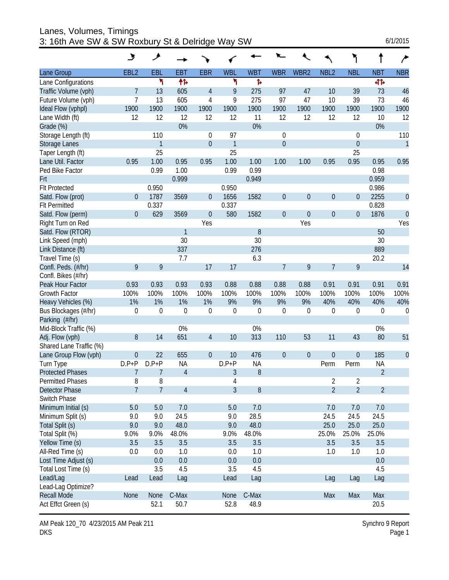Lanes, Volumes, Timings 3: 16th Ave SW & SW Roxbury St & Delridge Way SW 6/1/2015

|                         | ىر               | عر               |                |                  |              |            |                  |                  |                  | ٦                |                          |              |
|-------------------------|------------------|------------------|----------------|------------------|--------------|------------|------------------|------------------|------------------|------------------|--------------------------|--------------|
| Lane Group              | EBL <sub>2</sub> | EBL              | <b>EBT</b>     | <b>EBR</b>       | <b>WBL</b>   | <b>WBT</b> | <b>WBR</b>       | WBR2             | NBL <sub>2</sub> | <b>NBL</b>       | <b>NBT</b>               | <b>NBR</b>   |
| Lane Configurations     |                  | ۲                | 伟              |                  | ኻ            | Þ          |                  |                  |                  |                  | बी                       |              |
| Traffic Volume (vph)    | 7                | 13               | 605            | 4                | 9            | 275        | 97               | 47               | 10               | 39               | 73                       | 46           |
| Future Volume (vph)     | 7                | 13               | 605            | 4                | 9            | 275        | 97               | 47               | 10               | 39               | 73                       | 46           |
| Ideal Flow (vphpl)      | 1900             | 1900             | 1900           | 1900             | 1900         | 1900       | 1900             | 1900             | 1900             | 1900             | 1900                     | 1900         |
| Lane Width (ft)         | 12               | 12               | 12             | 12               | 12           | 11         | 12               | 12               | 12               | 12               | 10                       | 12           |
| Grade (%)               |                  |                  | 0%             |                  |              | 0%         |                  |                  |                  |                  | 0%                       |              |
| Storage Length (ft)     |                  | 110              |                | $\boldsymbol{0}$ | 97           |            | $\mathbf 0$      |                  |                  | 0                |                          | 110          |
| Storage Lanes           |                  | $\mathbf{1}$     |                | $\boldsymbol{0}$ | $\mathbf{1}$ |            | $\boldsymbol{0}$ |                  |                  | $\boldsymbol{0}$ |                          | $\mathbf{1}$ |
| Taper Length (ft)       |                  | 25               |                |                  | 25           |            |                  |                  |                  | 25               |                          |              |
| Lane Util. Factor       | 0.95             | 1.00             | 0.95           | 0.95             | 1.00         | 1.00       | 1.00             | 1.00             | 0.95             | 0.95             | 0.95                     | 0.95         |
| Ped Bike Factor         |                  | 0.99             | 1.00           |                  | 0.99         | 0.99       |                  |                  |                  |                  | 0.98                     |              |
| Frt                     |                  |                  | 0.999          |                  |              | 0.949      |                  |                  |                  |                  | 0.959                    |              |
| <b>Flt Protected</b>    |                  | 0.950            |                |                  | 0.950        |            |                  |                  |                  |                  | 0.986                    |              |
| Satd. Flow (prot)       | $\boldsymbol{0}$ | 1787             | 3569           | $\boldsymbol{0}$ | 1656         | 1582       | $\boldsymbol{0}$ | $\boldsymbol{0}$ | $\mathbf{0}$     | $\boldsymbol{0}$ | 2255                     | $\mathbf{0}$ |
| <b>Flt Permitted</b>    |                  | 0.337            |                |                  | 0.337        |            |                  |                  |                  |                  | 0.828                    |              |
| Satd. Flow (perm)       | $\mathbf{0}$     | 629              | 3569           | $\boldsymbol{0}$ | 580          | 1582       | $\boldsymbol{0}$ | $\theta$         | $\boldsymbol{0}$ | $\boldsymbol{0}$ | 1876                     | $\mathbf{0}$ |
| Right Turn on Red       |                  |                  |                | Yes              |              |            |                  | Yes              |                  |                  |                          | Yes          |
| Satd. Flow (RTOR)       |                  |                  | $\mathbf{1}$   |                  |              | 8          |                  |                  |                  |                  | 50                       |              |
| Link Speed (mph)        |                  |                  | 30             |                  |              | 30         |                  |                  |                  |                  | 30                       |              |
| Link Distance (ft)      |                  |                  | 337            |                  |              | 276        |                  |                  |                  |                  | 889                      |              |
| Travel Time (s)         |                  |                  | 7.7            |                  |              | 6.3        |                  |                  |                  |                  | 20.2                     |              |
| Confl. Peds. (#/hr)     | 9                | 9                |                | 17               | 17           |            | $\overline{7}$   | 9                | 7                | 9                |                          | 14           |
| Confl. Bikes (#/hr)     |                  |                  |                |                  |              |            |                  |                  |                  |                  |                          |              |
| Peak Hour Factor        | 0.93             | 0.93             | 0.93           | 0.93             | 0.88         | 0.88       | 0.88             | 0.88             | 0.91             | 0.91             | 0.91                     | 0.91         |
| <b>Growth Factor</b>    | 100%             | 100%             | 100%           | 100%             | 100%         | 100%       | 100%             | 100%             | 100%             | 100%             | 100%                     | 100%         |
| Heavy Vehicles (%)      | 1%               | 1%               | 1%             | 1%               | 9%           | 9%         | 9%               | 9%               | 40%              | 40%              | 40%                      | 40%          |
| Bus Blockages (#/hr)    | 0                | $\boldsymbol{0}$ | 0              | $\boldsymbol{0}$ | 0            | 0          | $\mathbf 0$      | $\boldsymbol{0}$ | $\theta$         | 0                | 0                        | 0            |
| Parking (#/hr)          |                  |                  |                |                  |              |            |                  |                  |                  |                  |                          |              |
| Mid-Block Traffic (%)   |                  |                  | 0%             |                  |              | 0%         |                  |                  |                  |                  | 0%                       |              |
| Adj. Flow (vph)         | 8                | 14               | 651            | 4                | 10           | 313        | 110              | 53               | 11               | 43               | 80                       | 51           |
| Shared Lane Traffic (%) |                  |                  |                |                  |              |            |                  |                  |                  |                  |                          |              |
| Lane Group Flow (vph)   | $\boldsymbol{0}$ | 22               | 655            | $\boldsymbol{0}$ | 10           | 476        | $\boldsymbol{0}$ | $\theta$         | $\boldsymbol{0}$ | $\boldsymbol{0}$ | 185                      | $\mathbf 0$  |
| Turn Type               | $D.P+P$          | $D.P+P$          | <b>NA</b>      |                  | $D.P+P$      | <b>NA</b>  |                  |                  | Perm             | Perm             | <b>NA</b>                |              |
| <b>Protected Phases</b> | 7                | 7                | $\overline{4}$ |                  | 3            | 8          |                  |                  |                  |                  | $\overline{\phantom{0}}$ |              |
| <b>Permitted Phases</b> | 8                | 8                |                |                  | 4            |            |                  |                  | 2                | 2                |                          |              |
| Detector Phase          | $\overline{7}$   | $\overline{7}$   | $\overline{4}$ |                  | 3            | $8\,$      |                  |                  | $\overline{2}$   | $\overline{2}$   | $\overline{2}$           |              |
| Switch Phase            |                  |                  |                |                  |              |            |                  |                  |                  |                  |                          |              |
| Minimum Initial (s)     | $5.0$            | 5.0              | 7.0            |                  | 5.0          | 7.0        |                  |                  | 7.0              | 7.0              | 7.0                      |              |
| Minimum Split (s)       | 9.0              | 9.0              | 24.5           |                  | 9.0          | 28.5       |                  |                  | 24.5             | 24.5             | 24.5                     |              |
| Total Split (s)         | 9.0              | 9.0              | 48.0           |                  | 9.0          | 48.0       |                  |                  | 25.0             | 25.0             | 25.0                     |              |
| Total Split (%)         | 9.0%             | 9.0%             | 48.0%          |                  | 9.0%         | 48.0%      |                  |                  | 25.0%            | 25.0%            | 25.0%                    |              |
| Yellow Time (s)         | 3.5              | 3.5              | 3.5            |                  | 3.5          | 3.5        |                  |                  | 3.5              | 3.5              | 3.5                      |              |
| All-Red Time (s)        | 0.0              | 0.0              | 1.0            |                  | 0.0          | 1.0        |                  |                  | 1.0              | 1.0              | 1.0                      |              |
| Lost Time Adjust (s)    |                  | 0.0              | 0.0            |                  | 0.0          | 0.0        |                  |                  |                  |                  | 0.0                      |              |
| Total Lost Time (s)     |                  | 3.5              | 4.5            |                  | 3.5          | 4.5        |                  |                  |                  |                  | 4.5                      |              |
| Lead/Lag                | Lead             | Lead             | Lag            |                  | Lead         | Lag        |                  |                  | Lag              | Lag              | Lag                      |              |
| Lead-Lag Optimize?      |                  |                  |                |                  |              |            |                  |                  |                  |                  |                          |              |
| <b>Recall Mode</b>      | None             | None             | C-Max          |                  | None         | C-Max      |                  |                  | Max              | Max              | Max                      |              |
| Act Effct Green (s)     |                  | 52.1             | 50.7           |                  | 52.8         | 48.9       |                  |                  |                  |                  | 20.5                     |              |

AM Peak 120\_70 4/23/2015 AM Peak 211 Synchro 9 Report DKS Page 1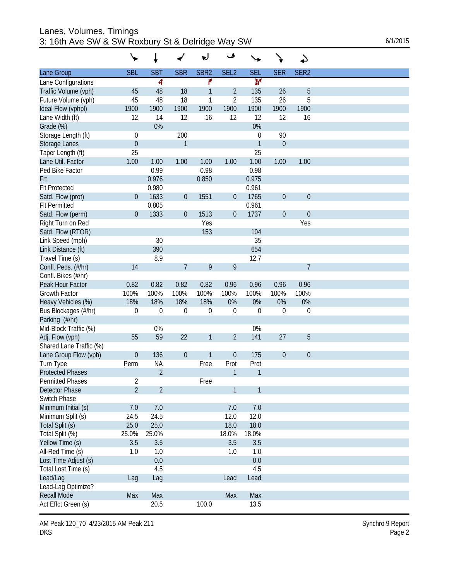| Lanes, Volumes, Timings                          |          |
|--------------------------------------------------|----------|
| 3: 16th Ave SW & SW Roxbury St & Delridge Way SW | 6/1/2015 |

|                                 |                  |                |                  | w                | ڡ                |              |                  | ఎ                |  |
|---------------------------------|------------------|----------------|------------------|------------------|------------------|--------------|------------------|------------------|--|
| Lane Group                      | <b>SBL</b>       | <b>SBT</b>     | <b>SBR</b>       | SBR <sub>2</sub> | SEL <sub>2</sub> | <b>SEL</b>   | <b>SER</b>       | SER <sub>2</sub> |  |
| Lane Configurations             |                  | 4              |                  | ۴                |                  | ¥            |                  |                  |  |
| Traffic Volume (vph)            | 45               | 48             | 18               | 1                | 2                | 135          | 26               | 5                |  |
| Future Volume (vph)             | 45               | 48             | 18               | 1                | $\overline{2}$   | 135          | 26               | 5                |  |
| Ideal Flow (vphpl)              | 1900             | 1900           | 1900             | 1900             | 1900             | 1900         | 1900             | 1900             |  |
| Lane Width (ft)                 | 12               | 14             | 12               | 16               | 12               | 12           | 12               | 16               |  |
| Grade (%)                       |                  | 0%             |                  |                  |                  | 0%           |                  |                  |  |
| Storage Length (ft)             | 0                |                | 200              |                  |                  | 0            | 90               |                  |  |
| Storage Lanes                   | $\mathbf 0$      |                | 1                |                  |                  | $\mathbf{1}$ | $\boldsymbol{0}$ |                  |  |
| Taper Length (ft)               | 25               |                |                  |                  |                  | 25           |                  |                  |  |
| Lane Util. Factor               | 1.00             | 1.00           | 1.00             | 1.00             | 1.00             | 1.00         | 1.00             | 1.00             |  |
| Ped Bike Factor                 |                  | 0.99           |                  | 0.98             |                  | 0.98         |                  |                  |  |
| Frt                             |                  | 0.976          |                  | 0.850            |                  | 0.975        |                  |                  |  |
| <b>Flt Protected</b>            |                  | 0.980          |                  |                  |                  | 0.961        |                  |                  |  |
| Satd. Flow (prot)               | 0                | 1633           | $\boldsymbol{0}$ | 1551             | $\boldsymbol{0}$ | 1765         | $\mathbf 0$      | $\theta$         |  |
| <b>Flt Permitted</b>            |                  | 0.805          |                  |                  |                  | 0.961        |                  |                  |  |
| Satd. Flow (perm)               | $\boldsymbol{0}$ | 1333           | $\boldsymbol{0}$ | 1513             | $\boldsymbol{0}$ | 1737         | $\theta$         | $\boldsymbol{0}$ |  |
| Right Turn on Red               |                  |                |                  | Yes              |                  |              |                  | Yes              |  |
| Satd. Flow (RTOR)               |                  |                |                  | 153              |                  | 104          |                  |                  |  |
| Link Speed (mph)                |                  | 30             |                  |                  |                  | 35           |                  |                  |  |
| Link Distance (ft)              |                  | 390            |                  |                  |                  | 654          |                  |                  |  |
| Travel Time (s)                 |                  | 8.9            |                  |                  |                  | 12.7         |                  |                  |  |
| Confl. Peds. (#/hr)             | 14               |                | $\overline{7}$   | 9                | 9                |              |                  | 7                |  |
| Confl. Bikes (#/hr)             |                  |                |                  |                  |                  |              |                  |                  |  |
| Peak Hour Factor                | 0.82             | 0.82           | 0.82             | 0.82             | 0.96             | 0.96         | 0.96             | 0.96             |  |
| <b>Growth Factor</b>            | 100%             | 100%           | 100%             | 100%             | 100%             | 100%         | 100%             | 100%             |  |
| Heavy Vehicles (%)              | 18%              | 18%            | 18%              | 18%              | 0%               | 0%           | 0%               | 0%               |  |
| Bus Blockages (#/hr)            | 0                | 0              | 0                | 0                | $\mathbf 0$      | $\mathbf 0$  | $\mathbf 0$      | $\boldsymbol{0}$ |  |
| Parking (#/hr)                  |                  |                |                  |                  |                  |              |                  |                  |  |
| Mid-Block Traffic (%)           |                  | 0%             |                  |                  |                  | 0%           |                  |                  |  |
| Adj. Flow (vph)                 | 55               | 59             | 22               | 1                | $\overline{2}$   | 141          | 27               | 5                |  |
| Shared Lane Traffic (%)         |                  |                |                  |                  |                  |              |                  |                  |  |
| Lane Group Flow (vph)           | $\boldsymbol{0}$ | 136            | $\mathbf 0$      | 1                | $\boldsymbol{0}$ | 175          | $\theta$         | $\theta$         |  |
| Turn Type                       | Perm             | <b>NA</b>      |                  | Free             | Prot             | Prot         |                  |                  |  |
| <b>Protected Phases</b>         |                  | $\overline{2}$ |                  |                  | 1                | 1            |                  |                  |  |
| <b>Permitted Phases</b>         | $\overline{2}$   |                |                  | Free             |                  |              |                  |                  |  |
| Detector Phase                  | $\overline{2}$   | $\overline{2}$ |                  |                  | 1                | $\mathbf{1}$ |                  |                  |  |
| Switch Phase                    |                  |                |                  |                  |                  |              |                  |                  |  |
| Minimum Initial (s)             | 7.0              | 7.0            |                  |                  | 7.0              | 7.0          |                  |                  |  |
| Minimum Split (s)               | 24.5             | 24.5           |                  |                  | 12.0             | 12.0         |                  |                  |  |
| Total Split (s)                 | 25.0             | 25.0           |                  |                  | 18.0             | 18.0         |                  |                  |  |
| Total Split (%)                 | 25.0%            | 25.0%          |                  |                  | 18.0%            | 18.0%        |                  |                  |  |
| Yellow Time (s)                 | 3.5              | 3.5            |                  |                  | 3.5              | 3.5          |                  |                  |  |
| All-Red Time (s)                | 1.0              | 1.0            |                  |                  | 1.0              | 1.0          |                  |                  |  |
| Lost Time Adjust (s)            |                  | 0.0            |                  |                  |                  | 0.0<br>4.5   |                  |                  |  |
| Total Lost Time (s)<br>Lead/Lag |                  | 4.5            |                  |                  | Lead             | Lead         |                  |                  |  |
| Lead-Lag Optimize?              | Lag              | Lag            |                  |                  |                  |              |                  |                  |  |
| <b>Recall Mode</b>              | Max              | Max            |                  |                  | Max              | Max          |                  |                  |  |
| Act Effct Green (s)             |                  | 20.5           |                  | 100.0            |                  | 13.5         |                  |                  |  |
|                                 |                  |                |                  |                  |                  |              |                  |                  |  |

AM Peak 120\_70\_4/23/2015 AM Peak 211 Synchro 9 Report Synchro 9 Report Synchro 9 Report DKS Page 2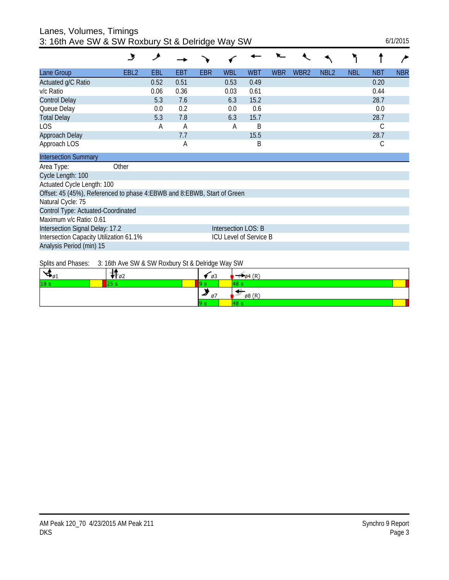#### Lanes, Volumes, Timings 3: 16th Ave SW & SW Roxbury St & Delridge Way SW 6/1/2015

|                                                                           | ৬                | ۶    |      |            |                               |            |            |                  |                  |            |            |            |
|---------------------------------------------------------------------------|------------------|------|------|------------|-------------------------------|------------|------------|------------------|------------------|------------|------------|------------|
| Lane Group                                                                | EBL <sub>2</sub> | EBL  | EBT  | <b>EBR</b> | <b>WBL</b>                    | <b>WBT</b> | <b>WBR</b> | WBR <sub>2</sub> | NBL <sub>2</sub> | <b>NBL</b> | <b>NBT</b> | <b>NBR</b> |
| Actuated g/C Ratio                                                        |                  | 0.52 | 0.51 |            | 0.53                          | 0.49       |            |                  |                  |            | 0.20       |            |
| v/c Ratio                                                                 |                  | 0.06 | 0.36 |            | 0.03                          | 0.61       |            |                  |                  |            | 0.44       |            |
| <b>Control Delay</b>                                                      |                  | 5.3  | 7.6  |            | 6.3                           | 15.2       |            |                  |                  |            | 28.7       |            |
| Queue Delay                                                               |                  | 0.0  | 0.2  |            | 0.0                           | 0.6        |            |                  |                  |            | 0.0        |            |
| <b>Total Delay</b>                                                        |                  | 5.3  | 7.8  |            | 6.3                           | 15.7       |            |                  |                  |            | 28.7       |            |
| <b>LOS</b>                                                                |                  | Α    | A    |            | Α                             | B          |            |                  |                  |            | С          |            |
| Approach Delay                                                            |                  |      | 7.7  |            |                               | 15.5       |            |                  |                  |            | 28.7       |            |
| Approach LOS                                                              |                  |      | A    |            |                               | B          |            |                  |                  |            | С          |            |
| <b>Intersection Summary</b>                                               |                  |      |      |            |                               |            |            |                  |                  |            |            |            |
| Area Type:                                                                | Other            |      |      |            |                               |            |            |                  |                  |            |            |            |
| Cycle Length: 100                                                         |                  |      |      |            |                               |            |            |                  |                  |            |            |            |
| Actuated Cycle Length: 100                                                |                  |      |      |            |                               |            |            |                  |                  |            |            |            |
| Offset: 45 (45%), Referenced to phase 4: EBWB and 8: EBWB, Start of Green |                  |      |      |            |                               |            |            |                  |                  |            |            |            |
| Natural Cycle: 75                                                         |                  |      |      |            |                               |            |            |                  |                  |            |            |            |
| Control Type: Actuated-Coordinated                                        |                  |      |      |            |                               |            |            |                  |                  |            |            |            |
| Maximum v/c Ratio: 0.61                                                   |                  |      |      |            |                               |            |            |                  |                  |            |            |            |
| Intersection Signal Delay: 17.2                                           |                  |      |      |            | Intersection LOS: B           |            |            |                  |                  |            |            |            |
| Intersection Capacity Utilization 61.1%                                   |                  |      |      |            | <b>ICU Level of Service B</b> |            |            |                  |                  |            |            |            |
| Analysis Period (min) 15                                                  |                  |      |      |            |                               |            |            |                  |                  |            |            |            |

Splits and Phases: 3: 16th Ave SW & SW Roxbury St & Delridge Way SW

| $\mathcal{A}_{\mathfrak{g}_1}$ | T 02 | øз  | $\emptyset$ 4 $(R)$ |
|--------------------------------|------|-----|---------------------|
| 18 <sub>s</sub>                | ---  |     |                     |
|                                |      | Ø1  | ø8 (R'              |
|                                |      | 9 S |                     |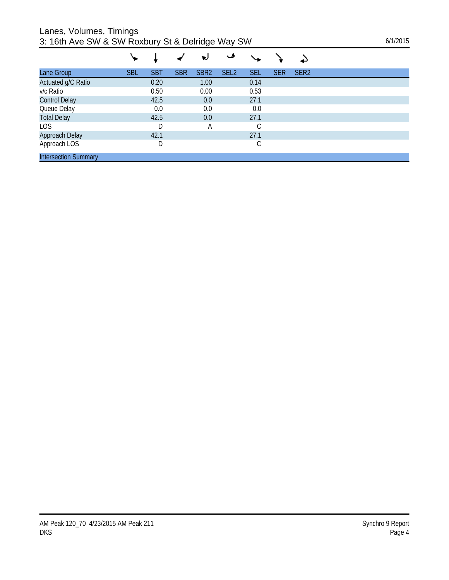Lanes, Volumes, Timings

| 3: 16th Ave SW & SW Roxbury St & Delridge Way SW | 6/1/2015 |
|--------------------------------------------------|----------|
|--------------------------------------------------|----------|

|                             |            |            |            | ν                | مـ               |            |            |                  |  |
|-----------------------------|------------|------------|------------|------------------|------------------|------------|------------|------------------|--|
| Lane Group                  | <b>SBL</b> | <b>SBT</b> | <b>SBR</b> | SBR <sub>2</sub> | SEL <sub>2</sub> | <b>SEL</b> | <b>SER</b> | SER <sub>2</sub> |  |
| Actuated g/C Ratio          |            | 0.20       |            | 1.00             |                  | 0.14       |            |                  |  |
| v/c Ratio                   |            | 0.50       |            | 0.00             |                  | 0.53       |            |                  |  |
| <b>Control Delay</b>        |            | 42.5       |            | 0.0              |                  | 27.1       |            |                  |  |
| Queue Delay                 |            | 0.0        |            | 0.0              |                  | 0.0        |            |                  |  |
| <b>Total Delay</b>          |            | 42.5       |            | 0.0              |                  | 27.1       |            |                  |  |
| LOS                         |            | D          |            | А                |                  | С          |            |                  |  |
| Approach Delay              |            | 42.1       |            |                  |                  | 27.1       |            |                  |  |
| Approach LOS                |            | D          |            |                  |                  | С          |            |                  |  |
| <b>Intersection Summary</b> |            |            |            |                  |                  |            |            |                  |  |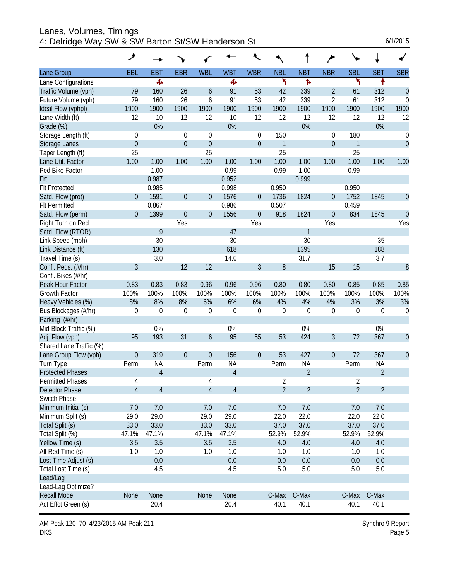| Lanes, Volumes, Timings<br>4: Delridge Way SW & SW Barton St/SW Henderson St |                  |                |                  |                  |                |                  |                |                |                  |                | 6/1/2015       |                  |
|------------------------------------------------------------------------------|------------------|----------------|------------------|------------------|----------------|------------------|----------------|----------------|------------------|----------------|----------------|------------------|
|                                                                              | ۶                |                |                  |                  |                |                  |                |                | ∕                |                |                |                  |
| Lane Group                                                                   | EBL              | <b>EBT</b>     | <b>EBR</b>       | <b>WBL</b>       | <b>WBT</b>     | <b>WBR</b>       | <b>NBL</b>     | <b>NBT</b>     | <b>NBR</b>       | <b>SBL</b>     | <b>SBT</b>     | <b>SBR</b>       |
| Lane Configurations                                                          |                  | Ф              |                  |                  | Ф              |                  | ۲              | ħ              |                  | ۲              | ↟              |                  |
| Traffic Volume (vph)                                                         | 79               | 160            | 26               | 6                | 91             | 53               | 42             | 339            | $\overline{2}$   | 61             | 312            | $\mathbf{0}$     |
| Future Volume (vph)                                                          | 79               | 160            | 26               | 6                | 91             | 53               | 42             | 339            | $\overline{2}$   | 61             | 312            | $\theta$         |
| Ideal Flow (vphpl)                                                           | 1900             | 1900           | 1900             | 1900             | 1900           | 1900             | 1900           | 1900           | 1900             | 1900           | 1900           | 1900             |
| Lane Width (ft)                                                              | 12               | 10             | 12               | 12               | 10             | 12               | 12             | 12             | 12               | 12             | 12             | 12               |
| Grade (%)                                                                    |                  | 0%             |                  |                  | 0%             |                  |                | 0%             |                  |                | 0%             |                  |
| Storage Length (ft)                                                          | $\mathbf 0$      |                | 0                | $\theta$         |                | $\overline{0}$   | 150            |                | 0                | 180            |                | 0                |
| Storage Lanes                                                                | $\boldsymbol{0}$ |                | $\overline{0}$   | $\boldsymbol{0}$ |                | $\theta$         | $\mathbf{1}$   |                | $\overline{0}$   | $\mathbf{1}$   |                | $\mathbf{0}$     |
| Taper Length (ft)                                                            | 25               |                |                  | 25               |                |                  | 25             |                |                  | 25             |                |                  |
| Lane Util. Factor                                                            | 1.00             | 1.00           | 1.00             | 1.00             | 1.00           | 1.00             | 1.00           | 1.00           | 1.00             | 1.00           | 1.00           | 1.00             |
| Ped Bike Factor                                                              |                  | 1.00           |                  |                  | 0.99           |                  | 0.99           | 1.00           |                  | 0.99           |                |                  |
| Frt                                                                          |                  | 0.987          |                  |                  | 0.952          |                  |                | 0.999          |                  |                |                |                  |
| <b>Flt Protected</b>                                                         |                  | 0.985          |                  |                  | 0.998          |                  | 0.950          |                |                  | 0.950          |                |                  |
| Satd. Flow (prot)                                                            | $\overline{0}$   | 1591           | $\mathbf 0$      | $\boldsymbol{0}$ | 1576           | $\boldsymbol{0}$ | 1736           | 1824           | $\overline{0}$   | 1752           | 1845           | $\boldsymbol{0}$ |
| <b>Flt Permitted</b>                                                         |                  | 0.867          |                  |                  | 0.986          |                  | 0.507          |                |                  | 0.459          |                |                  |
| Satd. Flow (perm)                                                            | $\overline{0}$   | 1399           | $\mathbf 0$      | $\boldsymbol{0}$ | 1556           | $\boldsymbol{0}$ | 918            | 1824           | $\boldsymbol{0}$ | 834            | 1845           | $\theta$         |
| Right Turn on Red                                                            |                  |                | Yes              |                  |                | Yes              |                |                | Yes              |                |                | Yes              |
| Satd. Flow (RTOR)                                                            |                  | 9              |                  |                  | 47             |                  |                | $\mathbf{1}$   |                  |                |                |                  |
| Link Speed (mph)                                                             |                  | 30             |                  |                  | 30             |                  |                | 30             |                  |                | 35             |                  |
| Link Distance (ft)                                                           |                  | 130            |                  |                  | 618            |                  |                | 1395           |                  |                | 188            |                  |
| Travel Time (s)                                                              |                  | 3.0            |                  |                  | 14.0           |                  |                | 31.7           |                  |                | 3.7            |                  |
| Confl. Peds. (#/hr)                                                          | 3                |                | 12               | 12               |                | 3                | 8              |                | 15               | 15             |                | 8                |
| Confl. Bikes (#/hr)                                                          |                  |                |                  |                  |                |                  |                |                |                  |                |                |                  |
| Peak Hour Factor                                                             | 0.83             | 0.83           | 0.83             | 0.96             | 0.96           | 0.96             | 0.80           | 0.80           | 0.80             | 0.85           | 0.85           | 0.85             |
| Growth Factor                                                                | 100%             | 100%           | 100%             | 100%             | 100%           | 100%             | 100%           | 100%           | 100%             | 100%           | 100%           | 100%             |
| Heavy Vehicles (%)                                                           | 8%               | 8%             | 8%               | 6%               | 6%             | 6%               | 4%             | 4%             | 4%               | 3%             | 3%             | 3%               |
| Bus Blockages (#/hr)                                                         | $\mathbf 0$      | 0              | $\boldsymbol{0}$ | $\mathbf 0$      | 0              | $\mathbf 0$      | $\overline{0}$ | $\overline{0}$ | $\mathbf 0$      | $\theta$       | $\theta$       | $\mathbf 0$      |
| Parking (#/hr)                                                               |                  |                |                  |                  |                |                  |                |                |                  |                |                |                  |
| Mid-Block Traffic (%)                                                        |                  | 0%             |                  |                  | 0%             |                  |                | 0%             |                  |                | 0%             |                  |
| Adj. Flow (vph)                                                              | 95               | 193            | 31               | 6                | 95             | 55               | 53             | 424            | 3                | 72             | 367            | $\boldsymbol{0}$ |
| Shared Lane Traffic (%)                                                      |                  |                |                  |                  |                |                  |                |                |                  |                |                |                  |
| Lane Group Flow (vph)                                                        | $\boldsymbol{0}$ | 319            | $\overline{0}$   | $\boldsymbol{0}$ | 156            | $\boldsymbol{0}$ | 53             | 427            | $\boldsymbol{0}$ | 72             | 367            | 0                |
| Turn Type                                                                    | Perm             | <b>NA</b>      |                  | Perm             | <b>NA</b>      |                  | Perm           | <b>NA</b>      |                  | Perm           | <b>NA</b>      |                  |
| <b>Protected Phases</b>                                                      |                  | $\overline{4}$ |                  |                  | $\overline{4}$ |                  |                | $\overline{2}$ |                  |                | $\overline{2}$ |                  |
| <b>Permitted Phases</b>                                                      | 4                |                |                  | 4                |                |                  | 2              |                |                  | $\overline{2}$ |                |                  |
| Detector Phase                                                               | $\overline{4}$   | $\overline{4}$ |                  | $\overline{4}$   | $\sqrt{4}$     |                  | $\overline{2}$ | $\overline{2}$ |                  | $\overline{2}$ | $\overline{2}$ |                  |
| Switch Phase                                                                 |                  |                |                  |                  |                |                  |                |                |                  |                |                |                  |
| Minimum Initial (s)                                                          | 7.0              | 7.0            |                  | 7.0              | 7.0            |                  | 7.0            | 7.0            |                  | 7.0            | 7.0            |                  |
| Minimum Split (s)                                                            | 29.0             | 29.0           |                  | 29.0             | 29.0           |                  | 22.0           | 22.0           |                  | 22.0           | 22.0           |                  |
| Total Split (s)                                                              | 33.0             | 33.0           |                  | 33.0             | 33.0           |                  | 37.0           | 37.0           |                  | 37.0           | 37.0           |                  |
| Total Split (%)                                                              | 47.1%            | 47.1%          |                  | 47.1%            | 47.1%          |                  | 52.9%          | 52.9%          |                  | 52.9%          | 52.9%          |                  |
| Yellow Time (s)                                                              | 3.5              | 3.5            |                  | 3.5              | 3.5            |                  | 4.0            | 4.0            |                  | 4.0            | $4.0$          |                  |
| All-Red Time (s)                                                             | 1.0              | 1.0            |                  | 1.0              | 1.0            |                  | 1.0            | 1.0            |                  | 1.0            | 1.0            |                  |
| Lost Time Adjust (s)                                                         |                  | 0.0            |                  |                  | 0.0            |                  | 0.0            | 0.0            |                  | 0.0            | 0.0            |                  |
| Total Lost Time (s)                                                          |                  | 4.5            |                  |                  | 4.5            |                  | 5.0            | 5.0            |                  | 5.0            | 5.0            |                  |
| Lead/Lag                                                                     |                  |                |                  |                  |                |                  |                |                |                  |                |                |                  |
| Lead-Lag Optimize?                                                           |                  |                |                  |                  |                |                  |                |                |                  |                |                |                  |
| <b>Recall Mode</b>                                                           | None             | None           |                  | None             | None           |                  | C-Max          | C-Max          |                  | C-Max          | C-Max          |                  |
| Act Effct Green (s)                                                          |                  | 20.4           |                  |                  | 20.4           |                  | 40.1           | 40.1           |                  | 40.1           | 40.1           |                  |

AM Peak 120\_70 4/23/2015 AM Peak 211 DKS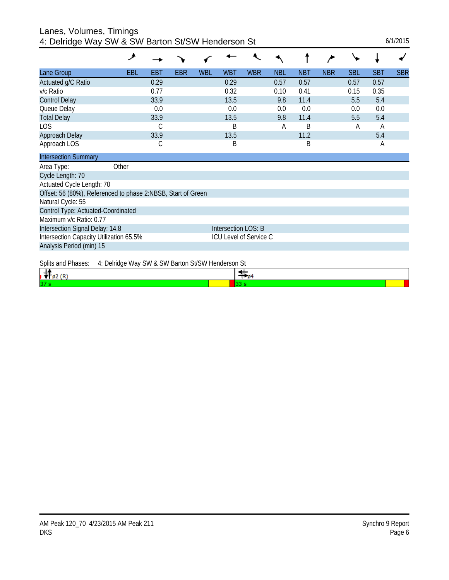| Lanes, Volumes, Timings                           |          |
|---------------------------------------------------|----------|
| 4: Delridge Way SW & SW Barton St/SW Henderson St | 6/1/2015 |

|                                                              | ৴                                                 |      |            |            |                        |            |            |            |            |            |            |            |
|--------------------------------------------------------------|---------------------------------------------------|------|------------|------------|------------------------|------------|------------|------------|------------|------------|------------|------------|
| Lane Group                                                   | <b>EBL</b>                                        | EBT  | <b>EBR</b> | <b>WBL</b> | <b>WBT</b>             | <b>WBR</b> | <b>NBL</b> | <b>NBT</b> | <b>NBR</b> | <b>SBL</b> | <b>SBT</b> | <b>SBR</b> |
| Actuated g/C Ratio                                           |                                                   | 0.29 |            |            | 0.29                   |            | 0.57       | 0.57       |            | 0.57       | 0.57       |            |
| v/c Ratio                                                    |                                                   | 0.77 |            |            | 0.32                   |            | 0.10       | 0.41       |            | 0.15       | 0.35       |            |
| <b>Control Delay</b>                                         |                                                   | 33.9 |            |            | 13.5                   |            | 9.8        | 11.4       |            | 5.5        | 5.4        |            |
| Queue Delay                                                  |                                                   | 0.0  |            |            | 0.0                    |            | 0.0        | 0.0        |            | 0.0        | 0.0        |            |
| <b>Total Delay</b>                                           |                                                   | 33.9 |            |            | 13.5                   |            | 9.8        | 11.4       |            | 5.5        | 5.4        |            |
| LOS                                                          |                                                   | С    |            |            | B                      |            | A          | B          |            | A          | A          |            |
| Approach Delay                                               |                                                   | 33.9 |            |            | 13.5                   |            |            | 11.2       |            |            | 5.4        |            |
| Approach LOS                                                 |                                                   | С    |            |            | B                      |            |            | B          |            |            | A          |            |
| <b>Intersection Summary</b>                                  |                                                   |      |            |            |                        |            |            |            |            |            |            |            |
| Area Type:                                                   | Other                                             |      |            |            |                        |            |            |            |            |            |            |            |
| Cycle Length: 70                                             |                                                   |      |            |            |                        |            |            |            |            |            |            |            |
| Actuated Cycle Length: 70                                    |                                                   |      |            |            |                        |            |            |            |            |            |            |            |
| Offset: 56 (80%), Referenced to phase 2:NBSB, Start of Green |                                                   |      |            |            |                        |            |            |            |            |            |            |            |
| Natural Cycle: 55                                            |                                                   |      |            |            |                        |            |            |            |            |            |            |            |
| Control Type: Actuated-Coordinated                           |                                                   |      |            |            |                        |            |            |            |            |            |            |            |
| Maximum v/c Ratio: 0.77                                      |                                                   |      |            |            |                        |            |            |            |            |            |            |            |
| Intersection Signal Delay: 14.8                              |                                                   |      |            |            | Intersection LOS: B    |            |            |            |            |            |            |            |
| Intersection Capacity Utilization 65.5%                      |                                                   |      |            |            | ICU Level of Service C |            |            |            |            |            |            |            |
| Analysis Period (min) 15                                     |                                                   |      |            |            |                        |            |            |            |            |            |            |            |
| Splits and Phases:                                           | 4: Delridge Way SW & SW Barton St/SW Henderson St |      |            |            |                        |            |            |            |            |            |            |            |

|    | Opino and Finasco. The Definition and you a Onling Darton Oliver Henderson of |  |
|----|-------------------------------------------------------------------------------|--|
| 37 |                                                                               |  |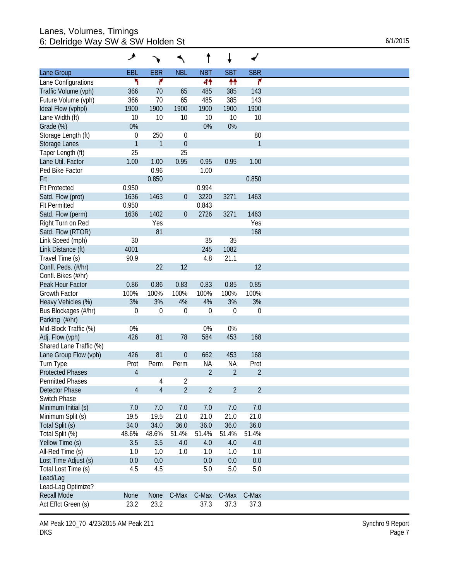#### Lanes, Volumes, Timings 6: Delridge Way SW & SW Holden St  $6/1/2015$

|                         | عر               |                |                  | t              | ↓                |                |
|-------------------------|------------------|----------------|------------------|----------------|------------------|----------------|
| Lane Group              | <b>EBL</b>       | <b>EBR</b>     | <b>NBL</b>       | <b>NBT</b>     | <b>SBT</b>       | <b>SBR</b>     |
| Lane Configurations     | ۲                | ۴              |                  | 44             | ₩                | ۴              |
| Traffic Volume (vph)    | 366              | 70             | 65               | 485            | 385              | 143            |
| Future Volume (vph)     | 366              | 70             | 65               | 485            | 385              | 143            |
| Ideal Flow (vphpl)      | 1900             | 1900           | 1900             | 1900           | 1900             | 1900           |
| Lane Width (ft)         | 10               | 10             | 10               | 10             | 10               | 10             |
| Grade (%)               | 0%               |                |                  | 0%             | 0%               |                |
| Storage Length (ft)     | 0                | 250            | $\boldsymbol{0}$ |                |                  | 80             |
| Storage Lanes           | $\mathbf{1}$     | $\mathbf{1}$   | $\theta$         |                |                  | $\mathbf{1}$   |
| Taper Length (ft)       | 25               |                | 25               |                |                  |                |
| Lane Util. Factor       | 1.00             | 1.00           | 0.95             | 0.95           | 0.95             | 1.00           |
| Ped Bike Factor         |                  | 0.96           |                  | 1.00           |                  |                |
|                         |                  |                |                  |                |                  |                |
| Frt                     |                  | 0.850          |                  |                |                  | 0.850          |
| <b>Flt Protected</b>    | 0.950            |                |                  | 0.994          |                  |                |
| Satd. Flow (prot)       | 1636             | 1463           | $\boldsymbol{0}$ | 3220           | 3271             | 1463           |
| <b>Flt Permitted</b>    | 0.950            |                |                  | 0.843          |                  |                |
| Satd. Flow (perm)       | 1636             | 1402           | $\theta$         | 2726           | 3271             | 1463           |
| Right Turn on Red       |                  | Yes            |                  |                |                  | Yes            |
| Satd. Flow (RTOR)       |                  | 81             |                  |                |                  | 168            |
| Link Speed (mph)        | 30               |                |                  | 35             | 35               |                |
| Link Distance (ft)      | 4001             |                |                  | 245            | 1082             |                |
| Travel Time (s)         | 90.9             |                |                  | 4.8            | 21.1             |                |
| Confl. Peds. (#/hr)     |                  | 22             | 12               |                |                  | 12             |
| Confl. Bikes (#/hr)     |                  |                |                  |                |                  |                |
| Peak Hour Factor        | 0.86             | 0.86           | 0.83             | 0.83           | 0.85             | 0.85           |
| Growth Factor           | 100%             | 100%           | 100%             | 100%           | 100%             | 100%           |
| Heavy Vehicles (%)      | 3%               | 3%             | 4%               | 4%             | 3%               | 3%             |
| Bus Blockages (#/hr)    | $\boldsymbol{0}$ | $\mathbf 0$    | $\overline{0}$   | $\overline{0}$ | $\boldsymbol{0}$ | $\mathbf 0$    |
| Parking (#/hr)          |                  |                |                  |                |                  |                |
| Mid-Block Traffic (%)   | 0%               |                |                  | 0%             | 0%               |                |
| Adj. Flow (vph)         | 426              | 81             | 78               | 584            | 453              | 168            |
| Shared Lane Traffic (%) |                  |                |                  |                |                  |                |
|                         |                  |                |                  |                |                  |                |
| Lane Group Flow (vph)   | 426              | 81             | $\theta$         | 662            | 453              | 168            |
| Turn Type               | Prot             | Perm           | Perm             | <b>NA</b>      | <b>NA</b>        | Prot           |
| <b>Protected Phases</b> | $\overline{4}$   |                |                  | $\overline{2}$ | $\overline{2}$   | $\overline{2}$ |
| Permitted Phases        |                  | 4              | $\overline{2}$   |                |                  |                |
| Detector Phase          | $\overline{4}$   | $\overline{4}$ | $\overline{2}$   | $\overline{2}$ | $\overline{2}$   | $\overline{2}$ |
| Switch Phase            |                  |                |                  |                |                  |                |
| Minimum Initial (s)     | 7.0              | 7.0            | 7.0              | 7.0            | 7.0              | 7.0            |
| Minimum Split (s)       | 19.5             | 19.5           | 21.0             | 21.0           | 21.0             | 21.0           |
| Total Split (s)         | 34.0             | 34.0           | 36.0             | 36.0           | 36.0             | 36.0           |
| Total Split (%)         | 48.6%            | 48.6%          | 51.4%            | 51.4%          | 51.4%            | 51.4%          |
| Yellow Time (s)         | 3.5              | 3.5            | 4.0              | 4.0            | 4.0              | 4.0            |
| All-Red Time (s)        | 1.0              | 1.0            | 1.0              | 1.0            | 1.0              | 1.0            |
| Lost Time Adjust (s)    | 0.0              | 0.0            |                  | 0.0            | 0.0              | 0.0            |
| Total Lost Time (s)     | 4.5              | 4.5            |                  | 5.0            | 5.0              | 5.0            |
| Lead/Lag                |                  |                |                  |                |                  |                |
| Lead-Lag Optimize?      |                  |                |                  |                |                  |                |
|                         |                  |                |                  |                |                  |                |
| <b>Recall Mode</b>      | None             | None           | C-Max            | C-Max          | C-Max            | C-Max          |
| Act Effct Green (s)     | 23.2             | 23.2           |                  | 37.3           | 37.3             | 37.3           |

AM Peak 120\_70 4/23/2015 AM Peak 211 DKS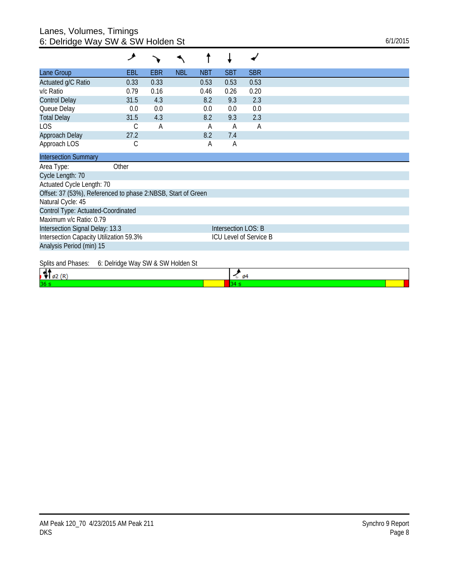### Lanes, Volumes, Timings 6: Delridge Way SW & SW Holden St  $6/1/2015$

|                                                              | و                                 |      |            |            |                     |                               |
|--------------------------------------------------------------|-----------------------------------|------|------------|------------|---------------------|-------------------------------|
| Lane Group                                                   | EBL                               | EBR  | <b>NBL</b> | <b>NBT</b> | <b>SBT</b>          | <b>SBR</b>                    |
| Actuated g/C Ratio                                           | 0.33                              | 0.33 |            | 0.53       | 0.53                | 0.53                          |
| v/c Ratio                                                    | 0.79                              | 0.16 |            | 0.46       | 0.26                | 0.20                          |
| <b>Control Delay</b>                                         | 31.5                              | 4.3  |            | 8.2        | 9.3                 | 2.3                           |
| Queue Delay                                                  | 0.0                               | 0.0  |            | 0.0        | 0.0                 | 0.0                           |
| <b>Total Delay</b>                                           | 31.5                              | 4.3  |            | 8.2        | 9.3                 | 2.3                           |
| LOS                                                          | С                                 | Α    |            | A          | Α                   | A                             |
| Approach Delay                                               | 27.2                              |      |            | 8.2        | 7.4                 |                               |
| Approach LOS                                                 | С                                 |      |            | A          | Α                   |                               |
| <b>Intersection Summary</b>                                  |                                   |      |            |            |                     |                               |
| Area Type:                                                   | Other                             |      |            |            |                     |                               |
| Cycle Length: 70                                             |                                   |      |            |            |                     |                               |
| Actuated Cycle Length: 70                                    |                                   |      |            |            |                     |                               |
| Offset: 37 (53%), Referenced to phase 2:NBSB, Start of Green |                                   |      |            |            |                     |                               |
| Natural Cycle: 45                                            |                                   |      |            |            |                     |                               |
| Control Type: Actuated-Coordinated                           |                                   |      |            |            |                     |                               |
| Maximum v/c Ratio: 0.79                                      |                                   |      |            |            |                     |                               |
| Intersection Signal Delay: 13.3                              |                                   |      |            |            | Intersection LOS: B |                               |
| Intersection Capacity Utilization 59.3%                      |                                   |      |            |            |                     | <b>ICU Level of Service B</b> |
| Analysis Period (min) 15                                     |                                   |      |            |            |                     |                               |
| Splits and Phases:                                           | 6: Delridge Way SW & SW Holden St |      |            |            |                     |                               |

| $\overline{\phantom{a}}$ |  |
|--------------------------|--|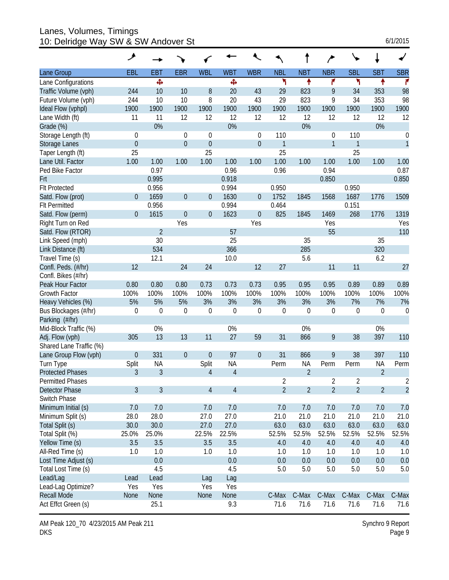Lanes, Volumes, Timings 10: Delridge Way SW & SW Andover St

|  | 6/1/2015 |  |
|--|----------|--|
|  |          |  |

|                         | ۶                |                |                  |                  |                |                  |                |                |                  |                |                |                  |
|-------------------------|------------------|----------------|------------------|------------------|----------------|------------------|----------------|----------------|------------------|----------------|----------------|------------------|
| Lane Group              | EBL              | <b>EBT</b>     | <b>EBR</b>       | <b>WBL</b>       | <b>WBT</b>     | <b>WBR</b>       | <b>NBL</b>     | <b>NBT</b>     | <b>NBR</b>       | <b>SBL</b>     | <b>SBT</b>     | <b>SBR</b>       |
| Lane Configurations     |                  | Ф              |                  |                  | Ф              |                  | ۲              | ↟              | ۴                | ۲              | ↟              | r                |
| Traffic Volume (vph)    | 244              | 10             | 10               | 8                | 20             | 43               | 29             | 823            | 9                | 34             | 353            | 98               |
| Future Volume (vph)     | 244              | 10             | 10               | 8                | 20             | 43               | 29             | 823            | 9                | 34             | 353            | 98               |
| Ideal Flow (vphpl)      | 1900             | 1900           | 1900             | 1900             | 1900           | 1900             | 1900           | 1900           | 1900             | 1900           | 1900           | 1900             |
| Lane Width (ft)         | 11               | 11             | 12               | 12               | 12             | 12               | 12             | 12             | 12               | 12             | 12             | 12               |
| Grade (%)               |                  | 0%             |                  |                  | 0%             |                  |                | 0%             |                  |                | 0%             |                  |
| Storage Length (ft)     | $\theta$         |                | $\theta$         | $\mathbf 0$      |                | 0                | 110            |                | 0                | 110            |                | $\boldsymbol{0}$ |
| <b>Storage Lanes</b>    | $\mathbf 0$      |                | $\overline{0}$   | $\theta$         |                | $\overline{0}$   | 1              |                | $\mathbf{1}$     | 1              |                | $\mathbf{1}$     |
| Taper Length (ft)       | 25               |                |                  | 25               |                |                  | 25             |                |                  | 25             |                |                  |
| Lane Util. Factor       | 1.00             | 1.00           | 1.00             | 1.00             | 1.00           | 1.00             | 1.00           | 1.00           | 1.00             | 1.00           | 1.00           | 1.00             |
| Ped Bike Factor         |                  | 0.97           |                  |                  | 0.96           |                  | 0.96           |                | 0.94             |                |                | 0.87             |
| Frt                     |                  | 0.995          |                  |                  | 0.918          |                  |                |                | 0.850            |                |                | 0.850            |
| <b>Flt Protected</b>    |                  | 0.956          |                  |                  | 0.994          |                  | 0.950          |                |                  | 0.950          |                |                  |
| Satd. Flow (prot)       | $\overline{0}$   | 1659           | $\boldsymbol{0}$ | $\overline{0}$   | 1630           | 0                | 1752           | 1845           | 1568             | 1687           | 1776           | 1509             |
| <b>Flt Permitted</b>    |                  | 0.956          |                  |                  | 0.994          |                  | 0.464          |                |                  | 0.151          |                |                  |
| Satd. Flow (perm)       | $\overline{0}$   | 1615           | $\mathbf 0$      | $\theta$         | 1623           | $\boldsymbol{0}$ | 825            | 1845           | 1469             | 268            | 1776           | 1319             |
| Right Turn on Red       |                  |                | Yes              |                  |                | Yes              |                |                | Yes              |                |                | Yes              |
| Satd. Flow (RTOR)       |                  | $\overline{2}$ |                  |                  | 57             |                  |                |                | 55               |                |                | 110              |
| Link Speed (mph)        |                  | 30             |                  |                  | 25             |                  |                | 35             |                  |                | 35             |                  |
| Link Distance (ft)      |                  | 534            |                  |                  | 366            |                  |                | 285            |                  |                | 320            |                  |
| Travel Time (s)         |                  | 12.1           |                  |                  | 10.0           |                  |                | 5.6            |                  |                | 6.2            |                  |
| Confl. Peds. (#/hr)     | 12               |                | 24               | 24               |                | 12               | 27             |                | 11               | 11             |                | 27               |
| Confl. Bikes (#/hr)     |                  |                |                  |                  |                |                  |                |                |                  |                |                |                  |
| Peak Hour Factor        | 0.80             | 0.80           | 0.80             | 0.73             | 0.73           | 0.73             | 0.95           | 0.95           | 0.95             | 0.89           | 0.89           | 0.89             |
| <b>Growth Factor</b>    | 100%             | 100%           | 100%             | 100%             | 100%           | 100%             | 100%           | 100%           | 100%             | 100%           | 100%           | 100%             |
| Heavy Vehicles (%)      | 5%               | 5%             | 5%               | 3%               | 3%             | 3%               | 3%             | 3%             | 3%               | 7%             | 7%             | 7%               |
| Bus Blockages (#/hr)    | $\mathbf 0$      | $\mathbf 0$    | $\mathbf 0$      | $\mathbf 0$      | $\mathbf 0$    | $\boldsymbol{0}$ | $\mathbf 0$    | $\mathbf 0$    | $\boldsymbol{0}$ | 0              | $\mathbf 0$    | $\boldsymbol{0}$ |
| Parking (#/hr)          |                  |                |                  |                  |                |                  |                |                |                  |                |                |                  |
| Mid-Block Traffic (%)   |                  | 0%             |                  |                  | 0%             |                  |                | 0%             |                  |                | 0%             |                  |
| Adj. Flow (vph)         | 305              | 13             | 13               | 11               | 27             | 59               | 31             | 866            | 9                | 38             | 397            | 110              |
| Shared Lane Traffic (%) |                  |                |                  |                  |                |                  |                |                |                  |                |                |                  |
| Lane Group Flow (vph)   | $\boldsymbol{0}$ | 331            | $\theta$         | $\boldsymbol{0}$ | 97             | $\boldsymbol{0}$ | 31             | 866            | 9                | 38             | 397            | 110              |
| Turn Type               | Split            | <b>NA</b>      |                  | Split            | <b>NA</b>      |                  | Perm           | <b>NA</b>      | Perm             | Perm           | <b>NA</b>      | Perm             |
| <b>Protected Phases</b> | 3                | 3              |                  | $\overline{4}$   | $\overline{4}$ |                  |                | $\overline{2}$ |                  |                | $\overline{2}$ |                  |
| <b>Permitted Phases</b> |                  |                |                  |                  |                |                  | 2              |                | 2                | 2              |                | 2                |
| Detector Phase          | 3                | 3              |                  | $\overline{4}$   | $\overline{4}$ |                  | $\overline{2}$ | $\overline{2}$ | $\overline{2}$   | $\overline{2}$ | $\overline{2}$ | $\overline{2}$   |
| Switch Phase            |                  |                |                  |                  |                |                  |                |                |                  |                |                |                  |
| Minimum Initial (s)     | 7.0              | 7.0            |                  | 7.0              | 7.0            |                  | 7.0            | 7.0            | 7.0              | 7.0            | 7.0            | 7.0              |
| Minimum Split (s)       | 28.0             | 28.0           |                  | 27.0             | 27.0           |                  | 21.0           | 21.0           | 21.0             | 21.0           | 21.0           | 21.0             |
| Total Split (s)         | 30.0             | 30.0           |                  | 27.0             | 27.0           |                  | 63.0           | 63.0           | 63.0             | 63.0           | 63.0           | 63.0             |
| Total Split (%)         | 25.0%            | 25.0%          |                  | 22.5%            | 22.5%          |                  | 52.5%          | 52.5%          | 52.5%            | 52.5%          | 52.5%          | 52.5%            |
| Yellow Time (s)         | 3.5              | 3.5            |                  | 3.5              | 3.5            |                  | 4.0            | 4.0            | 4.0              | 4.0            | 4.0            | 4.0              |
| All-Red Time (s)        | 1.0              | 1.0            |                  | 1.0              | 1.0            |                  | 1.0            | 1.0            | 1.0              | 1.0            | 1.0            | 1.0              |
| Lost Time Adjust (s)    |                  | 0.0            |                  |                  | 0.0            |                  | 0.0            | 0.0            | 0.0              | 0.0            | 0.0            | 0.0              |
| Total Lost Time (s)     |                  | 4.5            |                  |                  | 4.5            |                  | 5.0            | 5.0            | 5.0              | 5.0            | 5.0            | 5.0              |
| Lead/Lag                | Lead             | Lead           |                  | Lag              | Lag            |                  |                |                |                  |                |                |                  |
| Lead-Lag Optimize?      | Yes              | Yes            |                  | Yes              | Yes            |                  |                |                |                  |                |                |                  |
| <b>Recall Mode</b>      | <b>None</b>      | None           |                  | None             | None           |                  | C-Max          | C-Max          | C-Max            | C-Max          | C-Max          | C-Max            |
| Act Effct Green (s)     |                  | 25.1           |                  |                  | 9.3            |                  | 71.6           | 71.6           | 71.6             | 71.6           | 71.6           | 71.6             |

AM Peak 120\_70 4/23/2015 AM Peak 211 DKS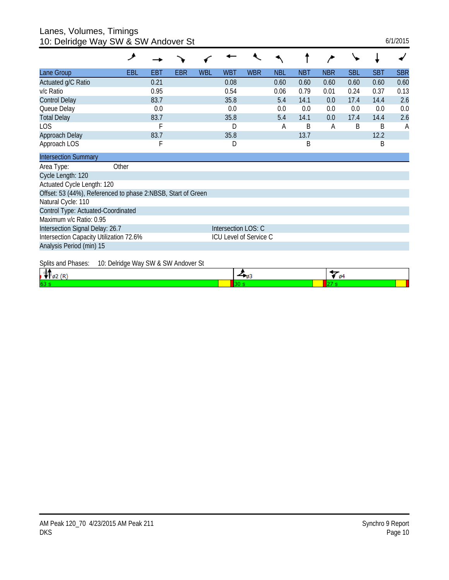## Lanes, Volumes, Timings

| 10: Delridge Way SW & SW Andover St                          |                                     |            |            |            |                     |                        |            |            |              |            |            | 6/1/2015   |
|--------------------------------------------------------------|-------------------------------------|------------|------------|------------|---------------------|------------------------|------------|------------|--------------|------------|------------|------------|
|                                                              | فر                                  |            |            |            |                     |                        |            |            |              |            |            |            |
| Lane Group                                                   | EBL                                 | <b>EBT</b> | <b>EBR</b> | <b>WBL</b> | <b>WBT</b>          | <b>WBR</b>             | <b>NBL</b> | <b>NBT</b> | <b>NBR</b>   | <b>SBL</b> | <b>SBT</b> | <b>SBR</b> |
| Actuated g/C Ratio                                           |                                     | 0.21       |            |            | 0.08                |                        | 0.60       | 0.60       | 0.60         | 0.60       | 0.60       | 0.60       |
| v/c Ratio                                                    |                                     | 0.95       |            |            | 0.54                |                        | 0.06       | 0.79       | 0.01         | 0.24       | 0.37       | 0.13       |
| <b>Control Delay</b>                                         |                                     | 83.7       |            |            | 35.8                |                        | 5.4        | 14.1       | 0.0          | 17.4       | 14.4       | 2.6        |
| Queue Delay                                                  |                                     | 0.0        |            |            | 0.0                 |                        | 0.0        | 0.0        | 0.0          | 0.0        | 0.0        | 0.0        |
| <b>Total Delay</b>                                           |                                     | 83.7       |            |            | 35.8                |                        | 5.4        | 14.1       | 0.0          | 17.4       | 14.4       | 2.6        |
| <b>LOS</b>                                                   |                                     | F          |            |            | D                   |                        | А          | Β          | A            | B          | B          | A          |
| Approach Delay                                               |                                     | 83.7       |            |            | 35.8                |                        |            | 13.7       |              |            | 12.2       |            |
| Approach LOS                                                 |                                     | F          |            |            | D                   |                        |            | Β          |              |            | B          |            |
| <b>Intersection Summary</b>                                  |                                     |            |            |            |                     |                        |            |            |              |            |            |            |
| Area Type:                                                   | Other                               |            |            |            |                     |                        |            |            |              |            |            |            |
| Cycle Length: 120                                            |                                     |            |            |            |                     |                        |            |            |              |            |            |            |
| Actuated Cycle Length: 120                                   |                                     |            |            |            |                     |                        |            |            |              |            |            |            |
| Offset: 53 (44%), Referenced to phase 2:NBSB, Start of Green |                                     |            |            |            |                     |                        |            |            |              |            |            |            |
| Natural Cycle: 110                                           |                                     |            |            |            |                     |                        |            |            |              |            |            |            |
| Control Type: Actuated-Coordinated                           |                                     |            |            |            |                     |                        |            |            |              |            |            |            |
| Maximum v/c Ratio: 0.95                                      |                                     |            |            |            |                     |                        |            |            |              |            |            |            |
| Intersection Signal Delay: 26.7                              |                                     |            |            |            | Intersection LOS: C |                        |            |            |              |            |            |            |
| Intersection Capacity Utilization 72.6%                      |                                     |            |            |            |                     | ICU Level of Service C |            |            |              |            |            |            |
| Analysis Period (min) 15                                     |                                     |            |            |            |                     |                        |            |            |              |            |            |            |
| Splits and Phases:                                           | 10: Delridge Way SW & SW Andover St |            |            |            |                     |                        |            |            |              |            |            |            |
| <b>Lake</b>                                                  |                                     |            |            |            |                     | ▲                      |            |            | $\leftarrow$ |            |            |            |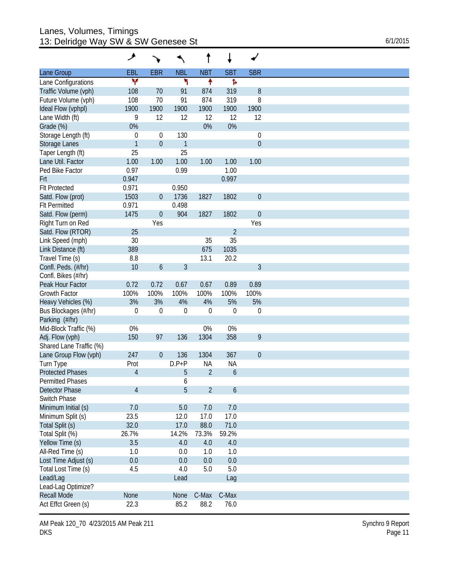#### Lanes, Volumes, Timings 13: Delridge Way SW & SW Genesee St 6/1/2015

|                         | ۸                |                  |              | t              | ↓                |                  |
|-------------------------|------------------|------------------|--------------|----------------|------------------|------------------|
| Lane Group              | EBL              | <b>EBR</b>       | <b>NBL</b>   | <b>NBT</b>     | <b>SBT</b>       | <b>SBR</b>       |
| Lane Configurations     | ٧                |                  | ۲            | ۰              | Þ                |                  |
| Traffic Volume (vph)    | 108              | 70               | 91           | 874            | 319              | $\, 8$           |
| Future Volume (vph)     | 108              | 70               | 91           | 874            | 319              | 8                |
| Ideal Flow (vphpl)      | 1900             | 1900             | 1900         | 1900           | 1900             | 1900             |
| Lane Width (ft)         | 9                | 12               | 12           | 12             | 12               | 12               |
| Grade (%)               | 0%               |                  |              | 0%             | 0%               |                  |
| Storage Length (ft)     | $\boldsymbol{0}$ | $\mathbf 0$      | 130          |                |                  | 0                |
| Storage Lanes           | $\mathbf{1}$     | $\boldsymbol{0}$ | $\mathbf{1}$ |                |                  | $\boldsymbol{0}$ |
| Taper Length (ft)       | 25               |                  | 25           |                |                  |                  |
| Lane Util. Factor       | 1.00             | 1.00             | 1.00         | 1.00           | 1.00             | 1.00             |
| Ped Bike Factor         | 0.97             |                  | 0.99         |                | 1.00             |                  |
| Frt                     | 0.947            |                  |              |                | 0.997            |                  |
| <b>Flt Protected</b>    | 0.971            |                  | 0.950        |                |                  |                  |
| Satd. Flow (prot)       | 1503             | $\boldsymbol{0}$ | 1736         | 1827           | 1802             | $\boldsymbol{0}$ |
| <b>Flt Permitted</b>    |                  |                  |              |                |                  |                  |
|                         | 0.971            |                  | 0.498        |                |                  |                  |
| Satd. Flow (perm)       | 1475             | $\boldsymbol{0}$ | 904          | 1827           | 1802             | $\boldsymbol{0}$ |
| Right Turn on Red       |                  | Yes              |              |                |                  | Yes              |
| Satd. Flow (RTOR)       | 25               |                  |              |                | $\overline{2}$   |                  |
| Link Speed (mph)        | 30               |                  |              | 35             | 35               |                  |
| Link Distance (ft)      | 389              |                  |              | 675            | 1035             |                  |
| Travel Time (s)         | 8.8              |                  |              | 13.1           | 20.2             |                  |
| Confl. Peds. (#/hr)     | 10               | 6                | 3            |                |                  | 3                |
| Confl. Bikes (#/hr)     |                  |                  |              |                |                  |                  |
| Peak Hour Factor        | 0.72             | 0.72             | 0.67         | 0.67           | 0.89             | 0.89             |
| <b>Growth Factor</b>    | 100%             | 100%             | 100%         | 100%           | 100%             | 100%             |
| Heavy Vehicles (%)      | 3%               | 3%               | 4%           | 4%             | 5%               | 5%               |
| Bus Blockages (#/hr)    | $\boldsymbol{0}$ | $\mathbf 0$      | $\theta$     | $\overline{0}$ | $\mathbf{0}$     | $\mathbf 0$      |
| Parking (#/hr)          |                  |                  |              |                |                  |                  |
| Mid-Block Traffic (%)   | 0%               |                  |              | 0%             | 0%               |                  |
| Adj. Flow (vph)         | 150              | 97               | 136          | 1304           | 358              | 9                |
| Shared Lane Traffic (%) |                  |                  |              |                |                  |                  |
| Lane Group Flow (vph)   | 247              | $\mathbf 0$      | 136          | 1304           | 367              | $\boldsymbol{0}$ |
| Turn Type               | Prot             |                  | $D.P+P$      | <b>NA</b>      | <b>NA</b>        |                  |
| <b>Protected Phases</b> | $\overline{4}$   |                  | 5            | $\overline{2}$ | 6                |                  |
| <b>Permitted Phases</b> |                  |                  | 6            |                |                  |                  |
| <b>Detector Phase</b>   | $\overline{4}$   |                  | 5            | $\overline{2}$ | $\boldsymbol{6}$ |                  |
| Switch Phase            |                  |                  |              |                |                  |                  |
|                         |                  |                  |              |                |                  |                  |
| Minimum Initial (s)     | 7.0              |                  | 5.0          | 7.0            | 7.0              |                  |
| Minimum Split (s)       | 23.5             |                  | 12.0         | 17.0           | 17.0             |                  |
| Total Split (s)         | 32.0             |                  | 17.0         | 88.0           | 71.0             |                  |
| Total Split (%)         | 26.7%            |                  | 14.2%        | 73.3%          | 59.2%            |                  |
| Yellow Time (s)         | 3.5              |                  | 4.0          | 4.0            | $4.0\,$          |                  |
| All-Red Time (s)        | 1.0              |                  | 0.0          | 1.0            | 1.0              |                  |
| Lost Time Adjust (s)    | 0.0              |                  | 0.0          | 0.0            | 0.0              |                  |
| Total Lost Time (s)     | 4.5              |                  | 4.0          | 5.0            | 5.0              |                  |
| Lead/Lag                |                  |                  | Lead         |                | Lag              |                  |
| Lead-Lag Optimize?      |                  |                  |              |                |                  |                  |
| <b>Recall Mode</b>      |                  |                  | None         | C-Max          | C-Max            |                  |
| Act Effct Green (s)     | None             |                  |              |                |                  |                  |

AM Peak 120\_70 4/23/2015 AM Peak 211 DKS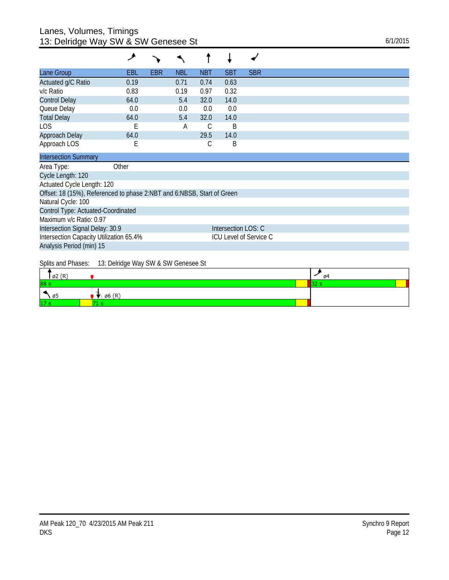## Lanes, Volumes, Timings 13: Delridge Way SW & SW Genesee St 6/1/2015

| Lane Group           | <b>EBL</b> | <b>EBR</b> | <b>NBL</b> | <b>NBT</b> | <b>SBT</b> | <b>SBR</b> |
|----------------------|------------|------------|------------|------------|------------|------------|
| Actuated g/C Ratio   | 0.19       |            | 0.71       | 0.74       | 0.63       |            |
| v/c Ratio            | 0.83       |            | 0.19       | 0.97       | 0.32       |            |
| <b>Control Delay</b> | 64.0       |            | 5.4        | 32.0       | 14.0       |            |
| Queue Delay          | 0.0        |            | 0.0        | 0.0        | 0.0        |            |
| <b>Total Delay</b>   | 64.0       |            | 5.4        | 32.0       | 14.0       |            |
| LOS                  | E          |            | А          | С          | B          |            |
| Approach Delay       | 64.0       |            |            | 29.5       | 14.0       |            |
| Approach LOS         | Ε          |            |            | С          | B          |            |

| <b>Intersection Summary</b>                                            |                        |
|------------------------------------------------------------------------|------------------------|
| Other<br>Area Type:                                                    |                        |
| Cycle Length: 120                                                      |                        |
| Actuated Cycle Length: 120                                             |                        |
| Offset: 18 (15%), Referenced to phase 2:NBT and 6:NBSB, Start of Green |                        |
| Natural Cycle: 100                                                     |                        |
| Control Type: Actuated-Coordinated                                     |                        |
| Maximum v/c Ratio: 0.97                                                |                        |
| Intersection Signal Delay: 30.9                                        | Intersection LOS: C    |
| Intersection Capacity Utilization 65.4%                                | ICU Level of Service C |
| Analysis Period (min) 15                                               |                        |

Splits and Phases: 13: Delridge Way SW & SW Genesee St

| $\varnothing$ 2 (R) |                   | ø4 |
|---------------------|-------------------|----|
| 88 s                |                   |    |
| - 55<br>טעי         | $\emptyset$ 6 (R) |    |
| 477                 |                   |    |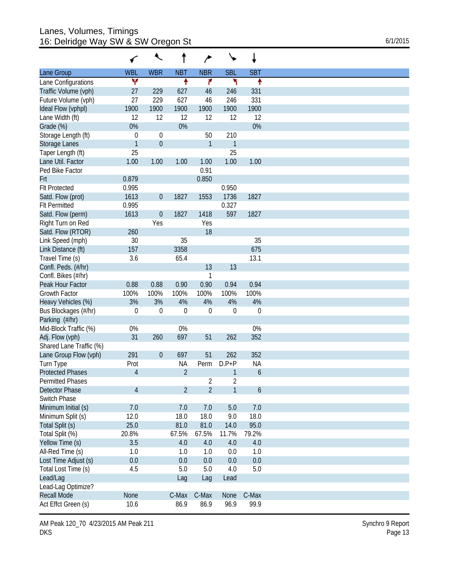#### Lanes, Volumes, Timings 16: Delridge Way SW & SW Oregon St 6/1/2015

|  |  | 6/1/2015 |  |
|--|--|----------|--|
|--|--|----------|--|

|                         |                  | ₹                |                |                |            |             |
|-------------------------|------------------|------------------|----------------|----------------|------------|-------------|
| Lane Group              | <b>WBL</b>       | <b>WBR</b>       | <b>NBT</b>     | <b>NBR</b>     | <b>SBL</b> | <b>SBT</b>  |
| Lane Configurations     | ۷                |                  | ۰              | ۴              | ۲          | ۰           |
| Traffic Volume (vph)    | 27               | 229              | 627            | 46             | 246        | 331         |
| Future Volume (vph)     | 27               | 229              | 627            | 46             | 246        | 331         |
| Ideal Flow (vphpl)      | 1900             | 1900             | 1900           | 1900           | 1900       | 1900        |
| Lane Width (ft)         | 12               | 12               | 12             | 12             | 12         | 12          |
| Grade (%)               | 0%               |                  | 0%             |                |            | 0%          |
| Storage Length (ft)     | $\boldsymbol{0}$ | 0                |                | 50             | 210        |             |
| Storage Lanes           | $\mathbf{1}$     | $\boldsymbol{0}$ |                | $\mathbf{1}$   | 1          |             |
| Taper Length (ft)       | 25               |                  |                |                | 25         |             |
| Lane Util. Factor       | 1.00             | 1.00             | 1.00           | 1.00           | 1.00       | 1.00        |
| Ped Bike Factor         |                  |                  |                | 0.91           |            |             |
|                         |                  |                  |                |                |            |             |
| Frt                     | 0.879            |                  |                | 0.850          |            |             |
| <b>Flt Protected</b>    | 0.995            |                  |                |                | 0.950      |             |
| Satd. Flow (prot)       | 1613             | $\boldsymbol{0}$ | 1827           | 1553           | 1736       | 1827        |
| <b>FIt Permitted</b>    | 0.995            |                  |                |                | 0.327      |             |
| Satd. Flow (perm)       | 1613             | $\boldsymbol{0}$ | 1827           | 1418           | 597        | 1827        |
| Right Turn on Red       |                  | Yes              |                | Yes            |            |             |
| Satd. Flow (RTOR)       | 260              |                  |                | 18             |            |             |
| Link Speed (mph)        | 30               |                  | 35             |                |            | 35          |
| Link Distance (ft)      | 157              |                  | 3358           |                |            | 675         |
| Travel Time (s)         | 3.6              |                  | 65.4           |                |            | 13.1        |
| Confl. Peds. (#/hr)     |                  |                  |                | 13             | 13         |             |
| Confl. Bikes (#/hr)     |                  |                  |                | 1              |            |             |
| Peak Hour Factor        | 0.88             | 0.88             | 0.90           | 0.90           | 0.94       | 0.94        |
| <b>Growth Factor</b>    | 100%             | 100%             | 100%           | 100%           | 100%       | 100%        |
| Heavy Vehicles (%)      | 3%               | 3%               | 4%             | 4%             | 4%         | 4%          |
| Bus Blockages (#/hr)    | $\mathbf 0$      | $\mathbf 0$      | $\theta$       | $\mathbf 0$    | $\theta$   | $\mathbf 0$ |
|                         |                  |                  |                |                |            |             |
| Parking (#/hr)          |                  |                  |                |                |            |             |
| Mid-Block Traffic (%)   | 0%               |                  | 0%             |                |            | 0%          |
| Adj. Flow (vph)         | 31               | 260              | 697            | 51             | 262        | 352         |
| Shared Lane Traffic (%) |                  |                  |                |                |            |             |
| Lane Group Flow (vph)   | 291              | $\boldsymbol{0}$ | 697            | 51             | 262        | 352         |
| Turn Type               | Prot             |                  | NA             | Perm           | $D.P+P$    | <b>NA</b>   |
| <b>Protected Phases</b> | 4                |                  | $\overline{2}$ |                | 1          | 6           |
| <b>Permitted Phases</b> |                  |                  |                | 2              | 2          |             |
| Detector Phase          | 4                |                  | $\overline{2}$ | $\overline{2}$ | 1          | 6           |
| Switch Phase            |                  |                  |                |                |            |             |
| Minimum Initial (s)     | 7.0              |                  | 7.0            | 7.0            | 5.0        | 7.0         |
| Minimum Split (s)       | 12.0             |                  | 18.0           | 18.0           | 9.0        | 18.0        |
| Total Split (s)         | 25.0             |                  | 81.0           | 81.0           | 14.0       | 95.0        |
| Total Split (%)         | 20.8%            |                  | 67.5%          | 67.5%          | 11.7%      | 79.2%       |
| Yellow Time (s)         | 3.5              |                  | 4.0            | 4.0            | 4.0        | 4.0         |
| All-Red Time (s)        | 1.0              |                  | 1.0            | 1.0            | 0.0        | 1.0         |
|                         |                  |                  |                |                |            |             |
| Lost Time Adjust (s)    | 0.0              |                  | 0.0            | 0.0            | 0.0        | 0.0         |
| Total Lost Time (s)     | 4.5              |                  | 5.0            | 5.0            | 4.0        | 5.0         |
| Lead/Lag                |                  |                  | Lag            | Lag            | Lead       |             |
| Lead-Lag Optimize?      |                  |                  |                |                |            |             |
| <b>Recall Mode</b>      | None             |                  | C-Max          | C-Max          | None       | C-Max       |
| Act Effct Green (s)     | 10.6             |                  | 86.9           | 86.9           | 96.9       | 99.9        |

AM Peak 120\_70 4/23/2015 AM Peak 211 DKS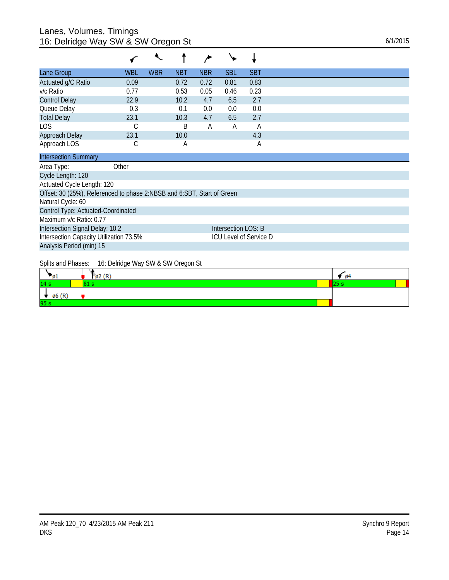## Lanes, Volumes, Timings 16: Delridge Way SW & SW Oregon St 6/1/2015

| <b>WBL</b>                              | <b>WBR</b> | <b>NBT</b> | <b>NBR</b> | <b>SBL</b> | <b>SBT</b>                                                                                                                     |
|-----------------------------------------|------------|------------|------------|------------|--------------------------------------------------------------------------------------------------------------------------------|
| 0.09                                    |            | 0.72       | 0.72       | 0.81       | 0.83                                                                                                                           |
| 0.77                                    |            | 0.53       | 0.05       | 0.46       | 0.23                                                                                                                           |
| 22.9                                    |            | 10.2       | 4.7        | 6.5        | 2.7                                                                                                                            |
| 0.3                                     |            | 0.1        | 0.0        | 0.0        | 0.0                                                                                                                            |
| 23.1                                    |            | 10.3       | 4.7        | 6.5        | 2.7                                                                                                                            |
| С                                       |            | B          | A          | A          | A                                                                                                                              |
| 23.1                                    |            | 10.0       |            |            | 4.3                                                                                                                            |
| С                                       |            | Α          |            |            | Α                                                                                                                              |
|                                         |            |            |            |            |                                                                                                                                |
| Other                                   |            |            |            |            |                                                                                                                                |
|                                         |            |            |            |            |                                                                                                                                |
| Actuated Cycle Length: 120              |            |            |            |            |                                                                                                                                |
|                                         |            |            |            |            |                                                                                                                                |
|                                         |            |            |            |            |                                                                                                                                |
| Control Type: Actuated-Coordinated      |            |            |            |            |                                                                                                                                |
|                                         |            |            |            |            |                                                                                                                                |
| Intersection Signal Delay: 10.2         |            |            |            |            |                                                                                                                                |
| Intersection Capacity Utilization 73.5% |            |            |            |            |                                                                                                                                |
|                                         |            |            |            |            | Offset: 30 (25%), Referenced to phase 2:NBSB and 6:SBT, Start of Green<br>Intersection LOS: B<br><b>ICU Level of Service D</b> |

Analysis Period (min) 15

### Splits and Phases: 16: Delridge Way SW & SW Oregon St

| ுப                | $\mathfrak{g}_2(\mathbb{R})$ | $\sqrt{94}$ |  |
|-------------------|------------------------------|-------------|--|
| 14 <sub>s</sub>   |                              |             |  |
| $\emptyset$ 6 (R) |                              |             |  |
| 95s               |                              |             |  |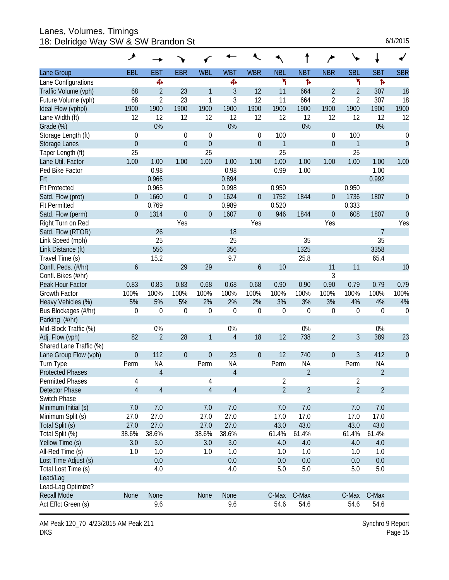#### Lanes, Volumes, Timings 18: Delridge Way SW & SW Brandon St 6/1/2015

|  | 6/1/2015 |  |
|--|----------|--|
|  |          |  |

|                         | ۶              |                |                |                |                  |                  |                |                |                  |                |                |                  |
|-------------------------|----------------|----------------|----------------|----------------|------------------|------------------|----------------|----------------|------------------|----------------|----------------|------------------|
| Lane Group              | EBL            | EBT            | <b>EBR</b>     | <b>WBL</b>     | <b>WBT</b>       | <b>WBR</b>       | <b>NBL</b>     | <b>NBT</b>     | <b>NBR</b>       | <b>SBL</b>     | <b>SBT</b>     | <b>SBR</b>       |
| Lane Configurations     |                | Ф              |                |                | Ф                |                  | ۲              | ħ              |                  | ۳              | Þ              |                  |
| Traffic Volume (vph)    | 68             | $\overline{2}$ | 23             | 1              | 3                | 12               | 11             | 664            | $\overline{2}$   | 2              | 307            | 18               |
| Future Volume (vph)     | 68             | $\overline{2}$ | 23             | 1              | 3                | 12               | 11             | 664            | $\overline{2}$   | 2              | 307            | 18               |
| Ideal Flow (vphpl)      | 1900           | 1900           | 1900           | 1900           | 1900             | 1900             | 1900           | 1900           | 1900             | 1900           | 1900           | 1900             |
| Lane Width (ft)         | 12             | 12             | 12             | 12             | 12               | 12               | 12             | 12             | 12               | 12             | 12             | 12               |
| Grade (%)               |                | 0%             |                |                | 0%               |                  |                | 0%             |                  |                | 0%             |                  |
| Storage Length (ft)     | $\theta$       |                | $\Omega$       | $\theta$       |                  | 0                | 100            |                | 0                | 100            |                | 0                |
| <b>Storage Lanes</b>    | $\mathbf{0}$   |                | $\overline{0}$ | $\theta$       |                  | $\boldsymbol{0}$ | 1              |                | $\boldsymbol{0}$ | 1              |                | $\mathbf 0$      |
| Taper Length (ft)       | 25             |                |                | 25             |                  |                  | 25             |                |                  | 25             |                |                  |
| Lane Util. Factor       | 1.00           | 1.00           | 1.00           | 1.00           | 1.00             | 1.00             | 1.00           | 1.00           | 1.00             | 1.00           | 1.00           | 1.00             |
| Ped Bike Factor         |                | 0.98           |                |                | 0.98             |                  | 0.99           | 1.00           |                  |                | 1.00           |                  |
| Frt                     |                | 0.966          |                |                | 0.894            |                  |                |                |                  |                | 0.992          |                  |
| <b>Flt Protected</b>    |                | 0.965          |                |                | 0.998            |                  | 0.950          |                |                  | 0.950          |                |                  |
| Satd. Flow (prot)       | $\overline{0}$ | 1660           | $\theta$       | $\theta$       | 1624             | $\overline{0}$   | 1752           | 1844           | $\boldsymbol{0}$ | 1736           | 1807           | $\theta$         |
| <b>Flt Permitted</b>    |                | 0.769          |                |                | 0.989            |                  | 0.520          |                |                  | 0.333          |                |                  |
| Satd. Flow (perm)       | $\overline{0}$ | 1314           | $\theta$       | $\theta$       | 1607             | $\boldsymbol{0}$ | 946            | 1844           | $\boldsymbol{0}$ | 608            | 1807           | $\overline{0}$   |
| Right Turn on Red       |                |                | Yes            |                |                  | Yes              |                |                | Yes              |                |                | Yes              |
| Satd. Flow (RTOR)       |                | 26             |                |                | 18               |                  |                |                |                  |                | 7              |                  |
| Link Speed (mph)        |                | 25             |                |                | 25               |                  |                | 35             |                  |                | 35             |                  |
| Link Distance (ft)      |                | 556            |                |                | 356              |                  |                | 1325           |                  |                | 3358           |                  |
| Travel Time (s)         |                | 15.2           |                |                | 9.7              |                  |                | 25.8           |                  |                | 65.4           |                  |
| Confl. Peds. (#/hr)     | 6              |                | 29             | 29             |                  | $\boldsymbol{6}$ | 10             |                | 11               | 11             |                | 10               |
| Confl. Bikes (#/hr)     |                |                |                |                |                  |                  |                |                | 3                |                |                |                  |
| Peak Hour Factor        | 0.83           | 0.83           | 0.83           | 0.68           | 0.68             | 0.68             | 0.90           | 0.90           | 0.90             | 0.79           | 0.79           | 0.79             |
| <b>Growth Factor</b>    | 100%           | 100%           | 100%           | 100%           | 100%             | 100%             | 100%           | 100%           | 100%             | 100%           | 100%           | 100%             |
| Heavy Vehicles (%)      | 5%             | 5%             | 5%             | 2%             | 2%               | 2%               | 3%             | 3%             | 3%               | 4%             | 4%             | 4%               |
| Bus Blockages (#/hr)    | $\mathbf 0$    | 0              | $\mathbf 0$    | $\mathbf 0$    | $\boldsymbol{0}$ | $\boldsymbol{0}$ | $\mathbf 0$    | $\mathbf 0$    | $\boldsymbol{0}$ | 0              | $\mathbf 0$    | $\boldsymbol{0}$ |
| Parking (#/hr)          |                |                |                |                |                  |                  |                |                |                  |                |                |                  |
| Mid-Block Traffic (%)   |                | 0%             |                |                | 0%               |                  |                | 0%             |                  |                | 0%             |                  |
| Adj. Flow (vph)         | 82             | $\overline{2}$ | 28             | 1              | $\overline{4}$   | 18               | 12             | 738            | $\overline{2}$   | 3              | 389            | 23               |
| Shared Lane Traffic (%) |                |                |                |                |                  |                  |                |                |                  |                |                |                  |
| Lane Group Flow (vph)   | $\theta$       | 112            | $\theta$       | $\theta$       | 23               | $\boldsymbol{0}$ | 12             | 740            | $\boldsymbol{0}$ | 3              | 412            | $\theta$         |
| Turn Type               | Perm           | <b>NA</b>      |                | Perm           | <b>NA</b>        |                  | Perm           | <b>NA</b>      |                  | Perm           | <b>NA</b>      |                  |
| <b>Protected Phases</b> |                | 4              |                |                | $\overline{4}$   |                  |                | $\overline{2}$ |                  |                | $\overline{2}$ |                  |
| <b>Permitted Phases</b> | 4              |                |                | $\overline{4}$ |                  |                  | 2              |                |                  | 2              |                |                  |
| <b>Detector Phase</b>   | $\overline{4}$ | $\overline{4}$ |                | $\overline{4}$ | $\overline{4}$   |                  | $\overline{2}$ | $\overline{2}$ |                  | $\overline{2}$ | $\overline{2}$ |                  |
| Switch Phase            |                |                |                |                |                  |                  |                |                |                  |                |                |                  |
| Minimum Initial (s)     | 7.0            | 7.0            |                | 7.0            | 7.0              |                  | 7.0            | 7.0            |                  | 7.0            | 7.0            |                  |
| Minimum Split (s)       | 27.0           | 27.0           |                | 27.0           | 27.0             |                  | 17.0           | 17.0           |                  | 17.0           | 17.0           |                  |
| Total Split (s)         | 27.0           | 27.0           |                | 27.0           | 27.0             |                  | 43.0           | 43.0           |                  | 43.0           | 43.0           |                  |
| Total Split (%)         | 38.6%          | 38.6%          |                | 38.6%          | 38.6%            |                  | 61.4%          | 61.4%          |                  | 61.4%          | 61.4%          |                  |
| Yellow Time (s)         | 3.0            | 3.0            |                | 3.0            | 3.0              |                  | 4.0            | $4.0$          |                  | 4.0            | 4.0            |                  |
| All-Red Time (s)        | 1.0            | 1.0            |                | 1.0            | 1.0              |                  | 1.0            | 1.0            |                  | 1.0            | 1.0            |                  |
| Lost Time Adjust (s)    |                | 0.0            |                |                | 0.0              |                  | 0.0            | $0.0\,$        |                  | 0.0            | 0.0            |                  |
| Total Lost Time (s)     |                | 4.0            |                |                | 4.0              |                  | 5.0            | $5.0$          |                  | 5.0            | 5.0            |                  |
| Lead/Lag                |                |                |                |                |                  |                  |                |                |                  |                |                |                  |
| Lead-Lag Optimize?      |                |                |                |                |                  |                  |                |                |                  |                |                |                  |
| <b>Recall Mode</b>      | None           | None           |                | None           | None             |                  | C-Max          | C-Max          |                  | C-Max          | C-Max          |                  |
| Act Effct Green (s)     |                | 9.6            |                |                | 9.6              |                  | 54.6           | 54.6           |                  | 54.6           | 54.6           |                  |

AM Peak 120\_70 4/23/2015 AM Peak 211 DKS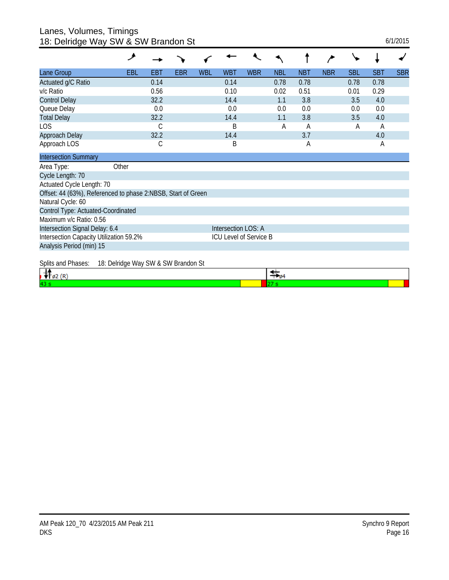#### Lanes, Volumes, Timings 18: Delridge Way SW & SW Brandon St 6/1/2015

| io. Domago way ow a ow Brandon ol                            |                                     |      |     |            |                        |            |            |            |            |            |            |            |
|--------------------------------------------------------------|-------------------------------------|------|-----|------------|------------------------|------------|------------|------------|------------|------------|------------|------------|
|                                                              | مر                                  |      |     |            |                        |            |            |            |            |            |            |            |
| Lane Group                                                   | EBL                                 | EBT  | EBR | <b>WBL</b> | <b>WBT</b>             | <b>WBR</b> | <b>NBL</b> | <b>NBT</b> | <b>NBR</b> | <b>SBL</b> | <b>SBT</b> | <b>SBR</b> |
| Actuated g/C Ratio                                           |                                     | 0.14 |     |            | 0.14                   |            | 0.78       | 0.78       |            | 0.78       | 0.78       |            |
| v/c Ratio                                                    |                                     | 0.56 |     |            | 0.10                   |            | 0.02       | 0.51       |            | 0.01       | 0.29       |            |
| <b>Control Delay</b>                                         |                                     | 32.2 |     |            | 14.4                   |            | 1.1        | 3.8        |            | 3.5        | 4.0        |            |
| Queue Delay                                                  |                                     | 0.0  |     |            | 0.0                    |            | 0.0        | 0.0        |            | 0.0        | 0.0        |            |
| <b>Total Delay</b>                                           |                                     | 32.2 |     |            | 14.4                   |            | 1.1        | 3.8        |            | 3.5        | 4.0        |            |
| LOS                                                          |                                     | C    |     |            | B                      |            | A          | A          |            | Α          | A          |            |
| Approach Delay                                               |                                     | 32.2 |     |            | 14.4                   |            |            | 3.7        |            |            | 4.0        |            |
| Approach LOS                                                 |                                     | С    |     |            | B                      |            |            | А          |            |            | A          |            |
| <b>Intersection Summary</b>                                  |                                     |      |     |            |                        |            |            |            |            |            |            |            |
| Area Type:                                                   | Other                               |      |     |            |                        |            |            |            |            |            |            |            |
| Cycle Length: 70                                             |                                     |      |     |            |                        |            |            |            |            |            |            |            |
| Actuated Cycle Length: 70                                    |                                     |      |     |            |                        |            |            |            |            |            |            |            |
| Offset: 44 (63%), Referenced to phase 2:NBSB, Start of Green |                                     |      |     |            |                        |            |            |            |            |            |            |            |
| Natural Cycle: 60                                            |                                     |      |     |            |                        |            |            |            |            |            |            |            |
| Control Type: Actuated-Coordinated                           |                                     |      |     |            |                        |            |            |            |            |            |            |            |
| Maximum v/c Ratio: 0.56                                      |                                     |      |     |            |                        |            |            |            |            |            |            |            |
| Intersection Signal Delay: 6.4                               |                                     |      |     |            | Intersection LOS: A    |            |            |            |            |            |            |            |
| Intersection Capacity Utilization 59.2%                      |                                     |      |     |            | ICU Level of Service B |            |            |            |            |            |            |            |
| Analysis Period (min) 15                                     |                                     |      |     |            |                        |            |            |            |            |            |            |            |
| Splits and Phases:                                           | 18: Delridge Way SW & SW Brandon St |      |     |            |                        |            |            |            |            |            |            |            |

| 43 |  |  |
|----|--|--|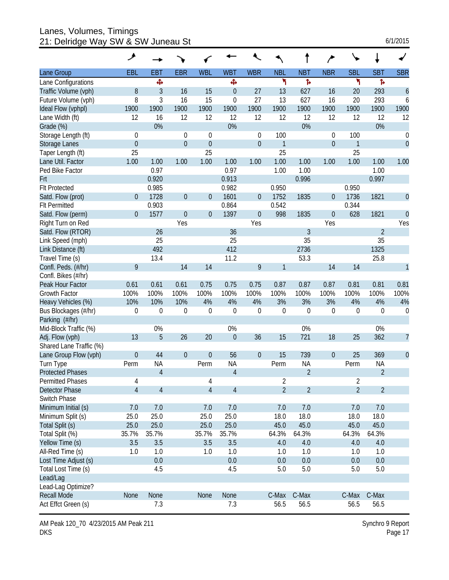Lanes, Volumes, Timings 21: Delridge Way SW & SW Juneau St 6/1/2015

| 6/1/2015 |  |
|----------|--|
|----------|--|

|                         | ᢣ              |                |                  |                |                  |                  |                |                  |                  |                |                |                  |
|-------------------------|----------------|----------------|------------------|----------------|------------------|------------------|----------------|------------------|------------------|----------------|----------------|------------------|
| Lane Group              | <b>EBL</b>     | EBT            | <b>EBR</b>       | <b>WBL</b>     | <b>WBT</b>       | <b>WBR</b>       | <b>NBL</b>     | <b>NBT</b>       | <b>NBR</b>       | <b>SBL</b>     | <b>SBT</b>     | <b>SBR</b>       |
| Lane Configurations     |                | Ф              |                  |                | Ф                |                  | ۲              | Þ                |                  | ۲              | ħ              |                  |
| Traffic Volume (vph)    | 8              | 3              | 16               | 15             | $\theta$         | 27               | 13             | 627              | 16               | 20             | 293            | 6                |
| Future Volume (vph)     | 8              | 3              | 16               | 15             | $\boldsymbol{0}$ | 27               | 13             | 627              | 16               | 20             | 293            | 6                |
| Ideal Flow (vphpl)      | 1900           | 1900           | 1900             | 1900           | 1900             | 1900             | 1900           | 1900             | 1900             | 1900           | 1900           | 1900             |
| Lane Width (ft)         | 12             | 16             | 12               | 12             | 12               | 12               | 12             | 12               | 12               | 12             | 12             | 12               |
| Grade (%)               |                | 0%             |                  |                | 0%               |                  |                | 0%               |                  |                | 0%             |                  |
| Storage Length (ft)     | $\theta$       |                | $\overline{0}$   | $\theta$       |                  | 0                | 100            |                  | 0                | 100            |                | 0                |
| <b>Storage Lanes</b>    | $\theta$       |                | $\mathbf 0$      | $\theta$       |                  | $\boldsymbol{0}$ | 1              |                  | $\boldsymbol{0}$ | 1              |                | $\mathbf 0$      |
| Taper Length (ft)       | 25             |                |                  | 25             |                  |                  | 25             |                  |                  | 25             |                |                  |
| Lane Util. Factor       | 1.00           | 1.00           | 1.00             | 1.00           | 1.00             | 1.00             | 1.00           | 1.00             | 1.00             | 1.00           | 1.00           | 1.00             |
| Ped Bike Factor         |                | 0.97           |                  |                | 0.97             |                  | 1.00           | 1.00             |                  |                | 1.00           |                  |
| Frt                     |                | 0.920          |                  |                | 0.913            |                  |                | 0.996            |                  |                | 0.997          |                  |
| <b>Flt Protected</b>    |                | 0.985          |                  |                | 0.982            |                  | 0.950          |                  |                  | 0.950          |                |                  |
| Satd. Flow (prot)       | $\overline{0}$ | 1728           | $\boldsymbol{0}$ | $\theta$       | 1601             | $\overline{0}$   | 1752           | 1835             | $\boldsymbol{0}$ | 1736           | 1821           | $\boldsymbol{0}$ |
| <b>Flt Permitted</b>    |                | 0.903          |                  |                | 0.864            |                  | 0.542          |                  |                  | 0.344          |                |                  |
| Satd. Flow (perm)       | $\overline{0}$ | 1577           | $\theta$         | $\theta$       | 1397             | $\boldsymbol{0}$ | 998            | 1835             | $\mathbf{0}$     | 628            | 1821           | $\overline{0}$   |
| Right Turn on Red       |                |                | Yes              |                |                  | Yes              |                |                  | Yes              |                |                | Yes              |
| Satd. Flow (RTOR)       |                | 26             |                  |                | 36               |                  |                | 3                |                  |                | $\overline{2}$ |                  |
| Link Speed (mph)        |                | 25             |                  |                | 25               |                  |                | 35               |                  |                | 35             |                  |
| Link Distance (ft)      |                | 492            |                  |                | 412              |                  |                | 2736             |                  |                | 1325           |                  |
| Travel Time (s)         |                | 13.4           |                  |                | 11.2             |                  |                | 53.3             |                  |                | 25.8           |                  |
| Confl. Peds. (#/hr)     | 9              |                | 14               | 14             |                  | 9                | 1              |                  | 14               | 14             |                | 1                |
| Confl. Bikes (#/hr)     |                |                |                  |                |                  |                  |                |                  |                  |                |                |                  |
| Peak Hour Factor        | 0.61           | 0.61           | 0.61             | 0.75           | 0.75             | 0.75             | 0.87           | 0.87             | 0.87             | 0.81           | 0.81           | 0.81             |
| Growth Factor           | 100%           | 100%           | 100%             | 100%           | 100%             | 100%             | 100%           | 100%             | 100%             | 100%           | 100%           | 100%             |
| Heavy Vehicles (%)      | 10%            | 10%            | 10%              | 4%             | 4%               | 4%               | 3%             | 3%               | 3%               | 4%             | 4%             | 4%               |
| Bus Blockages (#/hr)    | $\mathbf 0$    | $\mathbf 0$    | $\mathbf 0$      | $\mathbf 0$    | $\mathbf 0$      | $\boldsymbol{0}$ | $\mathbf 0$    | $\boldsymbol{0}$ | $\boldsymbol{0}$ | 0              | $\mathbf 0$    | $\boldsymbol{0}$ |
| Parking (#/hr)          |                |                |                  |                |                  |                  |                |                  |                  |                |                |                  |
| Mid-Block Traffic (%)   |                | 0%             |                  |                | 0%               |                  |                | 0%               |                  |                | 0%             |                  |
| Adj. Flow (vph)         | 13             | 5              | 26               | 20             | $\theta$         | 36               | 15             | 721              | 18               | 25             | 362            | $\overline{7}$   |
| Shared Lane Traffic (%) |                |                |                  |                |                  |                  |                |                  |                  |                |                |                  |
| Lane Group Flow (vph)   | $\theta$       | 44             | $\boldsymbol{0}$ | $\theta$       | 56               | $\boldsymbol{0}$ | 15             | 739              | $\boldsymbol{0}$ | 25             | 369            | $\theta$         |
| Turn Type               | Perm           | <b>NA</b>      |                  | Perm           | <b>NA</b>        |                  | Perm           | <b>NA</b>        |                  | Perm           | <b>NA</b>      |                  |
| <b>Protected Phases</b> |                | $\overline{4}$ |                  |                | $\overline{4}$   |                  |                | $\overline{2}$   |                  |                | $\overline{2}$ |                  |
| <b>Permitted Phases</b> | 4              |                |                  | 4              |                  |                  | 2              |                  |                  | 2              |                |                  |
| Detector Phase          | $\overline{4}$ | $\overline{4}$ |                  | $\overline{4}$ | $\overline{4}$   |                  | $\overline{2}$ | $\overline{2}$   |                  | $\overline{2}$ | $\overline{2}$ |                  |
| Switch Phase            |                |                |                  |                |                  |                  |                |                  |                  |                |                |                  |
| Minimum Initial (s)     | 7.0            | 7.0            |                  | 7.0            | 7.0              |                  | 7.0            | 7.0              |                  | 7.0            | 7.0            |                  |
| Minimum Split (s)       | 25.0           | 25.0           |                  | 25.0           | 25.0             |                  | 18.0           | 18.0             |                  | 18.0           | 18.0           |                  |
| Total Split (s)         | 25.0           | 25.0           |                  | 25.0           | 25.0             |                  | 45.0           | 45.0             |                  | 45.0           | 45.0           |                  |
| Total Split (%)         | 35.7%          | 35.7%          |                  | 35.7%          | 35.7%            |                  | 64.3%          | 64.3%            |                  | 64.3%          | 64.3%          |                  |
| Yellow Time (s)         | 3.5            | 3.5            |                  | 3.5            | 3.5              |                  | 4.0            | 4.0              |                  | 4.0            | 4.0            |                  |
| All-Red Time (s)        | 1.0            | 1.0            |                  | 1.0            | 1.0              |                  | 1.0            | 1.0              |                  | 1.0            | 1.0            |                  |
| Lost Time Adjust (s)    |                | 0.0            |                  |                | 0.0              |                  | 0.0            | 0.0              |                  | 0.0            | 0.0            |                  |
| Total Lost Time (s)     |                | 4.5            |                  |                | 4.5              |                  | 5.0            | 5.0              |                  | 5.0            | 5.0            |                  |
| Lead/Lag                |                |                |                  |                |                  |                  |                |                  |                  |                |                |                  |
| Lead-Lag Optimize?      |                |                |                  |                |                  |                  |                |                  |                  |                |                |                  |
| <b>Recall Mode</b>      | None           | None           |                  | None           | None             |                  | C-Max          | C-Max            |                  | C-Max          | C-Max          |                  |
| Act Effct Green (s)     |                | 7.3            |                  |                | 7.3              |                  | 56.5           | 56.5             |                  | 56.5           | 56.5           |                  |

AM Peak 120\_70 4/23/2015 AM Peak 211 DKS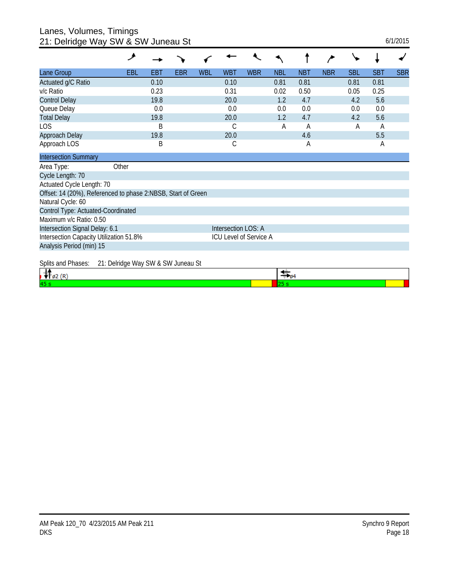Lanes, Volumes, Timings 21: Delridge Way SW & SW Juneau St 6/1/2015

| 21. Doniago way ow a ow canoad or                            |                                    |      |            |            |                        |            |            |            |            |            |            |            |
|--------------------------------------------------------------|------------------------------------|------|------------|------------|------------------------|------------|------------|------------|------------|------------|------------|------------|
|                                                              | و                                  |      |            |            |                        |            |            |            |            |            |            |            |
| Lane Group                                                   | EBL                                | EBT  | <b>EBR</b> | <b>WBL</b> | <b>WBT</b>             | <b>WBR</b> | <b>NBL</b> | <b>NBT</b> | <b>NBR</b> | <b>SBL</b> | <b>SBT</b> | <b>SBR</b> |
| Actuated g/C Ratio                                           |                                    | 0.10 |            |            | 0.10                   |            | 0.81       | 0.81       |            | 0.81       | 0.81       |            |
| v/c Ratio                                                    |                                    | 0.23 |            |            | 0.31                   |            | 0.02       | 0.50       |            | 0.05       | 0.25       |            |
| <b>Control Delay</b>                                         |                                    | 19.8 |            |            | 20.0                   |            | 1.2        | 4.7        |            | 4.2        | 5.6        |            |
| Queue Delay                                                  |                                    | 0.0  |            |            | 0.0                    |            | 0.0        | 0.0        |            | 0.0        | 0.0        |            |
| <b>Total Delay</b>                                           |                                    | 19.8 |            |            | 20.0                   |            | 1.2        | 4.7        |            | 4.2        | 5.6        |            |
| LOS                                                          |                                    | B    |            |            | С                      |            | A          | A          |            | Α          | A          |            |
| Approach Delay                                               |                                    | 19.8 |            |            | 20.0                   |            |            | 4.6        |            |            | 5.5        |            |
| Approach LOS                                                 |                                    | Β    |            |            | С                      |            |            | A          |            |            | A          |            |
| <b>Intersection Summary</b>                                  |                                    |      |            |            |                        |            |            |            |            |            |            |            |
| Area Type:                                                   | Other                              |      |            |            |                        |            |            |            |            |            |            |            |
| Cycle Length: 70                                             |                                    |      |            |            |                        |            |            |            |            |            |            |            |
| Actuated Cycle Length: 70                                    |                                    |      |            |            |                        |            |            |            |            |            |            |            |
| Offset: 14 (20%), Referenced to phase 2:NBSB, Start of Green |                                    |      |            |            |                        |            |            |            |            |            |            |            |
| Natural Cycle: 60                                            |                                    |      |            |            |                        |            |            |            |            |            |            |            |
| Control Type: Actuated-Coordinated                           |                                    |      |            |            |                        |            |            |            |            |            |            |            |
| Maximum v/c Ratio: 0.50                                      |                                    |      |            |            |                        |            |            |            |            |            |            |            |
| Intersection Signal Delay: 6.1                               |                                    |      |            |            | Intersection LOS: A    |            |            |            |            |            |            |            |
| Intersection Capacity Utilization 51.8%                      |                                    |      |            |            | ICU Level of Service A |            |            |            |            |            |            |            |
| Analysis Period (min) 15                                     |                                    |      |            |            |                        |            |            |            |            |            |            |            |
| Splits and Phases:                                           | 21: Delridge Way SW & SW Juneau St |      |            |            |                        |            |            |            |            |            |            |            |

| 45 |  |
|----|--|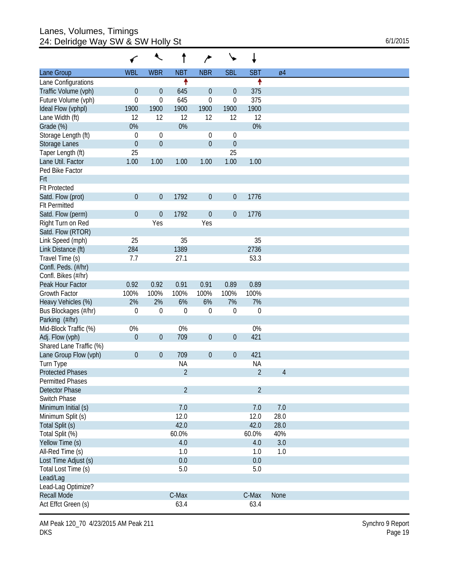## Lanes, Volumes, Timings 24: Delridge Way SW & SW Holly St 6/1/2015

|                         | ←                | ↖                |                | ∕                | ╰╸               | ↓              |                |  |
|-------------------------|------------------|------------------|----------------|------------------|------------------|----------------|----------------|--|
| Lane Group              | <b>WBL</b>       | <b>WBR</b>       | <b>NBT</b>     | <b>NBR</b>       | <b>SBL</b>       | <b>SBT</b>     | Ø4             |  |
| Lane Configurations     |                  |                  | ↟              |                  |                  | ↟              |                |  |
| Traffic Volume (vph)    | $\boldsymbol{0}$ | $\boldsymbol{0}$ | 645            | $\boldsymbol{0}$ | $\theta$         | 375            |                |  |
| Future Volume (vph)     | $\mathbf 0$      | $\mathbf 0$      | 645            | 0                | $\boldsymbol{0}$ | 375            |                |  |
| Ideal Flow (vphpl)      | 1900             | 1900             | 1900           | 1900             | 1900             | 1900           |                |  |
| Lane Width (ft)         | 12               | 12               | 12             | 12               | 12               | 12             |                |  |
| Grade (%)               | 0%               |                  | 0%             |                  |                  | 0%             |                |  |
| Storage Length (ft)     | $\mathbf 0$      | $\boldsymbol{0}$ |                | $\boldsymbol{0}$ | 0                |                |                |  |
| Storage Lanes           | $\theta$         | $\boldsymbol{0}$ |                | $\boldsymbol{0}$ | $\boldsymbol{0}$ |                |                |  |
| Taper Length (ft)       | 25               |                  |                |                  | 25               |                |                |  |
| Lane Util. Factor       | 1.00             | 1.00             | 1.00           | 1.00             | 1.00             | 1.00           |                |  |
| Ped Bike Factor         |                  |                  |                |                  |                  |                |                |  |
| Frt                     |                  |                  |                |                  |                  |                |                |  |
| <b>Flt Protected</b>    |                  |                  |                |                  |                  |                |                |  |
| Satd. Flow (prot)       | $\theta$         | $\mathbf 0$      | 1792           | $\boldsymbol{0}$ | $\boldsymbol{0}$ | 1776           |                |  |
| <b>Flt Permitted</b>    |                  |                  |                |                  |                  |                |                |  |
| Satd. Flow (perm)       | $\theta$         | $\boldsymbol{0}$ | 1792           | $\boldsymbol{0}$ | $\mathbf 0$      | 1776           |                |  |
| Right Turn on Red       |                  | Yes              |                | Yes              |                  |                |                |  |
| Satd. Flow (RTOR)       |                  |                  |                |                  |                  |                |                |  |
| Link Speed (mph)        | 25               |                  | 35             |                  |                  | 35             |                |  |
| Link Distance (ft)      | 284              |                  | 1389           |                  |                  | 2736           |                |  |
| Travel Time (s)         | 7.7              |                  | 27.1           |                  |                  | 53.3           |                |  |
| Confl. Peds. (#/hr)     |                  |                  |                |                  |                  |                |                |  |
| Confl. Bikes (#/hr)     |                  |                  |                |                  |                  |                |                |  |
| Peak Hour Factor        | 0.92             | 0.92             | 0.91           | 0.91             | 0.89             | 0.89           |                |  |
| Growth Factor           | 100%             | 100%             | 100%           | 100%             | 100%             | 100%           |                |  |
| Heavy Vehicles (%)      | 2%               | 2%               | 6%             | 6%               | 7%               | 7%             |                |  |
| Bus Blockages (#/hr)    | $\mathbf 0$      | $\mathbf 0$      | $\mathbf{0}$   | $\mathbf 0$      | $\boldsymbol{0}$ | $\mathbf 0$    |                |  |
| Parking (#/hr)          |                  |                  |                |                  |                  |                |                |  |
|                         | 0%               |                  |                |                  |                  | 0%             |                |  |
| Mid-Block Traffic (%)   |                  |                  | 0%             |                  |                  | 421            |                |  |
| Adj. Flow (vph)         | $\theta$         | $\mathbf 0$      | 709            | $\boldsymbol{0}$ | $\boldsymbol{0}$ |                |                |  |
| Shared Lane Traffic (%) |                  |                  |                |                  |                  |                |                |  |
| Lane Group Flow (vph)   | $\theta$         | $\boldsymbol{0}$ | 709            | $\boldsymbol{0}$ | $\boldsymbol{0}$ | 421            |                |  |
| Turn Type               |                  |                  | <b>NA</b>      |                  |                  | <b>NA</b>      |                |  |
| <b>Protected Phases</b> |                  |                  | $\overline{2}$ |                  |                  | $\overline{2}$ | $\overline{4}$ |  |
| <b>Permitted Phases</b> |                  |                  |                |                  |                  |                |                |  |
| Detector Phase          |                  |                  | $\overline{2}$ |                  |                  | $\overline{2}$ |                |  |
| Switch Phase            |                  |                  |                |                  |                  |                |                |  |
| Minimum Initial (s)     |                  |                  | 7.0            |                  |                  | 7.0            | 7.0            |  |
| Minimum Split (s)       |                  |                  | 12.0           |                  |                  | 12.0           | 28.0           |  |
| Total Split (s)         |                  |                  | 42.0           |                  |                  | 42.0           | 28.0           |  |
| Total Split (%)         |                  |                  | 60.0%          |                  |                  | 60.0%          | 40%            |  |
| Yellow Time (s)         |                  |                  | 4.0            |                  |                  | 4.0            | 3.0            |  |
| All-Red Time (s)        |                  |                  | 1.0            |                  |                  | 1.0            | 1.0            |  |
| Lost Time Adjust (s)    |                  |                  | 0.0            |                  |                  | 0.0            |                |  |
| Total Lost Time (s)     |                  |                  | 5.0            |                  |                  | 5.0            |                |  |
| Lead/Lag                |                  |                  |                |                  |                  |                |                |  |
| Lead-Lag Optimize?      |                  |                  |                |                  |                  |                |                |  |
| Recall Mode             |                  |                  | C-Max          |                  |                  | C-Max          | None           |  |
| Act Effct Green (s)     |                  |                  | 63.4           |                  |                  | 63.4           |                |  |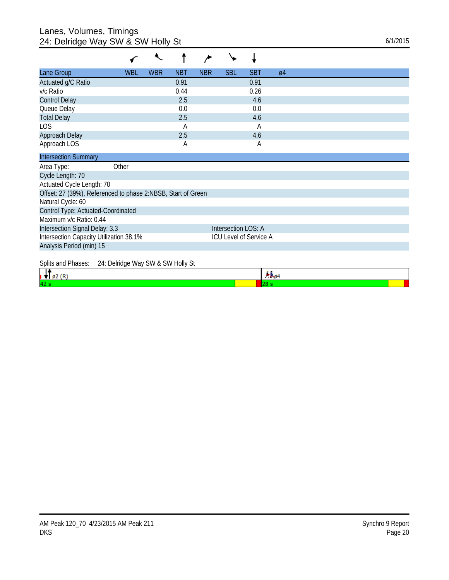## Lanes, Volumes, Timings 24: Delridge Way SW & SW Holly St 6/1/2015

| Lane Group                                                   | <b>WBL</b> | <b>WBR</b> | <b>NBT</b> | <b>NBR</b> | <b>SBL</b>             | <b>SBT</b> | $\varnothing$ 4 |
|--------------------------------------------------------------|------------|------------|------------|------------|------------------------|------------|-----------------|
| Actuated g/C Ratio                                           |            |            | 0.91       |            |                        | 0.91       |                 |
| v/c Ratio                                                    |            |            | 0.44       |            |                        | 0.26       |                 |
| <b>Control Delay</b>                                         |            |            | 2.5        |            |                        | 4.6        |                 |
| Queue Delay                                                  |            |            | 0.0        |            |                        | 0.0        |                 |
| <b>Total Delay</b>                                           |            |            | 2.5        |            |                        | 4.6        |                 |
| LOS                                                          |            |            | Α          |            |                        | Α          |                 |
| Approach Delay                                               |            |            | 2.5        |            |                        | 4.6        |                 |
| Approach LOS                                                 |            |            | А          |            |                        | A          |                 |
| <b>Intersection Summary</b>                                  |            |            |            |            |                        |            |                 |
| Other<br>Area Type:                                          |            |            |            |            |                        |            |                 |
| Cycle Length: 70                                             |            |            |            |            |                        |            |                 |
| Actuated Cycle Length: 70                                    |            |            |            |            |                        |            |                 |
| Offset: 27 (39%), Referenced to phase 2:NBSB, Start of Green |            |            |            |            |                        |            |                 |
| Natural Cycle: 60                                            |            |            |            |            |                        |            |                 |
| Control Type: Actuated-Coordinated                           |            |            |            |            |                        |            |                 |
| Maximum v/c Ratio: 0.44                                      |            |            |            |            |                        |            |                 |
| Intersection Signal Delay: 3.3                               |            |            |            |            | Intersection LOS: A    |            |                 |
| Intersection Capacity Utilization 38.1%                      |            |            |            |            | ICU Level of Service A |            |                 |
| Analysis Period (min) 15                                     |            |            |            |            |                        |            |                 |
| Splits and Phases:<br>24: Delridge Way SW & SW Holly St      |            |            |            |            |                        |            |                 |
| $\mathbf{H}$ and                                             |            |            |            |            |                        |            | Ъk.             |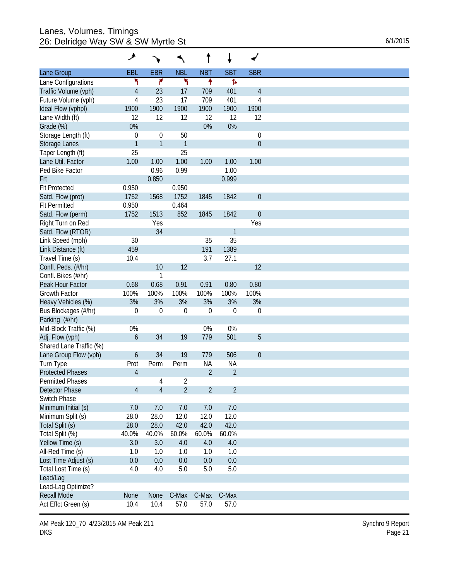## Lanes, Volumes, Timings 26: Delridge Way SW & SW Myrtle St 6/1/2015

|                         | ۶                |                  |                | t              |                |                  |
|-------------------------|------------------|------------------|----------------|----------------|----------------|------------------|
| Lane Group              | EBL              | <b>EBR</b>       | <b>NBL</b>     | <b>NBT</b>     | <b>SBT</b>     | <b>SBR</b>       |
| Lane Configurations     | ۲                | ۴                | ۲              | ↟              | Ъ              |                  |
| Traffic Volume (vph)    | $\overline{4}$   | 23               | 17             | 709            | 401            | 4                |
| Future Volume (vph)     | 4                | 23               | 17             | 709            | 401            | 4                |
| Ideal Flow (vphpl)      | 1900             | 1900             | 1900           | 1900           | 1900           | 1900             |
| Lane Width (ft)         | 12               | 12               | 12             | 12             | 12             | 12               |
| Grade (%)               | 0%               |                  |                | 0%             | 0%             |                  |
| Storage Length (ft)     | $\mathbf 0$      | $\boldsymbol{0}$ | 50             |                |                | $\boldsymbol{0}$ |
| Storage Lanes           | $\mathbf{1}$     | $\mathbf{1}$     | $\mathbf{1}$   |                |                | $\mathbf{0}$     |
| Taper Length (ft)       | 25               |                  | 25             |                |                |                  |
| Lane Util. Factor       | 1.00             | 1.00             | 1.00           | 1.00           | 1.00           | 1.00             |
| Ped Bike Factor         |                  | 0.96             | 0.99           |                | 1.00           |                  |
| Frt                     |                  | 0.850            |                |                | 0.999          |                  |
| <b>Flt Protected</b>    | 0.950            |                  | 0.950          |                |                |                  |
|                         | 1752             |                  |                |                |                |                  |
| Satd. Flow (prot)       |                  | 1568             | 1752           | 1845           | 1842           | $\mathbf{0}$     |
| <b>Flt Permitted</b>    | 0.950            |                  | 0.464          |                |                |                  |
| Satd. Flow (perm)       | 1752             | 1513             | 852            | 1845           | 1842           | $\mathbf{0}$     |
| Right Turn on Red       |                  | Yes              |                |                |                | Yes              |
| Satd. Flow (RTOR)       |                  | 34               |                |                | 1              |                  |
| Link Speed (mph)        | 30               |                  |                | 35             | 35             |                  |
| Link Distance (ft)      | 459              |                  |                | 191            | 1389           |                  |
| Travel Time (s)         | 10.4             |                  |                | 3.7            | 27.1           |                  |
| Confl. Peds. (#/hr)     |                  | 10               | 12             |                |                | 12               |
| Confl. Bikes (#/hr)     |                  | 1                |                |                |                |                  |
| Peak Hour Factor        | 0.68             | 0.68             | 0.91           | 0.91           | 0.80           | 0.80             |
| Growth Factor           | 100%             | 100%             | 100%           | 100%           | 100%           | 100%             |
| Heavy Vehicles (%)      | 3%               | 3%               | 3%             | 3%             | 3%             | 3%               |
| Bus Blockages (#/hr)    | $\mathbf 0$      | $\boldsymbol{0}$ | 0              | $\theta$       | $\mathbf 0$    | $\boldsymbol{0}$ |
| Parking (#/hr)          |                  |                  |                |                |                |                  |
| Mid-Block Traffic (%)   | 0%               |                  |                | 0%             | $0\%$          |                  |
| Adj. Flow (vph)         | $\boldsymbol{6}$ | 34               | 19             | 779            | 501            | 5                |
| Shared Lane Traffic (%) |                  |                  |                |                |                |                  |
| Lane Group Flow (vph)   | 6                | 34               | 19             | 779            | 506            | $\mathbf{0}$     |
| Turn Type               | Prot             | Perm             | Perm           | <b>NA</b>      | <b>NA</b>      |                  |
| <b>Protected Phases</b> | $\overline{4}$   |                  |                | $\overline{2}$ | $\overline{2}$ |                  |
| Permitted Phases        |                  | 4                | $\overline{2}$ |                |                |                  |
| Detector Phase          | $\overline{4}$   | $\overline{4}$   | $\overline{2}$ | $\overline{2}$ | $\overline{2}$ |                  |
| Switch Phase            |                  |                  |                |                |                |                  |
| Minimum Initial (s)     | 7.0              | 7.0              | 7.0            | 7.0            | 7.0            |                  |
| Minimum Split (s)       | 28.0             | 28.0             | 12.0           | 12.0           | 12.0           |                  |
|                         |                  |                  |                |                |                |                  |
| Total Split (s)         | 28.0             | 28.0             | 42.0           | 42.0           | 42.0           |                  |
| Total Split (%)         | 40.0%            | 40.0%            | 60.0%          | 60.0%          | 60.0%          |                  |
| Yellow Time (s)         | 3.0              | 3.0              | 4.0            | 4.0            | $4.0\,$        |                  |
| All-Red Time (s)        | 1.0              | 1.0              | 1.0            | 1.0            | 1.0            |                  |
| Lost Time Adjust (s)    | 0.0              | 0.0              | 0.0            | 0.0            | 0.0            |                  |
| Total Lost Time (s)     | 4.0              | 4.0              | 5.0            | 5.0            | 5.0            |                  |
| Lead/Lag                |                  |                  |                |                |                |                  |
| Lead-Lag Optimize?      |                  |                  |                |                |                |                  |
| <b>Recall Mode</b>      | None             | None             | C-Max          | C-Max          | C-Max          |                  |
| Act Effct Green (s)     | 10.4             | 10.4             | 57.0           | 57.0           | 57.0           |                  |

AM Peak 120\_70 4/23/2015 AM Peak 211 DKS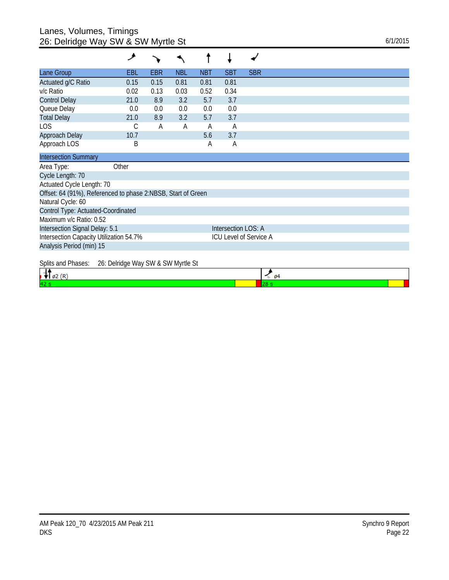## Lanes, Volumes, Timings 26: Delridge Way SW & SW Myrtle St 6/1/2015

|                                                              | عر                                 |      |            |            |                     |                        |
|--------------------------------------------------------------|------------------------------------|------|------------|------------|---------------------|------------------------|
| Lane Group                                                   | EBL                                | EBR  | <b>NBL</b> | <b>NBT</b> | <b>SBT</b>          | <b>SBR</b>             |
| Actuated g/C Ratio                                           | 0.15                               | 0.15 | 0.81       | 0.81       | 0.81                |                        |
| v/c Ratio                                                    | 0.02                               | 0.13 | 0.03       | 0.52       | 0.34                |                        |
| <b>Control Delay</b>                                         | 21.0                               | 8.9  | 3.2        | 5.7        | 3.7                 |                        |
| Queue Delay                                                  | 0.0                                | 0.0  | 0.0        | 0.0        | 0.0                 |                        |
| <b>Total Delay</b>                                           | 21.0                               | 8.9  | 3.2        | 5.7        | 3.7                 |                        |
| LOS                                                          | С                                  | А    | A          | Α          | Α                   |                        |
| Approach Delay                                               | 10.7                               |      |            | 5.6        | 3.7                 |                        |
| Approach LOS                                                 | Β                                  |      |            | Α          | Α                   |                        |
| <b>Intersection Summary</b>                                  |                                    |      |            |            |                     |                        |
| Area Type:                                                   | Other                              |      |            |            |                     |                        |
| Cycle Length: 70                                             |                                    |      |            |            |                     |                        |
| Actuated Cycle Length: 70                                    |                                    |      |            |            |                     |                        |
| Offset: 64 (91%), Referenced to phase 2:NBSB, Start of Green |                                    |      |            |            |                     |                        |
| Natural Cycle: 60                                            |                                    |      |            |            |                     |                        |
| Control Type: Actuated-Coordinated                           |                                    |      |            |            |                     |                        |
| Maximum v/c Ratio: 0.52                                      |                                    |      |            |            |                     |                        |
| Intersection Signal Delay: 5.1                               |                                    |      |            |            | Intersection LOS: A |                        |
| Intersection Capacity Utilization 54.7%                      |                                    |      |            |            |                     | ICU Level of Service A |
| Analysis Period (min) 15                                     |                                    |      |            |            |                     |                        |
|                                                              |                                    |      |            |            |                     |                        |
| Splits and Phases:                                           | 26: Delridge Way SW & SW Myrtle St |      |            |            |                     |                        |

| $\sigma$ oping and induced. Zo, Domago may give $\alpha$ on my no or<br>. . | 64 |  |
|-----------------------------------------------------------------------------|----|--|
| 42                                                                          |    |  |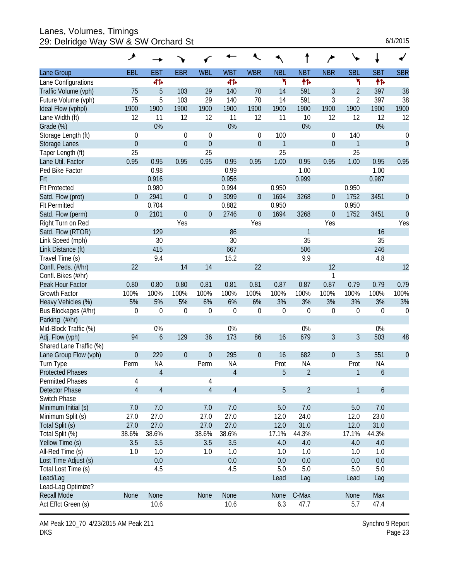Lanes, Volumes, Timings 29: Delridge Way SW & SW Orchard St

| 6/1/2015 |
|----------|
|----------|

|                         | ۶                |                  |                  |                  |                |                  |                  |                  |                  |                  |             |                  |
|-------------------------|------------------|------------------|------------------|------------------|----------------|------------------|------------------|------------------|------------------|------------------|-------------|------------------|
| Lane Group              | EBL              | <b>EBT</b>       | <b>EBR</b>       | <b>WBL</b>       | <b>WBT</b>     | <b>WBR</b>       | <b>NBL</b>       | <b>NBT</b>       | <b>NBR</b>       | <b>SBL</b>       | <b>SBT</b>  | <b>SBR</b>       |
| Lane Configurations     |                  | 41               |                  |                  | 41             |                  | ۲                | 伟                |                  | ۳                | 帏           |                  |
| Traffic Volume (vph)    | 75               | 5                | 103              | 29               | 140            | 70               | 14               | 591              | 3                | $\overline{2}$   | 397         | 38               |
| Future Volume (vph)     | 75               | 5                | 103              | 29               | 140            | 70               | 14               | 591              | 3                | $\overline{2}$   | 397         | 38               |
| Ideal Flow (vphpl)      | 1900             | 1900             | 1900             | 1900             | 1900           | 1900             | 1900             | 1900             | 1900             | 1900             | 1900        | 1900             |
| Lane Width (ft)         | 12               | 11               | 12               | 12               | 11             | 12               | 11               | 10               | 12               | 12               | 12          | 12               |
| Grade (%)               |                  | 0%               |                  |                  | 0%             |                  |                  | 0%               |                  |                  | 0%          |                  |
| Storage Length (ft)     | 0                |                  | $\Omega$         | $\mathbf 0$      |                | 0                | 100              |                  | 0                | 140              |             | $\boldsymbol{0}$ |
| <b>Storage Lanes</b>    | $\boldsymbol{0}$ |                  | $\overline{0}$   | $\theta$         |                | $\boldsymbol{0}$ | 1                |                  | $\boldsymbol{0}$ | 1                |             | $\mathbf{0}$     |
| Taper Length (ft)       | 25               |                  |                  | 25               |                |                  | 25               |                  |                  | 25               |             |                  |
| Lane Util. Factor       | 0.95             | 0.95             | 0.95             | 0.95             | 0.95           | 0.95             | 1.00             | 0.95             | 0.95             | 1.00             | 0.95        | 0.95             |
| Ped Bike Factor         |                  | 0.98             |                  |                  | 0.99           |                  |                  | 1.00             |                  |                  | 1.00        |                  |
| Frt                     |                  | 0.916            |                  |                  | 0.956          |                  |                  | 0.999            |                  |                  | 0.987       |                  |
| <b>Flt Protected</b>    |                  | 0.980            |                  |                  | 0.994          |                  | 0.950            |                  |                  | 0.950            |             |                  |
| Satd. Flow (prot)       | $\theta$         | 2941             | $\boldsymbol{0}$ | $\overline{0}$   | 3099           | 0                | 1694             | 3268             | 0                | 1752             | 3451        | $\theta$         |
| <b>Flt Permitted</b>    |                  | 0.704            |                  |                  | 0.882          |                  | 0.950            |                  |                  | 0.950            |             |                  |
| Satd. Flow (perm)       | $\overline{0}$   | 2101             | $\mathbf 0$      | $\theta$         | 2746           | $\boldsymbol{0}$ | 1694             | 3268             | $\mathbf 0$      | 1752             | 3451        | $\mathbf{0}$     |
| Right Turn on Red       |                  |                  | Yes              |                  |                | Yes              |                  |                  | Yes              |                  |             | Yes              |
| Satd. Flow (RTOR)       |                  | 129              |                  |                  | 86             |                  |                  | 1                |                  |                  | 16          |                  |
| Link Speed (mph)        |                  | 30               |                  |                  | 30             |                  |                  | 35               |                  |                  | 35          |                  |
| Link Distance (ft)      |                  | 415              |                  |                  | 667            |                  |                  | 506              |                  |                  | 246         |                  |
| Travel Time (s)         |                  | 9.4              |                  |                  | 15.2           |                  |                  | 9.9              |                  |                  | 4.8         |                  |
| Confl. Peds. (#/hr)     | 22               |                  | 14               | 14               |                | 22               |                  |                  | 12               |                  |             | 12               |
| Confl. Bikes (#/hr)     |                  |                  |                  |                  |                |                  |                  |                  | 1                |                  |             |                  |
| Peak Hour Factor        | 0.80             | 0.80             | 0.80             | 0.81             | 0.81           | 0.81             | 0.87             | 0.87             | 0.87             | 0.79             | 0.79        | 0.79             |
| <b>Growth Factor</b>    | 100%             | 100%             | 100%             | 100%             | 100%           | 100%             | 100%             | 100%             | 100%             | 100%             | 100%        | 100%             |
| Heavy Vehicles (%)      | 5%               | 5%               | 5%               | 6%               | 6%             | 6%               | 3%               | 3%               | 3%               | 3%               | 3%          | 3%               |
| Bus Blockages (#/hr)    | $\boldsymbol{0}$ | $\mathbf 0$      | $\mathbf 0$      | $\mathbf 0$      | $\mathbf 0$    | $\boldsymbol{0}$ | $\boldsymbol{0}$ | $\boldsymbol{0}$ | $\boldsymbol{0}$ | $\boldsymbol{0}$ | $\mathbf 0$ | $\mathbf 0$      |
| Parking (#/hr)          |                  |                  |                  |                  |                |                  |                  |                  |                  |                  |             |                  |
| Mid-Block Traffic (%)   |                  | 0%               |                  |                  | 0%             |                  |                  | 0%               |                  |                  | 0%          |                  |
| Adj. Flow (vph)         | 94               | $\boldsymbol{6}$ | 129              | 36               | 173            | 86               | 16               | 679              | 3                | 3                | 503         | 48               |
| Shared Lane Traffic (%) |                  |                  |                  |                  |                |                  |                  |                  |                  |                  |             |                  |
| Lane Group Flow (vph)   | $\theta$         | 229              | $\theta$         | $\boldsymbol{0}$ | 295            | $\boldsymbol{0}$ | 16               | 682              | $\boldsymbol{0}$ | 3                | 551         | $\theta$         |
| Turn Type               | Perm             | <b>NA</b>        |                  | Perm             | <b>NA</b>      |                  | Prot             | <b>NA</b>        |                  | Prot             | <b>NA</b>   |                  |
| <b>Protected Phases</b> |                  | $\overline{4}$   |                  |                  | $\overline{4}$ |                  | 5                | $\overline{2}$   |                  | 1                | 6           |                  |
| <b>Permitted Phases</b> | 4                |                  |                  | 4                |                |                  |                  |                  |                  |                  |             |                  |
| <b>Detector Phase</b>   | $\overline{4}$   | $\overline{4}$   |                  | $\overline{4}$   | $\overline{4}$ |                  | 5                | $\overline{2}$   |                  | $\mathbf{1}$     | 6           |                  |
| Switch Phase            |                  |                  |                  |                  |                |                  |                  |                  |                  |                  |             |                  |
| Minimum Initial (s)     | 7.0              | 7.0              |                  | 7.0              | 7.0            |                  | 5.0              | 7.0              |                  | 5.0              | $7.0$       |                  |
| Minimum Split (s)       | 27.0             | 27.0             |                  | 27.0             | 27.0           |                  | 12.0             | 24.0             |                  | 12.0             | 23.0        |                  |
| Total Split (s)         | 27.0             | 27.0             |                  | 27.0             | 27.0           |                  | 12.0             | 31.0             |                  | 12.0             | 31.0        |                  |
| Total Split (%)         | 38.6%            | 38.6%            |                  | 38.6%            | 38.6%          |                  | 17.1%            | 44.3%            |                  | 17.1%            | 44.3%       |                  |
| Yellow Time (s)         | 3.5              | 3.5              |                  | 3.5              | 3.5            |                  | 4.0              | $4.0\,$          |                  | 4.0              | 4.0         |                  |
| All-Red Time (s)        | 1.0              | 1.0              |                  | 1.0              | 1.0            |                  | 1.0              | 1.0              |                  | 1.0              | 1.0         |                  |
| Lost Time Adjust (s)    |                  | 0.0              |                  |                  | 0.0            |                  | 0.0              | 0.0              |                  | 0.0              | 0.0         |                  |
| Total Lost Time (s)     |                  | 4.5              |                  |                  | 4.5            |                  | 5.0              | 5.0              |                  | 5.0              | 5.0         |                  |
| Lead/Lag                |                  |                  |                  |                  |                |                  | Lead             | Lag              |                  | Lead             | Lag         |                  |
| Lead-Lag Optimize?      |                  |                  |                  |                  |                |                  |                  |                  |                  |                  |             |                  |
| <b>Recall Mode</b>      | None             | None             |                  | None             | None           |                  | None             | C-Max            |                  | None             | Max         |                  |
| Act Effct Green (s)     |                  | 10.6             |                  |                  | 10.6           |                  | 6.3              | 47.7             |                  | 5.7              | 47.4        |                  |

AM Peak 120\_70 4/23/2015 AM Peak 211 DKS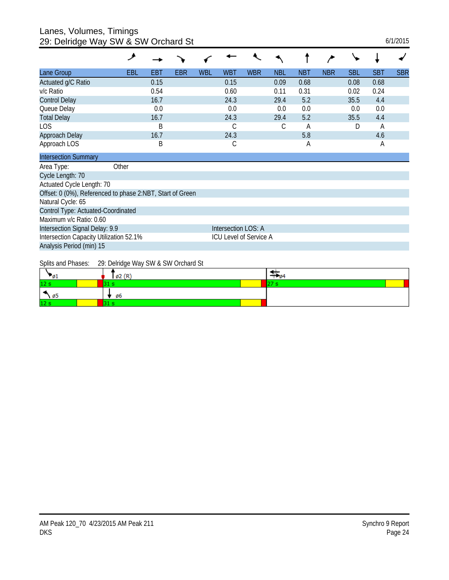#### Lanes, Volumes, Timings 29: Delridge Way SW & SW Orchard St 6/1/2015

| 20. Domago way ow a ow oronara ol                         |            |            |            |            |                        |            |            |            |            |            |            |            |
|-----------------------------------------------------------|------------|------------|------------|------------|------------------------|------------|------------|------------|------------|------------|------------|------------|
|                                                           | فر         |            |            |            |                        |            |            |            |            |            |            |            |
| Lane Group                                                | <b>EBL</b> | <b>EBT</b> | <b>EBR</b> | <b>WBL</b> | <b>WBT</b>             | <b>WBR</b> | <b>NBL</b> | <b>NBT</b> | <b>NBR</b> | <b>SBL</b> | <b>SBT</b> | <b>SBR</b> |
| Actuated g/C Ratio                                        |            | 0.15       |            |            | 0.15                   |            | 0.09       | 0.68       |            | 0.08       | 0.68       |            |
| v/c Ratio                                                 |            | 0.54       |            |            | 0.60                   |            | 0.11       | 0.31       |            | 0.02       | 0.24       |            |
| <b>Control Delay</b>                                      |            | 16.7       |            |            | 24.3                   |            | 29.4       | 5.2        |            | 35.5       | 4.4        |            |
| Queue Delay                                               |            | 0.0        |            |            | 0.0                    |            | 0.0        | 0.0        |            | 0.0        | 0.0        |            |
| <b>Total Delay</b>                                        |            | 16.7       |            |            | 24.3                   |            | 29.4       | 5.2        |            | 35.5       | 4.4        |            |
| LOS                                                       |            | B          |            |            | С                      |            | С          | A          |            | D          | A          |            |
| Approach Delay                                            |            | 16.7       |            |            | 24.3                   |            |            | 5.8        |            |            | 4.6        |            |
| Approach LOS                                              |            | B          |            |            | С                      |            |            | Α          |            |            | Α          |            |
| <b>Intersection Summary</b>                               |            |            |            |            |                        |            |            |            |            |            |            |            |
| Area Type:                                                | Other      |            |            |            |                        |            |            |            |            |            |            |            |
| Cycle Length: 70                                          |            |            |            |            |                        |            |            |            |            |            |            |            |
| Actuated Cycle Length: 70                                 |            |            |            |            |                        |            |            |            |            |            |            |            |
| Offset: 0 (0%), Referenced to phase 2:NBT, Start of Green |            |            |            |            |                        |            |            |            |            |            |            |            |
| Natural Cycle: 65                                         |            |            |            |            |                        |            |            |            |            |            |            |            |
| Control Type: Actuated-Coordinated                        |            |            |            |            |                        |            |            |            |            |            |            |            |
| Maximum v/c Ratio: 0.60                                   |            |            |            |            |                        |            |            |            |            |            |            |            |
| Intersection Signal Delay: 9.9                            |            |            |            |            | Intersection LOS: A    |            |            |            |            |            |            |            |
| Intersection Capacity Utilization 52.1%                   |            |            |            |            | ICU Level of Service A |            |            |            |            |            |            |            |
| Analysis Period (min) 15                                  |            |            |            |            |                        |            |            |            |            |            |            |            |
|                                                           |            |            |            |            |                        |            |            |            |            |            |            |            |

Splits and Phases: 29: Delridge Way SW & SW Orchard St

| v.              | $\mathfrak{g}_2(\mathbb{R})$ | # 64 |
|-----------------|------------------------------|------|
| 12 <sub>s</sub> |                              |      |
| ъ.<br>د مب      | , ø6                         |      |
| 12 <sub>s</sub> |                              |      |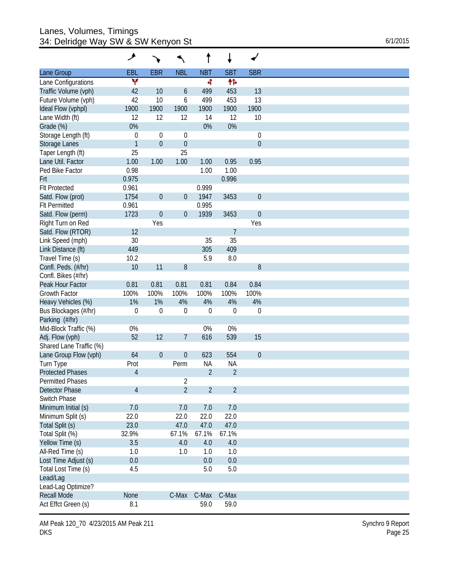## Lanes, Volumes, Timings 34: Delridge Way SW & SW Kenyon St

|                         | ۸                |                  |                  | t              | ↓                |                  |
|-------------------------|------------------|------------------|------------------|----------------|------------------|------------------|
| Lane Group              | EBL              | <b>EBR</b>       | <b>NBL</b>       | <b>NBT</b>     | <b>SBT</b>       | <b>SBR</b>       |
| Lane Configurations     | ٧                |                  |                  | 4              | 作                |                  |
| Traffic Volume (vph)    | 42               | 10               | 6                | 499            | 453              | 13               |
| Future Volume (vph)     | 42               | 10               | 6                | 499            | 453              | 13               |
| Ideal Flow (vphpl)      | 1900             | 1900             | 1900             | 1900           | 1900             | 1900             |
| Lane Width (ft)         | 12               | 12               | 12               | 14             | 12               | 10               |
| Grade (%)               | 0%               |                  |                  | 0%             | 0%               |                  |
| Storage Length (ft)     | $\mathbf 0$      | $\mathbf 0$      | $\theta$         |                |                  | 0                |
| Storage Lanes           | $\mathbf{1}$     | $\boldsymbol{0}$ | $\boldsymbol{0}$ |                |                  | $\boldsymbol{0}$ |
| Taper Length (ft)       | 25               |                  | 25               |                |                  |                  |
| Lane Util. Factor       | 1.00             | 1.00             | 1.00             | 1.00           | 0.95             | 0.95             |
| Ped Bike Factor         | 0.98             |                  |                  | 1.00           | 1.00             |                  |
| Frt                     | 0.975            |                  |                  |                | 0.996            |                  |
| <b>Flt Protected</b>    | 0.961            |                  |                  | 0.999          |                  |                  |
| Satd. Flow (prot)       | 1754             | $\boldsymbol{0}$ | $\boldsymbol{0}$ | 1947           | 3453             | $\boldsymbol{0}$ |
| <b>Flt Permitted</b>    | 0.961            |                  |                  | 0.995          |                  |                  |
|                         |                  |                  |                  |                |                  |                  |
| Satd. Flow (perm)       | 1723             | $\boldsymbol{0}$ | $\boldsymbol{0}$ | 1939           | 3453             | $\boldsymbol{0}$ |
| Right Turn on Red       |                  | Yes              |                  |                |                  | Yes              |
| Satd. Flow (RTOR)       | 12               |                  |                  |                | 7                |                  |
| Link Speed (mph)        | 30               |                  |                  | 35             | 35               |                  |
| Link Distance (ft)      | 449              |                  |                  | 305            | 409              |                  |
| Travel Time (s)         | 10.2             |                  |                  | 5.9            | 8.0              |                  |
| Confl. Peds. (#/hr)     | 10               | 11               | 8                |                |                  | 8                |
| Confl. Bikes (#/hr)     |                  |                  |                  |                |                  |                  |
| Peak Hour Factor        | 0.81             | 0.81             | 0.81             | 0.81           | 0.84             | 0.84             |
| Growth Factor           | 100%             | 100%             | 100%             | 100%           | 100%             | 100%             |
| Heavy Vehicles (%)      | 1%               | 1%               | 4%               | 4%             | 4%               | 4%               |
| Bus Blockages (#/hr)    | $\boldsymbol{0}$ | $\mathbf 0$      | $\theta$         | $\overline{0}$ | $\boldsymbol{0}$ | $\mathbf 0$      |
| Parking (#/hr)          |                  |                  |                  |                |                  |                  |
| Mid-Block Traffic (%)   | $0\%$            |                  |                  | 0%             | 0%               |                  |
| Adj. Flow (vph)         | 52               | 12               | 7                | 616            | 539              | 15               |
| Shared Lane Traffic (%) |                  |                  |                  |                |                  |                  |
| Lane Group Flow (vph)   | 64               | $\boldsymbol{0}$ | $\theta$         | 623            | 554              | $\boldsymbol{0}$ |
| Turn Type               | Prot             |                  | Perm             | <b>NA</b>      | <b>NA</b>        |                  |
| <b>Protected Phases</b> | $\overline{4}$   |                  |                  | $\overline{2}$ | $\overline{2}$   |                  |
| <b>Permitted Phases</b> |                  |                  | 2                |                |                  |                  |
| <b>Detector Phase</b>   | $\overline{4}$   |                  | $\overline{2}$   | $\overline{2}$ | $\overline{2}$   |                  |
| Switch Phase            |                  |                  |                  |                |                  |                  |
|                         |                  |                  |                  |                |                  |                  |
| Minimum Initial (s)     | 7.0              |                  | 7.0              | 7.0            | 7.0              |                  |
| Minimum Split (s)       | 22.0             |                  | 22.0             | 22.0           | 22.0             |                  |
| Total Split (s)         | 23.0             |                  | 47.0             | 47.0           | 47.0             |                  |
| Total Split (%)         | 32.9%            |                  | 67.1%            | 67.1%          | 67.1%            |                  |
| Yellow Time (s)         | 3.5              |                  | 4.0              | 4.0            | $4.0\,$          |                  |
| All-Red Time (s)        | 1.0              |                  | 1.0              | 1.0            | 1.0              |                  |
| Lost Time Adjust (s)    | 0.0              |                  |                  | 0.0            | 0.0              |                  |
| Total Lost Time (s)     | 4.5              |                  |                  | 5.0            | 5.0              |                  |
| Lead/Lag                |                  |                  |                  |                |                  |                  |
| Lead-Lag Optimize?      |                  |                  |                  |                |                  |                  |
| <b>Recall Mode</b>      |                  |                  |                  |                |                  |                  |
| Act Effct Green (s)     | None             |                  | C-Max            | C-Max          | C-Max            |                  |

AM Peak 120\_70 4/23/2015 AM Peak 211 DKS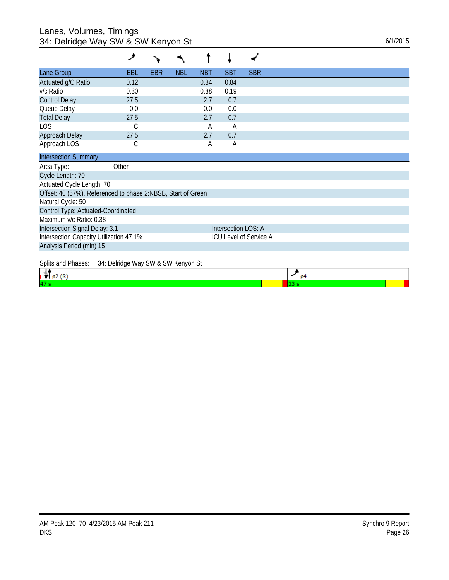## Lanes, Volumes, Timings 34: Delridge Way SW & SW Kenyon St 6/1/2015

|                                                              | عر                                 |            |            |            |                     |                        |
|--------------------------------------------------------------|------------------------------------|------------|------------|------------|---------------------|------------------------|
| Lane Group                                                   | EBL                                | <b>EBR</b> | <b>NBL</b> | <b>NBT</b> | <b>SBT</b>          | <b>SBR</b>             |
| Actuated g/C Ratio                                           | 0.12                               |            |            | 0.84       | 0.84                |                        |
| v/c Ratio                                                    | 0.30                               |            |            | 0.38       | 0.19                |                        |
| <b>Control Delay</b>                                         | 27.5                               |            |            | 2.7        | 0.7                 |                        |
| Queue Delay                                                  | 0.0                                |            |            | 0.0        | 0.0                 |                        |
| <b>Total Delay</b>                                           | 27.5                               |            |            | 2.7        | 0.7                 |                        |
| <b>LOS</b>                                                   | С                                  |            |            | А          | Α                   |                        |
| Approach Delay                                               | 27.5                               |            |            | 2.7        | 0.7                 |                        |
| Approach LOS                                                 | С                                  |            |            | Α          | Α                   |                        |
| <b>Intersection Summary</b>                                  |                                    |            |            |            |                     |                        |
| Area Type:                                                   | Other                              |            |            |            |                     |                        |
| Cycle Length: 70                                             |                                    |            |            |            |                     |                        |
| Actuated Cycle Length: 70                                    |                                    |            |            |            |                     |                        |
| Offset: 40 (57%), Referenced to phase 2:NBSB, Start of Green |                                    |            |            |            |                     |                        |
| Natural Cycle: 50                                            |                                    |            |            |            |                     |                        |
| Control Type: Actuated-Coordinated                           |                                    |            |            |            |                     |                        |
| Maximum v/c Ratio: 0.38                                      |                                    |            |            |            |                     |                        |
| Intersection Signal Delay: 3.1                               |                                    |            |            |            | Intersection LOS: A |                        |
| Intersection Capacity Utilization 47.1%                      |                                    |            |            |            |                     | ICU Level of Service A |
| Analysis Period (min) 15                                     |                                    |            |            |            |                     |                        |
|                                                              |                                    |            |            |            |                     |                        |
| Splits and Phases:                                           | 34: Delridge Way SW & SW Kenyon St |            |            |            |                     |                        |

| $\sigma$ of the contract of the contract $\sigma$ and $\sigma$ and $\sigma$ and $\sigma$ | αı |  |
|------------------------------------------------------------------------------------------|----|--|
| 47                                                                                       |    |  |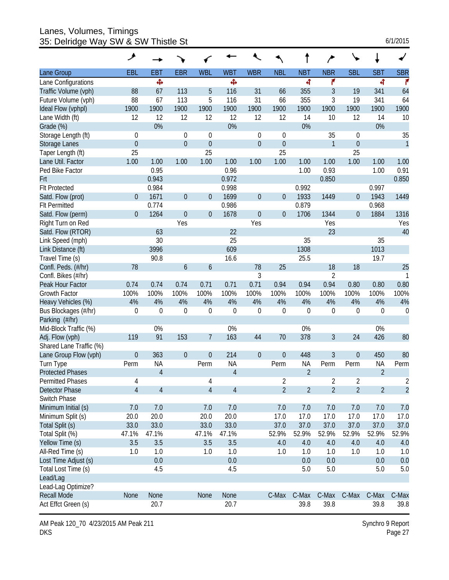Lanes, Volumes, Timings 35: Delridge Way SW & SW Thistle St 6/1/2015

|                         | ۸                |                |                  |                  |                |                  |                  |                |                  |                  |                |                  |
|-------------------------|------------------|----------------|------------------|------------------|----------------|------------------|------------------|----------------|------------------|------------------|----------------|------------------|
| Lane Group              | EBL              | EBT            | <b>EBR</b>       | <b>WBL</b>       | <b>WBT</b>     | <b>WBR</b>       | <b>NBL</b>       | <b>NBT</b>     | <b>NBR</b>       | <b>SBL</b>       | <b>SBT</b>     | <b>SBR</b>       |
| Lane Configurations     |                  | ф,             |                  |                  | Ф              |                  |                  | 4              | ۴                |                  | 4              | ۴                |
| Traffic Volume (vph)    | 88               | 67             | 113              | 5                | 116            | 31               | 66               | 355            | $\mathfrak{Z}$   | 19               | 341            | 64               |
| Future Volume (vph)     | 88               | 67             | 113              | 5                | 116            | 31               | 66               | 355            | 3                | 19               | 341            | 64               |
| Ideal Flow (vphpl)      | 1900             | 1900           | 1900             | 1900             | 1900           | 1900             | 1900             | 1900           | 1900             | 1900             | 1900           | 1900             |
| Lane Width (ft)         | 12               | 12             | 12               | 12               | 12             | 12               | 12               | 14             | 10               | 12               | 14             | 10               |
| Grade (%)               |                  | 0%             |                  |                  | 0%             |                  |                  | 0%             |                  |                  | 0%             |                  |
| Storage Length (ft)     | 0                |                | $\mathbf 0$      | 0                |                | $\mathbf 0$      | $\mathbf 0$      |                | 35               | 0                |                | 35               |
| <b>Storage Lanes</b>    | $\overline{0}$   |                | $\overline{0}$   | $\mathbf 0$      |                | $\boldsymbol{0}$ | $\mathbf 0$      |                | $\mathbf{1}$     | $\boldsymbol{0}$ |                | $\mathbf{1}$     |
| Taper Length (ft)       | 25               |                |                  | 25               |                |                  | $\overline{25}$  |                |                  | 25               |                |                  |
| Lane Util. Factor       | 1.00             | 1.00           | 1.00             | 1.00             | 1.00           | 1.00             | 1.00             | 1.00           | 1.00             | 1.00             | 1.00           | 1.00             |
| Ped Bike Factor         |                  | 0.95           |                  |                  | 0.96           |                  |                  | 1.00           | 0.93             |                  | 1.00           | 0.91             |
| Frt                     |                  | 0.943          |                  |                  | 0.972          |                  |                  |                | 0.850            |                  |                | 0.850            |
| <b>Flt Protected</b>    |                  | 0.984          |                  |                  | 0.998          |                  |                  | 0.992          |                  |                  | 0.997          |                  |
| Satd. Flow (prot)       | $\overline{0}$   | 1671           | $\overline{0}$   | $\mathbf{0}$     | 1699           | $\boldsymbol{0}$ | $\boldsymbol{0}$ | 1933           | 1449             | $\boldsymbol{0}$ | 1943           | 1449             |
| <b>Flt Permitted</b>    |                  | 0.774          |                  |                  | 0.986          |                  |                  | 0.879          |                  |                  | 0.968          |                  |
| Satd. Flow (perm)       | $\mathbf{0}$     | 1264           | $\overline{0}$   | $\mathbf{0}$     | 1678           | $\boldsymbol{0}$ | $\mathbf 0$      | 1706           | 1344             | $\overline{0}$   | 1884           | 1316             |
| Right Turn on Red       |                  |                | Yes              |                  |                | Yes              |                  |                | Yes              |                  |                | Yes              |
| Satd. Flow (RTOR)       |                  | 63             |                  |                  | 22             |                  |                  |                | 23               |                  |                | 40               |
| Link Speed (mph)        |                  | 30             |                  |                  | 25             |                  |                  | 35             |                  |                  | 35             |                  |
| Link Distance (ft)      |                  | 3996           |                  |                  | 609            |                  |                  | 1308           |                  |                  | 1013           |                  |
| Travel Time (s)         |                  | 90.8           |                  |                  | 16.6           |                  |                  | 25.5           |                  |                  | 19.7           |                  |
| Confl. Peds. (#/hr)     | 78               |                | $\boldsymbol{6}$ | $\boldsymbol{6}$ |                | 78               | 25               |                | 18               | 18               |                | 25               |
| Confl. Bikes (#/hr)     |                  |                |                  |                  |                | 3                |                  |                | $\overline{2}$   |                  |                | 1                |
| Peak Hour Factor        | 0.74             | 0.74           | 0.74             | 0.71             | 0.71           | 0.71             | 0.94             | 0.94           | 0.94             | 0.80             | 0.80           | 0.80             |
| <b>Growth Factor</b>    | 100%             | 100%           | 100%             | 100%             | 100%           | 100%             | 100%             | 100%           | 100%             | 100%             | 100%           | 100%             |
| Heavy Vehicles (%)      | 4%               | 4%             | 4%               | 4%               | 4%             | 4%               | 4%               | 4%             | 4%               | 4%               | 4%             | 4%               |
| Bus Blockages (#/hr)    | $\boldsymbol{0}$ | $\mathbf 0$    | $\mathbf 0$      | $\boldsymbol{0}$ | 0              | $\mathbf 0$      | $\mathbf 0$      | $\mathbf 0$    | $\boldsymbol{0}$ | $\boldsymbol{0}$ | 0              | $\boldsymbol{0}$ |
| Parking (#/hr)          |                  |                |                  |                  |                |                  |                  |                |                  |                  |                |                  |
| Mid-Block Traffic (%)   |                  | 0%             |                  |                  | 0%             |                  |                  | 0%             |                  |                  | 0%             |                  |
| Adj. Flow (vph)         | 119              | 91             | 153              | $\overline{7}$   | 163            | 44               | 70               | 378            | 3                | 24               | 426            | 80               |
| Shared Lane Traffic (%) |                  |                |                  |                  |                |                  |                  |                |                  |                  |                |                  |
| Lane Group Flow (vph)   | $\mathbf{0}$     | 363            | $\theta$         | $\mathbf 0$      | 214            | $\boldsymbol{0}$ | $\boldsymbol{0}$ | 448            | 3                | 0                | 450            | 80               |
| Turn Type               | Perm             | <b>NA</b>      |                  | Perm             | <b>NA</b>      |                  | Perm             | <b>NA</b>      | Perm             | Perm             | <b>NA</b>      | Perm             |
| <b>Protected Phases</b> |                  | $\overline{4}$ |                  |                  | $\overline{4}$ |                  |                  | $\overline{2}$ |                  |                  | $\overline{2}$ |                  |
| <b>Permitted Phases</b> | 4                |                |                  | 4                |                |                  | $\overline{2}$   |                | $\overline{2}$   | $\overline{2}$   |                | 2                |
| Detector Phase          | $\overline{4}$   | $\overline{4}$ |                  | $\overline{4}$   | $\overline{4}$ |                  | $\overline{2}$   | $\overline{2}$ | $\overline{2}$   | $\overline{2}$   | $\overline{2}$ | $\overline{2}$   |
| Switch Phase            |                  |                |                  |                  |                |                  |                  |                |                  |                  |                |                  |
| Minimum Initial (s)     | 7.0              | 7.0            |                  | 7.0              | 7.0            |                  | 7.0              | 7.0            | 7.0              | 7.0              | 7.0            | 7.0              |
| Minimum Split (s)       | 20.0             | 20.0           |                  | 20.0             | 20.0           |                  | 17.0             | 17.0           | 17.0             | 17.0             | 17.0           | 17.0             |
| Total Split (s)         | 33.0             | 33.0           |                  | 33.0             | 33.0           |                  | 37.0             | 37.0           | 37.0             | 37.0             | 37.0           | 37.0             |
| Total Split (%)         | 47.1%            | 47.1%          |                  | 47.1%            | 47.1%          |                  | 52.9%            | 52.9%          | 52.9%            | 52.9%            | 52.9%          | 52.9%            |
| Yellow Time (s)         | 3.5              | 3.5            |                  | 3.5              | 3.5            |                  | 4.0              | 4.0            | 4.0              | 4.0              | 4.0            | 4.0              |
| All-Red Time (s)        | 1.0              | 1.0            |                  | 1.0              | 1.0            |                  | 1.0              | 1.0            | 1.0              | 1.0              | 1.0            | 1.0              |
| Lost Time Adjust (s)    |                  | 0.0            |                  |                  | 0.0            |                  |                  | 0.0            | 0.0              |                  | 0.0            | 0.0              |
| Total Lost Time (s)     |                  | 4.5            |                  |                  | 4.5            |                  |                  | 5.0            | 5.0              |                  | 5.0            | 5.0              |
| Lead/Lag                |                  |                |                  |                  |                |                  |                  |                |                  |                  |                |                  |
| Lead-Lag Optimize?      |                  |                |                  |                  |                |                  |                  |                |                  |                  |                |                  |
| <b>Recall Mode</b>      | <b>None</b>      | None           |                  | None             | None           |                  | C-Max            | C-Max          | C-Max            | C-Max            | C-Max          | C-Max            |
| Act Effct Green (s)     |                  | 20.7           |                  |                  | 20.7           |                  |                  | 39.8           | 39.8             |                  | 39.8           | 39.8             |

AM Peak 120\_70 4/23/2015 AM Peak 211 DKS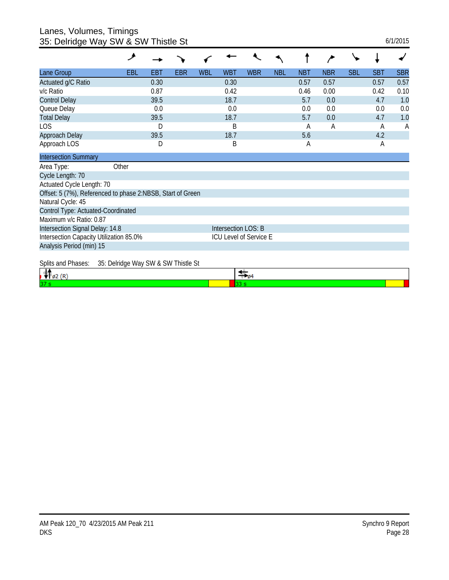Lanes, Volumes, Timings 35: Delridge Way SW & SW Thistle St 6/1/2015

| . Domago 11aj 011                                          |                                     |      |     |     |                        |                                |            |            |            |            |            |              |
|------------------------------------------------------------|-------------------------------------|------|-----|-----|------------------------|--------------------------------|------------|------------|------------|------------|------------|--------------|
|                                                            | ۶                                   |      |     |     |                        |                                |            |            |            |            |            |              |
| Lane Group                                                 | <b>EBL</b>                          | EBT  | EBR | WBL | <b>WBT</b>             | <b>WBR</b>                     | <b>NBL</b> | <b>NBT</b> | <b>NBR</b> | <b>SBL</b> | <b>SBT</b> | <b>SBR</b>   |
| Actuated g/C Ratio                                         |                                     | 0.30 |     |     | 0.30                   |                                |            | 0.57       | 0.57       |            | 0.57       | 0.57         |
| v/c Ratio                                                  |                                     | 0.87 |     |     | 0.42                   |                                |            | 0.46       | 0.00       |            | 0.42       | 0.10         |
| <b>Control Delay</b>                                       |                                     | 39.5 |     |     | 18.7                   |                                |            | 5.7        | 0.0        |            | 4.7        | 1.0          |
| Queue Delay                                                |                                     | 0.0  |     |     | 0.0                    |                                |            | 0.0        | 0.0        |            | 0.0        | 0.0          |
| <b>Total Delay</b>                                         |                                     | 39.5 |     |     | 18.7                   |                                |            | 5.7        | 0.0        |            | 4.7        | 1.0          |
| <b>LOS</b>                                                 |                                     | D    |     |     | B                      |                                |            | A          | А          |            | A          | $\mathsf{A}$ |
| Approach Delay                                             |                                     | 39.5 |     |     | 18.7                   |                                |            | 5.6        |            |            | 4.2        |              |
| Approach LOS                                               |                                     | D    |     |     | Β                      |                                |            | Α          |            |            | A          |              |
| <b>Intersection Summary</b>                                |                                     |      |     |     |                        |                                |            |            |            |            |            |              |
| Area Type:                                                 | Other                               |      |     |     |                        |                                |            |            |            |            |            |              |
| Cycle Length: 70                                           |                                     |      |     |     |                        |                                |            |            |            |            |            |              |
| Actuated Cycle Length: 70                                  |                                     |      |     |     |                        |                                |            |            |            |            |            |              |
| Offset: 5 (7%), Referenced to phase 2:NBSB, Start of Green |                                     |      |     |     |                        |                                |            |            |            |            |            |              |
| Natural Cycle: 45                                          |                                     |      |     |     |                        |                                |            |            |            |            |            |              |
| Control Type: Actuated-Coordinated                         |                                     |      |     |     |                        |                                |            |            |            |            |            |              |
| Maximum v/c Ratio: 0.87                                    |                                     |      |     |     |                        |                                |            |            |            |            |            |              |
| Intersection Signal Delay: 14.8                            |                                     |      |     |     | Intersection LOS: B    |                                |            |            |            |            |            |              |
| Intersection Capacity Utilization 85.0%                    |                                     |      |     |     | ICU Level of Service E |                                |            |            |            |            |            |              |
| Analysis Period (min) 15                                   |                                     |      |     |     |                        |                                |            |            |            |            |            |              |
| <b>Splits and Phases:</b>                                  | 35: Delridge Way SW & SW Thistle St |      |     |     |                        |                                |            |            |            |            |            |              |
| $\mathbf{d}$ and $\mathbf{d}$                              |                                     |      |     |     |                        | $\frac{1}{2}$ of $\frac{1}{2}$ |            |            |            |            |            |              |

| $\sigma$ and that $\sigma$ are $\sigma$ . The set of $\sigma$ and $\sigma$ are $\sigma$ and $\sigma$ are $\sigma$ |  |
|-------------------------------------------------------------------------------------------------------------------|--|
|                                                                                                                   |  |
| 37                                                                                                                |  |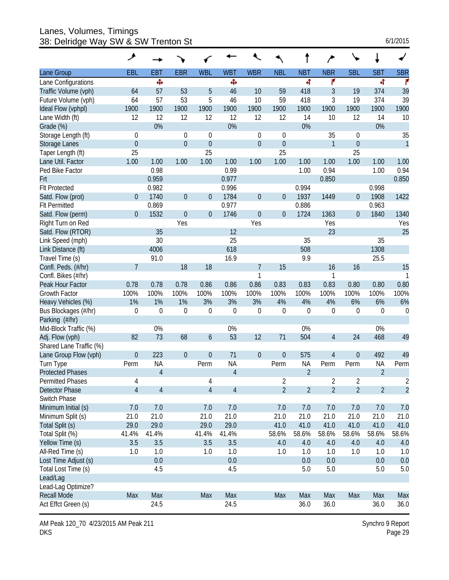Lanes, Volumes, Timings 38: Delridge Way SW & SW Trenton St 6/1/2015

| 6/1/2015 |  |  |
|----------|--|--|
|          |  |  |

| EBL<br><b>EBR</b><br><b>SBL</b><br><b>SBR</b><br><b>EBT</b><br><b>WBL</b><br><b>WBT</b><br><b>WBR</b><br><b>NBL</b><br><b>NBT</b><br><b>NBR</b><br><b>SBT</b><br>Lane Group<br>Ф<br>Ф<br>4<br>۴<br>4<br>r<br>Lane Configurations<br>39<br>Traffic Volume (vph)<br>64<br>57<br>53<br>5<br>46<br>10<br>59<br>418<br>3<br>19<br>374<br>39<br>53<br>5<br>3<br>Future Volume (vph)<br>64<br>57<br>46<br>10<br>59<br>418<br>19<br>374<br>1900<br>1900<br>1900<br>1900<br>1900<br>1900<br>1900<br>1900<br>1900<br>1900<br>1900<br>1900<br>Ideal Flow (vphpl)<br>12<br>12<br>12<br>Lane Width (ft)<br>12<br>12<br>12<br>12<br>14<br>10<br>12<br>14<br>10<br>0%<br>0%<br>0%<br>0%<br>Grade (%)<br>35<br>Storage Length (ft)<br>35<br>$\theta$<br>0<br>0<br>$\mathbf 0$<br>0<br>0<br>$\overline{0}$<br>$\mathbf 0$<br>$\mathbf 0$<br>$\boldsymbol{0}$<br>$\mathbf{1}$<br>$\mathbf{1}$<br>$\boldsymbol{0}$<br>$\theta$<br>Storage Lanes<br>25<br>25<br>25<br>25<br>Taper Length (ft)<br>1.00<br>1.00<br>Lane Util. Factor<br>1.00<br>1.00<br>1.00<br>1.00<br>1.00<br>1.00<br>1.00<br>1.00<br>1.00<br>1.00<br>Ped Bike Factor<br>0.98<br>0.99<br>0.94<br>1.00<br>0.94<br>1.00<br>0.850<br>0.959<br>0.977<br>0.850<br>Frt<br>0.982<br>0.996<br>0.994<br>0.998<br><b>FIt Protected</b><br>$\overline{0}$<br>$\boldsymbol{0}$<br>Satd. Flow (prot)<br>1740<br>$\boldsymbol{0}$<br>1784<br>$\boldsymbol{0}$<br>1937<br>1449<br>1908<br>1422<br>$\overline{0}$<br>$\boldsymbol{0}$<br>0.869<br>0.977<br>0.886<br><b>Flt Permitted</b><br>0.963<br>Satd. Flow (perm)<br>$\mathbf{0}$<br>1532<br>$\theta$<br>$\mathbf{0}$<br>1746<br>$\boldsymbol{0}$<br>$\mathbf 0$<br>1724<br>1363<br>0<br>1840<br>1340<br>Right Turn on Red<br>Yes<br>Yes<br>Yes<br>Yes<br>25<br>12<br>23<br>Satd. Flow (RTOR)<br>35<br>30<br>25<br>Link Speed (mph)<br>35<br>35<br>618<br>508<br>1308<br>Link Distance (ft)<br>4006<br>Travel Time (s)<br>91.0<br>16.9<br>9.9<br>25.5<br>$\overline{7}$<br>18<br>18<br>$\overline{7}$<br>15<br>15<br>16<br>16<br>Confl. Peds. (#/hr)<br>Confl. Bikes (#/hr)<br>1<br>1<br>0.78<br>Peak Hour Factor<br>0.78<br>0.78<br>0.86<br>0.86<br>0.86<br>0.83<br>0.83<br>0.83<br>0.80<br>0.80<br>0.80<br>100%<br>100%<br>100%<br>100%<br>100%<br>100%<br>100%<br><b>Growth Factor</b><br>100%<br>100%<br>100%<br>100%<br>100%<br>1%<br>1%<br>3%<br>4%<br>Heavy Vehicles (%)<br>1%<br>3%<br>3%<br>4%<br>4%<br>6%<br>6%<br>6%<br>$\boldsymbol{0}$<br>$\mathbf 0$<br>$\mathbf 0$<br>$\boldsymbol{0}$<br>$\boldsymbol{0}$<br>$\boldsymbol{0}$<br>$\mathbf 0$<br>$\boldsymbol{0}$<br>$\boldsymbol{0}$<br>$\boldsymbol{0}$<br>$\mathbf 0$<br>$\boldsymbol{0}$<br>Bus Blockages (#/hr)<br>Parking (#/hr)<br>0%<br>0%<br>0%<br>Mid-Block Traffic (%)<br>0%<br>73<br>82<br>68<br>53<br>12<br>504<br>49<br>$\boldsymbol{6}$<br>71<br>24<br>468<br>Adj. Flow (vph)<br>4<br>Shared Lane Traffic (%)<br>49<br>Lane Group Flow (vph)<br>$\mathbf 0$<br>223<br>$\theta$<br>$\mathbf 0$<br>71<br>$\boldsymbol{0}$<br>$\theta$<br>575<br>0<br>492<br>4<br><b>NA</b><br><b>NA</b><br><b>NA</b><br>Perm<br>Perm<br><b>NA</b><br>Perm<br>Turn Type<br>Perm<br>Perm<br>Perm<br>$\overline{4}$<br>$\overline{2}$<br>$\overline{2}$<br>$\overline{4}$<br><b>Protected Phases</b><br><b>Permitted Phases</b><br>2<br>$\overline{2}$<br>$\overline{2}$<br>2<br>4<br>4<br>$\overline{2}$<br>$\overline{2}$<br>$\overline{2}$<br>$\overline{2}$<br>$\overline{4}$<br>$\overline{4}$<br>$\overline{2}$<br>$\overline{4}$<br>$\overline{4}$<br>$\overline{2}$<br>Detector Phase<br>Switch Phase<br>Minimum Initial (s)<br>7.0<br>7.0<br>7.0<br>7.0<br>7.0<br>7.0<br>7.0<br>7.0<br>7.0<br>7.0<br>Minimum Split (s)<br>21.0<br>21.0<br>21.0<br>21.0<br>21.0<br>21.0<br>21.0<br>21.0<br>21.0<br>21.0<br>Total Split (s)<br>29.0<br>29.0<br>29.0<br>29.0<br>41.0<br>41.0<br>41.0<br>41.0<br>41.0<br>41.0<br>58.6%<br>58.6%<br>Total Split (%)<br>41.4%<br>41.4%<br>41.4%<br>41.4%<br>58.6%<br>58.6%<br>58.6%<br>58.6%<br>Yellow Time (s)<br>3.5<br>3.5<br>3.5<br>3.5<br>4.0<br>4.0<br>4.0<br>4.0<br>4.0<br>4.0<br>All-Red Time (s)<br>1.0<br>1.0<br>1.0<br>1.0<br>1.0<br>1.0<br>1.0<br>1.0<br>1.0<br>1.0<br>0.0<br>Lost Time Adjust (s)<br>0.0<br>0.0<br>0.0<br>0.0<br>0.0<br>5.0<br>4.5<br>4.5<br>5.0<br>5.0<br>Total Lost Time (s)<br>5.0<br>Lead/Lag<br>Lead-Lag Optimize? |                    | ۶   |     |     |     |     |     |     |     |     |     |
|-----------------------------------------------------------------------------------------------------------------------------------------------------------------------------------------------------------------------------------------------------------------------------------------------------------------------------------------------------------------------------------------------------------------------------------------------------------------------------------------------------------------------------------------------------------------------------------------------------------------------------------------------------------------------------------------------------------------------------------------------------------------------------------------------------------------------------------------------------------------------------------------------------------------------------------------------------------------------------------------------------------------------------------------------------------------------------------------------------------------------------------------------------------------------------------------------------------------------------------------------------------------------------------------------------------------------------------------------------------------------------------------------------------------------------------------------------------------------------------------------------------------------------------------------------------------------------------------------------------------------------------------------------------------------------------------------------------------------------------------------------------------------------------------------------------------------------------------------------------------------------------------------------------------------------------------------------------------------------------------------------------------------------------------------------------------------------------------------------------------------------------------------------------------------------------------------------------------------------------------------------------------------------------------------------------------------------------------------------------------------------------------------------------------------------------------------------------------------------------------------------------------------------------------------------------------------------------------------------------------------------------------------------------------------------------------------------------------------------------------------------------------------------------------------------------------------------------------------------------------------------------------------------------------------------------------------------------------------------------------------------------------------------------------------------------------------------------------------------------------------------------------------------------------------------------------------------------------------------------------------------------------------------------------------------------------------------------------------------------------------------------------------------------------------------------------------------------------------------------------------------------------------------------------------------------------------------------------------------------------------------------------------------------------------------------------------------------------------------------------------------------------------------------------------------------------------------------------------------------------------------------------------------------------------------------------------------------------------------------------------------------------------------------------------------------------------------------------------------------------------------------------------------------------------------------------------------------------------------------------------------------------------------------------------------------------------------------|--------------------|-----|-----|-----|-----|-----|-----|-----|-----|-----|-----|
|                                                                                                                                                                                                                                                                                                                                                                                                                                                                                                                                                                                                                                                                                                                                                                                                                                                                                                                                                                                                                                                                                                                                                                                                                                                                                                                                                                                                                                                                                                                                                                                                                                                                                                                                                                                                                                                                                                                                                                                                                                                                                                                                                                                                                                                                                                                                                                                                                                                                                                                                                                                                                                                                                                                                                                                                                                                                                                                                                                                                                                                                                                                                                                                                                                                                                                                                                                                                                                                                                                                                                                                                                                                                                                                                                                                                                                                                                                                                                                                                                                                                                                                                                                                                                                                                                                                                   |                    |     |     |     |     |     |     |     |     |     |     |
|                                                                                                                                                                                                                                                                                                                                                                                                                                                                                                                                                                                                                                                                                                                                                                                                                                                                                                                                                                                                                                                                                                                                                                                                                                                                                                                                                                                                                                                                                                                                                                                                                                                                                                                                                                                                                                                                                                                                                                                                                                                                                                                                                                                                                                                                                                                                                                                                                                                                                                                                                                                                                                                                                                                                                                                                                                                                                                                                                                                                                                                                                                                                                                                                                                                                                                                                                                                                                                                                                                                                                                                                                                                                                                                                                                                                                                                                                                                                                                                                                                                                                                                                                                                                                                                                                                                                   |                    |     |     |     |     |     |     |     |     |     |     |
|                                                                                                                                                                                                                                                                                                                                                                                                                                                                                                                                                                                                                                                                                                                                                                                                                                                                                                                                                                                                                                                                                                                                                                                                                                                                                                                                                                                                                                                                                                                                                                                                                                                                                                                                                                                                                                                                                                                                                                                                                                                                                                                                                                                                                                                                                                                                                                                                                                                                                                                                                                                                                                                                                                                                                                                                                                                                                                                                                                                                                                                                                                                                                                                                                                                                                                                                                                                                                                                                                                                                                                                                                                                                                                                                                                                                                                                                                                                                                                                                                                                                                                                                                                                                                                                                                                                                   |                    |     |     |     |     |     |     |     |     |     |     |
|                                                                                                                                                                                                                                                                                                                                                                                                                                                                                                                                                                                                                                                                                                                                                                                                                                                                                                                                                                                                                                                                                                                                                                                                                                                                                                                                                                                                                                                                                                                                                                                                                                                                                                                                                                                                                                                                                                                                                                                                                                                                                                                                                                                                                                                                                                                                                                                                                                                                                                                                                                                                                                                                                                                                                                                                                                                                                                                                                                                                                                                                                                                                                                                                                                                                                                                                                                                                                                                                                                                                                                                                                                                                                                                                                                                                                                                                                                                                                                                                                                                                                                                                                                                                                                                                                                                                   |                    |     |     |     |     |     |     |     |     |     |     |
|                                                                                                                                                                                                                                                                                                                                                                                                                                                                                                                                                                                                                                                                                                                                                                                                                                                                                                                                                                                                                                                                                                                                                                                                                                                                                                                                                                                                                                                                                                                                                                                                                                                                                                                                                                                                                                                                                                                                                                                                                                                                                                                                                                                                                                                                                                                                                                                                                                                                                                                                                                                                                                                                                                                                                                                                                                                                                                                                                                                                                                                                                                                                                                                                                                                                                                                                                                                                                                                                                                                                                                                                                                                                                                                                                                                                                                                                                                                                                                                                                                                                                                                                                                                                                                                                                                                                   |                    |     |     |     |     |     |     |     |     |     |     |
|                                                                                                                                                                                                                                                                                                                                                                                                                                                                                                                                                                                                                                                                                                                                                                                                                                                                                                                                                                                                                                                                                                                                                                                                                                                                                                                                                                                                                                                                                                                                                                                                                                                                                                                                                                                                                                                                                                                                                                                                                                                                                                                                                                                                                                                                                                                                                                                                                                                                                                                                                                                                                                                                                                                                                                                                                                                                                                                                                                                                                                                                                                                                                                                                                                                                                                                                                                                                                                                                                                                                                                                                                                                                                                                                                                                                                                                                                                                                                                                                                                                                                                                                                                                                                                                                                                                                   |                    |     |     |     |     |     |     |     |     |     |     |
|                                                                                                                                                                                                                                                                                                                                                                                                                                                                                                                                                                                                                                                                                                                                                                                                                                                                                                                                                                                                                                                                                                                                                                                                                                                                                                                                                                                                                                                                                                                                                                                                                                                                                                                                                                                                                                                                                                                                                                                                                                                                                                                                                                                                                                                                                                                                                                                                                                                                                                                                                                                                                                                                                                                                                                                                                                                                                                                                                                                                                                                                                                                                                                                                                                                                                                                                                                                                                                                                                                                                                                                                                                                                                                                                                                                                                                                                                                                                                                                                                                                                                                                                                                                                                                                                                                                                   |                    |     |     |     |     |     |     |     |     |     |     |
|                                                                                                                                                                                                                                                                                                                                                                                                                                                                                                                                                                                                                                                                                                                                                                                                                                                                                                                                                                                                                                                                                                                                                                                                                                                                                                                                                                                                                                                                                                                                                                                                                                                                                                                                                                                                                                                                                                                                                                                                                                                                                                                                                                                                                                                                                                                                                                                                                                                                                                                                                                                                                                                                                                                                                                                                                                                                                                                                                                                                                                                                                                                                                                                                                                                                                                                                                                                                                                                                                                                                                                                                                                                                                                                                                                                                                                                                                                                                                                                                                                                                                                                                                                                                                                                                                                                                   |                    |     |     |     |     |     |     |     |     |     |     |
|                                                                                                                                                                                                                                                                                                                                                                                                                                                                                                                                                                                                                                                                                                                                                                                                                                                                                                                                                                                                                                                                                                                                                                                                                                                                                                                                                                                                                                                                                                                                                                                                                                                                                                                                                                                                                                                                                                                                                                                                                                                                                                                                                                                                                                                                                                                                                                                                                                                                                                                                                                                                                                                                                                                                                                                                                                                                                                                                                                                                                                                                                                                                                                                                                                                                                                                                                                                                                                                                                                                                                                                                                                                                                                                                                                                                                                                                                                                                                                                                                                                                                                                                                                                                                                                                                                                                   |                    |     |     |     |     |     |     |     |     |     |     |
|                                                                                                                                                                                                                                                                                                                                                                                                                                                                                                                                                                                                                                                                                                                                                                                                                                                                                                                                                                                                                                                                                                                                                                                                                                                                                                                                                                                                                                                                                                                                                                                                                                                                                                                                                                                                                                                                                                                                                                                                                                                                                                                                                                                                                                                                                                                                                                                                                                                                                                                                                                                                                                                                                                                                                                                                                                                                                                                                                                                                                                                                                                                                                                                                                                                                                                                                                                                                                                                                                                                                                                                                                                                                                                                                                                                                                                                                                                                                                                                                                                                                                                                                                                                                                                                                                                                                   |                    |     |     |     |     |     |     |     |     |     |     |
|                                                                                                                                                                                                                                                                                                                                                                                                                                                                                                                                                                                                                                                                                                                                                                                                                                                                                                                                                                                                                                                                                                                                                                                                                                                                                                                                                                                                                                                                                                                                                                                                                                                                                                                                                                                                                                                                                                                                                                                                                                                                                                                                                                                                                                                                                                                                                                                                                                                                                                                                                                                                                                                                                                                                                                                                                                                                                                                                                                                                                                                                                                                                                                                                                                                                                                                                                                                                                                                                                                                                                                                                                                                                                                                                                                                                                                                                                                                                                                                                                                                                                                                                                                                                                                                                                                                                   |                    |     |     |     |     |     |     |     |     |     |     |
|                                                                                                                                                                                                                                                                                                                                                                                                                                                                                                                                                                                                                                                                                                                                                                                                                                                                                                                                                                                                                                                                                                                                                                                                                                                                                                                                                                                                                                                                                                                                                                                                                                                                                                                                                                                                                                                                                                                                                                                                                                                                                                                                                                                                                                                                                                                                                                                                                                                                                                                                                                                                                                                                                                                                                                                                                                                                                                                                                                                                                                                                                                                                                                                                                                                                                                                                                                                                                                                                                                                                                                                                                                                                                                                                                                                                                                                                                                                                                                                                                                                                                                                                                                                                                                                                                                                                   |                    |     |     |     |     |     |     |     |     |     |     |
|                                                                                                                                                                                                                                                                                                                                                                                                                                                                                                                                                                                                                                                                                                                                                                                                                                                                                                                                                                                                                                                                                                                                                                                                                                                                                                                                                                                                                                                                                                                                                                                                                                                                                                                                                                                                                                                                                                                                                                                                                                                                                                                                                                                                                                                                                                                                                                                                                                                                                                                                                                                                                                                                                                                                                                                                                                                                                                                                                                                                                                                                                                                                                                                                                                                                                                                                                                                                                                                                                                                                                                                                                                                                                                                                                                                                                                                                                                                                                                                                                                                                                                                                                                                                                                                                                                                                   |                    |     |     |     |     |     |     |     |     |     |     |
|                                                                                                                                                                                                                                                                                                                                                                                                                                                                                                                                                                                                                                                                                                                                                                                                                                                                                                                                                                                                                                                                                                                                                                                                                                                                                                                                                                                                                                                                                                                                                                                                                                                                                                                                                                                                                                                                                                                                                                                                                                                                                                                                                                                                                                                                                                                                                                                                                                                                                                                                                                                                                                                                                                                                                                                                                                                                                                                                                                                                                                                                                                                                                                                                                                                                                                                                                                                                                                                                                                                                                                                                                                                                                                                                                                                                                                                                                                                                                                                                                                                                                                                                                                                                                                                                                                                                   |                    |     |     |     |     |     |     |     |     |     |     |
|                                                                                                                                                                                                                                                                                                                                                                                                                                                                                                                                                                                                                                                                                                                                                                                                                                                                                                                                                                                                                                                                                                                                                                                                                                                                                                                                                                                                                                                                                                                                                                                                                                                                                                                                                                                                                                                                                                                                                                                                                                                                                                                                                                                                                                                                                                                                                                                                                                                                                                                                                                                                                                                                                                                                                                                                                                                                                                                                                                                                                                                                                                                                                                                                                                                                                                                                                                                                                                                                                                                                                                                                                                                                                                                                                                                                                                                                                                                                                                                                                                                                                                                                                                                                                                                                                                                                   |                    |     |     |     |     |     |     |     |     |     |     |
|                                                                                                                                                                                                                                                                                                                                                                                                                                                                                                                                                                                                                                                                                                                                                                                                                                                                                                                                                                                                                                                                                                                                                                                                                                                                                                                                                                                                                                                                                                                                                                                                                                                                                                                                                                                                                                                                                                                                                                                                                                                                                                                                                                                                                                                                                                                                                                                                                                                                                                                                                                                                                                                                                                                                                                                                                                                                                                                                                                                                                                                                                                                                                                                                                                                                                                                                                                                                                                                                                                                                                                                                                                                                                                                                                                                                                                                                                                                                                                                                                                                                                                                                                                                                                                                                                                                                   |                    |     |     |     |     |     |     |     |     |     |     |
|                                                                                                                                                                                                                                                                                                                                                                                                                                                                                                                                                                                                                                                                                                                                                                                                                                                                                                                                                                                                                                                                                                                                                                                                                                                                                                                                                                                                                                                                                                                                                                                                                                                                                                                                                                                                                                                                                                                                                                                                                                                                                                                                                                                                                                                                                                                                                                                                                                                                                                                                                                                                                                                                                                                                                                                                                                                                                                                                                                                                                                                                                                                                                                                                                                                                                                                                                                                                                                                                                                                                                                                                                                                                                                                                                                                                                                                                                                                                                                                                                                                                                                                                                                                                                                                                                                                                   |                    |     |     |     |     |     |     |     |     |     |     |
|                                                                                                                                                                                                                                                                                                                                                                                                                                                                                                                                                                                                                                                                                                                                                                                                                                                                                                                                                                                                                                                                                                                                                                                                                                                                                                                                                                                                                                                                                                                                                                                                                                                                                                                                                                                                                                                                                                                                                                                                                                                                                                                                                                                                                                                                                                                                                                                                                                                                                                                                                                                                                                                                                                                                                                                                                                                                                                                                                                                                                                                                                                                                                                                                                                                                                                                                                                                                                                                                                                                                                                                                                                                                                                                                                                                                                                                                                                                                                                                                                                                                                                                                                                                                                                                                                                                                   |                    |     |     |     |     |     |     |     |     |     |     |
|                                                                                                                                                                                                                                                                                                                                                                                                                                                                                                                                                                                                                                                                                                                                                                                                                                                                                                                                                                                                                                                                                                                                                                                                                                                                                                                                                                                                                                                                                                                                                                                                                                                                                                                                                                                                                                                                                                                                                                                                                                                                                                                                                                                                                                                                                                                                                                                                                                                                                                                                                                                                                                                                                                                                                                                                                                                                                                                                                                                                                                                                                                                                                                                                                                                                                                                                                                                                                                                                                                                                                                                                                                                                                                                                                                                                                                                                                                                                                                                                                                                                                                                                                                                                                                                                                                                                   |                    |     |     |     |     |     |     |     |     |     |     |
|                                                                                                                                                                                                                                                                                                                                                                                                                                                                                                                                                                                                                                                                                                                                                                                                                                                                                                                                                                                                                                                                                                                                                                                                                                                                                                                                                                                                                                                                                                                                                                                                                                                                                                                                                                                                                                                                                                                                                                                                                                                                                                                                                                                                                                                                                                                                                                                                                                                                                                                                                                                                                                                                                                                                                                                                                                                                                                                                                                                                                                                                                                                                                                                                                                                                                                                                                                                                                                                                                                                                                                                                                                                                                                                                                                                                                                                                                                                                                                                                                                                                                                                                                                                                                                                                                                                                   |                    |     |     |     |     |     |     |     |     |     |     |
|                                                                                                                                                                                                                                                                                                                                                                                                                                                                                                                                                                                                                                                                                                                                                                                                                                                                                                                                                                                                                                                                                                                                                                                                                                                                                                                                                                                                                                                                                                                                                                                                                                                                                                                                                                                                                                                                                                                                                                                                                                                                                                                                                                                                                                                                                                                                                                                                                                                                                                                                                                                                                                                                                                                                                                                                                                                                                                                                                                                                                                                                                                                                                                                                                                                                                                                                                                                                                                                                                                                                                                                                                                                                                                                                                                                                                                                                                                                                                                                                                                                                                                                                                                                                                                                                                                                                   |                    |     |     |     |     |     |     |     |     |     |     |
|                                                                                                                                                                                                                                                                                                                                                                                                                                                                                                                                                                                                                                                                                                                                                                                                                                                                                                                                                                                                                                                                                                                                                                                                                                                                                                                                                                                                                                                                                                                                                                                                                                                                                                                                                                                                                                                                                                                                                                                                                                                                                                                                                                                                                                                                                                                                                                                                                                                                                                                                                                                                                                                                                                                                                                                                                                                                                                                                                                                                                                                                                                                                                                                                                                                                                                                                                                                                                                                                                                                                                                                                                                                                                                                                                                                                                                                                                                                                                                                                                                                                                                                                                                                                                                                                                                                                   |                    |     |     |     |     |     |     |     |     |     |     |
|                                                                                                                                                                                                                                                                                                                                                                                                                                                                                                                                                                                                                                                                                                                                                                                                                                                                                                                                                                                                                                                                                                                                                                                                                                                                                                                                                                                                                                                                                                                                                                                                                                                                                                                                                                                                                                                                                                                                                                                                                                                                                                                                                                                                                                                                                                                                                                                                                                                                                                                                                                                                                                                                                                                                                                                                                                                                                                                                                                                                                                                                                                                                                                                                                                                                                                                                                                                                                                                                                                                                                                                                                                                                                                                                                                                                                                                                                                                                                                                                                                                                                                                                                                                                                                                                                                                                   |                    |     |     |     |     |     |     |     |     |     |     |
|                                                                                                                                                                                                                                                                                                                                                                                                                                                                                                                                                                                                                                                                                                                                                                                                                                                                                                                                                                                                                                                                                                                                                                                                                                                                                                                                                                                                                                                                                                                                                                                                                                                                                                                                                                                                                                                                                                                                                                                                                                                                                                                                                                                                                                                                                                                                                                                                                                                                                                                                                                                                                                                                                                                                                                                                                                                                                                                                                                                                                                                                                                                                                                                                                                                                                                                                                                                                                                                                                                                                                                                                                                                                                                                                                                                                                                                                                                                                                                                                                                                                                                                                                                                                                                                                                                                                   |                    |     |     |     |     |     |     |     |     |     |     |
|                                                                                                                                                                                                                                                                                                                                                                                                                                                                                                                                                                                                                                                                                                                                                                                                                                                                                                                                                                                                                                                                                                                                                                                                                                                                                                                                                                                                                                                                                                                                                                                                                                                                                                                                                                                                                                                                                                                                                                                                                                                                                                                                                                                                                                                                                                                                                                                                                                                                                                                                                                                                                                                                                                                                                                                                                                                                                                                                                                                                                                                                                                                                                                                                                                                                                                                                                                                                                                                                                                                                                                                                                                                                                                                                                                                                                                                                                                                                                                                                                                                                                                                                                                                                                                                                                                                                   |                    |     |     |     |     |     |     |     |     |     |     |
|                                                                                                                                                                                                                                                                                                                                                                                                                                                                                                                                                                                                                                                                                                                                                                                                                                                                                                                                                                                                                                                                                                                                                                                                                                                                                                                                                                                                                                                                                                                                                                                                                                                                                                                                                                                                                                                                                                                                                                                                                                                                                                                                                                                                                                                                                                                                                                                                                                                                                                                                                                                                                                                                                                                                                                                                                                                                                                                                                                                                                                                                                                                                                                                                                                                                                                                                                                                                                                                                                                                                                                                                                                                                                                                                                                                                                                                                                                                                                                                                                                                                                                                                                                                                                                                                                                                                   |                    |     |     |     |     |     |     |     |     |     |     |
|                                                                                                                                                                                                                                                                                                                                                                                                                                                                                                                                                                                                                                                                                                                                                                                                                                                                                                                                                                                                                                                                                                                                                                                                                                                                                                                                                                                                                                                                                                                                                                                                                                                                                                                                                                                                                                                                                                                                                                                                                                                                                                                                                                                                                                                                                                                                                                                                                                                                                                                                                                                                                                                                                                                                                                                                                                                                                                                                                                                                                                                                                                                                                                                                                                                                                                                                                                                                                                                                                                                                                                                                                                                                                                                                                                                                                                                                                                                                                                                                                                                                                                                                                                                                                                                                                                                                   |                    |     |     |     |     |     |     |     |     |     |     |
|                                                                                                                                                                                                                                                                                                                                                                                                                                                                                                                                                                                                                                                                                                                                                                                                                                                                                                                                                                                                                                                                                                                                                                                                                                                                                                                                                                                                                                                                                                                                                                                                                                                                                                                                                                                                                                                                                                                                                                                                                                                                                                                                                                                                                                                                                                                                                                                                                                                                                                                                                                                                                                                                                                                                                                                                                                                                                                                                                                                                                                                                                                                                                                                                                                                                                                                                                                                                                                                                                                                                                                                                                                                                                                                                                                                                                                                                                                                                                                                                                                                                                                                                                                                                                                                                                                                                   |                    |     |     |     |     |     |     |     |     |     |     |
|                                                                                                                                                                                                                                                                                                                                                                                                                                                                                                                                                                                                                                                                                                                                                                                                                                                                                                                                                                                                                                                                                                                                                                                                                                                                                                                                                                                                                                                                                                                                                                                                                                                                                                                                                                                                                                                                                                                                                                                                                                                                                                                                                                                                                                                                                                                                                                                                                                                                                                                                                                                                                                                                                                                                                                                                                                                                                                                                                                                                                                                                                                                                                                                                                                                                                                                                                                                                                                                                                                                                                                                                                                                                                                                                                                                                                                                                                                                                                                                                                                                                                                                                                                                                                                                                                                                                   |                    |     |     |     |     |     |     |     |     |     |     |
|                                                                                                                                                                                                                                                                                                                                                                                                                                                                                                                                                                                                                                                                                                                                                                                                                                                                                                                                                                                                                                                                                                                                                                                                                                                                                                                                                                                                                                                                                                                                                                                                                                                                                                                                                                                                                                                                                                                                                                                                                                                                                                                                                                                                                                                                                                                                                                                                                                                                                                                                                                                                                                                                                                                                                                                                                                                                                                                                                                                                                                                                                                                                                                                                                                                                                                                                                                                                                                                                                                                                                                                                                                                                                                                                                                                                                                                                                                                                                                                                                                                                                                                                                                                                                                                                                                                                   |                    |     |     |     |     |     |     |     |     |     |     |
|                                                                                                                                                                                                                                                                                                                                                                                                                                                                                                                                                                                                                                                                                                                                                                                                                                                                                                                                                                                                                                                                                                                                                                                                                                                                                                                                                                                                                                                                                                                                                                                                                                                                                                                                                                                                                                                                                                                                                                                                                                                                                                                                                                                                                                                                                                                                                                                                                                                                                                                                                                                                                                                                                                                                                                                                                                                                                                                                                                                                                                                                                                                                                                                                                                                                                                                                                                                                                                                                                                                                                                                                                                                                                                                                                                                                                                                                                                                                                                                                                                                                                                                                                                                                                                                                                                                                   |                    |     |     |     |     |     |     |     |     |     |     |
|                                                                                                                                                                                                                                                                                                                                                                                                                                                                                                                                                                                                                                                                                                                                                                                                                                                                                                                                                                                                                                                                                                                                                                                                                                                                                                                                                                                                                                                                                                                                                                                                                                                                                                                                                                                                                                                                                                                                                                                                                                                                                                                                                                                                                                                                                                                                                                                                                                                                                                                                                                                                                                                                                                                                                                                                                                                                                                                                                                                                                                                                                                                                                                                                                                                                                                                                                                                                                                                                                                                                                                                                                                                                                                                                                                                                                                                                                                                                                                                                                                                                                                                                                                                                                                                                                                                                   |                    |     |     |     |     |     |     |     |     |     |     |
|                                                                                                                                                                                                                                                                                                                                                                                                                                                                                                                                                                                                                                                                                                                                                                                                                                                                                                                                                                                                                                                                                                                                                                                                                                                                                                                                                                                                                                                                                                                                                                                                                                                                                                                                                                                                                                                                                                                                                                                                                                                                                                                                                                                                                                                                                                                                                                                                                                                                                                                                                                                                                                                                                                                                                                                                                                                                                                                                                                                                                                                                                                                                                                                                                                                                                                                                                                                                                                                                                                                                                                                                                                                                                                                                                                                                                                                                                                                                                                                                                                                                                                                                                                                                                                                                                                                                   |                    |     |     |     |     |     |     |     |     |     |     |
|                                                                                                                                                                                                                                                                                                                                                                                                                                                                                                                                                                                                                                                                                                                                                                                                                                                                                                                                                                                                                                                                                                                                                                                                                                                                                                                                                                                                                                                                                                                                                                                                                                                                                                                                                                                                                                                                                                                                                                                                                                                                                                                                                                                                                                                                                                                                                                                                                                                                                                                                                                                                                                                                                                                                                                                                                                                                                                                                                                                                                                                                                                                                                                                                                                                                                                                                                                                                                                                                                                                                                                                                                                                                                                                                                                                                                                                                                                                                                                                                                                                                                                                                                                                                                                                                                                                                   |                    |     |     |     |     |     |     |     |     |     |     |
|                                                                                                                                                                                                                                                                                                                                                                                                                                                                                                                                                                                                                                                                                                                                                                                                                                                                                                                                                                                                                                                                                                                                                                                                                                                                                                                                                                                                                                                                                                                                                                                                                                                                                                                                                                                                                                                                                                                                                                                                                                                                                                                                                                                                                                                                                                                                                                                                                                                                                                                                                                                                                                                                                                                                                                                                                                                                                                                                                                                                                                                                                                                                                                                                                                                                                                                                                                                                                                                                                                                                                                                                                                                                                                                                                                                                                                                                                                                                                                                                                                                                                                                                                                                                                                                                                                                                   |                    |     |     |     |     |     |     |     |     |     |     |
|                                                                                                                                                                                                                                                                                                                                                                                                                                                                                                                                                                                                                                                                                                                                                                                                                                                                                                                                                                                                                                                                                                                                                                                                                                                                                                                                                                                                                                                                                                                                                                                                                                                                                                                                                                                                                                                                                                                                                                                                                                                                                                                                                                                                                                                                                                                                                                                                                                                                                                                                                                                                                                                                                                                                                                                                                                                                                                                                                                                                                                                                                                                                                                                                                                                                                                                                                                                                                                                                                                                                                                                                                                                                                                                                                                                                                                                                                                                                                                                                                                                                                                                                                                                                                                                                                                                                   |                    |     |     |     |     |     |     |     |     |     |     |
|                                                                                                                                                                                                                                                                                                                                                                                                                                                                                                                                                                                                                                                                                                                                                                                                                                                                                                                                                                                                                                                                                                                                                                                                                                                                                                                                                                                                                                                                                                                                                                                                                                                                                                                                                                                                                                                                                                                                                                                                                                                                                                                                                                                                                                                                                                                                                                                                                                                                                                                                                                                                                                                                                                                                                                                                                                                                                                                                                                                                                                                                                                                                                                                                                                                                                                                                                                                                                                                                                                                                                                                                                                                                                                                                                                                                                                                                                                                                                                                                                                                                                                                                                                                                                                                                                                                                   |                    |     |     |     |     |     |     |     |     |     |     |
|                                                                                                                                                                                                                                                                                                                                                                                                                                                                                                                                                                                                                                                                                                                                                                                                                                                                                                                                                                                                                                                                                                                                                                                                                                                                                                                                                                                                                                                                                                                                                                                                                                                                                                                                                                                                                                                                                                                                                                                                                                                                                                                                                                                                                                                                                                                                                                                                                                                                                                                                                                                                                                                                                                                                                                                                                                                                                                                                                                                                                                                                                                                                                                                                                                                                                                                                                                                                                                                                                                                                                                                                                                                                                                                                                                                                                                                                                                                                                                                                                                                                                                                                                                                                                                                                                                                                   |                    |     |     |     |     |     |     |     |     |     |     |
|                                                                                                                                                                                                                                                                                                                                                                                                                                                                                                                                                                                                                                                                                                                                                                                                                                                                                                                                                                                                                                                                                                                                                                                                                                                                                                                                                                                                                                                                                                                                                                                                                                                                                                                                                                                                                                                                                                                                                                                                                                                                                                                                                                                                                                                                                                                                                                                                                                                                                                                                                                                                                                                                                                                                                                                                                                                                                                                                                                                                                                                                                                                                                                                                                                                                                                                                                                                                                                                                                                                                                                                                                                                                                                                                                                                                                                                                                                                                                                                                                                                                                                                                                                                                                                                                                                                                   |                    |     |     |     |     |     |     |     |     |     |     |
|                                                                                                                                                                                                                                                                                                                                                                                                                                                                                                                                                                                                                                                                                                                                                                                                                                                                                                                                                                                                                                                                                                                                                                                                                                                                                                                                                                                                                                                                                                                                                                                                                                                                                                                                                                                                                                                                                                                                                                                                                                                                                                                                                                                                                                                                                                                                                                                                                                                                                                                                                                                                                                                                                                                                                                                                                                                                                                                                                                                                                                                                                                                                                                                                                                                                                                                                                                                                                                                                                                                                                                                                                                                                                                                                                                                                                                                                                                                                                                                                                                                                                                                                                                                                                                                                                                                                   |                    |     |     |     |     |     |     |     |     |     |     |
|                                                                                                                                                                                                                                                                                                                                                                                                                                                                                                                                                                                                                                                                                                                                                                                                                                                                                                                                                                                                                                                                                                                                                                                                                                                                                                                                                                                                                                                                                                                                                                                                                                                                                                                                                                                                                                                                                                                                                                                                                                                                                                                                                                                                                                                                                                                                                                                                                                                                                                                                                                                                                                                                                                                                                                                                                                                                                                                                                                                                                                                                                                                                                                                                                                                                                                                                                                                                                                                                                                                                                                                                                                                                                                                                                                                                                                                                                                                                                                                                                                                                                                                                                                                                                                                                                                                                   |                    |     |     |     |     |     |     |     |     |     |     |
|                                                                                                                                                                                                                                                                                                                                                                                                                                                                                                                                                                                                                                                                                                                                                                                                                                                                                                                                                                                                                                                                                                                                                                                                                                                                                                                                                                                                                                                                                                                                                                                                                                                                                                                                                                                                                                                                                                                                                                                                                                                                                                                                                                                                                                                                                                                                                                                                                                                                                                                                                                                                                                                                                                                                                                                                                                                                                                                                                                                                                                                                                                                                                                                                                                                                                                                                                                                                                                                                                                                                                                                                                                                                                                                                                                                                                                                                                                                                                                                                                                                                                                                                                                                                                                                                                                                                   |                    |     |     |     |     |     |     |     |     |     |     |
|                                                                                                                                                                                                                                                                                                                                                                                                                                                                                                                                                                                                                                                                                                                                                                                                                                                                                                                                                                                                                                                                                                                                                                                                                                                                                                                                                                                                                                                                                                                                                                                                                                                                                                                                                                                                                                                                                                                                                                                                                                                                                                                                                                                                                                                                                                                                                                                                                                                                                                                                                                                                                                                                                                                                                                                                                                                                                                                                                                                                                                                                                                                                                                                                                                                                                                                                                                                                                                                                                                                                                                                                                                                                                                                                                                                                                                                                                                                                                                                                                                                                                                                                                                                                                                                                                                                                   |                    |     |     |     |     |     |     |     |     |     |     |
|                                                                                                                                                                                                                                                                                                                                                                                                                                                                                                                                                                                                                                                                                                                                                                                                                                                                                                                                                                                                                                                                                                                                                                                                                                                                                                                                                                                                                                                                                                                                                                                                                                                                                                                                                                                                                                                                                                                                                                                                                                                                                                                                                                                                                                                                                                                                                                                                                                                                                                                                                                                                                                                                                                                                                                                                                                                                                                                                                                                                                                                                                                                                                                                                                                                                                                                                                                                                                                                                                                                                                                                                                                                                                                                                                                                                                                                                                                                                                                                                                                                                                                                                                                                                                                                                                                                                   |                    |     |     |     |     |     |     |     |     |     |     |
|                                                                                                                                                                                                                                                                                                                                                                                                                                                                                                                                                                                                                                                                                                                                                                                                                                                                                                                                                                                                                                                                                                                                                                                                                                                                                                                                                                                                                                                                                                                                                                                                                                                                                                                                                                                                                                                                                                                                                                                                                                                                                                                                                                                                                                                                                                                                                                                                                                                                                                                                                                                                                                                                                                                                                                                                                                                                                                                                                                                                                                                                                                                                                                                                                                                                                                                                                                                                                                                                                                                                                                                                                                                                                                                                                                                                                                                                                                                                                                                                                                                                                                                                                                                                                                                                                                                                   |                    |     |     |     |     |     |     |     |     |     |     |
|                                                                                                                                                                                                                                                                                                                                                                                                                                                                                                                                                                                                                                                                                                                                                                                                                                                                                                                                                                                                                                                                                                                                                                                                                                                                                                                                                                                                                                                                                                                                                                                                                                                                                                                                                                                                                                                                                                                                                                                                                                                                                                                                                                                                                                                                                                                                                                                                                                                                                                                                                                                                                                                                                                                                                                                                                                                                                                                                                                                                                                                                                                                                                                                                                                                                                                                                                                                                                                                                                                                                                                                                                                                                                                                                                                                                                                                                                                                                                                                                                                                                                                                                                                                                                                                                                                                                   |                    |     |     |     |     |     |     |     |     |     |     |
|                                                                                                                                                                                                                                                                                                                                                                                                                                                                                                                                                                                                                                                                                                                                                                                                                                                                                                                                                                                                                                                                                                                                                                                                                                                                                                                                                                                                                                                                                                                                                                                                                                                                                                                                                                                                                                                                                                                                                                                                                                                                                                                                                                                                                                                                                                                                                                                                                                                                                                                                                                                                                                                                                                                                                                                                                                                                                                                                                                                                                                                                                                                                                                                                                                                                                                                                                                                                                                                                                                                                                                                                                                                                                                                                                                                                                                                                                                                                                                                                                                                                                                                                                                                                                                                                                                                                   |                    |     |     |     |     |     |     |     |     |     |     |
|                                                                                                                                                                                                                                                                                                                                                                                                                                                                                                                                                                                                                                                                                                                                                                                                                                                                                                                                                                                                                                                                                                                                                                                                                                                                                                                                                                                                                                                                                                                                                                                                                                                                                                                                                                                                                                                                                                                                                                                                                                                                                                                                                                                                                                                                                                                                                                                                                                                                                                                                                                                                                                                                                                                                                                                                                                                                                                                                                                                                                                                                                                                                                                                                                                                                                                                                                                                                                                                                                                                                                                                                                                                                                                                                                                                                                                                                                                                                                                                                                                                                                                                                                                                                                                                                                                                                   |                    |     |     |     |     |     |     |     |     |     |     |
|                                                                                                                                                                                                                                                                                                                                                                                                                                                                                                                                                                                                                                                                                                                                                                                                                                                                                                                                                                                                                                                                                                                                                                                                                                                                                                                                                                                                                                                                                                                                                                                                                                                                                                                                                                                                                                                                                                                                                                                                                                                                                                                                                                                                                                                                                                                                                                                                                                                                                                                                                                                                                                                                                                                                                                                                                                                                                                                                                                                                                                                                                                                                                                                                                                                                                                                                                                                                                                                                                                                                                                                                                                                                                                                                                                                                                                                                                                                                                                                                                                                                                                                                                                                                                                                                                                                                   | <b>Recall Mode</b> | Max | Max | Max | Max | Max | Max | Max | Max | Max | Max |
| Act Effct Green (s)<br>24.5<br>24.5<br>36.0<br>36.0<br>36.0<br>36.0                                                                                                                                                                                                                                                                                                                                                                                                                                                                                                                                                                                                                                                                                                                                                                                                                                                                                                                                                                                                                                                                                                                                                                                                                                                                                                                                                                                                                                                                                                                                                                                                                                                                                                                                                                                                                                                                                                                                                                                                                                                                                                                                                                                                                                                                                                                                                                                                                                                                                                                                                                                                                                                                                                                                                                                                                                                                                                                                                                                                                                                                                                                                                                                                                                                                                                                                                                                                                                                                                                                                                                                                                                                                                                                                                                                                                                                                                                                                                                                                                                                                                                                                                                                                                                                               |                    |     |     |     |     |     |     |     |     |     |     |

AM Peak 120\_70 4/23/2015 AM Peak 211 DKS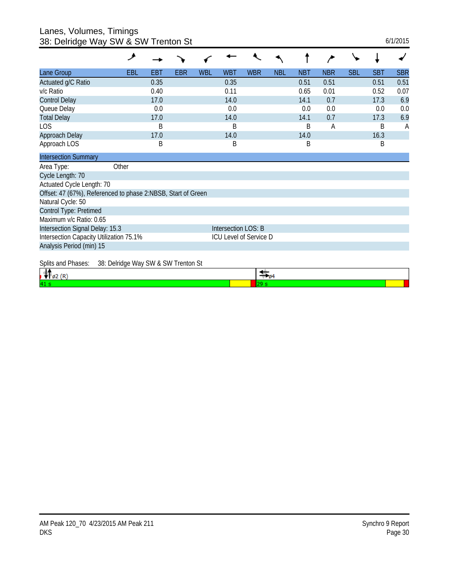Lanes, Volumes, Timings 38: Delridge Way SW & SW Trenton St 6/1/2015

|                                                              | ۶                                   |      |     |     |                     |                        |            |            |            |            |            |            |
|--------------------------------------------------------------|-------------------------------------|------|-----|-----|---------------------|------------------------|------------|------------|------------|------------|------------|------------|
| Lane Group                                                   | <b>EBL</b>                          | EBT  | EBR | WBL | <b>WBT</b>          | <b>WBR</b>             | <b>NBL</b> | <b>NBT</b> | <b>NBR</b> | <b>SBL</b> | <b>SBT</b> | <b>SBR</b> |
| Actuated g/C Ratio                                           |                                     | 0.35 |     |     | 0.35                |                        |            | 0.51       | 0.51       |            | 0.51       | 0.51       |
| v/c Ratio                                                    |                                     | 0.40 |     |     | 0.11                |                        |            | 0.65       | 0.01       |            | 0.52       | 0.07       |
| <b>Control Delay</b>                                         |                                     | 17.0 |     |     | 14.0                |                        |            | 14.1       | 0.7        |            | 17.3       | 6.9        |
| Queue Delay                                                  |                                     | 0.0  |     |     | 0.0                 |                        |            | 0.0        | 0.0        |            | 0.0        | 0.0        |
| <b>Total Delay</b>                                           |                                     | 17.0 |     |     | 14.0                |                        |            | 14.1       | 0.7        |            | 17.3       | 6.9        |
| LOS                                                          |                                     | B    |     |     | B                   |                        |            | B          | Α          |            | B          | A          |
| Approach Delay                                               |                                     | 17.0 |     |     | 14.0                |                        |            | 14.0       |            |            | 16.3       |            |
| Approach LOS                                                 |                                     | B    |     |     | B                   |                        |            | B          |            |            | B          |            |
| <b>Intersection Summary</b>                                  |                                     |      |     |     |                     |                        |            |            |            |            |            |            |
| Area Type:                                                   | Other                               |      |     |     |                     |                        |            |            |            |            |            |            |
| Cycle Length: 70                                             |                                     |      |     |     |                     |                        |            |            |            |            |            |            |
| Actuated Cycle Length: 70                                    |                                     |      |     |     |                     |                        |            |            |            |            |            |            |
| Offset: 47 (67%), Referenced to phase 2:NBSB, Start of Green |                                     |      |     |     |                     |                        |            |            |            |            |            |            |
| Natural Cycle: 50                                            |                                     |      |     |     |                     |                        |            |            |            |            |            |            |
| Control Type: Pretimed                                       |                                     |      |     |     |                     |                        |            |            |            |            |            |            |
| Maximum v/c Ratio: 0.65                                      |                                     |      |     |     |                     |                        |            |            |            |            |            |            |
| Intersection Signal Delay: 15.3                              |                                     |      |     |     | Intersection LOS: B |                        |            |            |            |            |            |            |
| Intersection Capacity Utilization 75.1%                      |                                     |      |     |     |                     | ICU Level of Service D |            |            |            |            |            |            |
| Analysis Period (min) 15                                     |                                     |      |     |     |                     |                        |            |            |            |            |            |            |
| Splits and Phases:                                           | 38: Delridge Way SW & SW Trenton St |      |     |     |                     |                        |            |            |            |            |            |            |
| 4h.<br>$ -$                                                  |                                     |      |     |     |                     | - <del>200</del>       |            |            |            |            |            |            |

| 4 |  |
|---|--|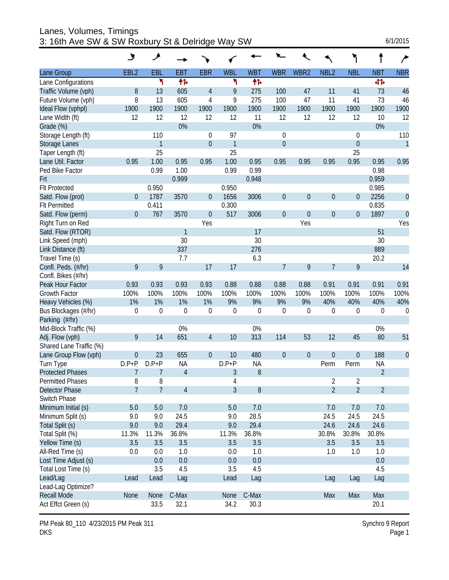Lanes, Volumes, Timings 3: 16th Ave SW & SW Roxbury St & Delridge Way SW

| 6/1/2015 |
|----------|
|          |

|                         | $\overline{\mathbf{z}}$ | ۸              |                |                  |                |                  |                  |                  |                  |                  |                |                |
|-------------------------|-------------------------|----------------|----------------|------------------|----------------|------------------|------------------|------------------|------------------|------------------|----------------|----------------|
| Lane Group              | EBL <sub>2</sub>        | EBL            | <b>EBT</b>     | <b>EBR</b>       | <b>WBL</b>     | <b>WBT</b>       | <b>WBR</b>       | WBR2             | NBL <sub>2</sub> | <b>NBL</b>       | <b>NBT</b>     | <b>NBR</b>     |
| Lane Configurations     |                         | ۳              | 怍              |                  | ۳              | 怍                |                  |                  |                  |                  | 41             |                |
| Traffic Volume (vph)    | 8                       | 13             | 605            | $\overline{4}$   | 9              | 275              | 100              | 47               | 11               | 41               | 73             | 46             |
| Future Volume (vph)     | 8                       | 13             | 605            | 4                | 9              | 275              | 100              | 47               | 11               | 41               | 73             | 46             |
| Ideal Flow (vphpl)      | 1900                    | 1900           | 1900           | 1900             | 1900           | 1900             | 1900             | 1900             | 1900             | 1900             | 1900           | 1900           |
| Lane Width (ft)         | 12                      | 12             | 12             | 12               | 12             | 11               | 12               | 12               | 12               | 12               | 10             | 12             |
| Grade (%)               |                         |                | 0%             |                  |                | 0%               |                  |                  |                  |                  | 0%             |                |
| Storage Length (ft)     |                         | 110            |                | 0                | 97             |                  | $\boldsymbol{0}$ |                  |                  | 0                |                | 110            |
| <b>Storage Lanes</b>    |                         | $\mathbf{1}$   |                | $\boldsymbol{0}$ | $\mathbf{1}$   |                  | $\boldsymbol{0}$ |                  |                  | $\mathbf 0$      |                | $\mathbf{1}$   |
| Taper Length (ft)       |                         | 25             |                |                  | 25             |                  |                  |                  |                  | 25               |                |                |
| Lane Util. Factor       | 0.95                    | 1.00           | 0.95           | 0.95             | 1.00           | 0.95             | 0.95             | 0.95             | 0.95             | 0.95             | 0.95           | 0.95           |
| Ped Bike Factor         |                         | 0.99           | 1.00           |                  | 0.99           | 0.99             |                  |                  |                  |                  | 0.98           |                |
| Frt                     |                         |                | 0.999          |                  |                | 0.948            |                  |                  |                  |                  | 0.959          |                |
| <b>Flt Protected</b>    |                         | 0.950          |                |                  | 0.950          |                  |                  |                  |                  |                  | 0.985          |                |
| Satd. Flow (prot)       | $\theta$                | 1787           | 3570           | $\overline{0}$   | 1656           | 3006             | $\boldsymbol{0}$ | $\mathbf 0$      | $\boldsymbol{0}$ | 0                | 2256           | $\theta$       |
| <b>FIt Permitted</b>    |                         | 0.411          |                |                  | 0.300          |                  |                  |                  |                  |                  | 0.835          |                |
| Satd. Flow (perm)       | $\overline{0}$          | 767            | 3570           | $\theta$         | 517            | 3006             | $\boldsymbol{0}$ | $\mathbf 0$      | $\boldsymbol{0}$ | $\overline{0}$   | 1897           | $\overline{0}$ |
| Right Turn on Red       |                         |                |                | Yes              |                |                  |                  | Yes              |                  |                  |                | Yes            |
| Satd. Flow (RTOR)       |                         |                | $\mathbf{1}$   |                  |                | 17               |                  |                  |                  |                  | 51             |                |
| Link Speed (mph)        |                         |                | 30             |                  |                | 30               |                  |                  |                  |                  | 30             |                |
| Link Distance (ft)      |                         |                | 337            |                  |                | 276              |                  |                  |                  |                  | 889            |                |
| Travel Time (s)         |                         |                | 7.7            |                  |                | 6.3              |                  |                  |                  |                  | 20.2           |                |
| Confl. Peds. (#/hr)     | 9                       | 9              |                | 17               | 17             |                  | $\overline{7}$   | 9                | 7                | 9                |                | 14             |
| Confl. Bikes (#/hr)     |                         |                |                |                  |                |                  |                  |                  |                  |                  |                |                |
| Peak Hour Factor        | 0.93                    | 0.93           | 0.93           | 0.93             | 0.88           | 0.88             | 0.88             | 0.88             | 0.91             | 0.91             | 0.91           | 0.91           |
| <b>Growth Factor</b>    | 100%                    | 100%           | 100%           | 100%             | 100%           | 100%             | 100%             | 100%             | 100%             | 100%             | 100%           | 100%           |
| Heavy Vehicles (%)      | 1%                      | 1%             | 1%             | 1%               | 9%             | 9%               | 9%               | 9%               | 40%              | 40%              | 40%            | 40%            |
| Bus Blockages (#/hr)    | $\boldsymbol{0}$        | $\mathbf 0$    | $\mathbf 0$    | $\mathbf 0$      | $\mathbf 0$    | $\boldsymbol{0}$ | $\mathbf 0$      | $\boldsymbol{0}$ | $\boldsymbol{0}$ | $\boldsymbol{0}$ | 0              | $\mathbf 0$    |
| Parking (#/hr)          |                         |                |                |                  |                |                  |                  |                  |                  |                  |                |                |
| Mid-Block Traffic (%)   |                         |                | 0%             |                  |                | 0%               |                  |                  |                  |                  | 0%             |                |
| Adj. Flow (vph)         | 9                       | 14             | 651            | $\overline{4}$   | 10             | 313              | 114              | 53               | 12               | 45               | 80             | 51             |
| Shared Lane Traffic (%) |                         |                |                |                  |                |                  |                  |                  |                  |                  |                |                |
| Lane Group Flow (vph)   | $\boldsymbol{0}$        | 23             | 655            | $\theta$         | 10             | 480              | $\boldsymbol{0}$ | $\boldsymbol{0}$ | 0                | $\boldsymbol{0}$ | 188            | $\theta$       |
| Turn Type               | $D.P + P$               | $D.P+P$        | ΝA             |                  | $D.P + P$      | <b>NA</b>        |                  |                  | Perm             | Perm             | <b>NA</b>      |                |
| <b>Protected Phases</b> | 7                       | 7              | $\overline{4}$ |                  | 3              | 8                |                  |                  |                  |                  | $\overline{2}$ |                |
| <b>Permitted Phases</b> | 8                       | 8              |                |                  | 4              |                  |                  |                  | 2                | 2                |                |                |
| <b>Detector Phase</b>   | $\overline{7}$          | $\overline{7}$ | 4              |                  | $\overline{3}$ | 8                |                  |                  | $\overline{2}$   | $\overline{2}$   | $\overline{2}$ |                |
| Switch Phase            |                         |                |                |                  |                |                  |                  |                  |                  |                  |                |                |
| Minimum Initial (s)     | 5.0                     | 5.0            | 7.0            |                  | 5.0            | 7.0              |                  |                  | 7.0              | 7.0              | 7.0            |                |
| Minimum Split (s)       | 9.0                     | 9.0            | 24.5           |                  | 9.0            | 28.5             |                  |                  | 24.5             | 24.5             | 24.5           |                |
| Total Split (s)         | 9.0                     | 9.0            | 29.4           |                  | 9.0            | 29.4             |                  |                  | 24.6             | 24.6             | 24.6           |                |
| Total Split (%)         | 11.3%                   | 11.3%          | 36.8%          |                  | 11.3%          | 36.8%            |                  |                  | 30.8%            | 30.8%            | 30.8%          |                |
| Yellow Time (s)         | 3.5                     | 3.5            | 3.5            |                  | 3.5            | 3.5              |                  |                  | 3.5              | 3.5              | 3.5            |                |
| All-Red Time (s)        | 0.0                     | 0.0            | 1.0            |                  | 0.0            | 1.0              |                  |                  | 1.0              | 1.0              | 1.0            |                |
| Lost Time Adjust (s)    |                         | 0.0            | 0.0            |                  | 0.0            | 0.0              |                  |                  |                  |                  | 0.0            |                |
| Total Lost Time (s)     |                         | 3.5            | 4.5            |                  | 3.5            | 4.5              |                  |                  |                  |                  | 4.5            |                |
| Lead/Lag                | Lead                    | Lead           | Lag            |                  | Lead           | Lag              |                  |                  | Lag              | Lag              | Lag            |                |
| Lead-Lag Optimize?      |                         |                |                |                  |                |                  |                  |                  |                  |                  |                |                |
| <b>Recall Mode</b>      | None                    | None           | C-Max          |                  | None           | C-Max            |                  |                  | Max              | Max              | Max            |                |
| Act Effct Green (s)     |                         | 33.5           | 32.1           |                  | 34.2           | 30.3             |                  |                  |                  |                  | 20.1           |                |

PM Peak 80\_110 4/23/2015 PM Peak 311 DKS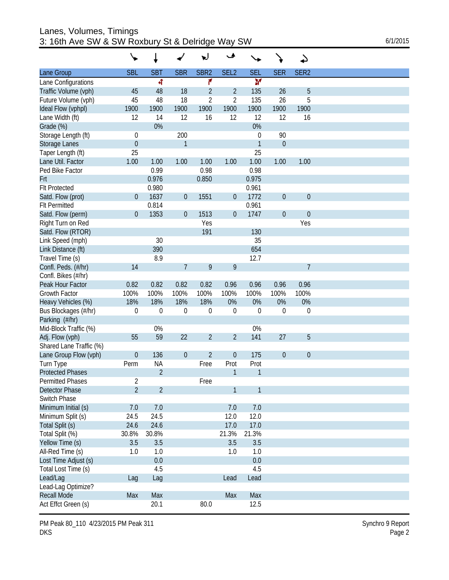| Lanes, Volumes, Timings                          |          |
|--------------------------------------------------|----------|
| 3: 16th Ave SW & SW Roxbury St & Delridge Way SW | 6/1/2015 |

| 6/1/2015 |  |
|----------|--|
|          |  |

|                         |                  |                |                  | w                | مح               |              |              | ↵                |  |
|-------------------------|------------------|----------------|------------------|------------------|------------------|--------------|--------------|------------------|--|
| Lane Group              | <b>SBL</b>       | <b>SBT</b>     | <b>SBR</b>       | SBR <sub>2</sub> | SEL <sub>2</sub> | <b>SEL</b>   | <b>SER</b>   | SER <sub>2</sub> |  |
| Lane Configurations     |                  | 4              |                  | ۴                |                  | M            |              |                  |  |
| Traffic Volume (vph)    | 45               | 48             | 18               | $\overline{2}$   | $\overline{2}$   | 135          | 26           | 5                |  |
| Future Volume (vph)     | 45               | 48             | 18               | $\overline{2}$   | $\overline{2}$   | 135          | 26           | 5                |  |
| Ideal Flow (vphpl)      | 1900             | 1900           | 1900             | 1900             | 1900             | 1900         | 1900         | 1900             |  |
| Lane Width (ft)         | 12               | 14             | 12               | 16               | 12               | 12           | 12           | 16               |  |
| Grade (%)               |                  | 0%             |                  |                  |                  | 0%           |              |                  |  |
| Storage Length (ft)     | 0                |                | 200              |                  |                  | 0            | 90           |                  |  |
| Storage Lanes           | $\mathbf 0$      |                | 1                |                  |                  | $\mathbf{1}$ | $\mathbf{0}$ |                  |  |
| Taper Length (ft)       | 25               |                |                  |                  |                  | 25           |              |                  |  |
| Lane Util. Factor       | 1.00             | 1.00           | 1.00             | 1.00             | 1.00             | 1.00         | 1.00         | 1.00             |  |
| Ped Bike Factor         |                  | 0.99           |                  | 0.98             |                  | 0.98         |              |                  |  |
| Frt                     |                  | 0.976          |                  | 0.850            |                  | 0.975        |              |                  |  |
| <b>Flt Protected</b>    |                  | 0.980          |                  |                  |                  | 0.961        |              |                  |  |
| Satd. Flow (prot)       | $\boldsymbol{0}$ | 1637           | $\boldsymbol{0}$ | 1551             | $\mathbf 0$      | 1772         | $\theta$     | $\theta$         |  |
| <b>Flt Permitted</b>    |                  | 0.814          |                  |                  |                  | 0.961        |              |                  |  |
| Satd. Flow (perm)       | $\boldsymbol{0}$ | 1353           | $\mathbf 0$      | 1513             | $\mathbf 0$      | 1747         | $\theta$     | $\theta$         |  |
| Right Turn on Red       |                  |                |                  | Yes              |                  |              |              | Yes              |  |
| Satd. Flow (RTOR)       |                  |                |                  | 191              |                  | 130          |              |                  |  |
| Link Speed (mph)        |                  | 30             |                  |                  |                  | 35           |              |                  |  |
| Link Distance (ft)      |                  | 390            |                  |                  |                  | 654          |              |                  |  |
| Travel Time (s)         |                  | 8.9            |                  |                  |                  | 12.7         |              |                  |  |
| Confl. Peds. (#/hr)     | 14               |                | $\overline{7}$   | 9                | 9                |              |              | $\overline{7}$   |  |
| Confl. Bikes (#/hr)     |                  |                |                  |                  |                  |              |              |                  |  |
| Peak Hour Factor        | 0.82             | 0.82           | 0.82             | 0.82             | 0.96             | 0.96         | 0.96         | 0.96             |  |
| Growth Factor           | 100%             | 100%           | 100%             | 100%             | 100%             | 100%         | 100%         | 100%             |  |
| Heavy Vehicles (%)      | 18%              | 18%            | 18%              | 18%              | 0%               | 0%           | 0%           | 0%               |  |
| Bus Blockages (#/hr)    | $\boldsymbol{0}$ | $\mathbf 0$    | $\boldsymbol{0}$ | $\boldsymbol{0}$ | $\mathbf 0$      | $\mathbf 0$  | $\mathbf 0$  | $\boldsymbol{0}$ |  |
| Parking (#/hr)          |                  |                |                  |                  |                  |              |              |                  |  |
| Mid-Block Traffic (%)   |                  | 0%             |                  |                  |                  | 0%           |              |                  |  |
| Adj. Flow (vph)         | 55               | 59             | 22               | $\overline{2}$   | $\overline{2}$   | 141          | 27           | 5                |  |
| Shared Lane Traffic (%) |                  |                |                  |                  |                  |              |              |                  |  |
| Lane Group Flow (vph)   | $\boldsymbol{0}$ | 136            | $\mathbf 0$      | $\overline{2}$   | $\mathbf 0$      | 175          | $\theta$     | $\theta$         |  |
| Turn Type               | Perm             | <b>NA</b>      |                  | Free             | Prot             | Prot         |              |                  |  |
| <b>Protected Phases</b> |                  | $\overline{2}$ |                  |                  | 1                | 1            |              |                  |  |
| <b>Permitted Phases</b> | $\overline{c}$   |                |                  | Free             |                  |              |              |                  |  |
| <b>Detector Phase</b>   | $\overline{2}$   | $\overline{2}$ |                  |                  | $\mathbf{1}$     | $\mathbf{1}$ |              |                  |  |
| Switch Phase            |                  |                |                  |                  |                  |              |              |                  |  |
| Minimum Initial (s)     | 7.0              | 7.0            |                  |                  | 7.0              | 7.0          |              |                  |  |
| Minimum Split (s)       | 24.5             | 24.5           |                  |                  | 12.0             | 12.0         |              |                  |  |
| Total Split (s)         | 24.6             | 24.6           |                  |                  | 17.0             | 17.0         |              |                  |  |
| Total Split (%)         | 30.8%            | 30.8%          |                  |                  | 21.3%            | 21.3%        |              |                  |  |
| Yellow Time (s)         | 3.5              | 3.5            |                  |                  | 3.5              | 3.5          |              |                  |  |
| All-Red Time (s)        | 1.0              | 1.0            |                  |                  | 1.0              | 1.0          |              |                  |  |
| Lost Time Adjust (s)    |                  | 0.0            |                  |                  |                  | 0.0          |              |                  |  |
| Total Lost Time (s)     |                  | 4.5            |                  |                  |                  | 4.5          |              |                  |  |
| Lead/Lag                | Lag              | Lag            |                  |                  | Lead             | Lead         |              |                  |  |
| Lead-Lag Optimize?      |                  |                |                  |                  |                  |              |              |                  |  |
| <b>Recall Mode</b>      | Max              | Max            |                  |                  | Max              | Max          |              |                  |  |
| Act Effct Green (s)     |                  | 20.1           |                  | 80.0             |                  | 12.5         |              |                  |  |

PM Peak 80\_110\_4/23/2015 PM Peak 311 Synchro 9 Report DKS Page 2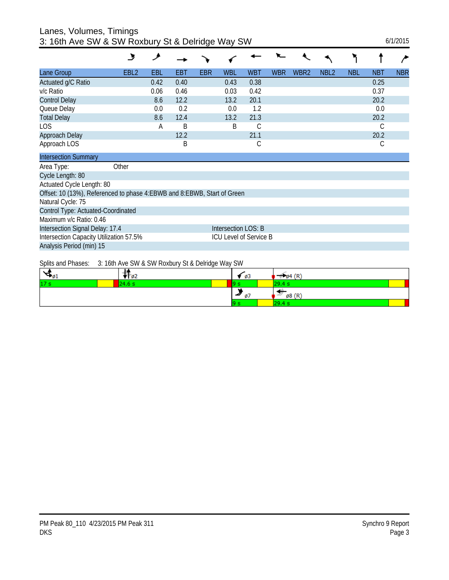## Lanes, Volumes, Timings 3: 16th Ave SW & SW Roxbury St & Delridge Way SW 6/1/2015

|                                                                           | ىل               | و    |      |            |                               |               |            |                  |                  |            |            |            |
|---------------------------------------------------------------------------|------------------|------|------|------------|-------------------------------|---------------|------------|------------------|------------------|------------|------------|------------|
| Lane Group                                                                | EBL <sub>2</sub> | EBL  | EBT  | <b>EBR</b> | <b>WBL</b>                    | <b>WBT</b>    | <b>WBR</b> | WBR <sub>2</sub> | NBL <sub>2</sub> | <b>NBL</b> | <b>NBT</b> | <b>NBR</b> |
| Actuated g/C Ratio                                                        |                  | 0.42 | 0.40 |            | 0.43                          | 0.38          |            |                  |                  |            | 0.25       |            |
| v/c Ratio                                                                 |                  | 0.06 | 0.46 |            | 0.03                          | 0.42          |            |                  |                  |            | 0.37       |            |
| <b>Control Delay</b>                                                      |                  | 8.6  | 12.2 |            | 13.2                          | 20.1          |            |                  |                  |            | 20.2       |            |
| Queue Delay                                                               |                  | 0.0  | 0.2  |            | 0.0                           | 1.2           |            |                  |                  |            | 0.0        |            |
| <b>Total Delay</b>                                                        |                  | 8.6  | 12.4 |            | 13.2                          | 21.3          |            |                  |                  |            | 20.2       |            |
| <b>LOS</b>                                                                |                  | А    | B    |            | B                             | $\mathcal{C}$ |            |                  |                  |            | С          |            |
| Approach Delay                                                            |                  |      | 12.2 |            |                               | 21.1          |            |                  |                  |            | 20.2       |            |
| Approach LOS                                                              |                  |      | B    |            |                               | С             |            |                  |                  |            | С          |            |
| <b>Intersection Summary</b>                                               |                  |      |      |            |                               |               |            |                  |                  |            |            |            |
| Area Type:                                                                | Other            |      |      |            |                               |               |            |                  |                  |            |            |            |
| Cycle Length: 80                                                          |                  |      |      |            |                               |               |            |                  |                  |            |            |            |
| Actuated Cycle Length: 80                                                 |                  |      |      |            |                               |               |            |                  |                  |            |            |            |
| Offset: 10 (13%), Referenced to phase 4: EBWB and 8: EBWB, Start of Green |                  |      |      |            |                               |               |            |                  |                  |            |            |            |
| Natural Cycle: 75                                                         |                  |      |      |            |                               |               |            |                  |                  |            |            |            |
| Control Type: Actuated-Coordinated                                        |                  |      |      |            |                               |               |            |                  |                  |            |            |            |
| Maximum v/c Ratio: 0.46                                                   |                  |      |      |            |                               |               |            |                  |                  |            |            |            |
| Intersection Signal Delay: 17.4                                           |                  |      |      |            | Intersection LOS: B           |               |            |                  |                  |            |            |            |
| Intersection Capacity Utilization 57.5%                                   |                  |      |      |            | <b>ICU Level of Service B</b> |               |            |                  |                  |            |            |            |
| Analysis Period (min) 15                                                  |                  |      |      |            |                               |               |            |                  |                  |            |            |            |

Splits and Phases: 3: 16th Ave SW & SW Roxbury St & Delridge Way SW

|                 | opho and massed. Or roth mo one a one homest jord bollage majori |      |                                       |
|-----------------|------------------------------------------------------------------|------|---------------------------------------|
| ுமட             | - 02                                                             | - 03 | (R)<br>- 04                           |
| 17 <sub>s</sub> |                                                                  |      |                                       |
|                 |                                                                  | - 2  | (R<br>ø8                              |
|                 |                                                                  |      | <b>The Contract Contract Contract</b> |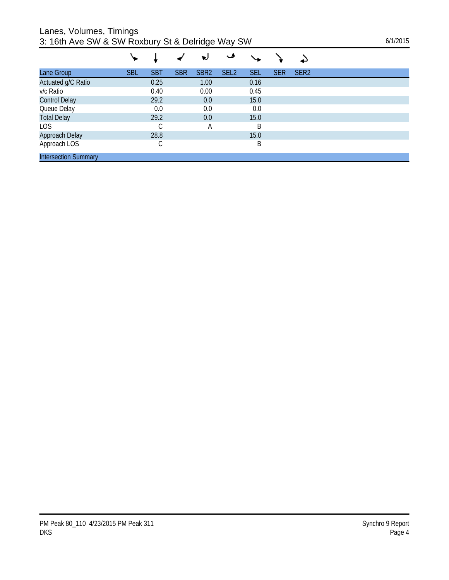Lanes, Volumes, Timings

| 3: 16th Ave SW & SW Roxbury St & Delridge Way SW | 6/1/2015 |
|--------------------------------------------------|----------|
|--------------------------------------------------|----------|

|                             |            |            |            | ν                | ◡                |            |            |                  |  |
|-----------------------------|------------|------------|------------|------------------|------------------|------------|------------|------------------|--|
| Lane Group                  | <b>SBL</b> | <b>SBT</b> | <b>SBR</b> | SBR <sub>2</sub> | SEL <sub>2</sub> | <b>SEL</b> | <b>SER</b> | SER <sub>2</sub> |  |
| Actuated g/C Ratio          |            | 0.25       |            | 1.00             |                  | 0.16       |            |                  |  |
| v/c Ratio                   |            | 0.40       |            | 0.00             |                  | 0.45       |            |                  |  |
| <b>Control Delay</b>        |            | 29.2       |            | 0.0              |                  | 15.0       |            |                  |  |
| Queue Delay                 |            | 0.0        |            | 0.0              |                  | 0.0        |            |                  |  |
| <b>Total Delay</b>          |            | 29.2       |            | 0.0              |                  | 15.0       |            |                  |  |
| LOS                         |            | С          |            | А                |                  | Β          |            |                  |  |
| Approach Delay              |            | 28.8       |            |                  |                  | 15.0       |            |                  |  |
| Approach LOS                |            | С          |            |                  |                  | Β          |            |                  |  |
| <b>Intersection Summary</b> |            |            |            |                  |                  |            |            |                  |  |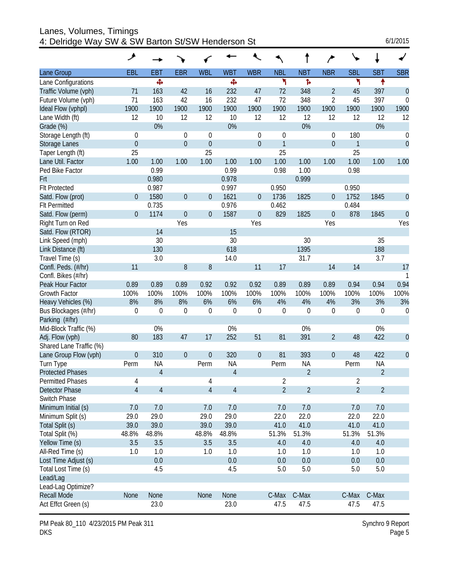| Lanes, Volumes, Timings<br>4: Delridge Way SW & SW Barton St/SW Henderson St |                  |                |                |                  |                |                  |                |                |                  |                |                  | 6/1/2015         |
|------------------------------------------------------------------------------|------------------|----------------|----------------|------------------|----------------|------------------|----------------|----------------|------------------|----------------|------------------|------------------|
|                                                                              | ۶                |                |                |                  |                |                  |                |                | ∕                |                |                  |                  |
| Lane Group                                                                   | EBL              | <b>EBT</b>     | <b>EBR</b>     | <b>WBL</b>       | <b>WBT</b>     | <b>WBR</b>       | <b>NBL</b>     | <b>NBT</b>     | <b>NBR</b>       | <b>SBL</b>     | <b>SBT</b>       | <b>SBR</b>       |
| Lane Configurations                                                          |                  | Ф              |                |                  | Ф              |                  | ۳              | Ъ              |                  | ۲              | ↟                |                  |
| Traffic Volume (vph)                                                         | 71               | 163            | 42             | 16               | 232            | 47               | 72             | 348            | $\overline{2}$   | 45             | 397              | $\theta$         |
| Future Volume (vph)                                                          | 71               | 163            | 42             | 16               | 232            | 47               | 72             | 348            | $\overline{2}$   | 45             | 397              | $\theta$         |
| Ideal Flow (vphpl)                                                           | 1900             | 1900           | 1900           | 1900             | 1900           | 1900             | 1900           | 1900           | 1900             | 1900           | 1900             | 1900             |
| Lane Width (ft)                                                              | 12               | 10             | 12             | 12               | 10             | 12               | 12             | 12             | 12               | 12             | 12               | 12               |
| Grade (%)                                                                    |                  | 0%             |                |                  | 0%             |                  |                | 0%             |                  |                | 0%               |                  |
| Storage Length (ft)                                                          | 0                |                | 0              | $\boldsymbol{0}$ |                | $\boldsymbol{0}$ | $\mathbf 0$    |                | 0                | 180            |                  | 0                |
| Storage Lanes                                                                | $\boldsymbol{0}$ |                | $\overline{0}$ | $\boldsymbol{0}$ |                | $\boldsymbol{0}$ | $\mathbf{1}$   |                | $\overline{0}$   | 1              |                  | $\theta$         |
| Taper Length (ft)                                                            | 25               |                |                | 25               |                |                  | 25             |                |                  | 25             |                  |                  |
| Lane Util. Factor                                                            | 1.00             | 1.00           | 1.00           | 1.00             | 1.00           | 1.00             | 1.00           | 1.00           | 1.00             | 1.00           | 1.00             | 1.00             |
| Ped Bike Factor                                                              |                  | 0.99           |                |                  | 0.99           |                  | 0.98           | 1.00           |                  | 0.98           |                  |                  |
| Frt                                                                          |                  | 0.980          |                |                  | 0.978          |                  |                | 0.999          |                  |                |                  |                  |
| <b>FIt Protected</b>                                                         |                  | 0.987          |                |                  | 0.997          |                  | 0.950          |                |                  | 0.950          |                  |                  |
| Satd. Flow (prot)                                                            | $\overline{0}$   | 1580           | $\mathbf 0$    | $\boldsymbol{0}$ | 1621           | $\boldsymbol{0}$ | 1736           | 1825           | $\overline{0}$   | 1752           | 1845             | $\mathbf 0$      |
| <b>Flt Permitted</b>                                                         |                  | 0.735          |                |                  | 0.976          |                  | 0.462          |                |                  | 0.484          |                  |                  |
| Satd. Flow (perm)                                                            | $\overline{0}$   | 1174           | $\mathbf 0$    | $\boldsymbol{0}$ | 1587           | $\boldsymbol{0}$ | 829            | 1825           | $\boldsymbol{0}$ | 878            | 1845             | $\mathbf 0$      |
| Right Turn on Red                                                            |                  |                | Yes            |                  |                | Yes              |                |                | Yes              |                |                  | Yes              |
| Satd. Flow (RTOR)                                                            |                  | 14             |                |                  | 15             |                  |                |                |                  |                |                  |                  |
| Link Speed (mph)                                                             |                  | 30             |                |                  | 30             |                  |                | 30             |                  |                | 35               |                  |
| Link Distance (ft)                                                           |                  | 130            |                |                  | 618            |                  |                | 1395           |                  |                | 188              |                  |
| Travel Time (s)                                                              |                  | 3.0            |                |                  | 14.0           |                  |                | 31.7           |                  |                | 3.7              |                  |
| Confl. Peds. (#/hr)                                                          | 11               |                | 8              | 8                |                | 11               | 17             |                | 14               | 14             |                  | 17               |
| Confl. Bikes (#/hr)                                                          |                  |                |                |                  |                |                  |                |                |                  |                |                  |                  |
| Peak Hour Factor                                                             | 0.89             | 0.89           | 0.89           | 0.92             | 0.92           | 0.92             | 0.89           | 0.89           | 0.89             | 0.94           | 0.94             | 0.94             |
| Growth Factor                                                                | 100%             | 100%           | 100%           | 100%             | 100%           | 100%             | 100%           | 100%           | 100%             | 100%           | 100%             | 100%             |
| Heavy Vehicles (%)                                                           | 8%               | 8%             | 8%             | 6%               | 6%             | 6%               | 4%             | 4%             | 4%               | 3%             | 3%               | 3%               |
| Bus Blockages (#/hr)                                                         | 0                | $\mathbf 0$    | 0              | $\theta$         | 0              | $\boldsymbol{0}$ | $\mathbf 0$    | $\mathbf 0$    | $\boldsymbol{0}$ | $\theta$       | $\boldsymbol{0}$ | $\boldsymbol{0}$ |
| Parking (#/hr)                                                               |                  |                |                |                  |                |                  |                |                |                  |                |                  |                  |
| Mid-Block Traffic (%)                                                        |                  | 0%             |                |                  | 0%             |                  |                | 0%             |                  |                | 0%               |                  |
| Adj. Flow (vph)                                                              | 80               | 183            | 47             | 17               | 252            | 51               | 81             | 391            | $\overline{2}$   | 48             | 422              | $\mathbf{0}$     |
| Shared Lane Traffic (%)                                                      |                  |                |                |                  |                |                  |                |                |                  |                |                  |                  |
| Lane Group Flow (vph)                                                        | $\boldsymbol{0}$ | 310            | $\overline{0}$ | 0                | 320            | $\boldsymbol{0}$ | 81             | 393            | $\mathbf 0$      | 48             | 422              | $\theta$         |
| Turn Type                                                                    | Perm             | <b>NA</b>      |                | Perm             | <b>NA</b>      |                  | Perm           | <b>NA</b>      |                  | Perm           | <b>NA</b>        |                  |
| <b>Protected Phases</b>                                                      |                  | $\overline{4}$ |                |                  | $\overline{4}$ |                  |                | $\overline{2}$ |                  |                | $\overline{2}$   |                  |
| <b>Permitted Phases</b>                                                      | 4                |                |                | 4                |                |                  | $\overline{2}$ |                |                  | 2              |                  |                  |
| Detector Phase                                                               | $\overline{4}$   | $\overline{4}$ |                | $\overline{4}$   | $\sqrt{4}$     |                  | $\overline{2}$ | $\overline{2}$ |                  | $\overline{2}$ | $\overline{2}$   |                  |
| Switch Phase                                                                 |                  |                |                |                  |                |                  |                |                |                  |                |                  |                  |
| Minimum Initial (s)                                                          | 7.0              | 7.0            |                | 7.0              | 7.0            |                  | 7.0            | 7.0            |                  | 7.0            | 7.0              |                  |
| Minimum Split (s)                                                            | 29.0             | 29.0           |                | 29.0             | 29.0           |                  | 22.0           | 22.0           |                  | 22.0           | 22.0             |                  |
| Total Split (s)                                                              | 39.0             | 39.0           |                | 39.0             | 39.0           |                  | 41.0           | 41.0           |                  | 41.0           | 41.0             |                  |
| Total Split (%)                                                              | 48.8%            | 48.8%          |                | 48.8%            | 48.8%          |                  | 51.3%          | 51.3%          |                  | 51.3%          | 51.3%            |                  |
| Yellow Time (s)                                                              | 3.5              | 3.5            |                | 3.5              | 3.5            |                  | 4.0            | 4.0            |                  | 4.0            | 4.0              |                  |
| All-Red Time (s)                                                             | 1.0              | 1.0            |                | 1.0              | 1.0            |                  | 1.0            | 1.0            |                  | 1.0            | 1.0              |                  |
| Lost Time Adjust (s)                                                         |                  | 0.0            |                |                  | 0.0            |                  | 0.0            | 0.0            |                  | 0.0            | 0.0              |                  |
| Total Lost Time (s)                                                          |                  | 4.5            |                |                  | 4.5            |                  | 5.0            | $5.0\,$        |                  | 5.0            | 5.0              |                  |
| Lead/Lag                                                                     |                  |                |                |                  |                |                  |                |                |                  |                |                  |                  |
| Lead-Lag Optimize?                                                           |                  |                |                |                  |                |                  |                |                |                  |                |                  |                  |
| <b>Recall Mode</b>                                                           | None             | None           |                | None             | None           |                  | C-Max          | C-Max          |                  | C-Max          | C-Max            |                  |
| Act Effct Green (s)                                                          |                  | 23.0           |                |                  | 23.0           |                  | 47.5           | 47.5           |                  | 47.5           | 47.5             |                  |

PM Peak 80\_110 4/23/2015 PM Peak 311 DKS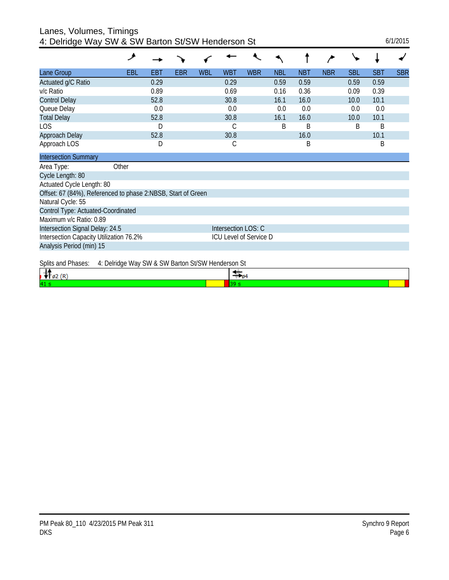| Lanes, Volumes, Timings                  |
|------------------------------------------|
| 4: Delridge Way SW & SW Barton St/SW Her |

| 4: Delridge Way SW & SW Barton St/SW Henderson St            | ۶          |      |            |     |                     |                        |            |            |            |            |            | 6/1/2015   |
|--------------------------------------------------------------|------------|------|------------|-----|---------------------|------------------------|------------|------------|------------|------------|------------|------------|
|                                                              |            |      |            |     |                     |                        |            |            |            |            |            |            |
| Lane Group                                                   | <b>EBL</b> | EBT  | <b>EBR</b> | WBL | <b>WBT</b>          | <b>WBR</b>             | <b>NBL</b> | <b>NBT</b> | <b>NBR</b> | <b>SBL</b> | <b>SBT</b> | <b>SBR</b> |
| Actuated g/C Ratio                                           |            | 0.29 |            |     | 0.29                |                        | 0.59       | 0.59       |            | 0.59       | 0.59       |            |
| v/c Ratio                                                    |            | 0.89 |            |     | 0.69                |                        | 0.16       | 0.36       |            | 0.09       | 0.39       |            |
| <b>Control Delay</b>                                         |            | 52.8 |            |     | 30.8                |                        | 16.1       | 16.0       |            | 10.0       | 10.1       |            |
| Queue Delay                                                  |            | 0.0  |            |     | 0.0                 |                        | 0.0        | 0.0        |            | 0.0        | 0.0        |            |
| <b>Total Delay</b>                                           |            | 52.8 |            |     | 30.8                |                        | 16.1       | 16.0       |            | 10.0       | 10.1       |            |
| <b>LOS</b>                                                   |            | D    |            |     | С                   |                        | B          | B          |            | B          | B          |            |
| Approach Delay                                               |            | 52.8 |            |     | 30.8                |                        |            | 16.0       |            |            | 10.1       |            |
| Approach LOS                                                 |            | D    |            |     | C                   |                        |            | Β          |            |            | B          |            |
| <b>Intersection Summary</b>                                  |            |      |            |     |                     |                        |            |            |            |            |            |            |
| Area Type:                                                   | Other      |      |            |     |                     |                        |            |            |            |            |            |            |
| Cycle Length: 80                                             |            |      |            |     |                     |                        |            |            |            |            |            |            |
| Actuated Cycle Length: 80                                    |            |      |            |     |                     |                        |            |            |            |            |            |            |
| Offset: 67 (84%), Referenced to phase 2:NBSB, Start of Green |            |      |            |     |                     |                        |            |            |            |            |            |            |
| Natural Cycle: 55                                            |            |      |            |     |                     |                        |            |            |            |            |            |            |
| Control Type: Actuated-Coordinated                           |            |      |            |     |                     |                        |            |            |            |            |            |            |
| Maximum v/c Ratio: 0.89                                      |            |      |            |     |                     |                        |            |            |            |            |            |            |
| Intersection Signal Delay: 24.5                              |            |      |            |     | Intersection LOS: C |                        |            |            |            |            |            |            |
| Intersection Capacity Utilization 76.2%                      |            |      |            |     |                     | ICU Level of Service D |            |            |            |            |            |            |
| Analysis Period (min) 15                                     |            |      |            |     |                     |                        |            |            |            |            |            |            |
|                                                              |            |      |            |     |                     |                        |            |            |            |            |            |            |

Splits and Phases: 4: Delridge Way SW & SW Barton St/SW Henderson St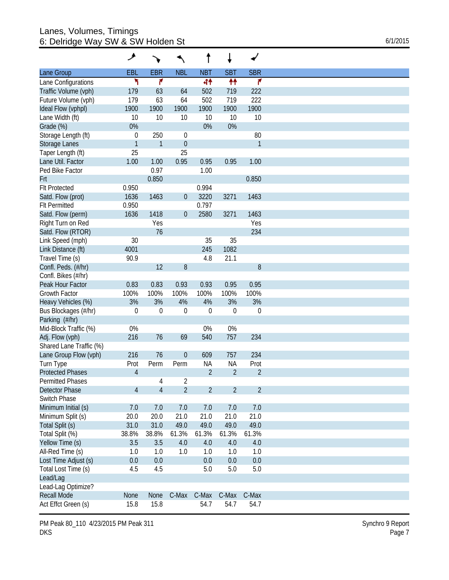#### Lanes, Volumes, Timings 6: Delridge Way SW & SW Holden St  $6/1/2015$

|                         | عر               |                  |                | t              | ↓              | $\blacktriangleright$ |
|-------------------------|------------------|------------------|----------------|----------------|----------------|-----------------------|
| Lane Group              | EBL              | <b>EBR</b>       | <b>NBL</b>     | <b>NBT</b>     | <b>SBT</b>     | <b>SBR</b>            |
| Lane Configurations     | ۲                | ۴                |                | 44             | ₩              | 7                     |
| Traffic Volume (vph)    | 179              | 63               | 64             | 502            | 719            | 222                   |
| Future Volume (vph)     | 179              | 63               | 64             | 502            | 719            | 222                   |
| Ideal Flow (vphpl)      | 1900             | 1900             | 1900           | 1900           | 1900           | 1900                  |
| Lane Width (ft)         | 10               | 10               | 10             | 10             | 10             | 10                    |
| Grade (%)               | 0%               |                  |                | 0%             | 0%             |                       |
| Storage Length (ft)     | $\boldsymbol{0}$ | 250              | $\mathbf 0$    |                |                | 80                    |
| Storage Lanes           | $\mathbf{1}$     | $\mathbf{1}$     | $\overline{0}$ |                |                | $\mathbf{1}$          |
| Taper Length (ft)       | 25               |                  | 25             |                |                |                       |
| Lane Util. Factor       | 1.00             | 1.00             | 0.95           | 0.95           | 0.95           | 1.00                  |
| Ped Bike Factor         |                  | 0.97             |                | 1.00           |                |                       |
|                         |                  | 0.850            |                |                |                | 0.850                 |
| Frt                     |                  |                  |                |                |                |                       |
| <b>Flt Protected</b>    | 0.950            |                  |                | 0.994          |                |                       |
| Satd. Flow (prot)       | 1636             | 1463             | $\overline{0}$ | 3220           | 3271           | 1463                  |
| <b>FIt Permitted</b>    | 0.950            |                  |                | 0.797          |                |                       |
| Satd. Flow (perm)       | 1636             | 1418             | $\theta$       | 2580           | 3271           | 1463                  |
| Right Turn on Red       |                  | Yes              |                |                |                | Yes                   |
| Satd. Flow (RTOR)       |                  | 76               |                |                |                | 234                   |
| Link Speed (mph)        | 30               |                  |                | 35             | 35             |                       |
| Link Distance (ft)      | 4001             |                  |                | 245            | 1082           |                       |
| Travel Time (s)         | 90.9             |                  |                | 4.8            | 21.1           |                       |
| Confl. Peds. (#/hr)     |                  | 12               | 8              |                |                | 8                     |
| Confl. Bikes (#/hr)     |                  |                  |                |                |                |                       |
| Peak Hour Factor        | 0.83             | 0.83             | 0.93           | 0.93           | 0.95           | 0.95                  |
| <b>Growth Factor</b>    | 100%             | 100%             | 100%           | 100%           | 100%           | 100%                  |
| Heavy Vehicles (%)      | 3%               | 3%               | 4%             | 4%             | 3%             | 3%                    |
| Bus Blockages (#/hr)    | $\boldsymbol{0}$ | $\boldsymbol{0}$ | $\theta$       | $\overline{0}$ | $\theta$       | $\boldsymbol{0}$      |
| Parking (#/hr)          |                  |                  |                |                |                |                       |
|                         |                  |                  |                |                |                |                       |
| Mid-Block Traffic (%)   | 0%               |                  |                | 0%             | 0%             |                       |
| Adj. Flow (vph)         | 216              | 76               | 69             | 540            | 757            | 234                   |
| Shared Lane Traffic (%) |                  |                  |                |                |                |                       |
| Lane Group Flow (vph)   | 216              | 76               | $\Omega$       | 609            | 757            | 234                   |
| Turn Type               | Prot             | Perm             | Perm           | <b>NA</b>      | <b>NA</b>      | Prot                  |
| <b>Protected Phases</b> | $\overline{4}$   |                  |                | $\overline{2}$ | $\overline{2}$ | $\overline{2}$        |
| Permitted Phases        |                  | 4                | 2              |                |                |                       |
| <b>Detector Phase</b>   | 4                | $\overline{4}$   | $\overline{2}$ | $\overline{2}$ | $\overline{2}$ | $\overline{2}$        |
| Switch Phase            |                  |                  |                |                |                |                       |
| Minimum Initial (s)     | 7.0              | 7.0              | 7.0            | 7.0            | 7.0            | 7.0                   |
| Minimum Split (s)       | 20.0             | 20.0             | 21.0           | 21.0           | 21.0           | 21.0                  |
| Total Split (s)         | 31.0             | 31.0             | 49.0           | 49.0           | 49.0           | 49.0                  |
| Total Split (%)         | 38.8%            | 38.8%            | 61.3%          | 61.3%          | 61.3%          | 61.3%                 |
| Yellow Time (s)         | 3.5              | 3.5              | 4.0            | 4.0            | 4.0            | 4.0                   |
| All-Red Time (s)        | 1.0              | 1.0              | 1.0            | 1.0            | 1.0            | 1.0                   |
| Lost Time Adjust (s)    | 0.0              | 0.0              |                | 0.0            | 0.0            | 0.0                   |
|                         |                  |                  |                |                |                |                       |
| Total Lost Time (s)     | 4.5              | 4.5              |                | 5.0            | 5.0            | 5.0                   |
| Lead/Lag                |                  |                  |                |                |                |                       |
| Lead-Lag Optimize?      |                  |                  |                |                |                |                       |
| <b>Recall Mode</b>      | None             | None             | C-Max          | C-Max          | C-Max          | C-Max                 |
| Act Effct Green (s)     | 15.8             | 15.8             |                | 54.7           | 54.7           | 54.7                  |

PM Peak 80\_110 4/23/2015 PM Peak 311 DKS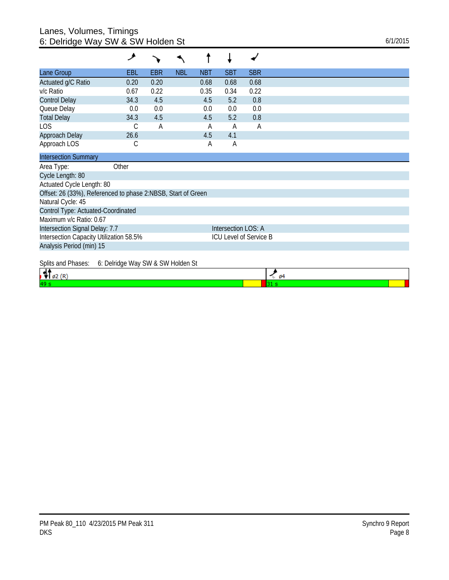### Lanes, Volumes, Timings 6: Delridge Way SW & SW Holden St  $6/1/2015$

|                                                              | عر                                |      |            |            |                        |            |
|--------------------------------------------------------------|-----------------------------------|------|------------|------------|------------------------|------------|
| Lane Group                                                   | EBL                               | EBR  | <b>NBL</b> | <b>NBT</b> | <b>SBT</b>             | <b>SBR</b> |
| Actuated g/C Ratio                                           | 0.20                              | 0.20 |            | 0.68       | 0.68                   | 0.68       |
| v/c Ratio                                                    | 0.67                              | 0.22 |            | 0.35       | 0.34                   | 0.22       |
| <b>Control Delay</b>                                         | 34.3                              | 4.5  |            | 4.5        | 5.2                    | 0.8        |
| Queue Delay                                                  | 0.0                               | 0.0  |            | 0.0        | 0.0                    | 0.0        |
| <b>Total Delay</b>                                           | 34.3                              | 4.5  |            | 4.5        | 5.2                    | 0.8        |
| LOS                                                          | С                                 | Α    |            | А          | A                      | A          |
| Approach Delay                                               | 26.6                              |      |            | 4.5        | 4.1                    |            |
| Approach LOS                                                 | С                                 |      |            | Α          | Α                      |            |
| <b>Intersection Summary</b>                                  |                                   |      |            |            |                        |            |
| Area Type:                                                   | Other                             |      |            |            |                        |            |
| Cycle Length: 80                                             |                                   |      |            |            |                        |            |
| Actuated Cycle Length: 80                                    |                                   |      |            |            |                        |            |
| Offset: 26 (33%), Referenced to phase 2:NBSB, Start of Green |                                   |      |            |            |                        |            |
| Natural Cycle: 45                                            |                                   |      |            |            |                        |            |
| Control Type: Actuated-Coordinated                           |                                   |      |            |            |                        |            |
| Maximum v/c Ratio: 0.67                                      |                                   |      |            |            |                        |            |
| Intersection Signal Delay: 7.7                               |                                   |      |            |            | Intersection LOS: A    |            |
| Intersection Capacity Utilization 58.5%                      |                                   |      |            |            | ICU Level of Service B |            |
| Analysis Period (min) 15                                     |                                   |      |            |            |                        |            |
| Splits and Phases:                                           | 6: Delridge Way SW & SW Holden St |      |            |            |                        |            |

| <u>Upino and indoose of Bollidge that Off a Off Holdon Of</u> | 64 |  |
|---------------------------------------------------------------|----|--|
| 40                                                            |    |  |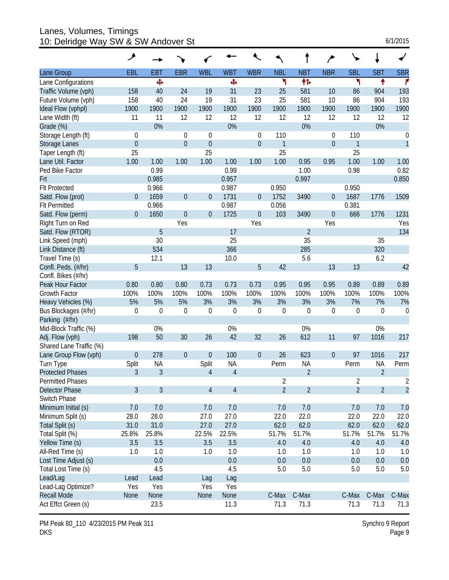Lanes, Volumes, Timings 10: Delridge Way SW & SW Andover St 6/1/2015

| 6/1/2015 |  |  |
|----------|--|--|
|          |  |  |

|                         | ۶              |                |                |                  |                |                  |                |                  |                  |                |                |                  |
|-------------------------|----------------|----------------|----------------|------------------|----------------|------------------|----------------|------------------|------------------|----------------|----------------|------------------|
| Lane Group              | EBL            | <b>EBT</b>     | <b>EBR</b>     | <b>WBL</b>       | <b>WBT</b>     | <b>WBR</b>       | <b>NBL</b>     | <b>NBT</b>       | <b>NBR</b>       | <b>SBL</b>     | <b>SBT</b>     | <b>SBR</b>       |
| Lane Configurations     |                | Ф              |                |                  | Ф              |                  | ۳              | 伟                |                  | ۲              | ۸              | r                |
| Traffic Volume (vph)    | 158            | 40             | 24             | 19               | 31             | 23               | 25             | 581              | 10               | 86             | 904            | 193              |
| Future Volume (vph)     | 158            | 40             | 24             | 19               | 31             | 23               | 25             | 581              | 10               | 86             | 904            | 193              |
| Ideal Flow (vphpl)      | 1900           | 1900           | 1900           | 1900             | 1900           | 1900             | 1900           | 1900             | 1900             | 1900           | 1900           | 1900             |
| Lane Width (ft)         | 11             | 11             | 12             | 12               | 12             | 12               | 12             | 12               | 12               | 12             | 12             | 12               |
| Grade (%)               |                | 0%             |                |                  | 0%             |                  |                | 0%               |                  |                | 0%             |                  |
| Storage Length (ft)     | $\theta$       |                | $\theta$       | 0                |                | 0                | 110            |                  | 0                | 110            |                | $\boldsymbol{0}$ |
| Storage Lanes           | $\mathbf 0$    |                | $\overline{0}$ | $\mathbf 0$      |                | $\boldsymbol{0}$ | 1              |                  | $\boldsymbol{0}$ | 1              |                | $\mathbf{1}$     |
| Taper Length (ft)       | 25             |                |                | 25               |                |                  | 25             |                  |                  | 25             |                |                  |
| Lane Util. Factor       | 1.00           | 1.00           | 1.00           | 1.00             | 1.00           | 1.00             | 1.00           | 0.95             | 0.95             | 1.00           | 1.00           | 1.00             |
| Ped Bike Factor         |                | 0.99           |                |                  | 0.99           |                  |                | 1.00             |                  | 0.98           |                | 0.82             |
| Frt                     |                | 0.985          |                |                  | 0.957          |                  |                | 0.997            |                  |                |                | 0.850            |
| <b>Flt Protected</b>    |                | 0.966          |                |                  | 0.987          |                  | 0.950          |                  |                  | 0.950          |                |                  |
| Satd. Flow (prot)       | $\overline{0}$ | 1659           | $\theta$       | $\overline{0}$   | 1731           | $\overline{0}$   | 1752           | 3490             | 0                | 1687           | 1776           | 1509             |
| <b>Flt Permitted</b>    |                | 0.966          |                |                  | 0.987          |                  | 0.056          |                  |                  | 0.381          |                |                  |
| Satd. Flow (perm)       | $\overline{0}$ | 1650           | $\theta$       | $\overline{0}$   | 1725           | $\boldsymbol{0}$ | 103            | 3490             | $\mathbf 0$      | 666            | 1776           | 1231             |
| Right Turn on Red       |                |                | Yes            |                  |                | Yes              |                |                  | Yes              |                |                | Yes              |
| Satd. Flow (RTOR)       |                | 5              |                |                  | 17             |                  |                | $\overline{2}$   |                  |                |                | 134              |
| Link Speed (mph)        |                | 30             |                |                  | 25             |                  |                | 35               |                  |                | 35             |                  |
| Link Distance (ft)      |                | 534            |                |                  | 366            |                  |                | 285              |                  |                | 320            |                  |
| Travel Time (s)         |                | 12.1           |                |                  | 10.0           |                  |                | 5.6              |                  |                | 6.2            |                  |
| Confl. Peds. (#/hr)     | 5              |                | 13             | 13               |                | 5                | 42             |                  | 13               | 13             |                | 42               |
| Confl. Bikes (#/hr)     |                |                |                |                  |                |                  |                |                  |                  |                |                |                  |
| Peak Hour Factor        | 0.80           | 0.80           | 0.80           | 0.73             | 0.73           | 0.73             | 0.95           | 0.95             | 0.95             | 0.89           | 0.89           | 0.89             |
| <b>Growth Factor</b>    | 100%           | 100%           | 100%           | 100%             | 100%           | 100%             | 100%           | 100%             | 100%             | 100%           | 100%           | 100%             |
| Heavy Vehicles (%)      | 5%             | 5%             | 5%             | 3%               | 3%             | 3%               | 3%             | 3%               | 3%               | 7%             | 7%             | 7%               |
| Bus Blockages (#/hr)    | $\mathbf 0$    | $\mathbf 0$    | $\mathbf 0$    | $\boldsymbol{0}$ | 0              | $\boldsymbol{0}$ | $\mathbf 0$    | $\boldsymbol{0}$ | $\boldsymbol{0}$ | $\mathbf 0$    | $\mathbf 0$    | $\overline{0}$   |
| Parking (#/hr)          |                |                |                |                  |                |                  |                |                  |                  |                |                |                  |
| Mid-Block Traffic (%)   |                | 0%             |                |                  | 0%             |                  |                | 0%               |                  |                | 0%             |                  |
| Adj. Flow (vph)         | 198            | 50             | 30             | 26               | 42             | 32               | 26             | 612              | 11               | 97             | 1016           | 217              |
| Shared Lane Traffic (%) |                |                |                |                  |                |                  |                |                  |                  |                |                |                  |
| Lane Group Flow (vph)   | $\mathbf{0}$   | 278            | $\theta$       | $\boldsymbol{0}$ | 100            | $\boldsymbol{0}$ | 26             | 623              | $\mathbf 0$      | 97             | 1016           | 217              |
| Turn Type               | Split          | <b>NA</b>      |                | Split            | <b>NA</b>      |                  | Perm           | <b>NA</b>        |                  | Perm           | <b>NA</b>      | Perm             |
| <b>Protected Phases</b> | 3              | $\overline{3}$ |                | $\sqrt{4}$       | $\overline{4}$ |                  |                | $\overline{2}$   |                  |                | $\overline{2}$ |                  |
| <b>Permitted Phases</b> |                |                |                |                  |                |                  | 2              |                  |                  | 2              |                | 2                |
| Detector Phase          | 3              | 3              |                | 4                | $\overline{4}$ |                  | $\overline{2}$ | $\overline{2}$   |                  | $\overline{2}$ | $\overline{2}$ | $\overline{2}$   |
| Switch Phase            |                |                |                |                  |                |                  |                |                  |                  |                |                |                  |
| Minimum Initial (s)     | 7.0            | 7.0            |                | 7.0              | 7.0            |                  | 7.0            | 7.0              |                  | 7.0            | 7.0            | 7.0              |
| Minimum Split (s)       | 28.0           | 28.0           |                | 27.0             | 27.0           |                  | 22.0           | 22.0             |                  | 22.0           | 22.0           | 22.0             |
| Total Split (s)         | 31.0           | 31.0           |                | 27.0             | 27.0           |                  | 62.0           | 62.0             |                  | 62.0           | 62.0           | 62.0             |
| Total Split (%)         | 25.8%          | 25.8%          |                | 22.5%            | 22.5%          |                  | 51.7%          | 51.7%            |                  | 51.7%          | 51.7%          | 51.7%            |
| Yellow Time (s)         | 3.5            | 3.5            |                | 3.5              | 3.5            |                  | 4.0            | 4.0              |                  | 4.0            | 4.0            | 4.0              |
| All-Red Time (s)        | 1.0            | 1.0            |                | 1.0              | 1.0            |                  | 1.0            | 1.0              |                  | 1.0            | 1.0            | 1.0              |
| Lost Time Adjust (s)    |                | 0.0            |                |                  | 0.0            |                  | 0.0            | 0.0              |                  | 0.0            | 0.0            | 0.0              |
| Total Lost Time (s)     |                | 4.5            |                |                  | 4.5            |                  | 5.0            | 5.0              |                  | 5.0            | 5.0            | 5.0              |
| Lead/Lag                | Lead           | Lead           |                | Lag              | Lag            |                  |                |                  |                  |                |                |                  |
| Lead-Lag Optimize?      | Yes            | Yes            |                | Yes              | Yes            |                  |                |                  |                  |                |                |                  |
| <b>Recall Mode</b>      | <b>None</b>    | None           |                | None             | None           |                  | C-Max          | C-Max            |                  | C-Max          | C-Max          | C-Max            |
| Act Effct Green (s)     |                | 23.5           |                |                  | 11.3           |                  | 71.3           | 71.3             |                  | 71.3           | 71.3           | 71.3             |

PM Peak 80\_110 4/23/2015 PM Peak 311 DKS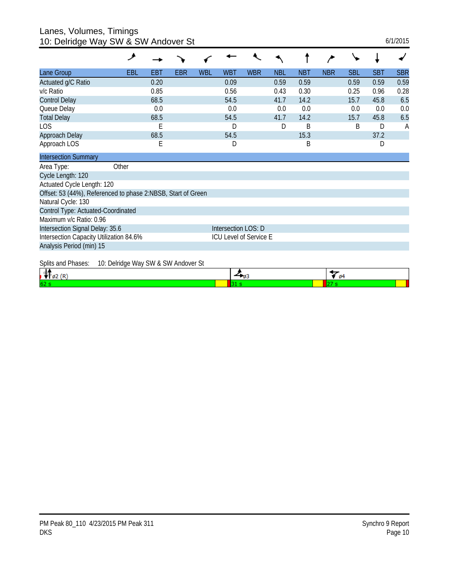Lanes, Volumes, Timings

| 10: Delridge Way SW & SW Andover St                          |                                     |      |     |            |                        |            |            |            |            |            |            | 6/1/2015   |
|--------------------------------------------------------------|-------------------------------------|------|-----|------------|------------------------|------------|------------|------------|------------|------------|------------|------------|
|                                                              | ۶                                   |      |     |            |                        |            |            |            |            |            |            |            |
| Lane Group                                                   | EBL                                 | EBT  | EBR | <b>WBL</b> | <b>WBT</b>             | <b>WBR</b> | <b>NBL</b> | <b>NBT</b> | <b>NBR</b> | <b>SBL</b> | <b>SBT</b> | <b>SBR</b> |
| Actuated g/C Ratio                                           |                                     | 0.20 |     |            | 0.09                   |            | 0.59       | 0.59       |            | 0.59       | 0.59       | 0.59       |
| v/c Ratio                                                    |                                     | 0.85 |     |            | 0.56                   |            | 0.43       | 0.30       |            | 0.25       | 0.96       | 0.28       |
| <b>Control Delay</b>                                         |                                     | 68.5 |     |            | 54.5                   |            | 41.7       | 14.2       |            | 15.7       | 45.8       | 6.5        |
| Queue Delay                                                  |                                     | 0.0  |     |            | 0.0                    |            | 0.0        | 0.0        |            | 0.0        | 0.0        | 0.0        |
| <b>Total Delay</b>                                           |                                     | 68.5 |     |            | 54.5                   |            | 41.7       | 14.2       |            | 15.7       | 45.8       | 6.5        |
| <b>LOS</b>                                                   |                                     | Ε    |     |            | D                      |            | D          | B          |            | B          | D          | A          |
| Approach Delay                                               |                                     | 68.5 |     |            | 54.5                   |            |            | 15.3       |            |            | 37.2       |            |
| Approach LOS                                                 |                                     | Е    |     |            | D                      |            |            | B          |            |            | D          |            |
| <b>Intersection Summary</b>                                  |                                     |      |     |            |                        |            |            |            |            |            |            |            |
| Area Type:                                                   | Other                               |      |     |            |                        |            |            |            |            |            |            |            |
| Cycle Length: 120                                            |                                     |      |     |            |                        |            |            |            |            |            |            |            |
| Actuated Cycle Length: 120                                   |                                     |      |     |            |                        |            |            |            |            |            |            |            |
| Offset: 53 (44%), Referenced to phase 2:NBSB, Start of Green |                                     |      |     |            |                        |            |            |            |            |            |            |            |
| Natural Cycle: 130                                           |                                     |      |     |            |                        |            |            |            |            |            |            |            |
| Control Type: Actuated-Coordinated                           |                                     |      |     |            |                        |            |            |            |            |            |            |            |
| Maximum v/c Ratio: 0.96                                      |                                     |      |     |            |                        |            |            |            |            |            |            |            |
| Intersection Signal Delay: 35.6                              |                                     |      |     |            | Intersection LOS: D    |            |            |            |            |            |            |            |
| Intersection Capacity Utilization 84.6%                      |                                     |      |     |            | ICU Level of Service E |            |            |            |            |            |            |            |
| Analysis Period (min) 15                                     |                                     |      |     |            |                        |            |            |            |            |            |            |            |
| Splits and Phases:                                           | 10: Delridge Way SW & SW Andover St |      |     |            |                        |            |            |            |            |            |            |            |

| . . | . . |
|-----|-----|
| 62  |     |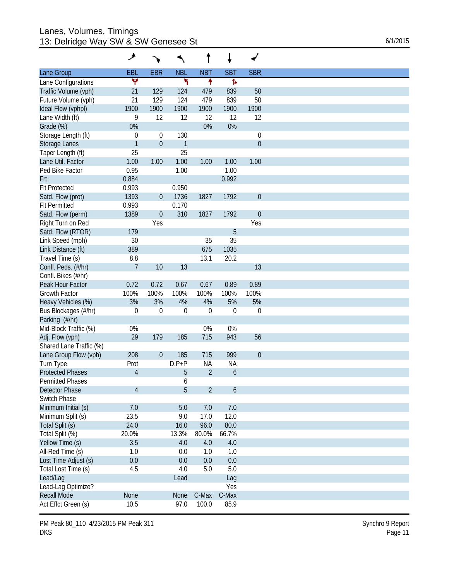#### Lanes, Volumes, Timings 13: Delridge Way SW & SW Genesee St 6/1/2015

|                         | عر               |                  |              | t              | ↓                |                  |
|-------------------------|------------------|------------------|--------------|----------------|------------------|------------------|
| Lane Group              | EBL              | <b>EBR</b>       | <b>NBL</b>   | <b>NBT</b>     | <b>SBT</b>       | <b>SBR</b>       |
| Lane Configurations     | Y                |                  | ۲            | ↟              | Ъ                |                  |
| Traffic Volume (vph)    | 21               | 129              | 124          | 479            | 839              | 50               |
| Future Volume (vph)     | 21               | 129              | 124          | 479            | 839              | 50               |
| Ideal Flow (vphpl)      | 1900             | 1900             | 1900         | 1900           | 1900             | 1900             |
| Lane Width (ft)         | 9                | 12               | 12           | 12             | 12               | 12               |
| Grade (%)               | 0%               |                  |              | 0%             | 0%               |                  |
| Storage Length (ft)     | $\boldsymbol{0}$ | 0                | 130          |                |                  | 0                |
| Storage Lanes           | $\mathbf{1}$     | $\boldsymbol{0}$ | $\mathbf{1}$ |                |                  | $\boldsymbol{0}$ |
| Taper Length (ft)       | 25               |                  | 25           |                |                  |                  |
| Lane Util. Factor       | 1.00             | 1.00             | 1.00         | 1.00           | 1.00             | 1.00             |
| Ped Bike Factor         | 0.95             |                  | 1.00         |                | 1.00             |                  |
|                         |                  |                  |              |                |                  |                  |
| Frt                     | 0.884            |                  |              |                | 0.992            |                  |
| <b>Flt Protected</b>    | 0.993            |                  | 0.950        |                |                  |                  |
| Satd. Flow (prot)       | 1393             | $\boldsymbol{0}$ | 1736         | 1827           | 1792             | $\boldsymbol{0}$ |
| <b>Flt Permitted</b>    | 0.993            |                  | 0.170        |                |                  |                  |
| Satd. Flow (perm)       | 1389             | $\boldsymbol{0}$ | 310          | 1827           | 1792             | $\boldsymbol{0}$ |
| Right Turn on Red       |                  | Yes              |              |                |                  | Yes              |
| Satd. Flow (RTOR)       | 179              |                  |              |                | 5                |                  |
| Link Speed (mph)        | 30               |                  |              | 35             | 35               |                  |
| Link Distance (ft)      | 389              |                  |              | 675            | 1035             |                  |
| Travel Time (s)         | 8.8              |                  |              | 13.1           | 20.2             |                  |
| Confl. Peds. (#/hr)     | $\overline{7}$   | 10               | 13           |                |                  | 13               |
| Confl. Bikes (#/hr)     |                  |                  |              |                |                  |                  |
| Peak Hour Factor        | 0.72             | 0.72             | 0.67         | 0.67           | 0.89             | 0.89             |
| Growth Factor           | 100%             | 100%             | 100%         | 100%           | 100%             | 100%             |
| Heavy Vehicles (%)      | 3%               | 3%               | 4%           | 4%             | 5%               | 5%               |
|                         | $\boldsymbol{0}$ | $\mathbf 0$      | $\theta$     | $\overline{0}$ | $\boldsymbol{0}$ | $\mathbf 0$      |
| Bus Blockages (#/hr)    |                  |                  |              |                |                  |                  |
| Parking (#/hr)          |                  |                  |              |                |                  |                  |
| Mid-Block Traffic (%)   | $0\%$            |                  |              | 0%             | 0%               |                  |
| Adj. Flow (vph)         | 29               | 179              | 185          | 715            | 943              | 56               |
| Shared Lane Traffic (%) |                  |                  |              |                |                  |                  |
| Lane Group Flow (vph)   | 208              | $\mathbf 0$      | 185          | 715            | 999              | $\boldsymbol{0}$ |
| Turn Type               | Prot             |                  | $D.P+P$      | <b>NA</b>      | <b>NA</b>        |                  |
| <b>Protected Phases</b> | $\overline{4}$   |                  | 5            | $\overline{2}$ | 6                |                  |
| Permitted Phases        |                  |                  | 6            |                |                  |                  |
| <b>Detector Phase</b>   | $\overline{4}$   |                  | 5            | $\overline{2}$ | 6                |                  |
| Switch Phase            |                  |                  |              |                |                  |                  |
| Minimum Initial (s)     | 7.0              |                  | 5.0          | 7.0            | 7.0              |                  |
| Minimum Split (s)       | 23.5             |                  | 9.0          | 17.0           | 12.0             |                  |
| Total Split (s)         | 24.0             |                  | 16.0         | 96.0           | 80.0             |                  |
| Total Split (%)         | 20.0%            |                  | 13.3%        | 80.0%          | 66.7%            |                  |
|                         | 3.5              |                  | 4.0          | 4.0            |                  |                  |
| Yellow Time (s)         |                  |                  |              |                | $4.0\,$          |                  |
| All-Red Time (s)        | 1.0              |                  | 0.0          | 1.0            | 1.0              |                  |
| Lost Time Adjust (s)    | 0.0              |                  | 0.0          | 0.0            | 0.0              |                  |
| Total Lost Time (s)     | 4.5              |                  | 4.0          | 5.0            | 5.0              |                  |
| Lead/Lag                |                  |                  | Lead         |                | Lag              |                  |
| Lead-Lag Optimize?      |                  |                  |              |                | Yes              |                  |
| <b>Recall Mode</b>      | <b>None</b>      |                  | None         | C-Max          | C-Max            |                  |
| Act Effct Green (s)     | 10.5             |                  | 97.0         | 100.0          | 85.9             |                  |

PM Peak 80\_110 4/23/2015 PM Peak 311 DKS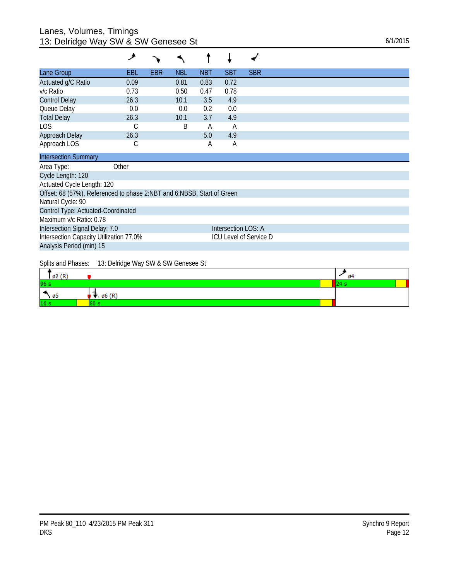## Lanes, Volumes, Timings 13: Delridge Way SW & SW Genesee St 6/1/2015

| EBL                        | <b>EBR</b> | <b>NBL</b> | <b>NBT</b> | <b>SBT</b> | <b>SBR</b>                                                             |
|----------------------------|------------|------------|------------|------------|------------------------------------------------------------------------|
| 0.09                       |            | 0.81       | 0.83       | 0.72       |                                                                        |
| 0.73                       |            | 0.50       | 0.47       | 0.78       |                                                                        |
| 26.3                       |            | 10.1       | 3.5        | 4.9        |                                                                        |
| 0.0                        |            | 0.0        | 0.2        | 0.0        |                                                                        |
| 26.3                       |            | 10.1       | 3.7        | 4.9        |                                                                        |
|                            |            | B          | A          | A          |                                                                        |
| 26.3                       |            |            | 5.0        | 4.9        |                                                                        |
| С                          |            |            | Α          | Α          |                                                                        |
|                            |            |            |            |            |                                                                        |
| Other                      |            |            |            |            |                                                                        |
|                            |            |            |            |            |                                                                        |
| Actuated Cycle Length: 120 |            |            |            |            |                                                                        |
|                            |            |            |            |            |                                                                        |
|                            |            |            |            |            |                                                                        |
|                            |            |            |            |            | Offset: 68 (57%), Referenced to phase 2:NBT and 6:NBSB, Start of Green |

Control Type: Actuated-Coordinated Maximum v/c Ratio: 0.78 Intersection Signal Delay: 7.0 Intersection LOS: A Intersection Capacity Utilization 77.0% ICU Level of Service D

Analysis Period (min) 15

#### Splits and Phases: 13: Delridge Way SW & SW Genesee St

| $\varnothing$ 2 (R) |                | ø4 |  |
|---------------------|----------------|----|--|
| 96s                 |                |    |  |
| -4.<br>כש י         | $\land$ ø6 (R) |    |  |
| 16 <sub>s</sub>     |                |    |  |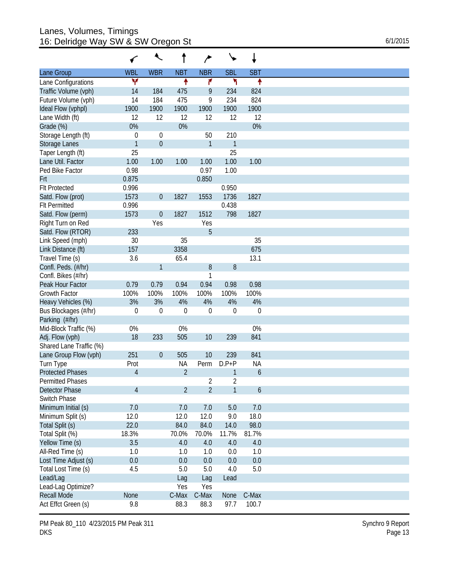#### Lanes, Volumes, Timings 16: Delridge Way SW & SW Oregon St 6/1/2015

|                         |                | ₹                |                |                  |                  | ↓           |
|-------------------------|----------------|------------------|----------------|------------------|------------------|-------------|
| Lane Group              | <b>WBL</b>     | <b>WBR</b>       | <b>NBT</b>     | <b>NBR</b>       | <b>SBL</b>       | <b>SBT</b>  |
| Lane Configurations     | ۷              |                  | ↟              | ۴                | ۲                | ↟           |
| Traffic Volume (vph)    | 14             | 184              | 475            | 9                | 234              | 824         |
| Future Volume (vph)     | 14             | 184              | 475            | 9                | 234              | 824         |
| Ideal Flow (vphpl)      | 1900           | 1900             | 1900           | 1900             | 1900             | 1900        |
| Lane Width (ft)         | 12             | 12               | 12             | 12               | 12               | 12          |
| Grade (%)               | 0%             |                  | 0%             |                  |                  | 0%          |
| Storage Length (ft)     | $\mathbf 0$    | 0                |                | 50               | 210              |             |
| Storage Lanes           | $\mathbf{1}$   | $\mathbf 0$      |                | 1                | $\mathbf{1}$     |             |
| Taper Length (ft)       | 25             |                  |                |                  | 25               |             |
| Lane Util. Factor       | 1.00           | 1.00             | 1.00           | 1.00             | 1.00             | 1.00        |
|                         |                |                  |                |                  |                  |             |
| Ped Bike Factor         | 0.98           |                  |                | 0.97             | 1.00             |             |
| Frt                     | 0.875          |                  |                | 0.850            |                  |             |
| <b>FIt Protected</b>    | 0.996          |                  |                |                  | 0.950            |             |
| Satd. Flow (prot)       | 1573           | $\boldsymbol{0}$ | 1827           | 1553             | 1736             | 1827        |
| <b>Flt Permitted</b>    | 0.996          |                  |                |                  | 0.438            |             |
| Satd. Flow (perm)       | 1573           | $\boldsymbol{0}$ | 1827           | 1512             | 798              | 1827        |
| Right Turn on Red       |                | Yes              |                | Yes              |                  |             |
| Satd. Flow (RTOR)       | 233            |                  |                | 5                |                  |             |
| Link Speed (mph)        | 30             |                  | 35             |                  |                  | 35          |
| Link Distance (ft)      | 157            |                  | 3358           |                  |                  | 675         |
| Travel Time (s)         | 3.6            |                  | 65.4           |                  |                  | 13.1        |
| Confl. Peds. (#/hr)     |                | 1                |                | $8\,$            | $\, 8$           |             |
| Confl. Bikes (#/hr)     |                |                  |                | 1                |                  |             |
| Peak Hour Factor        | 0.79           | 0.79             | 0.94           | 0.94             | 0.98             | 0.98        |
| <b>Growth Factor</b>    | 100%           | 100%             | 100%           | 100%             | 100%             | 100%        |
| Heavy Vehicles (%)      | 3%             | 3%               | 4%             | 4%               | 4%               | 4%          |
| Bus Blockages (#/hr)    | $\mathbf 0$    | $\mathbf 0$      | $\mathbf 0$    | $\boldsymbol{0}$ | $\boldsymbol{0}$ | $\mathbf 0$ |
| Parking (#/hr)          |                |                  |                |                  |                  |             |
| Mid-Block Traffic (%)   | 0%             |                  | 0%             |                  |                  | 0%          |
|                         | 18             | 233              | 505            |                  | 239              | 841         |
| Adj. Flow (vph)         |                |                  |                | 10               |                  |             |
| Shared Lane Traffic (%) |                |                  |                |                  |                  |             |
| Lane Group Flow (vph)   | 251            | $\boldsymbol{0}$ | 505            | 10               | 239              | 841         |
| Turn Type               | Prot           |                  | NA             | Perm             | $D.P+P$          | NA          |
| <b>Protected Phases</b> | 4              |                  | $\overline{2}$ |                  | 1                | 6           |
| <b>Permitted Phases</b> |                |                  |                | 2                | 2                |             |
| Detector Phase          | $\overline{4}$ |                  | $\overline{2}$ | $\overline{2}$   | 1                | 6           |
| Switch Phase            |                |                  |                |                  |                  |             |
| Minimum Initial (s)     | 7.0            |                  | 7.0            | 7.0              | 5.0              | 7.0         |
| Minimum Split (s)       | 12.0           |                  | 12.0           | 12.0             | 9.0              | 18.0        |
| Total Split (s)         | 22.0           |                  | 84.0           | 84.0             | 14.0             | 98.0        |
| Total Split (%)         | 18.3%          |                  | 70.0%          | 70.0%            | 11.7%            | 81.7%       |
| Yellow Time (s)         | 3.5            |                  | 4.0            | 4.0              | 4.0              | 4.0         |
| All-Red Time (s)        | 1.0            |                  | 1.0            | 1.0              | 0.0              | 1.0         |
| Lost Time Adjust (s)    | 0.0            |                  | 0.0            | 0.0              | 0.0              | 0.0         |
| Total Lost Time (s)     | 4.5            |                  | 5.0            | 5.0              | 4.0              | 5.0         |
|                         |                |                  |                |                  |                  |             |
| Lead/Lag                |                |                  | Lag            | Lag              | Lead             |             |
| Lead-Lag Optimize?      |                |                  | Yes            | Yes              |                  |             |
| <b>Recall Mode</b>      | None           |                  | C-Max          | C-Max            | None             | C-Max       |
| Act Effct Green (s)     | 9.8            |                  | 88.3           | 88.3             | 97.7             | 100.7       |

PM Peak 80\_110 4/23/2015 PM Peak 311 DKS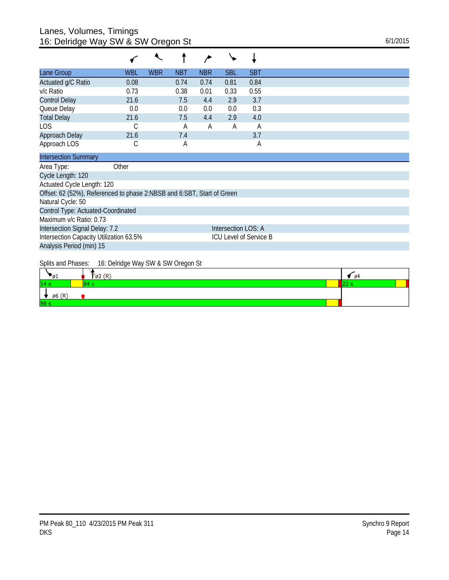## Lanes, Volumes, Timings 16: Delridge Way SW & SW Oregon St 6/1/2015

| Lane Group                                                             | <b>WBL</b> | <b>WBR</b> | <b>NBT</b> | <b>NBR</b> | <b>SBL</b>          | <b>SBT</b>                    |
|------------------------------------------------------------------------|------------|------------|------------|------------|---------------------|-------------------------------|
| Actuated g/C Ratio                                                     | 0.08       |            | 0.74       | 0.74       | 0.81                | 0.84                          |
| v/c Ratio                                                              | 0.73       |            | 0.38       | 0.01       | 0.33                | 0.55                          |
| <b>Control Delay</b>                                                   | 21.6       |            | 7.5        | 4.4        | 2.9                 | 3.7                           |
| Queue Delay                                                            | 0.0        |            | 0.0        | 0.0        | 0.0                 | 0.3                           |
| <b>Total Delay</b>                                                     | 21.6       |            | 7.5        | 4.4        | 2.9                 | 4.0                           |
| <b>LOS</b>                                                             | С          |            | Α          | Α          | A                   | A                             |
| Approach Delay                                                         | 21.6       |            | 7.4        |            |                     | 3.7                           |
| Approach LOS                                                           | С          |            | А          |            |                     | Α                             |
| <b>Intersection Summary</b>                                            |            |            |            |            |                     |                               |
| Area Type:                                                             | Other      |            |            |            |                     |                               |
| Cycle Length: 120                                                      |            |            |            |            |                     |                               |
| Actuated Cycle Length: 120                                             |            |            |            |            |                     |                               |
| Offset: 62 (52%), Referenced to phase 2:NBSB and 6:SBT, Start of Green |            |            |            |            |                     |                               |
| Natural Cycle: 50                                                      |            |            |            |            |                     |                               |
| Control Type: Actuated-Coordinated                                     |            |            |            |            |                     |                               |
| Maximum v/c Ratio: 0.73                                                |            |            |            |            |                     |                               |
| Intersection Signal Delay: 7.2                                         |            |            |            |            | Intersection LOS: A |                               |
| Intersection Capacity Utilization 63.5%                                |            |            |            |            |                     | <b>ICU Level of Service B</b> |
| Analysis Period (min) 15                                               |            |            |            |            |                     |                               |

Splits and Phases: 16: Delridge Way SW & SW Oregon St

| <b>P</b> 1        | $\mathfrak{g}_2(\mathbb{R})$ | $\sqrt{64}$ |  |
|-------------------|------------------------------|-------------|--|
| 14 s              |                              |             |  |
| $\emptyset$ 6 (R) |                              |             |  |
| 98 s              |                              |             |  |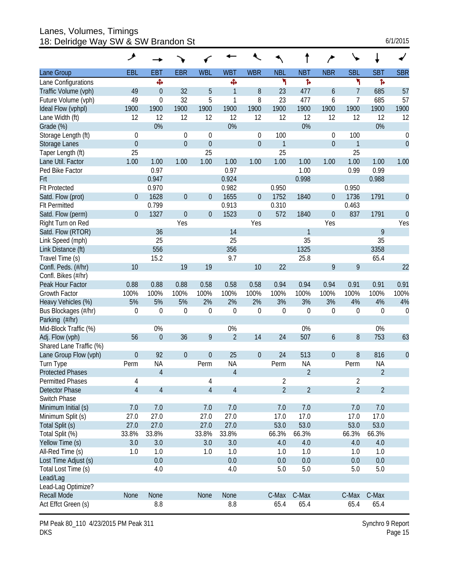#### Lanes, Volumes, Timings 18: Delridge Way SW & SW Brandon St 6/1/2015

|  | 6/1/2015 |
|--|----------|
|  |          |

|                         | ᢣ              |                  |                  |                |                  |                  |                |                  |                  |                |                |                  |
|-------------------------|----------------|------------------|------------------|----------------|------------------|------------------|----------------|------------------|------------------|----------------|----------------|------------------|
| Lane Group              | <b>EBL</b>     | EBT              | <b>EBR</b>       | <b>WBL</b>     | <b>WBT</b>       | <b>WBR</b>       | <b>NBL</b>     | <b>NBT</b>       | <b>NBR</b>       | <b>SBL</b>     | <b>SBT</b>     | <b>SBR</b>       |
| Lane Configurations     |                | Ф                |                  |                | Ф                |                  | ۲              | Ъ                |                  | ۲              | Ъ              |                  |
| Traffic Volume (vph)    | 49             | $\overline{0}$   | 32               | 5              | $\mathbf{1}$     | 8                | 23             | 477              | 6                | 7              | 685            | 57               |
| Future Volume (vph)     | 49             | 0                | 32               | 5              | 1                | 8                | 23             | 477              | 6                | 7              | 685            | 57               |
| Ideal Flow (vphpl)      | 1900           | 1900             | 1900             | 1900           | 1900             | 1900             | 1900           | 1900             | 1900             | 1900           | 1900           | 1900             |
| Lane Width (ft)         | 12             | 12               | 12               | 12             | 12               | 12               | 12             | 12               | 12               | 12             | 12             | 12               |
| Grade (%)               |                | 0%               |                  |                | 0%               |                  |                | 0%               |                  |                | 0%             |                  |
| Storage Length (ft)     | $\theta$       |                  | $\Omega$         | $\theta$       |                  | 0                | 100            |                  | $\theta$         | 100            |                | $\boldsymbol{0}$ |
| <b>Storage Lanes</b>    | $\theta$       |                  | $\overline{0}$   | $\theta$       |                  | $\boldsymbol{0}$ | 1              |                  | $\theta$         | 1              |                | $\mathbf 0$      |
| Taper Length (ft)       | 25             |                  |                  | 25             |                  |                  | 25             |                  |                  | 25             |                |                  |
| Lane Util. Factor       | 1.00           | 1.00             | 1.00             | 1.00           | 1.00             | 1.00             | 1.00           | 1.00             | 1.00             | 1.00           | 1.00           | 1.00             |
| Ped Bike Factor         |                | 0.97             |                  |                | 0.97             |                  |                | 1.00             |                  | 0.99           | 0.99           |                  |
| Frt                     |                | 0.947            |                  |                | 0.924            |                  |                | 0.998            |                  |                | 0.988          |                  |
| <b>Flt Protected</b>    |                | 0.970            |                  |                | 0.982            |                  | 0.950          |                  |                  | 0.950          |                |                  |
| Satd. Flow (prot)       | $\theta$       | 1628             | $\boldsymbol{0}$ | $\theta$       | 1655             | $\overline{0}$   | 1752           | 1840             | $\overline{0}$   | 1736           | 1791           | $\theta$         |
| <b>Flt Permitted</b>    |                | 0.799            |                  |                | 0.913            |                  | 0.310          |                  |                  | 0.463          |                |                  |
| Satd. Flow (perm)       | $\overline{0}$ | 1327             | $\theta$         | $\mathbf 0$    | 1523             | $\boldsymbol{0}$ | 572            | 1840             | $\mathbf{0}$     | 837            | 1791           | $\overline{0}$   |
| Right Turn on Red       |                |                  | Yes              |                |                  | Yes              |                |                  | Yes              |                |                | Yes              |
| Satd. Flow (RTOR)       |                | 36               |                  |                | 14               |                  |                | 1                |                  |                | 9              |                  |
| Link Speed (mph)        |                | 25               |                  |                | 25               |                  |                | 35               |                  |                | 35             |                  |
| Link Distance (ft)      |                | 556              |                  |                | 356              |                  |                | 1325             |                  |                | 3358           |                  |
| Travel Time (s)         |                | 15.2             |                  |                | 9.7              |                  |                | 25.8             |                  |                | 65.4           |                  |
| Confl. Peds. (#/hr)     | 10             |                  | 19               | 19             |                  | 10               | 22             |                  | 9                | 9              |                | 22               |
| Confl. Bikes (#/hr)     |                |                  |                  |                |                  |                  |                |                  |                  |                |                |                  |
| Peak Hour Factor        | 0.88           | 0.88             | 0.88             | 0.58           | 0.58             | 0.58             | 0.94           | 0.94             | 0.94             | 0.91           | 0.91           | 0.91             |
| <b>Growth Factor</b>    | 100%           | 100%             | 100%             | 100%           | 100%             | 100%             | 100%           | 100%             | 100%             | 100%           | 100%           | 100%             |
| Heavy Vehicles (%)      | 5%             | 5%               | 5%               | 2%             | 2%               | 2%               | 3%             | 3%               | 3%               | 4%             | 4%             | 4%               |
| Bus Blockages (#/hr)    | $\mathbf 0$    | $\mathbf 0$      | $\mathbf 0$      | $\mathbf 0$    | $\boldsymbol{0}$ | $\boldsymbol{0}$ | $\mathbf 0$    | $\boldsymbol{0}$ | $\boldsymbol{0}$ | 0              | $\mathbf 0$    | $\boldsymbol{0}$ |
| Parking (#/hr)          |                |                  |                  |                |                  |                  |                |                  |                  |                |                |                  |
| Mid-Block Traffic (%)   |                | 0%               |                  |                | 0%               |                  |                | 0%               |                  |                | 0%             |                  |
| Adj. Flow (vph)         | 56             | $\boldsymbol{0}$ | 36               | 9              | $\overline{2}$   | 14               | 24             | 507              | 6                | 8              | 753            | 63               |
| Shared Lane Traffic (%) |                |                  |                  |                |                  |                  |                |                  |                  |                |                |                  |
| Lane Group Flow (vph)   | $\theta$       | 92               | $\theta$         | $\theta$       | 25               | $\boldsymbol{0}$ | 24             | 513              | $\overline{0}$   | 8              | 816            | $\theta$         |
| Turn Type               | Perm           | <b>NA</b>        |                  | Perm           | <b>NA</b>        |                  | Perm           | <b>NA</b>        |                  | Perm           | <b>NA</b>      |                  |
| <b>Protected Phases</b> |                | $\overline{4}$   |                  |                | $\overline{4}$   |                  |                | $\overline{2}$   |                  |                | $\overline{2}$ |                  |
| <b>Permitted Phases</b> | 4              |                  |                  | 4              |                  |                  | 2              |                  |                  | 2              |                |                  |
| <b>Detector Phase</b>   | $\overline{4}$ | $\overline{4}$   |                  | $\overline{4}$ | $\overline{4}$   |                  | $\overline{2}$ | $\overline{2}$   |                  | $\overline{2}$ | $\overline{2}$ |                  |
| Switch Phase            |                |                  |                  |                |                  |                  |                |                  |                  |                |                |                  |
| Minimum Initial (s)     | 7.0            | 7.0              |                  | 7.0            | 7.0              |                  | 7.0            | 7.0              |                  | 7.0            | 7.0            |                  |
| Minimum Split (s)       | 27.0           | 27.0             |                  | 27.0           | 27.0             |                  | 17.0           | 17.0             |                  | 17.0           | 17.0           |                  |
| Total Split (s)         | 27.0           | 27.0             |                  | 27.0           | 27.0             |                  | 53.0           | 53.0             |                  | 53.0           | 53.0           |                  |
| Total Split (%)         | 33.8%          | 33.8%            |                  | 33.8%          | 33.8%            |                  | 66.3%          | 66.3%            |                  | 66.3%          | 66.3%          |                  |
| Yellow Time (s)         | 3.0            | 3.0              |                  | 3.0            | 3.0              |                  | 4.0            | 4.0              |                  | 4.0            | 4.0            |                  |
| All-Red Time (s)        | 1.0            | 1.0              |                  | 1.0            | 1.0              |                  | 1.0            | 1.0              |                  | 1.0            | 1.0            |                  |
| Lost Time Adjust (s)    |                | 0.0              |                  |                | 0.0              |                  | 0.0            | $0.0\,$          |                  | 0.0            | 0.0            |                  |
| Total Lost Time (s)     |                | 4.0              |                  |                | 4.0              |                  | 5.0            | 5.0              |                  | 5.0            | 5.0            |                  |
| Lead/Lag                |                |                  |                  |                |                  |                  |                |                  |                  |                |                |                  |
| Lead-Lag Optimize?      |                |                  |                  |                |                  |                  |                |                  |                  |                |                |                  |
| <b>Recall Mode</b>      | None           | None             |                  | None           | None             |                  | C-Max          | C-Max            |                  | C-Max          | C-Max          |                  |
| Act Effct Green (s)     |                | 8.8              |                  |                | 8.8              |                  | 65.4           | 65.4             |                  | 65.4           | 65.4           |                  |
|                         |                |                  |                  |                |                  |                  |                |                  |                  |                |                |                  |

PM Peak 80\_110 4/23/2015 PM Peak 311 DKS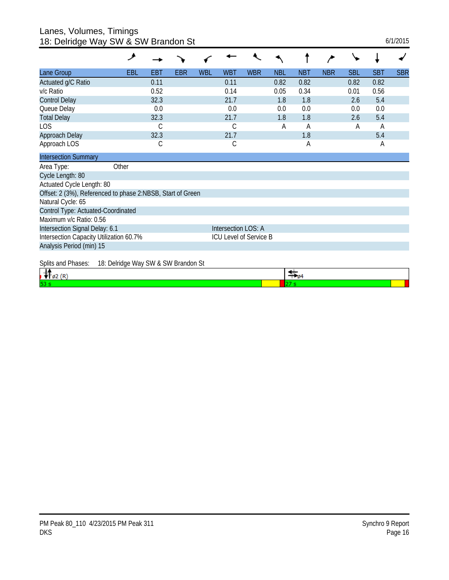#### Lanes, Volumes, Timings 18: Delridge Way SW & SW Brandon St 6/1/2015

|                                                            | io. Domago way ow a ow Brandon ol   |            |     |     |                        |            |            |            |            |            |            |            |
|------------------------------------------------------------|-------------------------------------|------------|-----|-----|------------------------|------------|------------|------------|------------|------------|------------|------------|
|                                                            | ᢣ                                   |            |     |     |                        |            |            |            |            |            |            |            |
| Lane Group                                                 | EBL                                 | <b>EBT</b> | EBR | WBL | <b>WBT</b>             | <b>WBR</b> | <b>NBL</b> | <b>NBT</b> | <b>NBR</b> | <b>SBL</b> | <b>SBT</b> | <b>SBR</b> |
| Actuated g/C Ratio                                         |                                     | 0.11       |     |     | 0.11                   |            | 0.82       | 0.82       |            | 0.82       | 0.82       |            |
| v/c Ratio                                                  |                                     | 0.52       |     |     | 0.14                   |            | 0.05       | 0.34       |            | 0.01       | 0.56       |            |
| <b>Control Delay</b>                                       |                                     | 32.3       |     |     | 21.7                   |            | 1.8        | 1.8        |            | 2.6        | 5.4        |            |
| Queue Delay                                                |                                     | 0.0        |     |     | 0.0                    |            | 0.0        | 0.0        |            | 0.0        | 0.0        |            |
| <b>Total Delay</b>                                         |                                     | 32.3       |     |     | 21.7                   |            | 1.8        | 1.8        |            | 2.6        | 5.4        |            |
| LOS                                                        |                                     | C          |     |     | С                      |            | A          | А          |            | A          | A          |            |
| Approach Delay                                             |                                     | 32.3       |     |     | 21.7                   |            |            | 1.8        |            |            | 5.4        |            |
| Approach LOS                                               |                                     | С          |     |     | С                      |            |            | А          |            |            | A          |            |
| <b>Intersection Summary</b>                                |                                     |            |     |     |                        |            |            |            |            |            |            |            |
| Area Type:                                                 | Other                               |            |     |     |                        |            |            |            |            |            |            |            |
| Cycle Length: 80                                           |                                     |            |     |     |                        |            |            |            |            |            |            |            |
| Actuated Cycle Length: 80                                  |                                     |            |     |     |                        |            |            |            |            |            |            |            |
| Offset: 2 (3%), Referenced to phase 2:NBSB, Start of Green |                                     |            |     |     |                        |            |            |            |            |            |            |            |
| Natural Cycle: 65                                          |                                     |            |     |     |                        |            |            |            |            |            |            |            |
| Control Type: Actuated-Coordinated                         |                                     |            |     |     |                        |            |            |            |            |            |            |            |
| Maximum v/c Ratio: 0.56                                    |                                     |            |     |     |                        |            |            |            |            |            |            |            |
| Intersection Signal Delay: 6.1                             |                                     |            |     |     | Intersection LOS: A    |            |            |            |            |            |            |            |
| Intersection Capacity Utilization 60.7%                    |                                     |            |     |     | ICU Level of Service B |            |            |            |            |            |            |            |
| Analysis Period (min) 15                                   |                                     |            |     |     |                        |            |            |            |            |            |            |            |
| Splits and Phases:                                         | 18: Delridge Way SW & SW Brandon St |            |     |     |                        |            |            |            |            |            |            |            |

| <b>JUILD ATIUT TRUSS.</b> | <b>10. Delituye Way JW &amp; JW Dialiumi Jt</b> |  |  |
|---------------------------|-------------------------------------------------|--|--|
|                           |                                                 |  |  |
| 53                        |                                                 |  |  |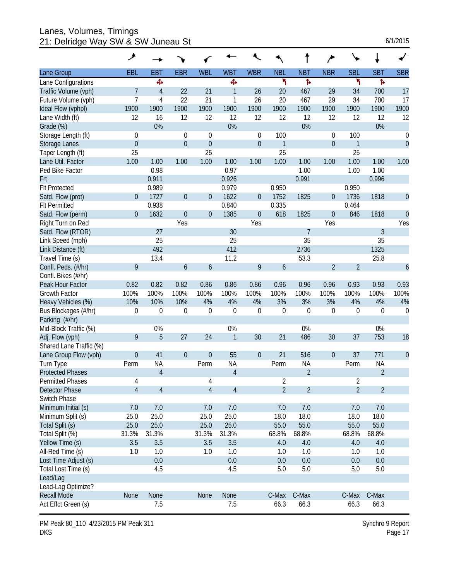Lanes, Volumes, Timings 21: Delridge Way SW & SW Juneau St 6/1/2015

| 6/1/2015 |  |  |
|----------|--|--|
|          |  |  |

|                         | ۶                |                |                  |                  |                |                  |                |                |                  |                  |                |                  |
|-------------------------|------------------|----------------|------------------|------------------|----------------|------------------|----------------|----------------|------------------|------------------|----------------|------------------|
| Lane Group              | <b>EBL</b>       | EBT            | <b>EBR</b>       | <b>WBL</b>       | <b>WBT</b>     | <b>WBR</b>       | <b>NBL</b>     | <b>NBT</b>     | <b>NBR</b>       | <b>SBL</b>       | <b>SBT</b>     | <b>SBR</b>       |
| Lane Configurations     |                  | Ф              |                  |                  | Ф              |                  | ۲              | ħ              |                  | ۳                | Þ              |                  |
| Traffic Volume (vph)    | 7                | $\overline{4}$ | 22               | 21               | $\mathbf{1}$   | 26               | 20             | 467            | 29               | 34               | 700            | 17               |
| Future Volume (vph)     | $\overline{1}$   | 4              | 22               | 21               | 1              | 26               | 20             | 467            | 29               | 34               | 700            | 17               |
| Ideal Flow (vphpl)      | 1900             | 1900           | 1900             | 1900             | 1900           | 1900             | 1900           | 1900           | 1900             | 1900             | 1900           | 1900             |
| Lane Width (ft)         | 12               | 16             | 12               | 12               | 12             | 12               | 12             | 12             | 12               | 12               | 12             | 12               |
| Grade (%)               |                  | 0%             |                  |                  | 0%             |                  |                | 0%             |                  |                  | 0%             |                  |
| Storage Length (ft)     | $\mathbf 0$      |                | $\mathbf 0$      | $\mathbf 0$      |                | 0                | 100            |                | 0                | 100              |                | $\boldsymbol{0}$ |
| <b>Storage Lanes</b>    | $\mathbf{0}$     |                | $\overline{0}$   | $\theta$         |                | $\boldsymbol{0}$ | $\mathbf{1}$   |                | $\overline{0}$   | 1                |                | $\mathbf 0$      |
| Taper Length (ft)       | 25               |                |                  | 25               |                |                  | 25             |                |                  | 25               |                |                  |
| Lane Util. Factor       | 1.00             | 1.00           | 1.00             | 1.00             | 1.00           | 1.00             | 1.00           | 1.00           | 1.00             | 1.00             | 1.00           | 1.00             |
| Ped Bike Factor         |                  | 0.98           |                  |                  | 0.97           |                  |                | 1.00           |                  | 1.00             | 1.00           |                  |
| Frt                     |                  | 0.911          |                  |                  | 0.926          |                  |                | 0.991          |                  |                  | 0.996          |                  |
| <b>Flt Protected</b>    |                  | 0.989          |                  |                  | 0.979          |                  | 0.950          |                |                  | 0.950            |                |                  |
| Satd. Flow (prot)       | $\overline{0}$   | 1727           | $\overline{0}$   | $\overline{0}$   | 1622           | $\boldsymbol{0}$ | 1752           | 1825           | $\mathbf 0$      | 1736             | 1818           | $\boldsymbol{0}$ |
| <b>Flt Permitted</b>    |                  | 0.938          |                  |                  | 0.840          |                  | 0.335          |                |                  | 0.464            |                |                  |
| Satd. Flow (perm)       | $\theta$         | 1632           | $\overline{0}$   | $\theta$         | 1385           | $\boldsymbol{0}$ | 618            | 1825           | $\mathbf 0$      | 846              | 1818           | $\theta$         |
| Right Turn on Red       |                  |                | Yes              |                  |                | Yes              |                |                | Yes              |                  |                | Yes              |
| Satd. Flow (RTOR)       |                  | 27             |                  |                  | 30             |                  |                | $\overline{7}$ |                  |                  | 3              |                  |
| Link Speed (mph)        |                  | 25             |                  |                  | 25             |                  |                | 35             |                  |                  | 35             |                  |
| Link Distance (ft)      |                  | 492            |                  |                  | 412            |                  |                | 2736           |                  |                  | 1325           |                  |
| Travel Time (s)         |                  | 13.4           |                  |                  | 11.2           |                  |                | 53.3           |                  |                  | 25.8           |                  |
| Confl. Peds. (#/hr)     | 9                |                | $\boldsymbol{6}$ | 6                |                | 9                | 6              |                | $\overline{2}$   | $\overline{2}$   |                | $\boldsymbol{6}$ |
| Confl. Bikes (#/hr)     |                  |                |                  |                  |                |                  |                |                |                  |                  |                |                  |
| Peak Hour Factor        | 0.82             | 0.82           | 0.82             | 0.86             | 0.86           | 0.86             | 0.96           | 0.96           | 0.96             | 0.93             | 0.93           | 0.93             |
| <b>Growth Factor</b>    | 100%             | 100%           | 100%             | 100%             | 100%           | 100%             | 100%           | 100%           | 100%             | 100%             | 100%           | 100%             |
| Heavy Vehicles (%)      | 10%              | 10%            | 10%              | 4%               | 4%             | 4%               | 3%             | 3%             | 3%               | 4%               | 4%             | 4%               |
| Bus Blockages (#/hr)    | $\boldsymbol{0}$ | 0              | $\mathbf 0$      | $\mathbf 0$      | $\mathbf 0$    | $\boldsymbol{0}$ | $\mathbf 0$    | $\mathbf 0$    | 0                | $\boldsymbol{0}$ | 0              | $\boldsymbol{0}$ |
| Parking (#/hr)          |                  |                |                  |                  |                |                  |                |                |                  |                  |                |                  |
| Mid-Block Traffic (%)   |                  | 0%             |                  |                  | 0%             |                  |                | 0%             |                  |                  | 0%             |                  |
| Adj. Flow (vph)         | 9                | 5              | 27               | 24               | $\mathbf{1}$   | 30               | 21             | 486            | 30               | 37               | 753            | 18               |
| Shared Lane Traffic (%) |                  |                |                  |                  |                |                  |                |                |                  |                  |                |                  |
| Lane Group Flow (vph)   | $\theta$         | 41             | $\theta$         | $\boldsymbol{0}$ | 55             | $\boldsymbol{0}$ | 21             | 516            | $\boldsymbol{0}$ | 37               | 771            | $\theta$         |
| Turn Type               | Perm             | <b>NA</b>      |                  | Perm             | <b>NA</b>      |                  | Perm           | <b>NA</b>      |                  | Perm             | <b>NA</b>      |                  |
| <b>Protected Phases</b> |                  | $\overline{4}$ |                  |                  | $\overline{4}$ |                  |                | $\overline{2}$ |                  |                  | $\overline{2}$ |                  |
| <b>Permitted Phases</b> | 4                |                |                  | 4                |                |                  | $\overline{2}$ |                |                  | $\sqrt{2}$       |                |                  |
| <b>Detector Phase</b>   | $\overline{4}$   | $\overline{4}$ |                  | $\overline{4}$   | $\overline{4}$ |                  | $\overline{2}$ | $\overline{2}$ |                  | $\overline{2}$   | $\overline{2}$ |                  |
| Switch Phase            |                  |                |                  |                  |                |                  |                |                |                  |                  |                |                  |
| Minimum Initial (s)     | 7.0              | 7.0            |                  | 7.0              | 7.0            |                  | 7.0            | 7.0            |                  | 7.0              | $7.0$          |                  |
| Minimum Split (s)       | 25.0             | 25.0           |                  | 25.0             | 25.0           |                  | 18.0           | 18.0           |                  | 18.0             | 18.0           |                  |
| Total Split (s)         | 25.0             | 25.0           |                  | 25.0             | 25.0           |                  | 55.0           | 55.0           |                  | 55.0             | 55.0           |                  |
| Total Split (%)         | 31.3%            | 31.3%          |                  | 31.3%            | 31.3%          |                  | 68.8%          | 68.8%          |                  | 68.8%            | 68.8%          |                  |
| Yellow Time (s)         | 3.5              | 3.5            |                  | 3.5              | 3.5            |                  | 4.0            | 4.0            |                  | 4.0              | 4.0            |                  |
| All-Red Time (s)        | 1.0              | 1.0            |                  | 1.0              | 1.0            |                  | 1.0            | 1.0            |                  | 1.0              | 1.0            |                  |
| Lost Time Adjust (s)    |                  | 0.0            |                  |                  | 0.0            |                  | 0.0            | 0.0            |                  | 0.0              | 0.0            |                  |
| Total Lost Time (s)     |                  | 4.5            |                  |                  | 4.5            |                  | 5.0            | 5.0            |                  | 5.0              | 5.0            |                  |
| Lead/Lag                |                  |                |                  |                  |                |                  |                |                |                  |                  |                |                  |
| Lead-Lag Optimize?      |                  |                |                  |                  |                |                  |                |                |                  |                  |                |                  |
| <b>Recall Mode</b>      | None             | None           |                  | None             | None           |                  | C-Max          | C-Max          |                  | C-Max            | C-Max          |                  |
| Act Effct Green (s)     |                  | 7.5            |                  |                  | 7.5            |                  | 66.3           | 66.3           |                  | 66.3             | 66.3           |                  |

PM Peak 80\_110 4/23/2015 PM Peak 311 DKS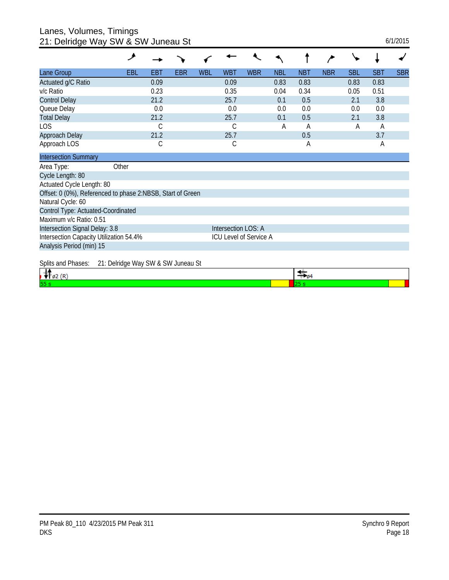# Lanes, Volumes, Timings

| 21: Delridge Way SW & SW Juneau St<br>6/1/2015                    |                                    |      |            |            |            |            |            |            |            |            |            |            |
|-------------------------------------------------------------------|------------------------------------|------|------------|------------|------------|------------|------------|------------|------------|------------|------------|------------|
|                                                                   | ᢣ                                  |      |            |            |            |            |            |            |            |            |            |            |
| Lane Group                                                        | EBL                                | EBT  | <b>EBR</b> | <b>WBL</b> | <b>WBT</b> | <b>WBR</b> | <b>NBL</b> | <b>NBT</b> | <b>NBR</b> | <b>SBL</b> | <b>SBT</b> | <b>SBR</b> |
| Actuated g/C Ratio                                                |                                    | 0.09 |            |            | 0.09       |            | 0.83       | 0.83       |            | 0.83       | 0.83       |            |
| v/c Ratio                                                         |                                    | 0.23 |            |            | 0.35       |            | 0.04       | 0.34       |            | 0.05       | 0.51       |            |
| <b>Control Delay</b>                                              |                                    | 21.2 |            |            | 25.7       |            | 0.1        | 0.5        |            | 2.1        | 3.8        |            |
| Queue Delay                                                       |                                    | 0.0  |            |            | 0.0        |            | 0.0        | 0.0        |            | 0.0        | 0.0        |            |
| <b>Total Delay</b>                                                |                                    | 21.2 |            |            | 25.7       |            | 0.1        | 0.5        |            | 2.1        | 3.8        |            |
| <b>LOS</b>                                                        |                                    | С    |            |            | С          |            | А          | A          |            | А          | A          |            |
| Approach Delay                                                    |                                    | 21.2 |            |            | 25.7       |            |            | 0.5        |            |            | 3.7        |            |
| Approach LOS                                                      |                                    | С    |            |            | С          |            |            | A          |            |            | A          |            |
| <b>Intersection Summary</b>                                       |                                    |      |            |            |            |            |            |            |            |            |            |            |
| Area Type:                                                        | Other                              |      |            |            |            |            |            |            |            |            |            |            |
| Cycle Length: 80                                                  |                                    |      |            |            |            |            |            |            |            |            |            |            |
| Actuated Cycle Length: 80                                         |                                    |      |            |            |            |            |            |            |            |            |            |            |
| Offset: 0 (0%), Referenced to phase 2:NBSB, Start of Green        |                                    |      |            |            |            |            |            |            |            |            |            |            |
| Natural Cycle: 60                                                 |                                    |      |            |            |            |            |            |            |            |            |            |            |
| Control Type: Actuated-Coordinated                                |                                    |      |            |            |            |            |            |            |            |            |            |            |
| Maximum v/c Ratio: 0.51                                           |                                    |      |            |            |            |            |            |            |            |            |            |            |
| Intersection Signal Delay: 3.8<br>Intersection LOS: A             |                                    |      |            |            |            |            |            |            |            |            |            |            |
| Intersection Capacity Utilization 54.4%<br>ICU Level of Service A |                                    |      |            |            |            |            |            |            |            |            |            |            |
| Analysis Period (min) 15                                          |                                    |      |            |            |            |            |            |            |            |            |            |            |
| Splits and Phases:                                                | 21: Delridge Way SW & SW Juneau St |      |            |            |            |            |            |            |            |            |            |            |

| <u> ophological en somago na jon a on oanoar ol</u> |  |
|-----------------------------------------------------|--|
| <b>ES</b>                                           |  |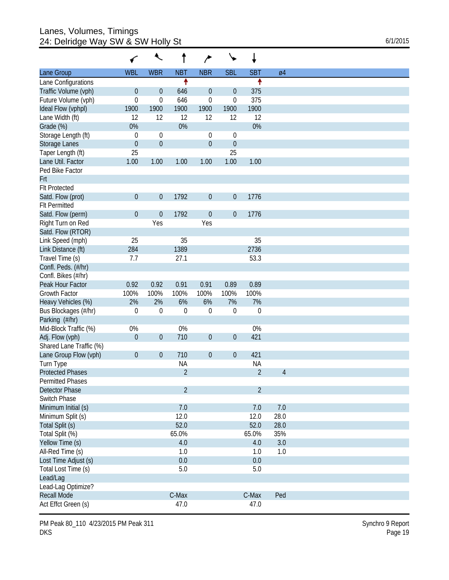## Lanes, Volumes, Timings 24: Delridge Way SW & SW Holly St 6/1/2015

|                         | ←                | ↖                |                | ∕                |                  | ↓              |                |  |
|-------------------------|------------------|------------------|----------------|------------------|------------------|----------------|----------------|--|
| Lane Group              | <b>WBL</b>       | <b>WBR</b>       | <b>NBT</b>     | <b>NBR</b>       | <b>SBL</b>       | <b>SBT</b>     | Ø4             |  |
| Lane Configurations     |                  |                  | ↟              |                  |                  | ↟              |                |  |
| Traffic Volume (vph)    | $\boldsymbol{0}$ | $\boldsymbol{0}$ | 646            | $\boldsymbol{0}$ | $\theta$         | 375            |                |  |
| Future Volume (vph)     | $\mathbf 0$      | $\mathbf 0$      | 646            | 0                | $\boldsymbol{0}$ | 375            |                |  |
| Ideal Flow (vphpl)      | 1900             | 1900             | 1900           | 1900             | 1900             | 1900           |                |  |
| Lane Width (ft)         | 12               | 12               | 12             | 12               | 12               | 12             |                |  |
| Grade (%)               | 0%               |                  | 0%             |                  |                  | 0%             |                |  |
| Storage Length (ft)     | $\mathbf 0$      | 0                |                | 0                | 0                |                |                |  |
| <b>Storage Lanes</b>    | $\mathbf{0}$     | $\boldsymbol{0}$ |                | $\boldsymbol{0}$ | $\boldsymbol{0}$ |                |                |  |
| Taper Length (ft)       | 25               |                  |                |                  | 25               |                |                |  |
| Lane Util. Factor       | 1.00             | 1.00             | 1.00           | 1.00             | 1.00             | 1.00           |                |  |
| Ped Bike Factor         |                  |                  |                |                  |                  |                |                |  |
| Frt                     |                  |                  |                |                  |                  |                |                |  |
| <b>Flt Protected</b>    |                  |                  |                |                  |                  |                |                |  |
| Satd. Flow (prot)       | $\mathbf{0}$     | $\boldsymbol{0}$ | 1792           | $\boldsymbol{0}$ | $\mathbf 0$      | 1776           |                |  |
| <b>Flt Permitted</b>    |                  |                  |                |                  |                  |                |                |  |
| Satd. Flow (perm)       | $\mathbf{0}$     | $\boldsymbol{0}$ | 1792           | $\boldsymbol{0}$ | $\mathbf 0$      | 1776           |                |  |
| Right Turn on Red       |                  | Yes              |                | Yes              |                  |                |                |  |
| Satd. Flow (RTOR)       |                  |                  |                |                  |                  |                |                |  |
| Link Speed (mph)        | 25               |                  | 35             |                  |                  | 35             |                |  |
| Link Distance (ft)      | 284              |                  | 1389           |                  |                  | 2736           |                |  |
| Travel Time (s)         | 7.7              |                  | 27.1           |                  |                  | 53.3           |                |  |
| Confl. Peds. (#/hr)     |                  |                  |                |                  |                  |                |                |  |
| Confl. Bikes (#/hr)     |                  |                  |                |                  |                  |                |                |  |
| Peak Hour Factor        | 0.92             | 0.92             | 0.91           | 0.91             | 0.89             | 0.89           |                |  |
| Growth Factor           | 100%             | 100%             | 100%           | 100%             | 100%             | 100%           |                |  |
| Heavy Vehicles (%)      | 2%               | 2%               | 6%             | 6%               | 7%               | 7%             |                |  |
| Bus Blockages (#/hr)    | $\mathbf 0$      | $\mathbf 0$      | $\mathbf{0}$   | $\mathbf 0$      | $\mathbf 0$      | $\mathbf 0$    |                |  |
| Parking (#/hr)          |                  |                  |                |                  |                  |                |                |  |
| Mid-Block Traffic (%)   | 0%               |                  | 0%             |                  |                  | 0%             |                |  |
| Adj. Flow (vph)         | $\mathbf 0$      | $\boldsymbol{0}$ | 710            | $\boldsymbol{0}$ | $\theta$         | 421            |                |  |
| Shared Lane Traffic (%) |                  |                  |                |                  |                  |                |                |  |
| Lane Group Flow (vph)   | $\boldsymbol{0}$ | $\boldsymbol{0}$ | 710            | $\boldsymbol{0}$ | $\boldsymbol{0}$ | 421            |                |  |
| Turn Type               |                  |                  | <b>NA</b>      |                  |                  | <b>NA</b>      |                |  |
| <b>Protected Phases</b> |                  |                  | $\overline{2}$ |                  |                  | $\overline{2}$ | $\overline{4}$ |  |
| Permitted Phases        |                  |                  |                |                  |                  |                |                |  |
| Detector Phase          |                  |                  | $\overline{2}$ |                  |                  | $\overline{2}$ |                |  |
| Switch Phase            |                  |                  |                |                  |                  |                |                |  |
| Minimum Initial (s)     |                  |                  | 7.0            |                  |                  | 7.0            | 7.0            |  |
| Minimum Split (s)       |                  |                  | 12.0           |                  |                  | 12.0           | 28.0           |  |
| Total Split (s)         |                  |                  | 52.0           |                  |                  | 52.0           | 28.0           |  |
| Total Split (%)         |                  |                  | 65.0%          |                  |                  | 65.0%          | 35%            |  |
| Yellow Time (s)         |                  |                  | 4.0            |                  |                  | 4.0            | 3.0            |  |
| All-Red Time (s)        |                  |                  | 1.0            |                  |                  | 1.0            | 1.0            |  |
| Lost Time Adjust (s)    |                  |                  | 0.0            |                  |                  | 0.0            |                |  |
| Total Lost Time (s)     |                  |                  | 5.0            |                  |                  | 5.0            |                |  |
| Lead/Lag                |                  |                  |                |                  |                  |                |                |  |
| Lead-Lag Optimize?      |                  |                  |                |                  |                  |                |                |  |
| Recall Mode             |                  |                  | C-Max          |                  |                  | C-Max          | Ped            |  |
| Act Effct Green (s)     |                  |                  | 47.0           |                  |                  | 47.0           |                |  |
|                         |                  |                  |                |                  |                  |                |                |  |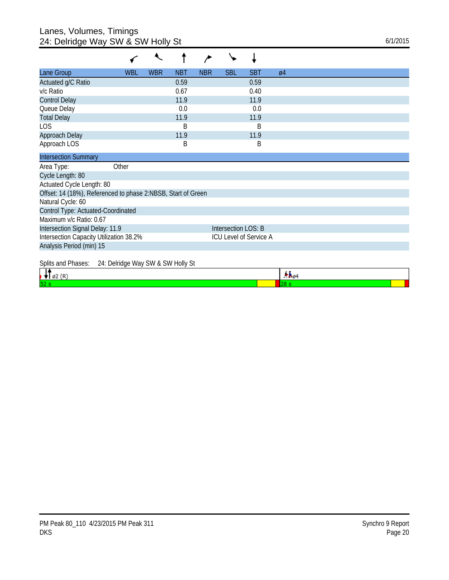## Lanes, Volumes, Timings 24: Delridge Way SW & SW Holly St 6/1/2015

| Lane Group                                                   | WBL                                                               | <b>WBR</b> | <b>NBT</b> | <b>NBR</b> | <b>SBL</b>          | <b>SBT</b> | $\varnothing$ 4 |  |  |
|--------------------------------------------------------------|-------------------------------------------------------------------|------------|------------|------------|---------------------|------------|-----------------|--|--|
| Actuated g/C Ratio                                           |                                                                   |            | 0.59       |            |                     | 0.59       |                 |  |  |
| v/c Ratio                                                    |                                                                   |            | 0.67       |            |                     | 0.40       |                 |  |  |
| <b>Control Delay</b>                                         |                                                                   |            | 11.9       |            |                     | 11.9       |                 |  |  |
| Queue Delay                                                  |                                                                   |            | 0.0        |            |                     | 0.0        |                 |  |  |
| <b>Total Delay</b>                                           |                                                                   |            | 11.9       |            |                     | 11.9       |                 |  |  |
| <b>LOS</b>                                                   |                                                                   |            | B          |            |                     | B          |                 |  |  |
| Approach Delay                                               |                                                                   |            | 11.9       |            |                     | 11.9       |                 |  |  |
| Approach LOS                                                 |                                                                   |            | B          |            |                     | B          |                 |  |  |
| <b>Intersection Summary</b>                                  |                                                                   |            |            |            |                     |            |                 |  |  |
| Area Type:                                                   | Other                                                             |            |            |            |                     |            |                 |  |  |
| Cycle Length: 80                                             |                                                                   |            |            |            |                     |            |                 |  |  |
| Actuated Cycle Length: 80                                    |                                                                   |            |            |            |                     |            |                 |  |  |
| Offset: 14 (18%), Referenced to phase 2:NBSB, Start of Green |                                                                   |            |            |            |                     |            |                 |  |  |
| Natural Cycle: 60                                            |                                                                   |            |            |            |                     |            |                 |  |  |
| Control Type: Actuated-Coordinated                           |                                                                   |            |            |            |                     |            |                 |  |  |
| Maximum v/c Ratio: 0.67                                      |                                                                   |            |            |            |                     |            |                 |  |  |
| Intersection Signal Delay: 11.9                              |                                                                   |            |            |            | Intersection LOS: B |            |                 |  |  |
|                                                              | Intersection Capacity Utilization 38.2%<br>ICU Level of Service A |            |            |            |                     |            |                 |  |  |
| Analysis Period (min) 15                                     |                                                                   |            |            |            |                     |            |                 |  |  |
| Splits and Phases:<br>24: Delridge Way SW & SW Holly St      |                                                                   |            |            |            |                     |            |                 |  |  |

|     |  | . |  |
|-----|--|---|--|
| le. |  |   |  |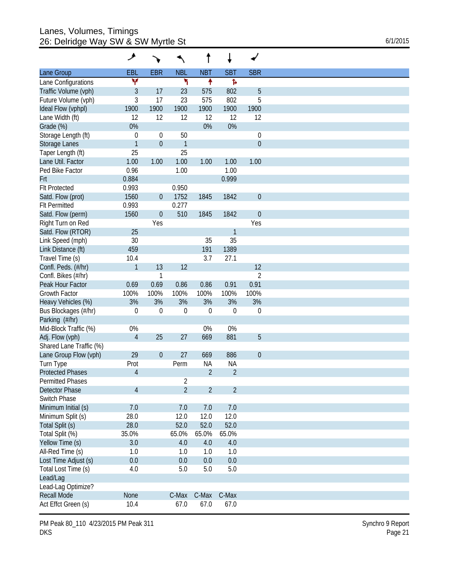## Lanes, Volumes, Timings 26: Delridge Way SW & SW Myrtle St 6/1/2015

|                                | ۶                |                  |                | t              |                |                  |
|--------------------------------|------------------|------------------|----------------|----------------|----------------|------------------|
| Lane Group                     | EBL              | <b>EBR</b>       | <b>NBL</b>     | <b>NBT</b>     | <b>SBT</b>     | <b>SBR</b>       |
| Lane Configurations            | ٧                |                  | ۲              | ۰              | Ъ              |                  |
| Traffic Volume (vph)           | $\mathfrak{Z}$   | 17               | 23             | 575            | 802            | $\overline{5}$   |
| Future Volume (vph)            | $\mathfrak{Z}$   | 17               | 23             | 575            | 802            | 5                |
| Ideal Flow (vphpl)             | 1900             | 1900             | 1900           | 1900           | 1900           | 1900             |
| Lane Width (ft)                | 12               | 12               | 12             | 12             | 12             | 12               |
| Grade (%)                      | 0%               |                  |                | 0%             | 0%             |                  |
| Storage Length (ft)            | $\boldsymbol{0}$ | $\mathbf 0$      | 50             |                |                | $\boldsymbol{0}$ |
| Storage Lanes                  | $\mathbf{1}$     | $\boldsymbol{0}$ | $\mathbf{1}$   |                |                | $\mathbf{0}$     |
| Taper Length (ft)              | 25               |                  | 25             |                |                |                  |
| Lane Util. Factor              | 1.00             | 1.00             | 1.00           | 1.00           | 1.00           | 1.00             |
| Ped Bike Factor                | 0.96             |                  | 1.00           |                | 1.00           |                  |
| Frt                            | 0.884            |                  |                |                | 0.999          |                  |
| <b>Flt Protected</b>           | 0.993            |                  | 0.950          |                |                |                  |
| Satd. Flow (prot)              | 1560             | $\boldsymbol{0}$ | 1752           | 1845           | 1842           | $\boldsymbol{0}$ |
| <b>Flt Permitted</b>           | 0.993            |                  | 0.277          |                |                |                  |
|                                |                  |                  |                |                |                |                  |
| Satd. Flow (perm)              | 1560             | $\boldsymbol{0}$ | 510            | 1845           | 1842           | $\boldsymbol{0}$ |
| Right Turn on Red              |                  | Yes              |                |                |                | Yes              |
| Satd. Flow (RTOR)              | 25               |                  |                |                | $\mathbf{1}$   |                  |
| Link Speed (mph)               | 30               |                  |                | 35             | 35             |                  |
| Link Distance (ft)             | 459              |                  |                | 191            | 1389           |                  |
| Travel Time (s)                | 10.4             |                  |                | 3.7            | 27.1           |                  |
| Confl. Peds. (#/hr)            | $\mathbf{1}$     | 13               | 12             |                |                | 12               |
| Confl. Bikes (#/hr)            |                  | 1                |                |                |                | $\overline{2}$   |
| Peak Hour Factor               | 0.69             | 0.69             | 0.86           | 0.86           | 0.91           | 0.91             |
| Growth Factor                  | 100%             | 100%             | 100%           | 100%           | 100%           | 100%             |
| Heavy Vehicles (%)             | 3%               | 3%               | 3%             | 3%             | 3%             | 3%               |
| Bus Blockages (#/hr)           | 0                | 0                | $\overline{0}$ | $\mathbf 0$    | $\theta$       | $\boldsymbol{0}$ |
| Parking (#/hr)                 |                  |                  |                |                |                |                  |
| Mid-Block Traffic (%)          | $0\%$            |                  |                | 0%             | $0\%$          |                  |
| Adj. Flow (vph)                | $\overline{4}$   | 25               | 27             | 669            | 881            | 5                |
| Shared Lane Traffic (%)        |                  |                  |                |                |                |                  |
| Lane Group Flow (vph)          | 29               | $\boldsymbol{0}$ | 27             | 669            | 886            | $\boldsymbol{0}$ |
| Turn Type                      | Prot             |                  | Perm           | <b>NA</b>      | <b>NA</b>      |                  |
| <b>Protected Phases</b>        | $\overline{4}$   |                  |                | $\overline{2}$ | $\overline{2}$ |                  |
| <b>Permitted Phases</b>        |                  |                  | $\sqrt{2}$     |                |                |                  |
| Detector Phase                 | $\overline{4}$   |                  | $\overline{2}$ | $\overline{2}$ | $\overline{2}$ |                  |
| Switch Phase                   |                  |                  |                |                |                |                  |
| Minimum Initial (s)            | 7.0              |                  | 7.0            | 7.0            | 7.0            |                  |
| Minimum Split (s)              | 28.0             |                  | 12.0           | 12.0           | 12.0           |                  |
| Total Split (s)                | 28.0             |                  | 52.0           | 52.0           | 52.0           |                  |
| Total Split (%)                | 35.0%            |                  | 65.0%          | 65.0%          | 65.0%          |                  |
| Yellow Time (s)                | 3.0              |                  | 4.0            | 4.0            | 4.0            |                  |
| All-Red Time (s)               | 1.0              |                  | 1.0            | 1.0            | 1.0            |                  |
| Lost Time Adjust (s)           | 0.0              |                  | 0.0            | 0.0            | 0.0            |                  |
| Total Lost Time (s)            | 4.0              |                  | 5.0            | 5.0            | 5.0            |                  |
|                                |                  |                  |                |                |                |                  |
| Lead/Lag<br>Lead-Lag Optimize? |                  |                  |                |                |                |                  |
| <b>Recall Mode</b>             | None             |                  | C-Max          | C-Max          | C-Max          |                  |
| Act Effct Green (s)            | 10.4             |                  | 67.0           | 67.0           | 67.0           |                  |
|                                |                  |                  |                |                |                |                  |

PM Peak 80\_110 4/23/2015 PM Peak 311 DKS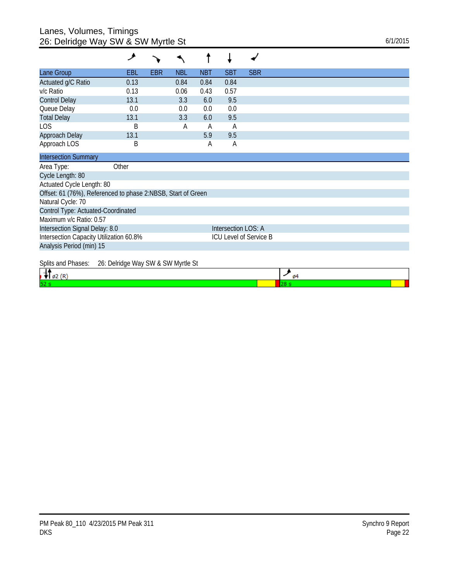## Lanes, Volumes, Timings 26: Delridge Way SW & SW Myrtle St 6/1/2015

|                                                              | فر    |            |            |            |                     |                               |
|--------------------------------------------------------------|-------|------------|------------|------------|---------------------|-------------------------------|
| Lane Group                                                   | EBL   | <b>EBR</b> | <b>NBL</b> | <b>NBT</b> | <b>SBT</b>          | <b>SBR</b>                    |
| Actuated g/C Ratio                                           | 0.13  |            | 0.84       | 0.84       | 0.84                |                               |
| v/c Ratio                                                    | 0.13  |            | 0.06       | 0.43       | 0.57                |                               |
| <b>Control Delay</b>                                         | 13.1  |            | 3.3        | 6.0        | 9.5                 |                               |
| Queue Delay                                                  | 0.0   |            | 0.0        | 0.0        | 0.0                 |                               |
| <b>Total Delay</b>                                           | 13.1  |            | 3.3        | 6.0        | 9.5                 |                               |
| <b>LOS</b>                                                   | B     |            | А          | A          | $\overline{A}$      |                               |
| Approach Delay                                               | 13.1  |            |            | 5.9        | 9.5                 |                               |
| Approach LOS                                                 | B     |            |            | A          | A                   |                               |
| <b>Intersection Summary</b>                                  |       |            |            |            |                     |                               |
| Area Type:                                                   | Other |            |            |            |                     |                               |
| Cycle Length: 80                                             |       |            |            |            |                     |                               |
| Actuated Cycle Length: 80                                    |       |            |            |            |                     |                               |
| Offset: 61 (76%), Referenced to phase 2:NBSB, Start of Green |       |            |            |            |                     |                               |
| Natural Cycle: 70                                            |       |            |            |            |                     |                               |
| Control Type: Actuated-Coordinated                           |       |            |            |            |                     |                               |
| Maximum v/c Ratio: 0.57                                      |       |            |            |            |                     |                               |
| Intersection Signal Delay: 8.0                               |       |            |            |            | Intersection LOS: A |                               |
| Intersection Capacity Utilization 60.8%                      |       |            |            |            |                     | <b>ICU Level of Service B</b> |
| Analysis Period (min) 15                                     |       |            |            |            |                     |                               |
|                                                              |       |            |            |            |                     |                               |

Splits and Phases: 26: Delridge Way SW & SW Myrtle St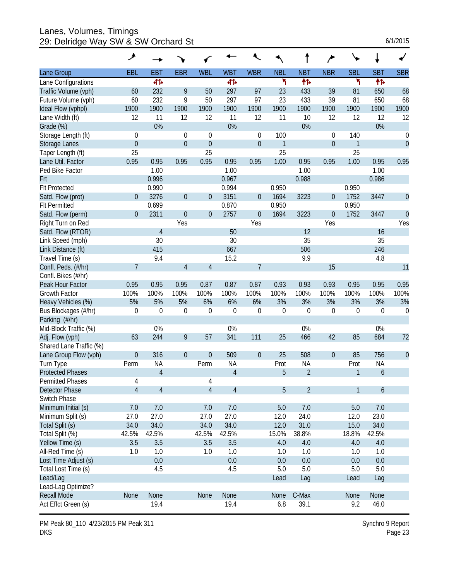Lanes, Volumes, Timings 29: Delridge Way SW & SW Orchard St 6/1/2015

| 6/1/2015 |
|----------|
|----------|

|                         | ۸              |                |                |                  |                |                  |             |                  |                  |                  |                  |                  |
|-------------------------|----------------|----------------|----------------|------------------|----------------|------------------|-------------|------------------|------------------|------------------|------------------|------------------|
| Lane Group              | EBL            | <b>EBT</b>     | <b>EBR</b>     | <b>WBL</b>       | <b>WBT</b>     | <b>WBR</b>       | <b>NBL</b>  | <b>NBT</b>       | <b>NBR</b>       | <b>SBL</b>       | <b>SBT</b>       | <b>SBR</b>       |
| Lane Configurations     |                | 41             |                |                  | 41             |                  | ۲           | 帏                |                  | ۲                | 怍                |                  |
| Traffic Volume (vph)    | 60             | 232            | 9              | 50               | 297            | 97               | 23          | 433              | 39               | 81               | 650              | 68               |
| Future Volume (vph)     | 60             | 232            | 9              | 50               | 297            | 97               | 23          | 433              | 39               | 81               | 650              | 68               |
| Ideal Flow (vphpl)      | 1900           | 1900           | 1900           | 1900             | 1900           | 1900             | 1900        | 1900             | 1900             | 1900             | 1900             | 1900             |
| Lane Width (ft)         | 12             | 11             | 12             | 12               | 11             | 12               | 11          | 10               | 12               | 12               | 12               | 12               |
| Grade (%)               |                | 0%             |                |                  | 0%             |                  |             | 0%               |                  |                  | 0%               |                  |
| Storage Length (ft)     | $\theta$       |                | $\theta$       | 0                |                | 0                | 100         |                  | 0                | 140              |                  | $\boldsymbol{0}$ |
| Storage Lanes           | $\mathbf 0$    |                | $\overline{0}$ | $\mathbf 0$      |                | $\boldsymbol{0}$ | 1           |                  | $\boldsymbol{0}$ | 1                |                  | $\mathbf{0}$     |
| Taper Length (ft)       | 25             |                |                | 25               |                |                  | 25          |                  |                  | 25               |                  |                  |
| Lane Util. Factor       | 0.95           | 0.95           | 0.95           | 0.95             | 0.95           | 0.95             | 1.00        | 0.95             | 0.95             | 1.00             | 0.95             | 0.95             |
| Ped Bike Factor         |                | 1.00           |                |                  | 1.00           |                  |             | 1.00             |                  |                  | 1.00             |                  |
| Frt                     |                | 0.996          |                |                  | 0.967          |                  |             | 0.988            |                  |                  | 0.986            |                  |
| <b>Flt Protected</b>    |                | 0.990          |                |                  | 0.994          |                  | 0.950       |                  |                  | 0.950            |                  |                  |
| Satd. Flow (prot)       | $\overline{0}$ | 3276           | $\theta$       | $\overline{0}$   | 3151           | $\boldsymbol{0}$ | 1694        | 3223             | 0                | 1752             | 3447             | $\theta$         |
| <b>FIt Permitted</b>    |                | 0.699          |                |                  | 0.870          |                  | 0.950       |                  |                  | 0.950            |                  |                  |
| Satd. Flow (perm)       | $\overline{0}$ | 2311           | $\theta$       | $\theta$         | 2757           | $\boldsymbol{0}$ | 1694        | 3223             | $\mathbf 0$      | 1752             | 3447             | $\overline{0}$   |
| Right Turn on Red       |                |                | Yes            |                  |                | Yes              |             |                  | Yes              |                  |                  | Yes              |
| Satd. Flow (RTOR)       |                | 4              |                |                  | 50             |                  |             | 12               |                  |                  | 16               |                  |
| Link Speed (mph)        |                | 30             |                |                  | 30             |                  |             | 35               |                  |                  | 35               |                  |
| Link Distance (ft)      |                | 415            |                |                  | 667            |                  |             | 506              |                  |                  | 246              |                  |
| Travel Time (s)         |                | 9.4            |                |                  | 15.2           |                  |             | 9.9              |                  |                  | 4.8              |                  |
| Confl. Peds. (#/hr)     | 7              |                | $\overline{4}$ | $\overline{4}$   |                | $\overline{7}$   |             |                  | 15               |                  |                  | 11               |
| Confl. Bikes (#/hr)     |                |                |                |                  |                |                  |             |                  |                  |                  |                  |                  |
| Peak Hour Factor        | 0.95           | 0.95           | 0.95           | 0.87             | 0.87           | 0.87             | 0.93        | 0.93             | 0.93             | 0.95             | 0.95             | 0.95             |
| Growth Factor           | 100%           | 100%           | 100%           | 100%             | 100%           | 100%             | 100%        | 100%             | 100%             | 100%             | 100%             | 100%             |
| Heavy Vehicles (%)      | 5%             | 5%             | 5%             | 6%               | 6%             | 6%               | 3%          | 3%               | 3%               | 3%               | 3%               | 3%               |
| Bus Blockages (#/hr)    | $\mathbf 0$    | $\mathbf 0$    | $\mathbf 0$    | $\boldsymbol{0}$ | 0              | $\boldsymbol{0}$ | $\mathbf 0$ | $\boldsymbol{0}$ | $\boldsymbol{0}$ | $\boldsymbol{0}$ | $\Omega$         | $\mathbf 0$      |
| Parking (#/hr)          |                |                |                |                  |                |                  |             |                  |                  |                  |                  |                  |
| Mid-Block Traffic (%)   |                | 0%             |                |                  | 0%             |                  |             | 0%               |                  |                  | 0%               |                  |
| Adj. Flow (vph)         | 63             | 244            | 9              | 57               | 341            | 111              | 25          | 466              | 42               | 85               | 684              | 72               |
| Shared Lane Traffic (%) |                |                |                |                  |                |                  |             |                  |                  |                  |                  |                  |
| Lane Group Flow (vph)   | $\mathbf{0}$   | 316            | $\theta$       | $\mathbf 0$      | 509            | $\boldsymbol{0}$ | 25          | 508              | $\boldsymbol{0}$ | 85               | 756              | $\theta$         |
| Turn Type               | Perm           | <b>NA</b>      |                | Perm             | <b>NA</b>      |                  | Prot        | <b>NA</b>        |                  | Prot             | <b>NA</b>        |                  |
| <b>Protected Phases</b> |                | $\overline{4}$ |                |                  | $\overline{4}$ |                  | 5           | $\overline{2}$   |                  | 1                | $\boldsymbol{6}$ |                  |
| <b>Permitted Phases</b> | 4              |                |                | 4                |                |                  |             |                  |                  |                  |                  |                  |
| Detector Phase          | $\overline{4}$ | 4              |                | $\sqrt{4}$       | $\overline{4}$ |                  | 5           | $\overline{2}$   |                  | $\mathbf{1}$     | $\boldsymbol{6}$ |                  |
| Switch Phase            |                |                |                |                  |                |                  |             |                  |                  |                  |                  |                  |
| Minimum Initial (s)     | 7.0            | 7.0            |                | 7.0              | 7.0            |                  | 5.0         | 7.0              |                  | 5.0              | 7.0              |                  |
| Minimum Split (s)       | 27.0           | 27.0           |                | 27.0             | 27.0           |                  | 12.0        | 24.0             |                  | 12.0             | 23.0             |                  |
| Total Split (s)         | 34.0           | 34.0           |                | 34.0             | 34.0           |                  | 12.0        | 31.0             |                  | 15.0             | 34.0             |                  |
| Total Split (%)         | 42.5%          | 42.5%          |                | 42.5%            | 42.5%          |                  | 15.0%       | 38.8%            |                  | 18.8%            | 42.5%            |                  |
| Yellow Time (s)         | 3.5            | 3.5            |                | 3.5              | 3.5            |                  | 4.0         | 4.0              |                  | 4.0              | 4.0              |                  |
| All-Red Time (s)        | 1.0            | 1.0            |                | 1.0              | 1.0            |                  | 1.0         | 1.0              |                  | 1.0              | 1.0              |                  |
| Lost Time Adjust (s)    |                | 0.0            |                |                  | 0.0            |                  | 0.0         | 0.0              |                  | 0.0              | 0.0              |                  |
| Total Lost Time (s)     |                | 4.5            |                |                  | 4.5            |                  | 5.0         | 5.0              |                  | 5.0              | 5.0              |                  |
| Lead/Lag                |                |                |                |                  |                |                  | Lead        | Lag              |                  | Lead             | Lag              |                  |
| Lead-Lag Optimize?      |                |                |                |                  |                |                  |             |                  |                  |                  |                  |                  |
| <b>Recall Mode</b>      | None           | None           |                | None             | None           |                  | None        | C-Max            |                  | None             | None             |                  |
| Act Effct Green (s)     |                | 19.4           |                |                  | 19.4           |                  | 6.8         | 39.1             |                  | 9.2              | 46.0             |                  |

PM Peak 80\_110 4/23/2015 PM Peak 311 DKS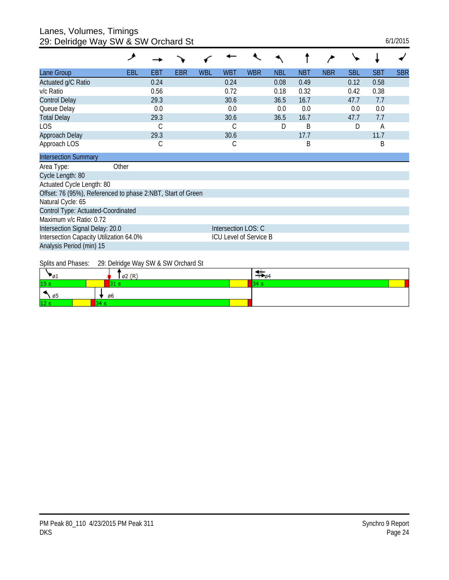#### Lanes, Volumes, Timings 29: Delridge Way SW & SW Orchard St 6/1/2015

| 0. Domago 11aj 011                                          |            |            |            |     |                        |            |            |            |            |            |            |            |
|-------------------------------------------------------------|------------|------------|------------|-----|------------------------|------------|------------|------------|------------|------------|------------|------------|
|                                                             | مر         |            |            |     |                        |            |            |            |            |            |            |            |
| Lane Group                                                  | <b>EBL</b> | <b>EBT</b> | <b>EBR</b> | WBL | <b>WBT</b>             | <b>WBR</b> | <b>NBL</b> | <b>NBT</b> | <b>NBR</b> | <b>SBL</b> | <b>SBT</b> | <b>SBR</b> |
| Actuated g/C Ratio                                          |            | 0.24       |            |     | 0.24                   |            | 0.08       | 0.49       |            | 0.12       | 0.58       |            |
| v/c Ratio                                                   |            | 0.56       |            |     | 0.72                   |            | 0.18       | 0.32       |            | 0.42       | 0.38       |            |
| <b>Control Delay</b>                                        |            | 29.3       |            |     | 30.6                   |            | 36.5       | 16.7       |            | 47.7       | 7.7        |            |
| Queue Delay                                                 |            | 0.0        |            |     | 0.0                    |            | 0.0        | 0.0        |            | 0.0        | 0.0        |            |
| <b>Total Delay</b>                                          |            | 29.3       |            |     | 30.6                   |            | 36.5       | 16.7       |            | 47.7       | 7.7        |            |
| LOS                                                         |            | С          |            |     | С                      |            | D          | B          |            | D          | A          |            |
| Approach Delay                                              |            | 29.3       |            |     | 30.6                   |            |            | 17.7       |            |            | 11.7       |            |
| Approach LOS                                                |            | С          |            |     | С                      |            |            | B          |            |            | B          |            |
| <b>Intersection Summary</b>                                 |            |            |            |     |                        |            |            |            |            |            |            |            |
| Area Type:                                                  | Other      |            |            |     |                        |            |            |            |            |            |            |            |
| Cycle Length: 80                                            |            |            |            |     |                        |            |            |            |            |            |            |            |
| Actuated Cycle Length: 80                                   |            |            |            |     |                        |            |            |            |            |            |            |            |
| Offset: 76 (95%), Referenced to phase 2:NBT, Start of Green |            |            |            |     |                        |            |            |            |            |            |            |            |
| Natural Cycle: 65                                           |            |            |            |     |                        |            |            |            |            |            |            |            |
| Control Type: Actuated-Coordinated                          |            |            |            |     |                        |            |            |            |            |            |            |            |
| Maximum v/c Ratio: 0.72                                     |            |            |            |     |                        |            |            |            |            |            |            |            |
| Intersection Signal Delay: 20.0                             |            |            |            |     | Intersection LOS: C    |            |            |            |            |            |            |            |
| Intersection Capacity Utilization 64.0%                     |            |            |            |     | ICU Level of Service B |            |            |            |            |            |            |            |
| Analysis Period (min) 15                                    |            |            |            |     |                        |            |            |            |            |            |            |            |
|                                                             |            |            |            |     |                        |            |            |            |            |            |            |            |

Splits and Phases: 29: Delridge Way SW & SW Orchard St

| __<br>$-61$                  | $\varnothing$ 2 (R) | $\frac{200}{94}$ |
|------------------------------|---------------------|------------------|
| 15 <sub>s</sub>              |                     |                  |
| $\ddot{\phantom{1}}$<br>ነ Ø5 | ø6                  |                  |
| 12 <sub>s</sub>              |                     |                  |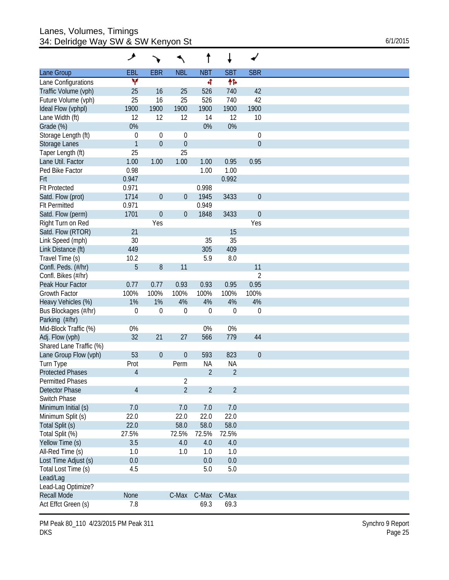## Lanes, Volumes, Timings 34: Delridge Way SW & SW Kenyon St 6/1/2015

|                         | حر               |                  |                  |                |                |                  |
|-------------------------|------------------|------------------|------------------|----------------|----------------|------------------|
| Lane Group              | <b>EBL</b>       | <b>EBR</b>       | <b>NBL</b>       | <b>NBT</b>     | <b>SBT</b>     | <b>SBR</b>       |
| Lane Configurations     | ۷                |                  |                  | 4              | 怍              |                  |
| Traffic Volume (vph)    | 25               | 16               | 25               | 526            | 740            | 42               |
| Future Volume (vph)     | 25               | 16               | 25               | 526            | 740            | 42               |
| Ideal Flow (vphpl)      | 1900             | 1900             | 1900             | 1900           | 1900           | 1900             |
| Lane Width (ft)         | 12               | 12               | 12               | 14             | 12             | 10               |
| Grade (%)               | 0%               |                  |                  | 0%             | 0%             |                  |
| Storage Length (ft)     | $\boldsymbol{0}$ | $\mathbf 0$      | 0                |                |                | $\boldsymbol{0}$ |
| Storage Lanes           | $\mathbf{1}$     | $\boldsymbol{0}$ | $\boldsymbol{0}$ |                |                | $\boldsymbol{0}$ |
| Taper Length (ft)       | 25               |                  | 25               |                |                |                  |
| Lane Util. Factor       | 1.00             | 1.00             | 1.00             | 1.00           | 0.95           | 0.95             |
| Ped Bike Factor         | 0.98             |                  |                  | 1.00           | 1.00           |                  |
| Frt                     | 0.947            |                  |                  |                | 0.992          |                  |
| <b>Flt Protected</b>    | 0.971            |                  |                  | 0.998          |                |                  |
| Satd. Flow (prot)       | 1714             | $\boldsymbol{0}$ | $\boldsymbol{0}$ | 1945           | 3433           | $\mathbf 0$      |
| <b>Flt Permitted</b>    | 0.971            |                  |                  | 0.949          |                |                  |
|                         |                  |                  |                  |                |                |                  |
| Satd. Flow (perm)       | 1701             | $\boldsymbol{0}$ | $\theta$         | 1848           | 3433           | $\mathbf{0}$     |
| Right Turn on Red       |                  | Yes              |                  |                |                | Yes              |
| Satd. Flow (RTOR)       | 21               |                  |                  |                | 15             |                  |
| Link Speed (mph)        | 30               |                  |                  | 35             | 35             |                  |
| Link Distance (ft)      | 449              |                  |                  | 305            | 409            |                  |
| Travel Time (s)         | 10.2             |                  |                  | 5.9            | 8.0            |                  |
| Confl. Peds. (#/hr)     | 5                | 8                | 11               |                |                | 11               |
| Confl. Bikes (#/hr)     |                  |                  |                  |                |                | $\overline{2}$   |
| Peak Hour Factor        | 0.77             | 0.77             | 0.93             | 0.93           | 0.95           | 0.95             |
| Growth Factor           | 100%             | 100%             | 100%             | 100%           | 100%           | 100%             |
| Heavy Vehicles (%)      | 1%               | 1%               | 4%               | 4%             | 4%             | 4%               |
| Bus Blockages (#/hr)    | $\boldsymbol{0}$ | $\mathbf 0$      | $\boldsymbol{0}$ | $\mathbf 0$    | $\mathbf 0$    | $\mathbf 0$      |
| Parking (#/hr)          |                  |                  |                  |                |                |                  |
| Mid-Block Traffic (%)   | $0\%$            |                  |                  | 0%             | 0%             |                  |
| Adj. Flow (vph)         | 32               | 21               | 27               | 566            | 779            | 44               |
| Shared Lane Traffic (%) |                  |                  |                  |                |                |                  |
| Lane Group Flow (vph)   | 53               | $\boldsymbol{0}$ | $\theta$         | 593            | 823            | $\boldsymbol{0}$ |
| Turn Type               | Prot             |                  | Perm             | <b>NA</b>      | <b>NA</b>      |                  |
| <b>Protected Phases</b> | $\overline{4}$   |                  |                  | $\overline{2}$ | $\overline{2}$ |                  |
| Permitted Phases        |                  |                  | $\overline{2}$   |                |                |                  |
| <b>Detector Phase</b>   | $\overline{4}$   |                  | $\overline{2}$   | $\overline{2}$ | $\overline{2}$ |                  |
| Switch Phase            |                  |                  |                  |                |                |                  |
| Minimum Initial (s)     | 7.0              |                  | 7.0              | 7.0            | 7.0            |                  |
| Minimum Split (s)       | 22.0             |                  | 22.0             | 22.0           | 22.0           |                  |
| Total Split (s)         | 22.0             |                  | 58.0             | 58.0           | 58.0           |                  |
| Total Split (%)         | 27.5%            |                  | 72.5%            | 72.5%          | 72.5%          |                  |
|                         |                  |                  |                  |                |                |                  |
| Yellow Time (s)         | 3.5              |                  | 4.0              | 4.0            | 4.0            |                  |
| All-Red Time (s)        | 1.0              |                  | 1.0              | 1.0            | 1.0            |                  |
| Lost Time Adjust (s)    | 0.0              |                  |                  | 0.0            | 0.0            |                  |
| Total Lost Time (s)     | 4.5              |                  |                  | 5.0            | 5.0            |                  |
| Lead/Lag                |                  |                  |                  |                |                |                  |
| Lead-Lag Optimize?      |                  |                  |                  |                |                |                  |
| <b>Recall Mode</b>      | None             |                  | C-Max            | C-Max          | C-Max          |                  |
| Act Effct Green (s)     | 7.8              |                  |                  | 69.3           | 69.3           |                  |

PM Peak 80\_110 4/23/2015 PM Peak 311 DKS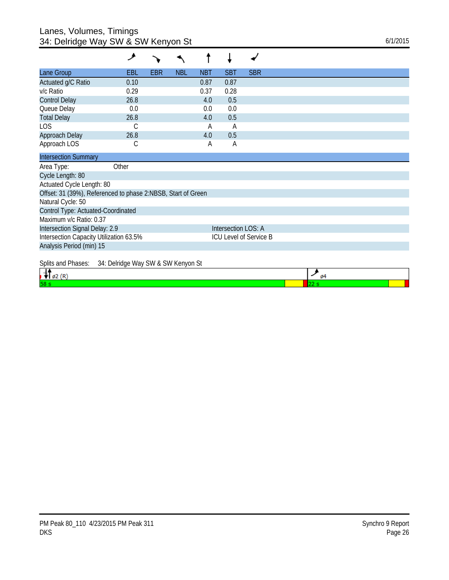## Lanes, Volumes, Timings 34: Delridge Way SW & SW Kenyon St 6/1/2015

|                                                              | عر    |            |            |            |                     |                        |
|--------------------------------------------------------------|-------|------------|------------|------------|---------------------|------------------------|
| Lane Group                                                   | EBL   | <b>EBR</b> | <b>NBL</b> | <b>NBT</b> | <b>SBT</b>          | <b>SBR</b>             |
| Actuated g/C Ratio                                           | 0.10  |            |            | 0.87       | 0.87                |                        |
| v/c Ratio                                                    | 0.29  |            |            | 0.37       | 0.28                |                        |
| <b>Control Delay</b>                                         | 26.8  |            |            | 4.0        | 0.5                 |                        |
| Queue Delay                                                  | 0.0   |            |            | 0.0        | 0.0                 |                        |
| <b>Total Delay</b>                                           | 26.8  |            |            | 4.0        | 0.5                 |                        |
| <b>LOS</b>                                                   | С     |            |            | A          | A                   |                        |
| Approach Delay                                               | 26.8  |            |            | 4.0        | 0.5                 |                        |
| Approach LOS                                                 | С     |            |            | A          | A                   |                        |
| <b>Intersection Summary</b>                                  |       |            |            |            |                     |                        |
| Area Type:                                                   | Other |            |            |            |                     |                        |
| Cycle Length: 80                                             |       |            |            |            |                     |                        |
| Actuated Cycle Length: 80                                    |       |            |            |            |                     |                        |
| Offset: 31 (39%), Referenced to phase 2:NBSB, Start of Green |       |            |            |            |                     |                        |
| Natural Cycle: 50                                            |       |            |            |            |                     |                        |
| Control Type: Actuated-Coordinated                           |       |            |            |            |                     |                        |
| Maximum v/c Ratio: 0.37                                      |       |            |            |            |                     |                        |
| Intersection Signal Delay: 2.9                               |       |            |            |            | Intersection LOS: A |                        |
| Intersection Capacity Utilization 63.5%                      |       |            |            |            |                     | ICU Level of Service B |
| Analysis Period (min) 15                                     |       |            |            |            |                     |                        |
| $0.11$ $1.51$ $0.15$ $1.1$ $1.1$ $0.11$ $0.111$              |       |            |            |            |                     |                        |

Splits and Phases: 34: Delridge Way SW & SW Kenyon St

| . . |  |
|-----|--|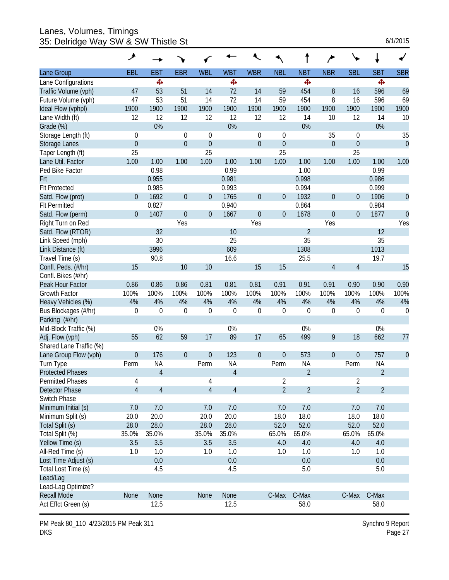Lanes, Volumes, Timings 35: Delridge Way SW & SW Thistle St 6/1/2015

|                         | ۶              |                |                |                  |                |                  |                  |                |                |                |                |                  |
|-------------------------|----------------|----------------|----------------|------------------|----------------|------------------|------------------|----------------|----------------|----------------|----------------|------------------|
| Lane Group              | EBL            | <b>EBT</b>     | <b>EBR</b>     | <b>WBL</b>       | <b>WBT</b>     | <b>WBR</b>       | <b>NBL</b>       | <b>NBT</b>     | <b>NBR</b>     | <b>SBL</b>     | <b>SBT</b>     | <b>SBR</b>       |
| Lane Configurations     |                | ф              |                |                  | Ф              |                  |                  | ф              |                |                | ф,             |                  |
| Traffic Volume (vph)    | 47             | 53             | 51             | 14               | 72             | 14               | 59               | 454            | 8              | 16             | 596            | 69               |
| Future Volume (vph)     | 47             | 53             | 51             | 14               | 72             | 14               | 59               | 454            | 8              | 16             | 596            | 69               |
| Ideal Flow (vphpl)      | 1900           | 1900           | 1900           | 1900             | 1900           | 1900             | 1900             | 1900           | 1900           | 1900           | 1900           | 1900             |
| Lane Width (ft)         | 12             | 12             | 12             | 12               | 12             | 12               | 12               | 14             | 10             | 12             | 14             | 10               |
| Grade (%)               |                | 0%             |                |                  | 0%             |                  |                  | 0%             |                |                | 0%             |                  |
| Storage Length (ft)     | $\mathbf 0$    |                | $\mathbf 0$    | $\mathbf 0$      |                | $\boldsymbol{0}$ | $\mathbf 0$      |                | 35             | 0              |                | 35               |
| <b>Storage Lanes</b>    | $\overline{0}$ |                | $\overline{0}$ | $\overline{0}$   |                | $\mathbf 0$      | $\boldsymbol{0}$ |                | $\overline{0}$ | $\mathbf{0}$   |                | $\mathbf{0}$     |
| Taper Length (ft)       | 25             |                |                | 25               |                |                  | 25               |                |                | 25             |                |                  |
| Lane Util. Factor       | 1.00           | 1.00           | 1.00           | 1.00             | 1.00           | 1.00             | 1.00             | 1.00           | 1.00           | 1.00           | 1.00           | 1.00             |
| Ped Bike Factor         |                | 0.98           |                |                  | 0.99           |                  |                  | 1.00           |                |                | 0.99           |                  |
| Frt                     |                | 0.955          |                |                  | 0.981          |                  |                  | 0.998          |                |                | 0.986          |                  |
| <b>Flt Protected</b>    |                | 0.985          |                |                  | 0.993          |                  |                  | 0.994          |                |                | 0.999          |                  |
| Satd. Flow (prot)       | $\overline{0}$ | 1692           | $\overline{0}$ | $\theta$         | 1765           | $\boldsymbol{0}$ | $\boldsymbol{0}$ | 1932           | $\overline{0}$ | $\overline{0}$ | 1906           | $\theta$         |
| <b>Flt Permitted</b>    |                | 0.827          |                |                  | 0.940          |                  |                  | 0.864          |                |                | 0.984          |                  |
| Satd. Flow (perm)       | $\Omega$       | 1407           | $\overline{0}$ | $\theta$         | 1667           | $\overline{0}$   | $\mathbf 0$      | 1678           | $\overline{0}$ | $\mathbf 0$    | 1877           | $\theta$         |
| Right Turn on Red       |                |                | Yes            |                  |                | Yes              |                  |                | Yes            |                |                | Yes              |
| Satd. Flow (RTOR)       |                | 32             |                |                  | 10             |                  |                  | $\overline{2}$ |                |                | 12             |                  |
| Link Speed (mph)        |                | 30             |                |                  | 25             |                  |                  | 35             |                |                | 35             |                  |
| Link Distance (ft)      |                | 3996           |                |                  | 609            |                  |                  | 1308           |                |                | 1013           |                  |
| Travel Time (s)         |                | 90.8           |                |                  | 16.6           |                  |                  | 25.5           |                |                | 19.7           |                  |
| Confl. Peds. (#/hr)     | 15             |                | 10             | 10               |                | 15               | 15               |                | $\overline{4}$ | $\overline{4}$ |                | 15               |
| Confl. Bikes (#/hr)     |                |                |                |                  |                |                  |                  |                |                |                |                |                  |
| Peak Hour Factor        | 0.86           | 0.86           | 0.86           | 0.81             | 0.81           | 0.81             | 0.91             | 0.91           | 0.91           | 0.90           | 0.90           | 0.90             |
| <b>Growth Factor</b>    | 100%           | 100%           | 100%           | 100%             | 100%           | 100%             | 100%             | 100%           | 100%           | 100%           | 100%           | 100%             |
| Heavy Vehicles (%)      | 4%             | 4%             | 4%             | 4%               | 4%             | 4%               | 4%               | 4%             | 4%             | 4%             | 4%             | 4%               |
| Bus Blockages (#/hr)    | $\mathbf 0$    | $\mathbf 0$    | $\mathbf 0$    | $\mathbf 0$      | $\mathbf 0$    | 0                | $\mathbf 0$      | $\mathbf 0$    | 0              | 0              | 0              | $\boldsymbol{0}$ |
| Parking (#/hr)          |                |                |                |                  |                |                  |                  |                |                |                |                |                  |
| Mid-Block Traffic (%)   |                | 0%             |                |                  | 0%             |                  |                  | 0%             |                |                | 0%             |                  |
| Adj. Flow (vph)         | 55             | 62             | 59             | 17               | 89             | 17               | 65               | 499            | 9              | 18             | 662            | 77               |
| Shared Lane Traffic (%) |                |                |                |                  |                |                  |                  |                |                |                |                |                  |
| Lane Group Flow (vph)   | $\theta$       | 176            | $\theta$       | $\boldsymbol{0}$ | 123            | $\boldsymbol{0}$ | $\theta$         | 573            | $\mathbf 0$    | $\overline{0}$ | 757            | $\mathbf 0$      |
| Turn Type               | Perm           | <b>NA</b>      |                | Perm             | <b>NA</b>      |                  | Perm             | <b>NA</b>      |                | Perm           | <b>NA</b>      |                  |
| <b>Protected Phases</b> |                | $\overline{4}$ |                |                  | $\overline{4}$ |                  |                  | $\overline{2}$ |                |                | $\overline{2}$ |                  |
| <b>Permitted Phases</b> | 4              |                |                | 4                |                |                  | $\overline{2}$   |                |                | $\overline{2}$ |                |                  |
| <b>Detector Phase</b>   | $\overline{4}$ | $\overline{4}$ |                | $\overline{4}$   | $\overline{4}$ |                  | $\overline{2}$   | $\overline{2}$ |                | $\overline{2}$ | $\overline{2}$ |                  |
| Switch Phase            |                |                |                |                  |                |                  |                  |                |                |                |                |                  |
| Minimum Initial (s)     | 7.0            | 7.0            |                | 7.0              | 7.0            |                  | 7.0              | 7.0            |                | 7.0            | $7.0$          |                  |
| Minimum Split (s)       | 20.0           | 20.0           |                | 20.0             | 20.0           |                  | 18.0             | 18.0           |                | 18.0           | 18.0           |                  |
| Total Split (s)         | 28.0           | 28.0           |                | 28.0             | 28.0           |                  | 52.0             | 52.0           |                | 52.0           | 52.0           |                  |
| Total Split (%)         | 35.0%          | 35.0%          |                | 35.0%            | 35.0%          |                  | 65.0%            | 65.0%          |                | 65.0%          | 65.0%          |                  |
| Yellow Time (s)         | 3.5            | 3.5            |                | 3.5              | 3.5            |                  | 4.0              | 4.0            |                | 4.0            | 4.0            |                  |
| All-Red Time (s)        | 1.0            | 1.0            |                | 1.0              | 1.0            |                  | 1.0              | 1.0            |                | 1.0            | 1.0            |                  |
| Lost Time Adjust (s)    |                | 0.0            |                |                  | 0.0            |                  |                  | 0.0            |                |                | 0.0            |                  |
| Total Lost Time (s)     |                | 4.5            |                |                  | 4.5            |                  |                  | 5.0            |                |                | 5.0            |                  |
| Lead/Lag                |                |                |                |                  |                |                  |                  |                |                |                |                |                  |
| Lead-Lag Optimize?      |                |                |                |                  |                |                  |                  |                |                |                |                |                  |
| <b>Recall Mode</b>      | None           | None           |                | None             | None           |                  | C-Max            | C-Max          |                | C-Max          | C-Max          |                  |
| Act Effct Green (s)     |                | 12.5           |                |                  | 12.5           |                  |                  | 58.0           |                |                | 58.0           |                  |

PM Peak 80\_110 4/23/2015 PM Peak 311 DKS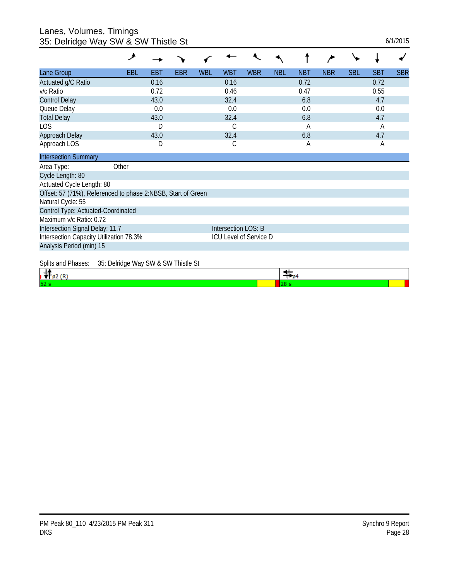#### Lanes, Volumes, Timings 35: Delridge Way SW & SW Thistle St 6/1/2015

|                                                                   | عر                                  |            |            |            |                     |            |            |            |            |            |            |            |
|-------------------------------------------------------------------|-------------------------------------|------------|------------|------------|---------------------|------------|------------|------------|------------|------------|------------|------------|
| Lane Group                                                        | <b>EBL</b>                          | <b>EBT</b> | <b>EBR</b> | <b>WBL</b> | <b>WBT</b>          | <b>WBR</b> | <b>NBL</b> | <b>NBT</b> | <b>NBR</b> | <b>SBL</b> | <b>SBT</b> | <b>SBR</b> |
| Actuated g/C Ratio                                                |                                     | 0.16       |            |            | 0.16                |            |            | 0.72       |            |            | 0.72       |            |
| v/c Ratio                                                         |                                     | 0.72       |            |            | 0.46                |            |            | 0.47       |            |            | 0.55       |            |
| <b>Control Delay</b>                                              |                                     | 43.0       |            |            | 32.4                |            |            | 6.8        |            |            | 4.7        |            |
| Queue Delay                                                       |                                     | 0.0        |            |            | 0.0                 |            |            | 0.0        |            |            | 0.0        |            |
| <b>Total Delay</b>                                                |                                     | 43.0       |            |            | 32.4                |            |            | 6.8        |            |            | 4.7        |            |
| LOS                                                               |                                     | D          |            |            | С                   |            |            | А          |            |            | A          |            |
| Approach Delay                                                    |                                     | 43.0       |            |            | 32.4                |            |            | 6.8        |            |            | 4.7        |            |
| Approach LOS                                                      |                                     | D          |            |            | С                   |            |            | А          |            |            | A          |            |
| <b>Intersection Summary</b>                                       |                                     |            |            |            |                     |            |            |            |            |            |            |            |
| Area Type:                                                        | Other                               |            |            |            |                     |            |            |            |            |            |            |            |
| Cycle Length: 80                                                  |                                     |            |            |            |                     |            |            |            |            |            |            |            |
| Actuated Cycle Length: 80                                         |                                     |            |            |            |                     |            |            |            |            |            |            |            |
| Offset: 57 (71%), Referenced to phase 2:NBSB, Start of Green      |                                     |            |            |            |                     |            |            |            |            |            |            |            |
| Natural Cycle: 55                                                 |                                     |            |            |            |                     |            |            |            |            |            |            |            |
| Control Type: Actuated-Coordinated                                |                                     |            |            |            |                     |            |            |            |            |            |            |            |
| Maximum v/c Ratio: 0.72                                           |                                     |            |            |            |                     |            |            |            |            |            |            |            |
| Intersection Signal Delay: 11.7                                   |                                     |            |            |            | Intersection LOS: B |            |            |            |            |            |            |            |
| Intersection Capacity Utilization 78.3%<br>ICU Level of Service D |                                     |            |            |            |                     |            |            |            |            |            |            |            |
| Analysis Period (min) 15                                          |                                     |            |            |            |                     |            |            |            |            |            |            |            |
| Splits and Phases:                                                | 35: Delridge Way SW & SW Thistle St |            |            |            |                     |            |            |            |            |            |            |            |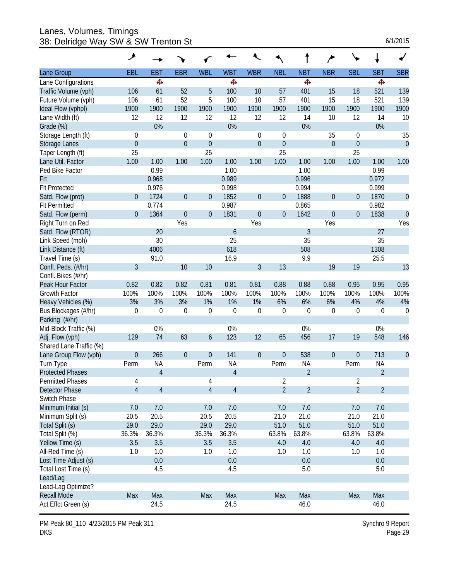Lanes, Volumes, Timings 38: Delridge Way SW & SW Trenton St 6/1/2015

| 6/1/2015 |  |
|----------|--|
|----------|--|

| <b>WBL</b><br><b>WBT</b><br><b>WBR</b><br><b>NBL</b><br><b>NBT</b><br><b>SBL</b><br><b>SBT</b><br><b>SBR</b><br>Lane Group<br>EBL<br><b>EBT</b><br><b>EBR</b><br><b>NBR</b><br>ф,<br>ф,<br>Ф<br>Ф.<br>Lane Configurations<br>100<br>521<br>Traffic Volume (vph)<br>106<br>61<br>52<br>5<br>10<br>57<br>401<br>15<br>18<br>139<br>52<br>5<br>18<br>521<br>139<br>Future Volume (vph)<br>106<br>61<br>100<br>10<br>57<br>401<br>15<br>1900<br>1900<br>1900<br>1900<br>1900<br>1900<br>1900<br>1900<br>1900<br>1900<br>1900<br>1900<br>Ideal Flow (vphpl)<br>12<br>12<br>12<br>12<br>12<br>12<br>12<br>12<br>10<br>Lane Width (ft)<br>14<br>10<br>14<br>0%<br>0%<br>0%<br>0%<br>Grade (%)<br>35<br>35<br>Storage Length (ft)<br>$\mathbf 0$<br>$\mathbf 0$<br>$\mathbf 0$<br>$\boldsymbol{0}$<br>$\mathbf 0$<br>0<br>$\mathbf{0}$<br>$\overline{0}$<br>$\overline{0}$<br>$\overline{0}$<br>$\overline{0}$<br>$\boldsymbol{0}$<br>$\mathbf 0$<br>$\theta$<br>Storage Lanes<br>25<br>25<br>Taper Length (ft)<br>25<br>25<br>1.00<br>1.00<br>1.00<br>Lane Util. Factor<br>1.00<br>1.00<br>1.00<br>1.00<br>1.00<br>1.00<br>1.00<br>1.00<br>1.00<br>0.99<br>1.00<br>1.00<br>0.99<br>Ped Bike Factor<br>0.996<br>0.972<br>0.968<br>0.989<br>Frt<br><b>Flt Protected</b><br>0.976<br>0.998<br>0.994<br>0.999<br>1724<br>$\overline{0}$<br>1852<br>1888<br>1870<br>$\overline{0}$<br>$\theta$<br>$\boldsymbol{0}$<br>$\mathbf 0$<br>$\boldsymbol{0}$<br>Satd. Flow (prot)<br>$\overline{0}$<br>0<br>0.774<br>0.982<br>0.987<br>0.865<br><b>FIt Permitted</b><br>$\overline{0}$<br>1831<br>$\overline{0}$<br>1838<br>$\overline{0}$<br>Satd. Flow (perm)<br>$\Omega$<br>1364<br>$\theta$<br>$\mathbf 0$<br>1642<br>$\boldsymbol{0}$<br>0<br>Yes<br>Yes<br>Yes<br>Yes<br>Right Turn on Red<br>$\mathfrak{Z}$<br>27<br>Satd. Flow (RTOR)<br>20<br>6<br>25<br>35<br>30<br>35<br>Link Speed (mph)<br>4006<br>618<br>508<br>1308<br>Link Distance (ft)<br>16.9<br>Travel Time (s)<br>91.0<br>9.9<br>25.5<br>3<br>10<br>3<br>13<br>19<br>13<br>10<br>19<br>Confl. Peds. (#/hr)<br>Confl. Bikes (#/hr)<br>Peak Hour Factor<br>0.82<br>0.82<br>0.82<br>0.81<br>0.81<br>0.81<br>0.88<br>0.88<br>0.88<br>0.95<br>0.95<br>0.95<br>100%<br>100%<br>100%<br>100%<br>100%<br>100%<br>100%<br>100%<br>100%<br>100%<br>100%<br>100%<br>Growth Factor<br>3%<br>3%<br>3%<br>1%<br>1%<br>1%<br>6%<br>6%<br>6%<br>4%<br>4%<br>Heavy Vehicles (%)<br>4%<br>$\boldsymbol{0}$<br>$\mathbf 0$<br>$\boldsymbol{0}$<br>Bus Blockages (#/hr)<br>0<br>0<br>$\boldsymbol{0}$<br>0<br>0<br>0<br>$\boldsymbol{0}$<br>0<br>$\mathbf 0$<br>Parking (#/hr)<br>0%<br>0%<br>0%<br>0%<br>Mid-Block Traffic (%)<br>129<br>74<br>123<br>Adj. Flow (vph)<br>63<br>6<br>12<br>65<br>456<br>17<br>19<br>548<br>146<br>Shared Lane Traffic (%)<br>$\overline{0}$<br>141<br>538<br>713<br>$\overline{0}$<br>$\mathbf{0}$<br>266<br>$\theta$<br>$\boldsymbol{0}$<br>$\theta$<br>$\mathbf 0$<br>0<br>Lane Group Flow (vph)<br><b>NA</b><br>Perm<br><b>NA</b><br><b>NA</b><br>Perm<br><b>NA</b><br>Turn Type<br>Perm<br>Perm<br>$\overline{2}$<br>$\overline{2}$<br>$\overline{4}$<br>$\overline{4}$<br><b>Protected Phases</b><br>Permitted Phases<br>4<br>4<br>2<br>2<br>$\overline{4}$<br>$\overline{4}$<br>$\overline{2}$<br>$\overline{2}$<br>$\overline{2}$<br>$\overline{2}$<br>$\overline{4}$<br>4<br>Detector Phase<br>Switch Phase<br>Minimum Initial (s)<br>7.0<br>7.0<br>7.0<br>7.0<br>7.0<br>7.0<br>7.0<br>7.0<br>20.5<br>20.5<br>20.5<br>20.5<br>21.0<br>21.0<br>21.0<br>Minimum Split (s)<br>21.0<br>51.0<br>29.0<br>29.0<br>29.0<br>51.0<br>51.0<br>51.0<br>Total Split (s)<br>29.0<br>Total Split (%)<br>36.3%<br>36.3%<br>36.3%<br>36.3%<br>63.8%<br>63.8%<br>63.8%<br>63.8%<br>Yellow Time (s)<br>3.5<br>3.5<br>3.5<br>3.5<br>4.0<br>4.0<br>4.0<br>4.0<br>All-Red Time (s)<br>1.0<br>1.0<br>1.0<br>1.0<br>1.0<br>1.0<br>1.0<br>1.0<br>0.0<br>0.0<br>Lost Time Adjust (s)<br>0.0<br>0.0<br>Total Lost Time (s)<br>5.0<br>4.5<br>4.5<br>5.0 | ۸ |  |  |  |  |  |  |
|---------------------------------------------------------------------------------------------------------------------------------------------------------------------------------------------------------------------------------------------------------------------------------------------------------------------------------------------------------------------------------------------------------------------------------------------------------------------------------------------------------------------------------------------------------------------------------------------------------------------------------------------------------------------------------------------------------------------------------------------------------------------------------------------------------------------------------------------------------------------------------------------------------------------------------------------------------------------------------------------------------------------------------------------------------------------------------------------------------------------------------------------------------------------------------------------------------------------------------------------------------------------------------------------------------------------------------------------------------------------------------------------------------------------------------------------------------------------------------------------------------------------------------------------------------------------------------------------------------------------------------------------------------------------------------------------------------------------------------------------------------------------------------------------------------------------------------------------------------------------------------------------------------------------------------------------------------------------------------------------------------------------------------------------------------------------------------------------------------------------------------------------------------------------------------------------------------------------------------------------------------------------------------------------------------------------------------------------------------------------------------------------------------------------------------------------------------------------------------------------------------------------------------------------------------------------------------------------------------------------------------------------------------------------------------------------------------------------------------------------------------------------------------------------------------------------------------------------------------------------------------------------------------------------------------------------------------------------------------------------------------------------------------------------------------------------------------------------------------------------------------------------------------------------------------------------------------------------------------------------------------------------------------------------------------------------------------------------------------------------------------------------------------------------------------------------------------------------------------------------------------------------------------------------------------------------------------------------------------------------------------------------------------------------------------------------------------------------------------------------------------------------------------------------------------------------------------------------------------------------------------------------------------------------------------------------------------------------------------------------------|---|--|--|--|--|--|--|
|                                                                                                                                                                                                                                                                                                                                                                                                                                                                                                                                                                                                                                                                                                                                                                                                                                                                                                                                                                                                                                                                                                                                                                                                                                                                                                                                                                                                                                                                                                                                                                                                                                                                                                                                                                                                                                                                                                                                                                                                                                                                                                                                                                                                                                                                                                                                                                                                                                                                                                                                                                                                                                                                                                                                                                                                                                                                                                                                                                                                                                                                                                                                                                                                                                                                                                                                                                                                                                                                                                                                                                                                                                                                                                                                                                                                                                                                                                                                                                                                   |   |  |  |  |  |  |  |
|                                                                                                                                                                                                                                                                                                                                                                                                                                                                                                                                                                                                                                                                                                                                                                                                                                                                                                                                                                                                                                                                                                                                                                                                                                                                                                                                                                                                                                                                                                                                                                                                                                                                                                                                                                                                                                                                                                                                                                                                                                                                                                                                                                                                                                                                                                                                                                                                                                                                                                                                                                                                                                                                                                                                                                                                                                                                                                                                                                                                                                                                                                                                                                                                                                                                                                                                                                                                                                                                                                                                                                                                                                                                                                                                                                                                                                                                                                                                                                                                   |   |  |  |  |  |  |  |
|                                                                                                                                                                                                                                                                                                                                                                                                                                                                                                                                                                                                                                                                                                                                                                                                                                                                                                                                                                                                                                                                                                                                                                                                                                                                                                                                                                                                                                                                                                                                                                                                                                                                                                                                                                                                                                                                                                                                                                                                                                                                                                                                                                                                                                                                                                                                                                                                                                                                                                                                                                                                                                                                                                                                                                                                                                                                                                                                                                                                                                                                                                                                                                                                                                                                                                                                                                                                                                                                                                                                                                                                                                                                                                                                                                                                                                                                                                                                                                                                   |   |  |  |  |  |  |  |
|                                                                                                                                                                                                                                                                                                                                                                                                                                                                                                                                                                                                                                                                                                                                                                                                                                                                                                                                                                                                                                                                                                                                                                                                                                                                                                                                                                                                                                                                                                                                                                                                                                                                                                                                                                                                                                                                                                                                                                                                                                                                                                                                                                                                                                                                                                                                                                                                                                                                                                                                                                                                                                                                                                                                                                                                                                                                                                                                                                                                                                                                                                                                                                                                                                                                                                                                                                                                                                                                                                                                                                                                                                                                                                                                                                                                                                                                                                                                                                                                   |   |  |  |  |  |  |  |
|                                                                                                                                                                                                                                                                                                                                                                                                                                                                                                                                                                                                                                                                                                                                                                                                                                                                                                                                                                                                                                                                                                                                                                                                                                                                                                                                                                                                                                                                                                                                                                                                                                                                                                                                                                                                                                                                                                                                                                                                                                                                                                                                                                                                                                                                                                                                                                                                                                                                                                                                                                                                                                                                                                                                                                                                                                                                                                                                                                                                                                                                                                                                                                                                                                                                                                                                                                                                                                                                                                                                                                                                                                                                                                                                                                                                                                                                                                                                                                                                   |   |  |  |  |  |  |  |
|                                                                                                                                                                                                                                                                                                                                                                                                                                                                                                                                                                                                                                                                                                                                                                                                                                                                                                                                                                                                                                                                                                                                                                                                                                                                                                                                                                                                                                                                                                                                                                                                                                                                                                                                                                                                                                                                                                                                                                                                                                                                                                                                                                                                                                                                                                                                                                                                                                                                                                                                                                                                                                                                                                                                                                                                                                                                                                                                                                                                                                                                                                                                                                                                                                                                                                                                                                                                                                                                                                                                                                                                                                                                                                                                                                                                                                                                                                                                                                                                   |   |  |  |  |  |  |  |
|                                                                                                                                                                                                                                                                                                                                                                                                                                                                                                                                                                                                                                                                                                                                                                                                                                                                                                                                                                                                                                                                                                                                                                                                                                                                                                                                                                                                                                                                                                                                                                                                                                                                                                                                                                                                                                                                                                                                                                                                                                                                                                                                                                                                                                                                                                                                                                                                                                                                                                                                                                                                                                                                                                                                                                                                                                                                                                                                                                                                                                                                                                                                                                                                                                                                                                                                                                                                                                                                                                                                                                                                                                                                                                                                                                                                                                                                                                                                                                                                   |   |  |  |  |  |  |  |
|                                                                                                                                                                                                                                                                                                                                                                                                                                                                                                                                                                                                                                                                                                                                                                                                                                                                                                                                                                                                                                                                                                                                                                                                                                                                                                                                                                                                                                                                                                                                                                                                                                                                                                                                                                                                                                                                                                                                                                                                                                                                                                                                                                                                                                                                                                                                                                                                                                                                                                                                                                                                                                                                                                                                                                                                                                                                                                                                                                                                                                                                                                                                                                                                                                                                                                                                                                                                                                                                                                                                                                                                                                                                                                                                                                                                                                                                                                                                                                                                   |   |  |  |  |  |  |  |
|                                                                                                                                                                                                                                                                                                                                                                                                                                                                                                                                                                                                                                                                                                                                                                                                                                                                                                                                                                                                                                                                                                                                                                                                                                                                                                                                                                                                                                                                                                                                                                                                                                                                                                                                                                                                                                                                                                                                                                                                                                                                                                                                                                                                                                                                                                                                                                                                                                                                                                                                                                                                                                                                                                                                                                                                                                                                                                                                                                                                                                                                                                                                                                                                                                                                                                                                                                                                                                                                                                                                                                                                                                                                                                                                                                                                                                                                                                                                                                                                   |   |  |  |  |  |  |  |
|                                                                                                                                                                                                                                                                                                                                                                                                                                                                                                                                                                                                                                                                                                                                                                                                                                                                                                                                                                                                                                                                                                                                                                                                                                                                                                                                                                                                                                                                                                                                                                                                                                                                                                                                                                                                                                                                                                                                                                                                                                                                                                                                                                                                                                                                                                                                                                                                                                                                                                                                                                                                                                                                                                                                                                                                                                                                                                                                                                                                                                                                                                                                                                                                                                                                                                                                                                                                                                                                                                                                                                                                                                                                                                                                                                                                                                                                                                                                                                                                   |   |  |  |  |  |  |  |
|                                                                                                                                                                                                                                                                                                                                                                                                                                                                                                                                                                                                                                                                                                                                                                                                                                                                                                                                                                                                                                                                                                                                                                                                                                                                                                                                                                                                                                                                                                                                                                                                                                                                                                                                                                                                                                                                                                                                                                                                                                                                                                                                                                                                                                                                                                                                                                                                                                                                                                                                                                                                                                                                                                                                                                                                                                                                                                                                                                                                                                                                                                                                                                                                                                                                                                                                                                                                                                                                                                                                                                                                                                                                                                                                                                                                                                                                                                                                                                                                   |   |  |  |  |  |  |  |
|                                                                                                                                                                                                                                                                                                                                                                                                                                                                                                                                                                                                                                                                                                                                                                                                                                                                                                                                                                                                                                                                                                                                                                                                                                                                                                                                                                                                                                                                                                                                                                                                                                                                                                                                                                                                                                                                                                                                                                                                                                                                                                                                                                                                                                                                                                                                                                                                                                                                                                                                                                                                                                                                                                                                                                                                                                                                                                                                                                                                                                                                                                                                                                                                                                                                                                                                                                                                                                                                                                                                                                                                                                                                                                                                                                                                                                                                                                                                                                                                   |   |  |  |  |  |  |  |
|                                                                                                                                                                                                                                                                                                                                                                                                                                                                                                                                                                                                                                                                                                                                                                                                                                                                                                                                                                                                                                                                                                                                                                                                                                                                                                                                                                                                                                                                                                                                                                                                                                                                                                                                                                                                                                                                                                                                                                                                                                                                                                                                                                                                                                                                                                                                                                                                                                                                                                                                                                                                                                                                                                                                                                                                                                                                                                                                                                                                                                                                                                                                                                                                                                                                                                                                                                                                                                                                                                                                                                                                                                                                                                                                                                                                                                                                                                                                                                                                   |   |  |  |  |  |  |  |
|                                                                                                                                                                                                                                                                                                                                                                                                                                                                                                                                                                                                                                                                                                                                                                                                                                                                                                                                                                                                                                                                                                                                                                                                                                                                                                                                                                                                                                                                                                                                                                                                                                                                                                                                                                                                                                                                                                                                                                                                                                                                                                                                                                                                                                                                                                                                                                                                                                                                                                                                                                                                                                                                                                                                                                                                                                                                                                                                                                                                                                                                                                                                                                                                                                                                                                                                                                                                                                                                                                                                                                                                                                                                                                                                                                                                                                                                                                                                                                                                   |   |  |  |  |  |  |  |
|                                                                                                                                                                                                                                                                                                                                                                                                                                                                                                                                                                                                                                                                                                                                                                                                                                                                                                                                                                                                                                                                                                                                                                                                                                                                                                                                                                                                                                                                                                                                                                                                                                                                                                                                                                                                                                                                                                                                                                                                                                                                                                                                                                                                                                                                                                                                                                                                                                                                                                                                                                                                                                                                                                                                                                                                                                                                                                                                                                                                                                                                                                                                                                                                                                                                                                                                                                                                                                                                                                                                                                                                                                                                                                                                                                                                                                                                                                                                                                                                   |   |  |  |  |  |  |  |
|                                                                                                                                                                                                                                                                                                                                                                                                                                                                                                                                                                                                                                                                                                                                                                                                                                                                                                                                                                                                                                                                                                                                                                                                                                                                                                                                                                                                                                                                                                                                                                                                                                                                                                                                                                                                                                                                                                                                                                                                                                                                                                                                                                                                                                                                                                                                                                                                                                                                                                                                                                                                                                                                                                                                                                                                                                                                                                                                                                                                                                                                                                                                                                                                                                                                                                                                                                                                                                                                                                                                                                                                                                                                                                                                                                                                                                                                                                                                                                                                   |   |  |  |  |  |  |  |
|                                                                                                                                                                                                                                                                                                                                                                                                                                                                                                                                                                                                                                                                                                                                                                                                                                                                                                                                                                                                                                                                                                                                                                                                                                                                                                                                                                                                                                                                                                                                                                                                                                                                                                                                                                                                                                                                                                                                                                                                                                                                                                                                                                                                                                                                                                                                                                                                                                                                                                                                                                                                                                                                                                                                                                                                                                                                                                                                                                                                                                                                                                                                                                                                                                                                                                                                                                                                                                                                                                                                                                                                                                                                                                                                                                                                                                                                                                                                                                                                   |   |  |  |  |  |  |  |
|                                                                                                                                                                                                                                                                                                                                                                                                                                                                                                                                                                                                                                                                                                                                                                                                                                                                                                                                                                                                                                                                                                                                                                                                                                                                                                                                                                                                                                                                                                                                                                                                                                                                                                                                                                                                                                                                                                                                                                                                                                                                                                                                                                                                                                                                                                                                                                                                                                                                                                                                                                                                                                                                                                                                                                                                                                                                                                                                                                                                                                                                                                                                                                                                                                                                                                                                                                                                                                                                                                                                                                                                                                                                                                                                                                                                                                                                                                                                                                                                   |   |  |  |  |  |  |  |
|                                                                                                                                                                                                                                                                                                                                                                                                                                                                                                                                                                                                                                                                                                                                                                                                                                                                                                                                                                                                                                                                                                                                                                                                                                                                                                                                                                                                                                                                                                                                                                                                                                                                                                                                                                                                                                                                                                                                                                                                                                                                                                                                                                                                                                                                                                                                                                                                                                                                                                                                                                                                                                                                                                                                                                                                                                                                                                                                                                                                                                                                                                                                                                                                                                                                                                                                                                                                                                                                                                                                                                                                                                                                                                                                                                                                                                                                                                                                                                                                   |   |  |  |  |  |  |  |
|                                                                                                                                                                                                                                                                                                                                                                                                                                                                                                                                                                                                                                                                                                                                                                                                                                                                                                                                                                                                                                                                                                                                                                                                                                                                                                                                                                                                                                                                                                                                                                                                                                                                                                                                                                                                                                                                                                                                                                                                                                                                                                                                                                                                                                                                                                                                                                                                                                                                                                                                                                                                                                                                                                                                                                                                                                                                                                                                                                                                                                                                                                                                                                                                                                                                                                                                                                                                                                                                                                                                                                                                                                                                                                                                                                                                                                                                                                                                                                                                   |   |  |  |  |  |  |  |
|                                                                                                                                                                                                                                                                                                                                                                                                                                                                                                                                                                                                                                                                                                                                                                                                                                                                                                                                                                                                                                                                                                                                                                                                                                                                                                                                                                                                                                                                                                                                                                                                                                                                                                                                                                                                                                                                                                                                                                                                                                                                                                                                                                                                                                                                                                                                                                                                                                                                                                                                                                                                                                                                                                                                                                                                                                                                                                                                                                                                                                                                                                                                                                                                                                                                                                                                                                                                                                                                                                                                                                                                                                                                                                                                                                                                                                                                                                                                                                                                   |   |  |  |  |  |  |  |
|                                                                                                                                                                                                                                                                                                                                                                                                                                                                                                                                                                                                                                                                                                                                                                                                                                                                                                                                                                                                                                                                                                                                                                                                                                                                                                                                                                                                                                                                                                                                                                                                                                                                                                                                                                                                                                                                                                                                                                                                                                                                                                                                                                                                                                                                                                                                                                                                                                                                                                                                                                                                                                                                                                                                                                                                                                                                                                                                                                                                                                                                                                                                                                                                                                                                                                                                                                                                                                                                                                                                                                                                                                                                                                                                                                                                                                                                                                                                                                                                   |   |  |  |  |  |  |  |
|                                                                                                                                                                                                                                                                                                                                                                                                                                                                                                                                                                                                                                                                                                                                                                                                                                                                                                                                                                                                                                                                                                                                                                                                                                                                                                                                                                                                                                                                                                                                                                                                                                                                                                                                                                                                                                                                                                                                                                                                                                                                                                                                                                                                                                                                                                                                                                                                                                                                                                                                                                                                                                                                                                                                                                                                                                                                                                                                                                                                                                                                                                                                                                                                                                                                                                                                                                                                                                                                                                                                                                                                                                                                                                                                                                                                                                                                                                                                                                                                   |   |  |  |  |  |  |  |
|                                                                                                                                                                                                                                                                                                                                                                                                                                                                                                                                                                                                                                                                                                                                                                                                                                                                                                                                                                                                                                                                                                                                                                                                                                                                                                                                                                                                                                                                                                                                                                                                                                                                                                                                                                                                                                                                                                                                                                                                                                                                                                                                                                                                                                                                                                                                                                                                                                                                                                                                                                                                                                                                                                                                                                                                                                                                                                                                                                                                                                                                                                                                                                                                                                                                                                                                                                                                                                                                                                                                                                                                                                                                                                                                                                                                                                                                                                                                                                                                   |   |  |  |  |  |  |  |
|                                                                                                                                                                                                                                                                                                                                                                                                                                                                                                                                                                                                                                                                                                                                                                                                                                                                                                                                                                                                                                                                                                                                                                                                                                                                                                                                                                                                                                                                                                                                                                                                                                                                                                                                                                                                                                                                                                                                                                                                                                                                                                                                                                                                                                                                                                                                                                                                                                                                                                                                                                                                                                                                                                                                                                                                                                                                                                                                                                                                                                                                                                                                                                                                                                                                                                                                                                                                                                                                                                                                                                                                                                                                                                                                                                                                                                                                                                                                                                                                   |   |  |  |  |  |  |  |
|                                                                                                                                                                                                                                                                                                                                                                                                                                                                                                                                                                                                                                                                                                                                                                                                                                                                                                                                                                                                                                                                                                                                                                                                                                                                                                                                                                                                                                                                                                                                                                                                                                                                                                                                                                                                                                                                                                                                                                                                                                                                                                                                                                                                                                                                                                                                                                                                                                                                                                                                                                                                                                                                                                                                                                                                                                                                                                                                                                                                                                                                                                                                                                                                                                                                                                                                                                                                                                                                                                                                                                                                                                                                                                                                                                                                                                                                                                                                                                                                   |   |  |  |  |  |  |  |
|                                                                                                                                                                                                                                                                                                                                                                                                                                                                                                                                                                                                                                                                                                                                                                                                                                                                                                                                                                                                                                                                                                                                                                                                                                                                                                                                                                                                                                                                                                                                                                                                                                                                                                                                                                                                                                                                                                                                                                                                                                                                                                                                                                                                                                                                                                                                                                                                                                                                                                                                                                                                                                                                                                                                                                                                                                                                                                                                                                                                                                                                                                                                                                                                                                                                                                                                                                                                                                                                                                                                                                                                                                                                                                                                                                                                                                                                                                                                                                                                   |   |  |  |  |  |  |  |
|                                                                                                                                                                                                                                                                                                                                                                                                                                                                                                                                                                                                                                                                                                                                                                                                                                                                                                                                                                                                                                                                                                                                                                                                                                                                                                                                                                                                                                                                                                                                                                                                                                                                                                                                                                                                                                                                                                                                                                                                                                                                                                                                                                                                                                                                                                                                                                                                                                                                                                                                                                                                                                                                                                                                                                                                                                                                                                                                                                                                                                                                                                                                                                                                                                                                                                                                                                                                                                                                                                                                                                                                                                                                                                                                                                                                                                                                                                                                                                                                   |   |  |  |  |  |  |  |
|                                                                                                                                                                                                                                                                                                                                                                                                                                                                                                                                                                                                                                                                                                                                                                                                                                                                                                                                                                                                                                                                                                                                                                                                                                                                                                                                                                                                                                                                                                                                                                                                                                                                                                                                                                                                                                                                                                                                                                                                                                                                                                                                                                                                                                                                                                                                                                                                                                                                                                                                                                                                                                                                                                                                                                                                                                                                                                                                                                                                                                                                                                                                                                                                                                                                                                                                                                                                                                                                                                                                                                                                                                                                                                                                                                                                                                                                                                                                                                                                   |   |  |  |  |  |  |  |
|                                                                                                                                                                                                                                                                                                                                                                                                                                                                                                                                                                                                                                                                                                                                                                                                                                                                                                                                                                                                                                                                                                                                                                                                                                                                                                                                                                                                                                                                                                                                                                                                                                                                                                                                                                                                                                                                                                                                                                                                                                                                                                                                                                                                                                                                                                                                                                                                                                                                                                                                                                                                                                                                                                                                                                                                                                                                                                                                                                                                                                                                                                                                                                                                                                                                                                                                                                                                                                                                                                                                                                                                                                                                                                                                                                                                                                                                                                                                                                                                   |   |  |  |  |  |  |  |
|                                                                                                                                                                                                                                                                                                                                                                                                                                                                                                                                                                                                                                                                                                                                                                                                                                                                                                                                                                                                                                                                                                                                                                                                                                                                                                                                                                                                                                                                                                                                                                                                                                                                                                                                                                                                                                                                                                                                                                                                                                                                                                                                                                                                                                                                                                                                                                                                                                                                                                                                                                                                                                                                                                                                                                                                                                                                                                                                                                                                                                                                                                                                                                                                                                                                                                                                                                                                                                                                                                                                                                                                                                                                                                                                                                                                                                                                                                                                                                                                   |   |  |  |  |  |  |  |
|                                                                                                                                                                                                                                                                                                                                                                                                                                                                                                                                                                                                                                                                                                                                                                                                                                                                                                                                                                                                                                                                                                                                                                                                                                                                                                                                                                                                                                                                                                                                                                                                                                                                                                                                                                                                                                                                                                                                                                                                                                                                                                                                                                                                                                                                                                                                                                                                                                                                                                                                                                                                                                                                                                                                                                                                                                                                                                                                                                                                                                                                                                                                                                                                                                                                                                                                                                                                                                                                                                                                                                                                                                                                                                                                                                                                                                                                                                                                                                                                   |   |  |  |  |  |  |  |
|                                                                                                                                                                                                                                                                                                                                                                                                                                                                                                                                                                                                                                                                                                                                                                                                                                                                                                                                                                                                                                                                                                                                                                                                                                                                                                                                                                                                                                                                                                                                                                                                                                                                                                                                                                                                                                                                                                                                                                                                                                                                                                                                                                                                                                                                                                                                                                                                                                                                                                                                                                                                                                                                                                                                                                                                                                                                                                                                                                                                                                                                                                                                                                                                                                                                                                                                                                                                                                                                                                                                                                                                                                                                                                                                                                                                                                                                                                                                                                                                   |   |  |  |  |  |  |  |
|                                                                                                                                                                                                                                                                                                                                                                                                                                                                                                                                                                                                                                                                                                                                                                                                                                                                                                                                                                                                                                                                                                                                                                                                                                                                                                                                                                                                                                                                                                                                                                                                                                                                                                                                                                                                                                                                                                                                                                                                                                                                                                                                                                                                                                                                                                                                                                                                                                                                                                                                                                                                                                                                                                                                                                                                                                                                                                                                                                                                                                                                                                                                                                                                                                                                                                                                                                                                                                                                                                                                                                                                                                                                                                                                                                                                                                                                                                                                                                                                   |   |  |  |  |  |  |  |
|                                                                                                                                                                                                                                                                                                                                                                                                                                                                                                                                                                                                                                                                                                                                                                                                                                                                                                                                                                                                                                                                                                                                                                                                                                                                                                                                                                                                                                                                                                                                                                                                                                                                                                                                                                                                                                                                                                                                                                                                                                                                                                                                                                                                                                                                                                                                                                                                                                                                                                                                                                                                                                                                                                                                                                                                                                                                                                                                                                                                                                                                                                                                                                                                                                                                                                                                                                                                                                                                                                                                                                                                                                                                                                                                                                                                                                                                                                                                                                                                   |   |  |  |  |  |  |  |
|                                                                                                                                                                                                                                                                                                                                                                                                                                                                                                                                                                                                                                                                                                                                                                                                                                                                                                                                                                                                                                                                                                                                                                                                                                                                                                                                                                                                                                                                                                                                                                                                                                                                                                                                                                                                                                                                                                                                                                                                                                                                                                                                                                                                                                                                                                                                                                                                                                                                                                                                                                                                                                                                                                                                                                                                                                                                                                                                                                                                                                                                                                                                                                                                                                                                                                                                                                                                                                                                                                                                                                                                                                                                                                                                                                                                                                                                                                                                                                                                   |   |  |  |  |  |  |  |
|                                                                                                                                                                                                                                                                                                                                                                                                                                                                                                                                                                                                                                                                                                                                                                                                                                                                                                                                                                                                                                                                                                                                                                                                                                                                                                                                                                                                                                                                                                                                                                                                                                                                                                                                                                                                                                                                                                                                                                                                                                                                                                                                                                                                                                                                                                                                                                                                                                                                                                                                                                                                                                                                                                                                                                                                                                                                                                                                                                                                                                                                                                                                                                                                                                                                                                                                                                                                                                                                                                                                                                                                                                                                                                                                                                                                                                                                                                                                                                                                   |   |  |  |  |  |  |  |
|                                                                                                                                                                                                                                                                                                                                                                                                                                                                                                                                                                                                                                                                                                                                                                                                                                                                                                                                                                                                                                                                                                                                                                                                                                                                                                                                                                                                                                                                                                                                                                                                                                                                                                                                                                                                                                                                                                                                                                                                                                                                                                                                                                                                                                                                                                                                                                                                                                                                                                                                                                                                                                                                                                                                                                                                                                                                                                                                                                                                                                                                                                                                                                                                                                                                                                                                                                                                                                                                                                                                                                                                                                                                                                                                                                                                                                                                                                                                                                                                   |   |  |  |  |  |  |  |
|                                                                                                                                                                                                                                                                                                                                                                                                                                                                                                                                                                                                                                                                                                                                                                                                                                                                                                                                                                                                                                                                                                                                                                                                                                                                                                                                                                                                                                                                                                                                                                                                                                                                                                                                                                                                                                                                                                                                                                                                                                                                                                                                                                                                                                                                                                                                                                                                                                                                                                                                                                                                                                                                                                                                                                                                                                                                                                                                                                                                                                                                                                                                                                                                                                                                                                                                                                                                                                                                                                                                                                                                                                                                                                                                                                                                                                                                                                                                                                                                   |   |  |  |  |  |  |  |
|                                                                                                                                                                                                                                                                                                                                                                                                                                                                                                                                                                                                                                                                                                                                                                                                                                                                                                                                                                                                                                                                                                                                                                                                                                                                                                                                                                                                                                                                                                                                                                                                                                                                                                                                                                                                                                                                                                                                                                                                                                                                                                                                                                                                                                                                                                                                                                                                                                                                                                                                                                                                                                                                                                                                                                                                                                                                                                                                                                                                                                                                                                                                                                                                                                                                                                                                                                                                                                                                                                                                                                                                                                                                                                                                                                                                                                                                                                                                                                                                   |   |  |  |  |  |  |  |
|                                                                                                                                                                                                                                                                                                                                                                                                                                                                                                                                                                                                                                                                                                                                                                                                                                                                                                                                                                                                                                                                                                                                                                                                                                                                                                                                                                                                                                                                                                                                                                                                                                                                                                                                                                                                                                                                                                                                                                                                                                                                                                                                                                                                                                                                                                                                                                                                                                                                                                                                                                                                                                                                                                                                                                                                                                                                                                                                                                                                                                                                                                                                                                                                                                                                                                                                                                                                                                                                                                                                                                                                                                                                                                                                                                                                                                                                                                                                                                                                   |   |  |  |  |  |  |  |
|                                                                                                                                                                                                                                                                                                                                                                                                                                                                                                                                                                                                                                                                                                                                                                                                                                                                                                                                                                                                                                                                                                                                                                                                                                                                                                                                                                                                                                                                                                                                                                                                                                                                                                                                                                                                                                                                                                                                                                                                                                                                                                                                                                                                                                                                                                                                                                                                                                                                                                                                                                                                                                                                                                                                                                                                                                                                                                                                                                                                                                                                                                                                                                                                                                                                                                                                                                                                                                                                                                                                                                                                                                                                                                                                                                                                                                                                                                                                                                                                   |   |  |  |  |  |  |  |
|                                                                                                                                                                                                                                                                                                                                                                                                                                                                                                                                                                                                                                                                                                                                                                                                                                                                                                                                                                                                                                                                                                                                                                                                                                                                                                                                                                                                                                                                                                                                                                                                                                                                                                                                                                                                                                                                                                                                                                                                                                                                                                                                                                                                                                                                                                                                                                                                                                                                                                                                                                                                                                                                                                                                                                                                                                                                                                                                                                                                                                                                                                                                                                                                                                                                                                                                                                                                                                                                                                                                                                                                                                                                                                                                                                                                                                                                                                                                                                                                   |   |  |  |  |  |  |  |
|                                                                                                                                                                                                                                                                                                                                                                                                                                                                                                                                                                                                                                                                                                                                                                                                                                                                                                                                                                                                                                                                                                                                                                                                                                                                                                                                                                                                                                                                                                                                                                                                                                                                                                                                                                                                                                                                                                                                                                                                                                                                                                                                                                                                                                                                                                                                                                                                                                                                                                                                                                                                                                                                                                                                                                                                                                                                                                                                                                                                                                                                                                                                                                                                                                                                                                                                                                                                                                                                                                                                                                                                                                                                                                                                                                                                                                                                                                                                                                                                   |   |  |  |  |  |  |  |
|                                                                                                                                                                                                                                                                                                                                                                                                                                                                                                                                                                                                                                                                                                                                                                                                                                                                                                                                                                                                                                                                                                                                                                                                                                                                                                                                                                                                                                                                                                                                                                                                                                                                                                                                                                                                                                                                                                                                                                                                                                                                                                                                                                                                                                                                                                                                                                                                                                                                                                                                                                                                                                                                                                                                                                                                                                                                                                                                                                                                                                                                                                                                                                                                                                                                                                                                                                                                                                                                                                                                                                                                                                                                                                                                                                                                                                                                                                                                                                                                   |   |  |  |  |  |  |  |
|                                                                                                                                                                                                                                                                                                                                                                                                                                                                                                                                                                                                                                                                                                                                                                                                                                                                                                                                                                                                                                                                                                                                                                                                                                                                                                                                                                                                                                                                                                                                                                                                                                                                                                                                                                                                                                                                                                                                                                                                                                                                                                                                                                                                                                                                                                                                                                                                                                                                                                                                                                                                                                                                                                                                                                                                                                                                                                                                                                                                                                                                                                                                                                                                                                                                                                                                                                                                                                                                                                                                                                                                                                                                                                                                                                                                                                                                                                                                                                                                   |   |  |  |  |  |  |  |
| Lead/Lag                                                                                                                                                                                                                                                                                                                                                                                                                                                                                                                                                                                                                                                                                                                                                                                                                                                                                                                                                                                                                                                                                                                                                                                                                                                                                                                                                                                                                                                                                                                                                                                                                                                                                                                                                                                                                                                                                                                                                                                                                                                                                                                                                                                                                                                                                                                                                                                                                                                                                                                                                                                                                                                                                                                                                                                                                                                                                                                                                                                                                                                                                                                                                                                                                                                                                                                                                                                                                                                                                                                                                                                                                                                                                                                                                                                                                                                                                                                                                                                          |   |  |  |  |  |  |  |
| Lead-Lag Optimize?                                                                                                                                                                                                                                                                                                                                                                                                                                                                                                                                                                                                                                                                                                                                                                                                                                                                                                                                                                                                                                                                                                                                                                                                                                                                                                                                                                                                                                                                                                                                                                                                                                                                                                                                                                                                                                                                                                                                                                                                                                                                                                                                                                                                                                                                                                                                                                                                                                                                                                                                                                                                                                                                                                                                                                                                                                                                                                                                                                                                                                                                                                                                                                                                                                                                                                                                                                                                                                                                                                                                                                                                                                                                                                                                                                                                                                                                                                                                                                                |   |  |  |  |  |  |  |
| <b>Recall Mode</b><br>Max<br>Max<br>Max<br>Max<br>Max<br>Max<br>Max<br>Max                                                                                                                                                                                                                                                                                                                                                                                                                                                                                                                                                                                                                                                                                                                                                                                                                                                                                                                                                                                                                                                                                                                                                                                                                                                                                                                                                                                                                                                                                                                                                                                                                                                                                                                                                                                                                                                                                                                                                                                                                                                                                                                                                                                                                                                                                                                                                                                                                                                                                                                                                                                                                                                                                                                                                                                                                                                                                                                                                                                                                                                                                                                                                                                                                                                                                                                                                                                                                                                                                                                                                                                                                                                                                                                                                                                                                                                                                                                        |   |  |  |  |  |  |  |
| Act Effct Green (s)<br>24.5<br>24.5<br>46.0<br>46.0                                                                                                                                                                                                                                                                                                                                                                                                                                                                                                                                                                                                                                                                                                                                                                                                                                                                                                                                                                                                                                                                                                                                                                                                                                                                                                                                                                                                                                                                                                                                                                                                                                                                                                                                                                                                                                                                                                                                                                                                                                                                                                                                                                                                                                                                                                                                                                                                                                                                                                                                                                                                                                                                                                                                                                                                                                                                                                                                                                                                                                                                                                                                                                                                                                                                                                                                                                                                                                                                                                                                                                                                                                                                                                                                                                                                                                                                                                                                               |   |  |  |  |  |  |  |

PM Peak 80\_110 4/23/2015 PM Peak 311 DKS